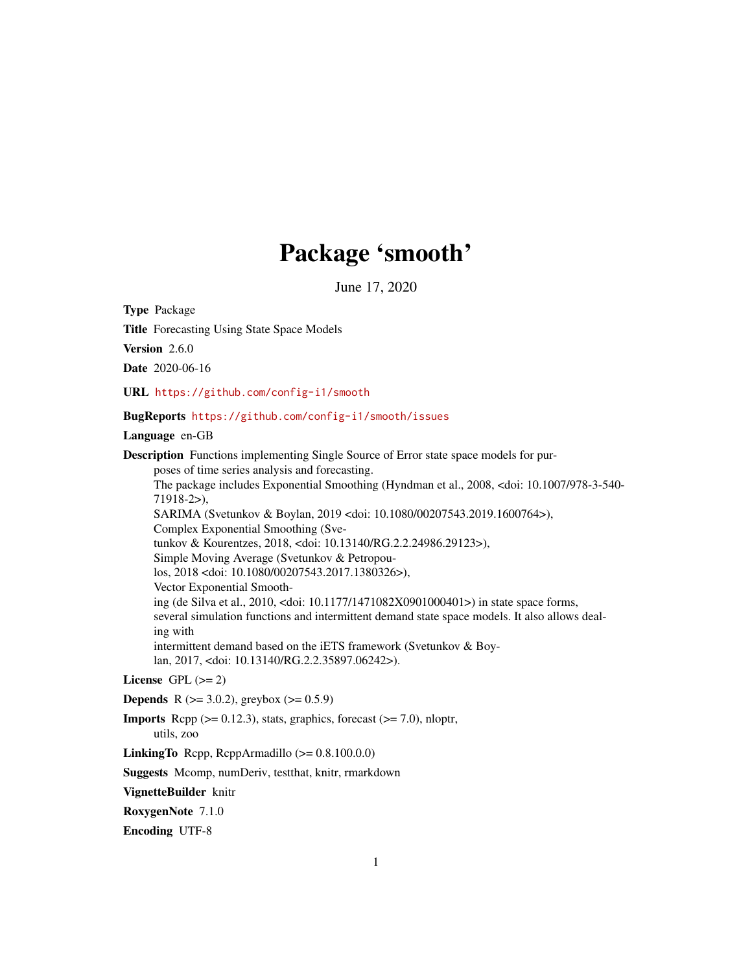# Package 'smooth'

June 17, 2020

<span id="page-0-0"></span>Type Package

Title Forecasting Using State Space Models

Version 2.6.0

Date 2020-06-16

URL <https://github.com/config-i1/smooth>

## BugReports <https://github.com/config-i1/smooth/issues>

Language en-GB

Description Functions implementing Single Source of Error state space models for purposes of time series analysis and forecasting. The package includes Exponential Smoothing (Hyndman et al., 2008, <doi: 10.1007/978-3-540- 71918-2>), SARIMA (Svetunkov & Boylan, 2019 <doi: 10.1080/00207543.2019.1600764>), Complex Exponential Smoothing (Svetunkov & Kourentzes, 2018, <doi: 10.13140/RG.2.2.24986.29123>), Simple Moving Average (Svetunkov & Petropoulos, 2018 <doi: 10.1080/00207543.2017.1380326>), Vector Exponential Smoothing (de Silva et al., 2010, <doi: 10.1177/1471082X0901000401>) in state space forms, several simulation functions and intermittent demand state space models. It also allows dealing with intermittent demand based on the iETS framework (Svetunkov & Boylan, 2017, <doi: 10.13140/RG.2.2.35897.06242>).

# License GPL  $(>= 2)$

**Depends** R ( $>= 3.0.2$ ), greybox ( $>= 0.5.9$ )

**Imports** Rcpp  $(>= 0.12.3)$ , stats, graphics, forecast  $(>= 7.0)$ , nloptr, utils, zoo

**LinkingTo** Rcpp, RcppArmadillo  $(>= 0.8.100.0.0)$ 

Suggests Mcomp, numDeriv, testthat, knitr, rmarkdown

VignetteBuilder knitr

RoxygenNote 7.1.0

Encoding UTF-8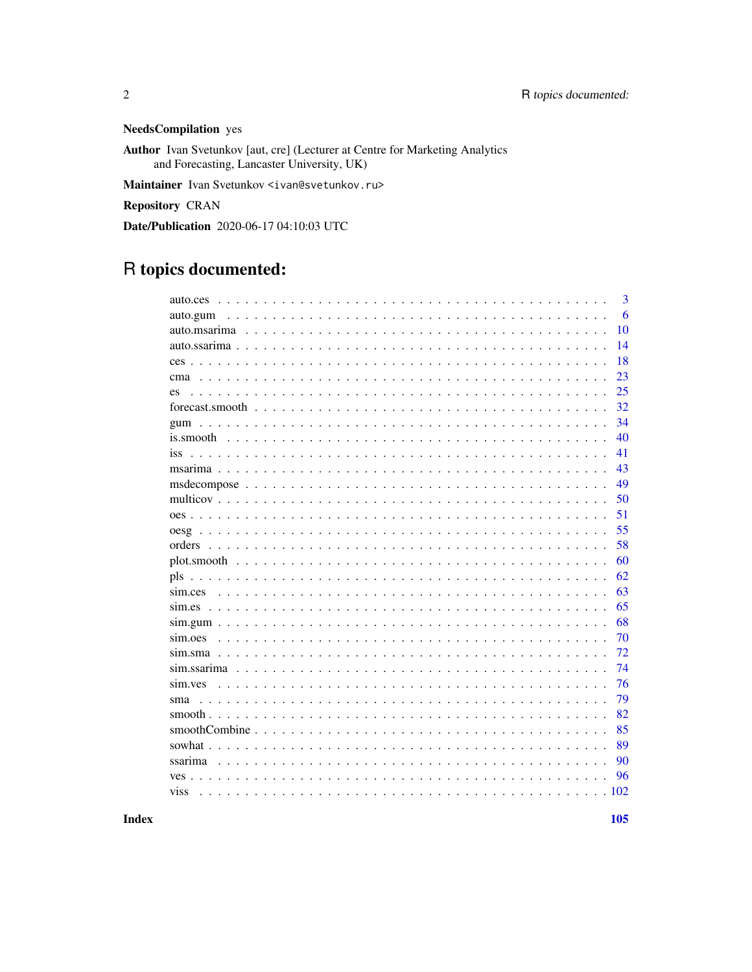# **NeedsCompilation** yes

Author Ivan Svetunkov [aut, cre] (Lecturer at Centre for Marketing Analytics and Forecasting, Lancaster University, UK)

Maintainer Ivan Svetunkov <ivan@svetunkov.ru>

**Repository CRAN** 

Date/Publication 2020-06-17 04:10:03 UTC

# R topics documented:

| 3<br>auto.ces    |
|------------------|
| 6<br>auto.gum    |
| 10               |
| 14               |
| 18               |
| 23<br>cma        |
| 25<br>es         |
| 32               |
| 34<br>gum        |
| 40               |
| 41<br><i>iss</i> |
| 43               |
| 49               |
| 50               |
| 51               |
| 55               |
| 58<br>orders     |
| 60               |
| 62               |
| 63<br>sim.ces    |
| 65               |
| 68               |
| 70<br>sim.oes    |
| 72               |
| 74               |
| 76<br>sim.yes    |
| 79<br>sma        |
| 82               |
| 85               |
| 89<br>sowhat.    |
| ssarima<br>90    |
| 96               |
| viss<br>.102     |
|                  |

**Index**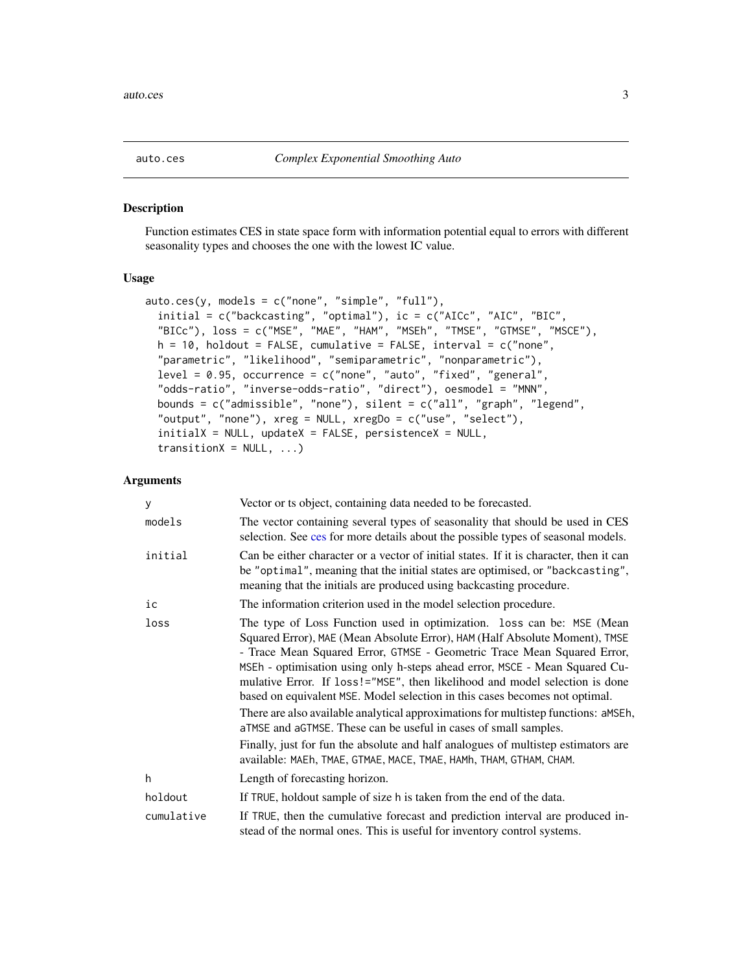<span id="page-2-1"></span><span id="page-2-0"></span>

# Description

Function estimates CES in state space form with information potential equal to errors with different seasonality types and chooses the one with the lowest IC value.

#### Usage

```
auto.ces(y, models = c("none", "simple", "full"),
  initial = c("backcasting", "optimal"), ic = c("AICc", "AIC", "BIC",
  "BICc"), loss = c("MSE", "MAE", "HAM", "MSEh", "TMSE", "GTMSE", "MSCE"),
  h = 10, holdout = FALSE, cumulative = FALSE, interval = c("none","parametric", "likelihood", "semiparametric", "nonparametric"),
 level = 0.95, occurrence = c("none", "auto", "fixed", "general",
 "odds-ratio", "inverse-odds-ratio", "direct"), oesmodel = "MNN",
  bounds = c("admissible", "none"), silent = c("all", "graph", "legend",
  "output", "none"), xreg = NULL, xregDo = c("use", "select"),
  initialX = NULL, updateX = FALSE, persistenceX = NULL,
  transitionX = NULL, ...)
```
# Arguments

| У          | Vector or ts object, containing data needed to be forecasted.                                                                                                                                                                                                                                                                                                                                                                                                                                                                                                                                                                                                                                                                                                                                      |
|------------|----------------------------------------------------------------------------------------------------------------------------------------------------------------------------------------------------------------------------------------------------------------------------------------------------------------------------------------------------------------------------------------------------------------------------------------------------------------------------------------------------------------------------------------------------------------------------------------------------------------------------------------------------------------------------------------------------------------------------------------------------------------------------------------------------|
| models     | The vector containing several types of seasonality that should be used in CES<br>selection. See ces for more details about the possible types of seasonal models.                                                                                                                                                                                                                                                                                                                                                                                                                                                                                                                                                                                                                                  |
| initial    | Can be either character or a vector of initial states. If it is character, then it can<br>be "optimal", meaning that the initial states are optimised, or "backcasting",<br>meaning that the initials are produced using backcasting procedure.                                                                                                                                                                                                                                                                                                                                                                                                                                                                                                                                                    |
| iс         | The information criterion used in the model selection procedure.                                                                                                                                                                                                                                                                                                                                                                                                                                                                                                                                                                                                                                                                                                                                   |
| loss       | The type of Loss Function used in optimization. loss can be: MSE (Mean<br>Squared Error), MAE (Mean Absolute Error), HAM (Half Absolute Moment), TMSE<br>- Trace Mean Squared Error, GTMSE - Geometric Trace Mean Squared Error,<br>MSEh - optimisation using only h-steps ahead error, MSCE - Mean Squared Cu-<br>mulative Error. If loss!="MSE", then likelihood and model selection is done<br>based on equivalent MSE. Model selection in this cases becomes not optimal.<br>There are also available analytical approximations for multistep functions: aMSEh,<br>aTMSE and aGTMSE. These can be useful in cases of small samples.<br>Finally, just for fun the absolute and half analogues of multistep estimators are<br>available: MAEh, TMAE, GTMAE, MACE, TMAE, HAMh, THAM, GTHAM, CHAM. |
| h          | Length of forecasting horizon.                                                                                                                                                                                                                                                                                                                                                                                                                                                                                                                                                                                                                                                                                                                                                                     |
| holdout    | If TRUE, holdout sample of size h is taken from the end of the data.                                                                                                                                                                                                                                                                                                                                                                                                                                                                                                                                                                                                                                                                                                                               |
| cumulative | If TRUE, then the cumulative forecast and prediction interval are produced in-<br>stead of the normal ones. This is useful for inventory control systems.                                                                                                                                                                                                                                                                                                                                                                                                                                                                                                                                                                                                                                          |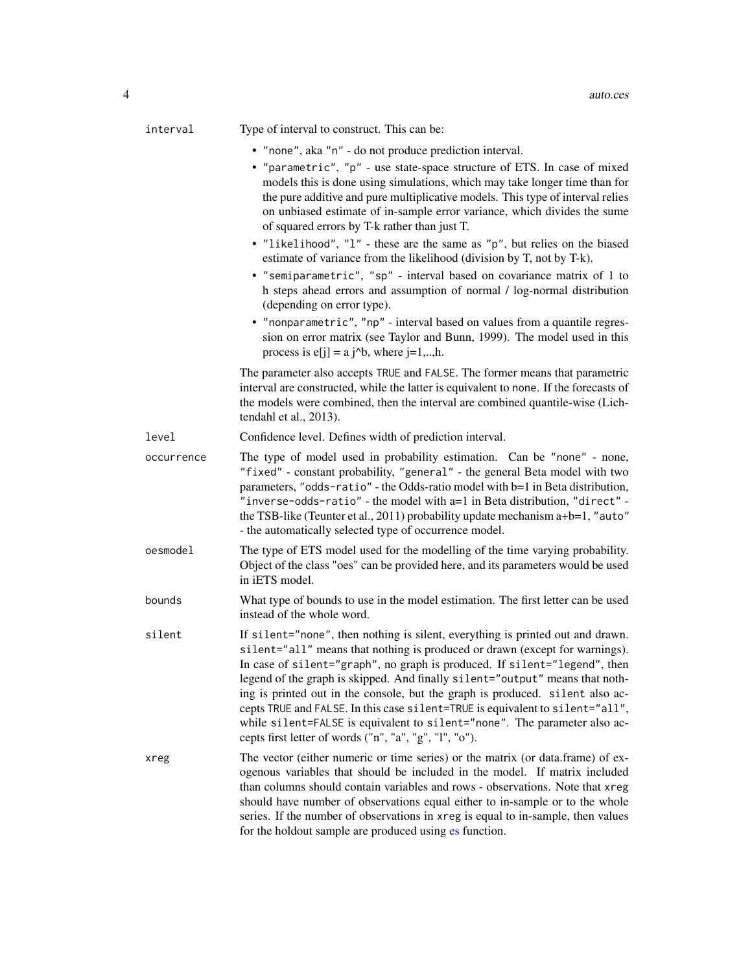| interval   | Type of interval to construct. This can be:                                                                                                                                                                                                                                                                                                                                                                                                                                                                                                                                                                                         |
|------------|-------------------------------------------------------------------------------------------------------------------------------------------------------------------------------------------------------------------------------------------------------------------------------------------------------------------------------------------------------------------------------------------------------------------------------------------------------------------------------------------------------------------------------------------------------------------------------------------------------------------------------------|
|            | • "none", aka "n" - do not produce prediction interval.                                                                                                                                                                                                                                                                                                                                                                                                                                                                                                                                                                             |
|            | • "parametric", "p" - use state-space structure of ETS. In case of mixed<br>models this is done using simulations, which may take longer time than for<br>the pure additive and pure multiplicative models. This type of interval relies<br>on unbiased estimate of in-sample error variance, which divides the sume<br>of squared errors by T-k rather than just T.                                                                                                                                                                                                                                                                |
|            | • "likelihood", "l" - these are the same as "p", but relies on the biased<br>estimate of variance from the likelihood (division by T, not by T-k).                                                                                                                                                                                                                                                                                                                                                                                                                                                                                  |
|            | • "semiparametric", "sp" - interval based on covariance matrix of 1 to<br>h steps ahead errors and assumption of normal / log-normal distribution<br>(depending on error type).                                                                                                                                                                                                                                                                                                                                                                                                                                                     |
|            | • "nonparametric", "np" - interval based on values from a quantile regres-<br>sion on error matrix (see Taylor and Bunn, 1999). The model used in this<br>process is $e[j] = a j^b$ , where $j=1,,h$ .                                                                                                                                                                                                                                                                                                                                                                                                                              |
|            | The parameter also accepts TRUE and FALSE. The former means that parametric<br>interval are constructed, while the latter is equivalent to none. If the forecasts of<br>the models were combined, then the interval are combined quantile-wise (Lich-<br>tendahl et al., 2013).                                                                                                                                                                                                                                                                                                                                                     |
| level      | Confidence level. Defines width of prediction interval.                                                                                                                                                                                                                                                                                                                                                                                                                                                                                                                                                                             |
| occurrence | The type of model used in probability estimation. Can be "none" - none,<br>"fixed" - constant probability, "general" - the general Beta model with two<br>parameters, "odds-ratio" - the Odds-ratio model with b=1 in Beta distribution,<br>"inverse-odds-ratio" - the model with a=1 in Beta distribution, "direct" -<br>the TSB-like (Teunter et al., 2011) probability update mechanism a+b=1, "auto"<br>- the automatically selected type of occurrence model.                                                                                                                                                                  |
| oesmodel   | The type of ETS model used for the modelling of the time varying probability.<br>Object of the class "oes" can be provided here, and its parameters would be used<br>in iETS model.                                                                                                                                                                                                                                                                                                                                                                                                                                                 |
| bounds     | What type of bounds to use in the model estimation. The first letter can be used<br>instead of the whole word.                                                                                                                                                                                                                                                                                                                                                                                                                                                                                                                      |
| silent     | If silent="none", then nothing is silent, everything is printed out and drawn.<br>silent="all" means that nothing is produced or drawn (except for warnings).<br>In case of silent="graph", no graph is produced. If silent="legend", then<br>legend of the graph is skipped. And finally silent="output" means that noth-<br>ing is printed out in the console, but the graph is produced. silent also ac-<br>cepts TRUE and FALSE. In this case silent=TRUE is equivalent to silent="all",<br>while silent=FALSE is equivalent to silent="none". The parameter also ac-<br>cepts first letter of words ("n", "a", "g", "l", "o"). |
| xreg       | The vector (either numeric or time series) or the matrix (or data.frame) of ex-<br>ogenous variables that should be included in the model. If matrix included<br>than columns should contain variables and rows - observations. Note that xreg<br>should have number of observations equal either to in-sample or to the whole<br>series. If the number of observations in xreg is equal to in-sample, then values<br>for the holdout sample are produced using es function.                                                                                                                                                        |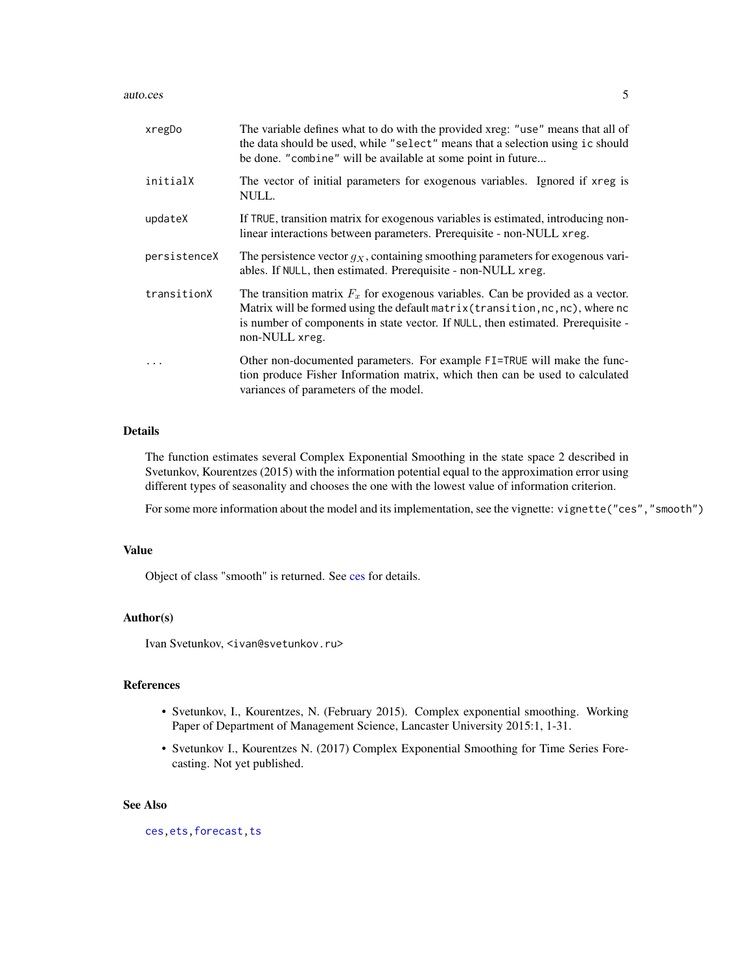#### auto.ces 5

| xregDo       | The variable defines what to do with the provided xreg: "use" means that all of<br>the data should be used, while "select" means that a selection using ic should<br>be done. "combine" will be available at some point in future                                        |
|--------------|--------------------------------------------------------------------------------------------------------------------------------------------------------------------------------------------------------------------------------------------------------------------------|
| initialX     | The vector of initial parameters for exogenous variables. Ignored if xreg is<br>NULL.                                                                                                                                                                                    |
| updateX      | If TRUE, transition matrix for exogenous variables is estimated, introducing non-<br>linear interactions between parameters. Prerequisite - non-NULL xreg.                                                                                                               |
| persistenceX | The persistence vector $q_X$ , containing smoothing parameters for exogenous vari-<br>ables. If NULL, then estimated. Prerequisite - non-NULL xreg.                                                                                                                      |
| transitionX  | The transition matrix $F_x$ for exogenous variables. Can be provided as a vector.<br>Matrix will be formed using the default matrix (transition, nc, nc), where nc<br>is number of components in state vector. If NULL, then estimated. Prerequisite -<br>non-NULL xreg. |
| $\ddots$     | Other non-documented parameters. For example FI=TRUE will make the func-<br>tion produce Fisher Information matrix, which then can be used to calculated<br>variances of parameters of the model.                                                                        |

# Details

The function estimates several Complex Exponential Smoothing in the state space 2 described in Svetunkov, Kourentzes (2015) with the information potential equal to the approximation error using different types of seasonality and chooses the one with the lowest value of information criterion.

For some more information about the model and its implementation, see the vignette: vignette("ces","smooth")

## Value

Object of class "smooth" is returned. See [ces](#page-17-1) for details.

## Author(s)

Ivan Svetunkov, <ivan@svetunkov.ru>

# References

- Svetunkov, I., Kourentzes, N. (February 2015). Complex exponential smoothing. Working Paper of Department of Management Science, Lancaster University 2015:1, 1-31.
- Svetunkov I., Kourentzes N. (2017) Complex Exponential Smoothing for Time Series Forecasting. Not yet published.

# See Also

[ces](#page-17-1)[,ets](#page-0-0)[,forecast](#page-31-1)[,ts](#page-0-0)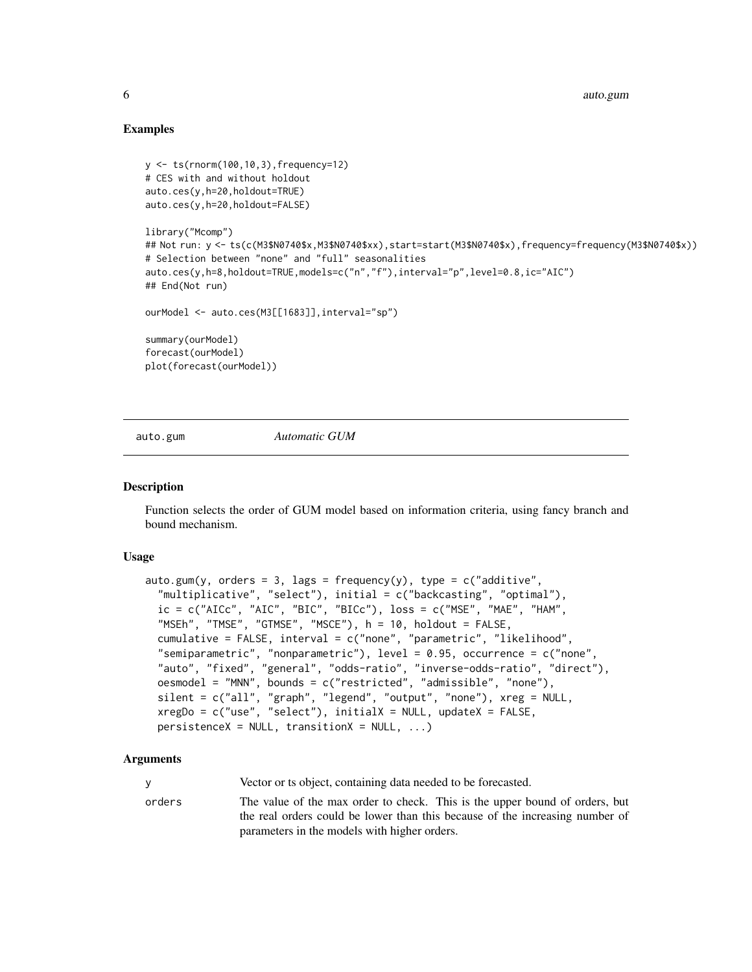# Examples

```
y <- ts(rnorm(100,10,3),frequency=12)
# CES with and without holdout
auto.ces(y,h=20,holdout=TRUE)
auto.ces(y,h=20,holdout=FALSE)
library("Mcomp")
## Not run: y <- ts(c(M3$N0740$x,M3$N0740$xx),start=start(M3$N0740$x),frequency=frequency(M3$N0740$x))
# Selection between "none" and "full" seasonalities
auto.ces(y,h=8,holdout=TRUE,models=c("n","f"),interval="p",level=0.8,ic="AIC")
## End(Not run)
ourModel <- auto.ces(M3[[1683]],interval="sp")
summary(ourModel)
forecast(ourModel)
plot(forecast(ourModel))
```
auto.gum *Automatic GUM*

## Description

Function selects the order of GUM model based on information criteria, using fancy branch and bound mechanism.

#### Usage

```
auto.gum(y, orders = 3, lags = frequency(y), type = c("additive",
 "multiplicative", "select"), initial = c("backcasting", "optimal"),
 ic = c("AICc", "AIC", "BIC", "BICc"), loss = c("MSE", "MAE", "HAM","MSEh", "TMSE", "GTMSE", "MSCE"), h = 10, holdout = FALSE,
 cumulative = FALSE, interval = c("none", "parametric", "likelihood",
 "semiparametric", "nonparametric"), level = 0.95, occurrence = c("none",
 "auto", "fixed", "general", "odds-ratio", "inverse-odds-ratio", "direct"),
 oesmodel = "MNN", bounds = c("restricted", "admissible", "none"),
 silent = c("all", "graph", "legend", "output", "none"), xreg = NULL,
 xregDo = c("use", "select"), initialX = NULL, updateX = FALSE,persistenceX = NULL, transitionX = NULL, ...)
```
## Arguments

|  | Vector or ts object, containing data needed to be forecasted. |  |  |  |
|--|---------------------------------------------------------------|--|--|--|
|--|---------------------------------------------------------------|--|--|--|

orders The value of the max order to check. This is the upper bound of orders, but the real orders could be lower than this because of the increasing number of parameters in the models with higher orders.

<span id="page-5-0"></span>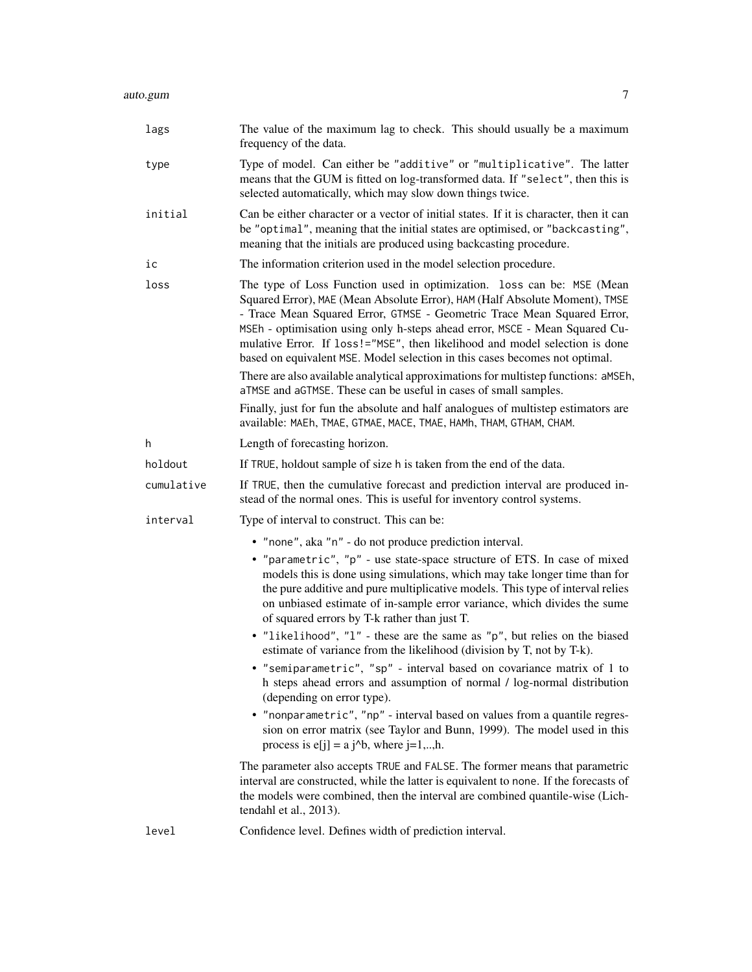| lags       | The value of the maximum lag to check. This should usually be a maximum<br>frequency of the data.                                                                                                                                                                                                                                                                                                                                                                                                                                                                                                                                                                                                                            |
|------------|------------------------------------------------------------------------------------------------------------------------------------------------------------------------------------------------------------------------------------------------------------------------------------------------------------------------------------------------------------------------------------------------------------------------------------------------------------------------------------------------------------------------------------------------------------------------------------------------------------------------------------------------------------------------------------------------------------------------------|
| type       | Type of model. Can either be "additive" or "multiplicative". The latter<br>means that the GUM is fitted on log-transformed data. If "select", then this is<br>selected automatically, which may slow down things twice.                                                                                                                                                                                                                                                                                                                                                                                                                                                                                                      |
| initial    | Can be either character or a vector of initial states. If it is character, then it can<br>be "optimal", meaning that the initial states are optimised, or "backcasting",<br>meaning that the initials are produced using backcasting procedure.                                                                                                                                                                                                                                                                                                                                                                                                                                                                              |
| ic         | The information criterion used in the model selection procedure.                                                                                                                                                                                                                                                                                                                                                                                                                                                                                                                                                                                                                                                             |
| loss       | The type of Loss Function used in optimization. loss can be: MSE (Mean<br>Squared Error), MAE (Mean Absolute Error), HAM (Half Absolute Moment), TMSE<br>- Trace Mean Squared Error, GTMSE - Geometric Trace Mean Squared Error,<br>MSEh - optimisation using only h-steps ahead error, MSCE - Mean Squared Cu-<br>mulative Error. If loss!="MSE", then likelihood and model selection is done<br>based on equivalent MSE. Model selection in this cases becomes not optimal.<br>There are also available analytical approximations for multistep functions: aMSEh,<br>aTMSE and aGTMSE. These can be useful in cases of small samples.<br>Finally, just for fun the absolute and half analogues of multistep estimators are |
|            | available: MAEh, TMAE, GTMAE, MACE, TMAE, HAMh, THAM, GTHAM, CHAM.                                                                                                                                                                                                                                                                                                                                                                                                                                                                                                                                                                                                                                                           |
| h          | Length of forecasting horizon.                                                                                                                                                                                                                                                                                                                                                                                                                                                                                                                                                                                                                                                                                               |
| holdout    | If TRUE, holdout sample of size h is taken from the end of the data.                                                                                                                                                                                                                                                                                                                                                                                                                                                                                                                                                                                                                                                         |
| cumulative | If TRUE, then the cumulative forecast and prediction interval are produced in-<br>stead of the normal ones. This is useful for inventory control systems.                                                                                                                                                                                                                                                                                                                                                                                                                                                                                                                                                                    |
| interval   | Type of interval to construct. This can be:                                                                                                                                                                                                                                                                                                                                                                                                                                                                                                                                                                                                                                                                                  |
|            | • "none", aka "n" - do not produce prediction interval.                                                                                                                                                                                                                                                                                                                                                                                                                                                                                                                                                                                                                                                                      |
|            | • "parametric", "p" - use state-space structure of ETS. In case of mixed<br>models this is done using simulations, which may take longer time than for<br>the pure additive and pure multiplicative models. This type of interval relies<br>on unbiased estimate of in-sample error variance, which divides the sume<br>of squared errors by T-k rather than just T.                                                                                                                                                                                                                                                                                                                                                         |
|            | • "likelihood", "l" - these are the same as "p", but relies on the biased<br>estimate of variance from the likelihood (division by T, not by T-k).<br>"semiparametric", "sp" - interval based on covariance matrix of 1 to<br>h steps ahead errors and assumption of normal / log-normal distribution<br>(depending on error type).                                                                                                                                                                                                                                                                                                                                                                                          |
|            | • "nonparametric", "np" - interval based on values from a quantile regres-<br>sion on error matrix (see Taylor and Bunn, 1999). The model used in this<br>process is $e[i] = a i^b$ , where $i=1,,h$ .                                                                                                                                                                                                                                                                                                                                                                                                                                                                                                                       |
|            | The parameter also accepts TRUE and FALSE. The former means that parametric<br>interval are constructed, while the latter is equivalent to none. If the forecasts of<br>the models were combined, then the interval are combined quantile-wise (Lich-<br>tendahl et al., 2013).                                                                                                                                                                                                                                                                                                                                                                                                                                              |
| level      | Confidence level. Defines width of prediction interval.                                                                                                                                                                                                                                                                                                                                                                                                                                                                                                                                                                                                                                                                      |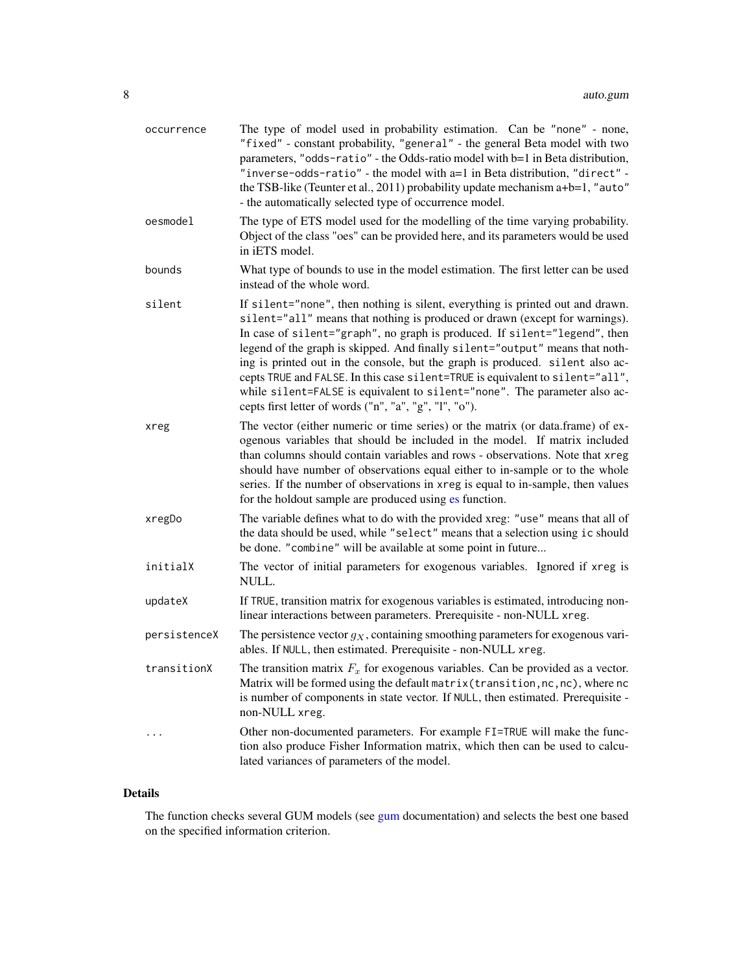| occurrence   | The type of model used in probability estimation. Can be "none" - none,<br>"fixed" - constant probability, "general" - the general Beta model with two<br>parameters, "odds-ratio" - the Odds-ratio model with b=1 in Beta distribution,<br>"inverse-odds-ratio" - the model with a=1 in Beta distribution, "direct" -<br>the TSB-like (Teunter et al., 2011) probability update mechanism a+b=1, "auto"<br>- the automatically selected type of occurrence model.                                                                                                                                                                  |
|--------------|-------------------------------------------------------------------------------------------------------------------------------------------------------------------------------------------------------------------------------------------------------------------------------------------------------------------------------------------------------------------------------------------------------------------------------------------------------------------------------------------------------------------------------------------------------------------------------------------------------------------------------------|
| oesmodel     | The type of ETS model used for the modelling of the time varying probability.<br>Object of the class "oes" can be provided here, and its parameters would be used<br>in iETS model.                                                                                                                                                                                                                                                                                                                                                                                                                                                 |
| bounds       | What type of bounds to use in the model estimation. The first letter can be used<br>instead of the whole word.                                                                                                                                                                                                                                                                                                                                                                                                                                                                                                                      |
| silent       | If silent="none", then nothing is silent, everything is printed out and drawn.<br>silent="all" means that nothing is produced or drawn (except for warnings).<br>In case of silent="graph", no graph is produced. If silent="legend", then<br>legend of the graph is skipped. And finally silent="output" means that noth-<br>ing is printed out in the console, but the graph is produced. silent also ac-<br>cepts TRUE and FALSE. In this case silent=TRUE is equivalent to silent="all",<br>while silent=FALSE is equivalent to silent="none". The parameter also ac-<br>cepts first letter of words ("n", "a", "g", "l", "o"). |
| xreg         | The vector (either numeric or time series) or the matrix (or data.frame) of ex-<br>ogenous variables that should be included in the model. If matrix included<br>than columns should contain variables and rows - observations. Note that xreg<br>should have number of observations equal either to in-sample or to the whole<br>series. If the number of observations in xreg is equal to in-sample, then values<br>for the holdout sample are produced using es function.                                                                                                                                                        |
| xregDo       | The variable defines what to do with the provided xreg: "use" means that all of<br>the data should be used, while "select" means that a selection using ic should<br>be done. "combine" will be available at some point in future                                                                                                                                                                                                                                                                                                                                                                                                   |
| initialX     | The vector of initial parameters for exogenous variables. Ignored if xreg is<br>NULL.                                                                                                                                                                                                                                                                                                                                                                                                                                                                                                                                               |
| updateX      | If TRUE, transition matrix for exogenous variables is estimated, introducing non-<br>linear interactions between parameters. Prerequisite - non-NULL xreg.                                                                                                                                                                                                                                                                                                                                                                                                                                                                          |
| persistenceX | The persistence vector $g_X$ , containing smoothing parameters for exogenous vari-<br>ables. If NULL, then estimated. Prerequisite - non-NULL xreg.                                                                                                                                                                                                                                                                                                                                                                                                                                                                                 |
| transitionX  | The transition matrix $F_x$ for exogenous variables. Can be provided as a vector.<br>Matrix will be formed using the default matrix (transition, nc, nc), where nc<br>is number of components in state vector. If NULL, then estimated. Prerequisite -<br>non-NULL xreg.                                                                                                                                                                                                                                                                                                                                                            |
|              | Other non-documented parameters. For example FI=TRUE will make the func-<br>tion also produce Fisher Information matrix, which then can be used to calcu-<br>lated variances of parameters of the model.                                                                                                                                                                                                                                                                                                                                                                                                                            |

# Details

The function checks several GUM models (see [gum](#page-33-1) documentation) and selects the best one based on the specified information criterion.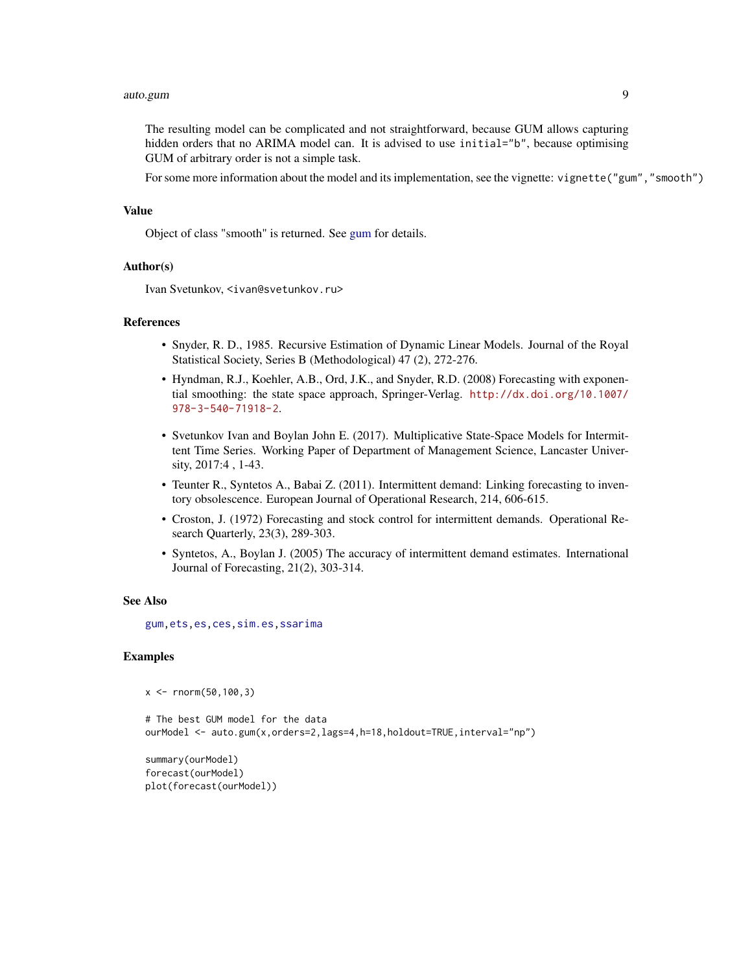#### auto.gum 9

The resulting model can be complicated and not straightforward, because GUM allows capturing hidden orders that no ARIMA model can. It is advised to use initial="b", because optimising GUM of arbitrary order is not a simple task.

For some more information about the model and its implementation, see the vignette: vignette("gum","smooth")

#### Value

Object of class "smooth" is returned. See [gum](#page-33-1) for details.

## Author(s)

Ivan Svetunkov, <ivan@svetunkov.ru>

## **References**

- Snyder, R. D., 1985. Recursive Estimation of Dynamic Linear Models. Journal of the Royal Statistical Society, Series B (Methodological) 47 (2), 272-276.
- Hyndman, R.J., Koehler, A.B., Ord, J.K., and Snyder, R.D. (2008) Forecasting with exponential smoothing: the state space approach, Springer-Verlag. [http://dx.doi.org/10.1007/](http://dx.doi.org/10.1007/978-3-540-71918-2) [978-3-540-71918-2](http://dx.doi.org/10.1007/978-3-540-71918-2).
- Svetunkov Ivan and Boylan John E. (2017). Multiplicative State-Space Models for Intermittent Time Series. Working Paper of Department of Management Science, Lancaster University, 2017:4 , 1-43.
- Teunter R., Syntetos A., Babai Z. (2011). Intermittent demand: Linking forecasting to inventory obsolescence. European Journal of Operational Research, 214, 606-615.
- Croston, J. (1972) Forecasting and stock control for intermittent demands. Operational Research Quarterly, 23(3), 289-303.
- Syntetos, A., Boylan J. (2005) The accuracy of intermittent demand estimates. International Journal of Forecasting, 21(2), 303-314.

# See Also

[gum](#page-33-1)[,ets](#page-0-0)[,es](#page-24-1)[,ces](#page-17-1)[,sim.es,](#page-64-1)[ssarima](#page-89-1)

## Examples

```
x < - rnorm(50,100,3)
```

```
# The best GUM model for the data
ourModel <- auto.gum(x,orders=2,lags=4,h=18,holdout=TRUE,interval="np")
```
summary(ourModel) forecast(ourModel) plot(forecast(ourModel))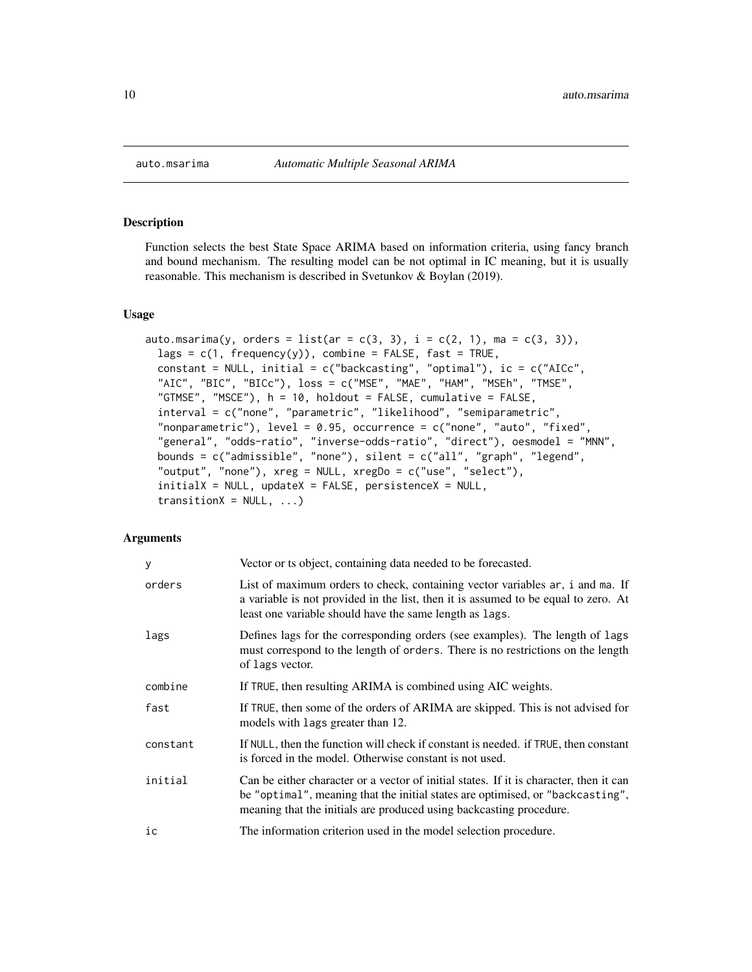## Description

Function selects the best State Space ARIMA based on information criteria, using fancy branch and bound mechanism. The resulting model can be not optimal in IC meaning, but it is usually reasonable. This mechanism is described in Svetunkov & Boylan (2019).

## Usage

```
auto.msarima(y, orders = list(ar = c(3, 3), i = c(2, 1), ma = c(3, 3)),
  lags = c(1, frequency(y)), combine = FALSE, fast = TRUE,constant = NULL, initial = c("backcasting", "optimal"), ic = c("AICc",
  "AIC", "BIC", "BICc"), loss = c("MSE", "MAE", "HAM", "MSEh", "TMSE",
  "GTMSE", "MSCE"), h = 10, holdout = FALSE, cumulative = FALSE,
  interval = c("none", "parametric", "likelihood", "semiparametric",
  "nonparametric"), level = 0.95, occurrence = c("none", "auto", "fixed",
  "general", "odds-ratio", "inverse-odds-ratio", "direct"), oesmodel = "MNN",
  bounds = c("admissible", "none"), silent = c("all", "graph", "legend",
  "output", "none"), xreg = NULL, xregDo = c("use", "select"),
  initialX = NULL, updateX = FALSE, persistenceX = NULL,
  transitionX = NULL, ...)
```
## Arguments

| y        | Vector or ts object, containing data needed to be forecasted.                                                                                                                                                                                   |
|----------|-------------------------------------------------------------------------------------------------------------------------------------------------------------------------------------------------------------------------------------------------|
| orders   | List of maximum orders to check, containing vector variables ar, i and ma. If<br>a variable is not provided in the list, then it is assumed to be equal to zero. At<br>least one variable should have the same length as lags.                  |
| lags     | Defines lags for the corresponding orders (see examples). The length of lags<br>must correspond to the length of orders. There is no restrictions on the length<br>of lags vector.                                                              |
| combine  | If TRUE, then resulting ARIMA is combined using AIC weights.                                                                                                                                                                                    |
| fast     | If TRUE, then some of the orders of ARIMA are skipped. This is not advised for<br>models with lags greater than 12.                                                                                                                             |
| constant | If NULL, then the function will check if constant is needed. if TRUE, then constant<br>is forced in the model. Otherwise constant is not used.                                                                                                  |
| initial  | Can be either character or a vector of initial states. If it is character, then it can<br>be "optimal", meaning that the initial states are optimised, or "backcasting",<br>meaning that the initials are produced using backcasting procedure. |
| ic       | The information criterion used in the model selection procedure.                                                                                                                                                                                |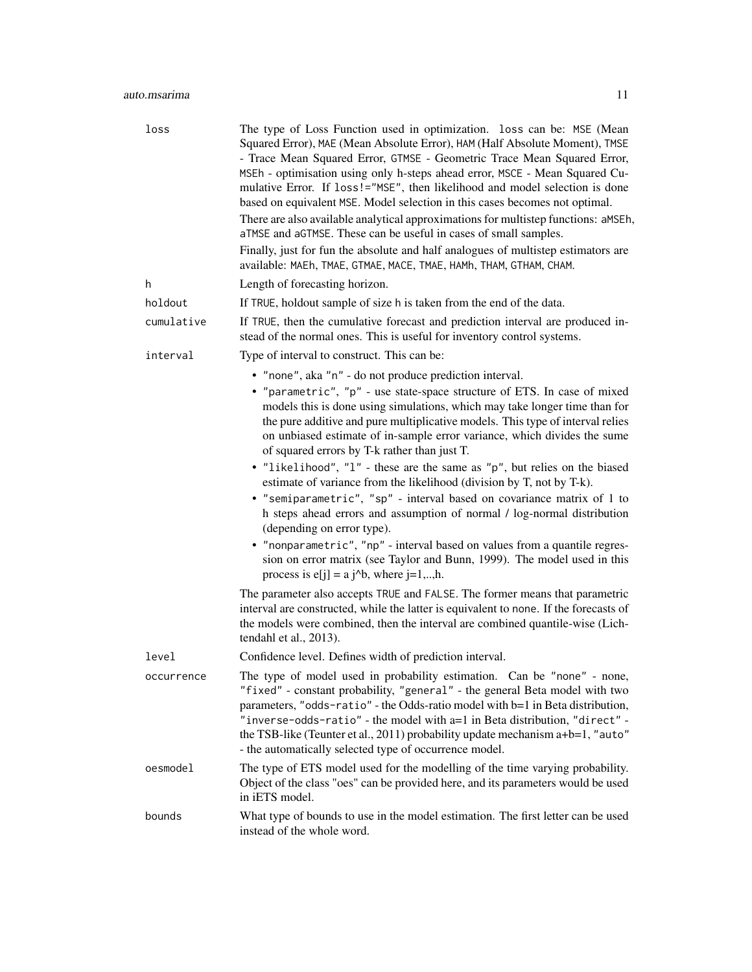# auto.msarima 11

| loss       | The type of Loss Function used in optimization. loss can be: MSE (Mean<br>Squared Error), MAE (Mean Absolute Error), HAM (Half Absolute Moment), TMSE<br>- Trace Mean Squared Error, GTMSE - Geometric Trace Mean Squared Error,<br>MSEh - optimisation using only h-steps ahead error, MSCE - Mean Squared Cu-<br>mulative Error. If loss!="MSE", then likelihood and model selection is done<br>based on equivalent MSE. Model selection in this cases becomes not optimal.<br>There are also available analytical approximations for multistep functions: aMSEh,<br>aTMSE and aGTMSE. These can be useful in cases of small samples.<br>Finally, just for fun the absolute and half analogues of multistep estimators are<br>available: MAEh, TMAE, GTMAE, MACE, TMAE, HAMh, THAM, GTHAM, CHAM.                                                                                                                                                                                                                                                                                                                                                                                                                                                                    |
|------------|-----------------------------------------------------------------------------------------------------------------------------------------------------------------------------------------------------------------------------------------------------------------------------------------------------------------------------------------------------------------------------------------------------------------------------------------------------------------------------------------------------------------------------------------------------------------------------------------------------------------------------------------------------------------------------------------------------------------------------------------------------------------------------------------------------------------------------------------------------------------------------------------------------------------------------------------------------------------------------------------------------------------------------------------------------------------------------------------------------------------------------------------------------------------------------------------------------------------------------------------------------------------------|
| h          | Length of forecasting horizon.                                                                                                                                                                                                                                                                                                                                                                                                                                                                                                                                                                                                                                                                                                                                                                                                                                                                                                                                                                                                                                                                                                                                                                                                                                        |
| holdout    | If TRUE, holdout sample of size h is taken from the end of the data.                                                                                                                                                                                                                                                                                                                                                                                                                                                                                                                                                                                                                                                                                                                                                                                                                                                                                                                                                                                                                                                                                                                                                                                                  |
| cumulative | If TRUE, then the cumulative forecast and prediction interval are produced in-<br>stead of the normal ones. This is useful for inventory control systems.                                                                                                                                                                                                                                                                                                                                                                                                                                                                                                                                                                                                                                                                                                                                                                                                                                                                                                                                                                                                                                                                                                             |
| interval   | Type of interval to construct. This can be:                                                                                                                                                                                                                                                                                                                                                                                                                                                                                                                                                                                                                                                                                                                                                                                                                                                                                                                                                                                                                                                                                                                                                                                                                           |
|            | • "none", aka "n" - do not produce prediction interval.<br>• "parametric", "p" - use state-space structure of ETS. In case of mixed<br>models this is done using simulations, which may take longer time than for<br>the pure additive and pure multiplicative models. This type of interval relies<br>on unbiased estimate of in-sample error variance, which divides the sume<br>of squared errors by T-k rather than just T.<br>• "likelihood", "l" - these are the same as "p", but relies on the biased<br>estimate of variance from the likelihood (division by T, not by T-k).<br>• "semiparametric", "sp" - interval based on covariance matrix of 1 to<br>h steps ahead errors and assumption of normal / log-normal distribution<br>(depending on error type).<br>• "nonparametric", "np" - interval based on values from a quantile regres-<br>sion on error matrix (see Taylor and Bunn, 1999). The model used in this<br>process is $e[j] = a j^b$ , where $j=1,,h$ .<br>The parameter also accepts TRUE and FALSE. The former means that parametric<br>interval are constructed, while the latter is equivalent to none. If the forecasts of<br>the models were combined, then the interval are combined quantile-wise (Lich-<br>tendahl et al., 2013). |
| level      | Confidence level. Defines width of prediction interval.                                                                                                                                                                                                                                                                                                                                                                                                                                                                                                                                                                                                                                                                                                                                                                                                                                                                                                                                                                                                                                                                                                                                                                                                               |
| occurrence | The type of model used in probability estimation. Can be "none" - none,<br>"fixed" - constant probability, "general" - the general Beta model with two<br>parameters, "odds-ratio" - the Odds-ratio model with b=1 in Beta distribution,<br>"inverse-odds-ratio" - the model with a=1 in Beta distribution, "direct" -<br>the TSB-like (Teunter et al., 2011) probability update mechanism a+b=1, "auto"<br>- the automatically selected type of occurrence model.                                                                                                                                                                                                                                                                                                                                                                                                                                                                                                                                                                                                                                                                                                                                                                                                    |
| oesmodel   | The type of ETS model used for the modelling of the time varying probability.<br>Object of the class "oes" can be provided here, and its parameters would be used<br>in iETS model.                                                                                                                                                                                                                                                                                                                                                                                                                                                                                                                                                                                                                                                                                                                                                                                                                                                                                                                                                                                                                                                                                   |
| bounds     | What type of bounds to use in the model estimation. The first letter can be used<br>instead of the whole word.                                                                                                                                                                                                                                                                                                                                                                                                                                                                                                                                                                                                                                                                                                                                                                                                                                                                                                                                                                                                                                                                                                                                                        |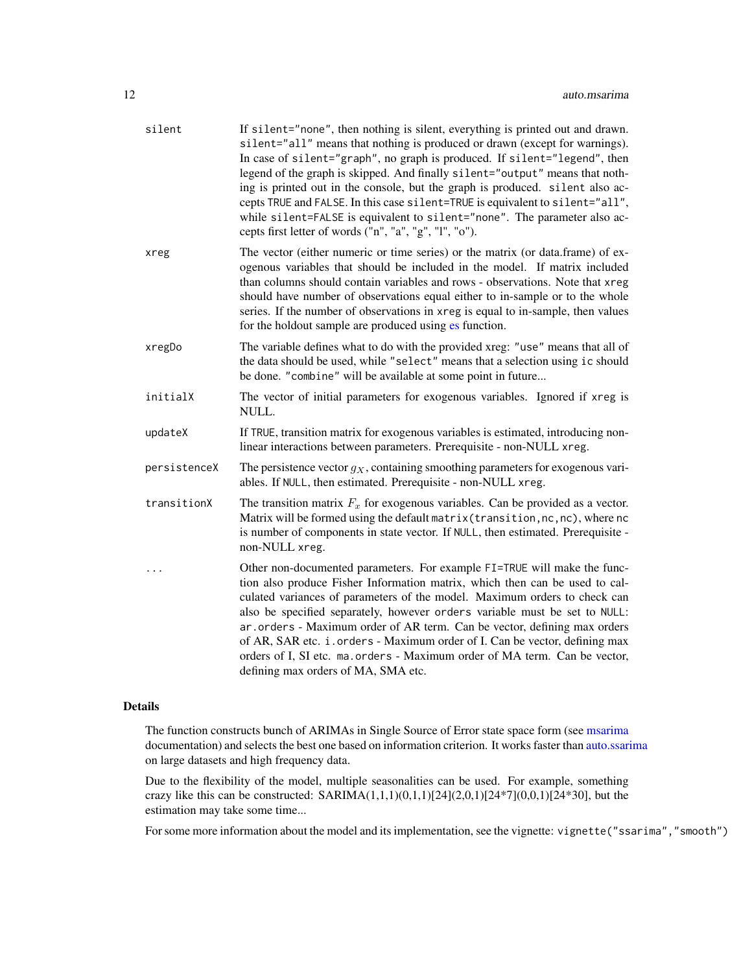| If silent="none", then nothing is silent, everything is printed out and drawn.<br>silent="all" means that nothing is produced or drawn (except for warnings).<br>In case of silent="graph", no graph is produced. If silent="legend", then<br>legend of the graph is skipped. And finally silent="output" means that noth-<br>ing is printed out in the console, but the graph is produced. silent also ac-<br>cepts TRUE and FALSE. In this case silent=TRUE is equivalent to silent="all",<br>while silent=FALSE is equivalent to silent="none". The parameter also ac-<br>cepts first letter of words ("n", "a", "g", "l", "o"). |
|-------------------------------------------------------------------------------------------------------------------------------------------------------------------------------------------------------------------------------------------------------------------------------------------------------------------------------------------------------------------------------------------------------------------------------------------------------------------------------------------------------------------------------------------------------------------------------------------------------------------------------------|
| The vector (either numeric or time series) or the matrix (or data.frame) of ex-<br>ogenous variables that should be included in the model. If matrix included<br>than columns should contain variables and rows - observations. Note that xreg<br>should have number of observations equal either to in-sample or to the whole<br>series. If the number of observations in xreg is equal to in-sample, then values<br>for the holdout sample are produced using es function.                                                                                                                                                        |
| The variable defines what to do with the provided xreg: "use" means that all of<br>the data should be used, while "select" means that a selection using ic should<br>be done. "combine" will be available at some point in future                                                                                                                                                                                                                                                                                                                                                                                                   |
| The vector of initial parameters for exogenous variables. Ignored if xreg is<br>NULL.                                                                                                                                                                                                                                                                                                                                                                                                                                                                                                                                               |
| If TRUE, transition matrix for exogenous variables is estimated, introducing non-<br>linear interactions between parameters. Prerequisite - non-NULL xreg.                                                                                                                                                                                                                                                                                                                                                                                                                                                                          |
| The persistence vector $g_X$ , containing smoothing parameters for exogenous vari-<br>ables. If NULL, then estimated. Prerequisite - non-NULL xreg.                                                                                                                                                                                                                                                                                                                                                                                                                                                                                 |
| The transition matrix $F_x$ for exogenous variables. Can be provided as a vector.<br>Matrix will be formed using the default matrix (transition, nc, nc), where nc<br>is number of components in state vector. If NULL, then estimated. Prerequisite -<br>non-NULL xreg.                                                                                                                                                                                                                                                                                                                                                            |
| Other non-documented parameters. For example FI=TRUE will make the func-<br>tion also produce Fisher Information matrix, which then can be used to cal-<br>culated variances of parameters of the model. Maximum orders to check can<br>also be specified separately, however orders variable must be set to NULL:<br>ar.orders - Maximum order of AR term. Can be vector, defining max orders<br>of AR, SAR etc. i.orders - Maximum order of I. Can be vector, defining max<br>orders of I, SI etc. ma. orders - Maximum order of MA term. Can be vector,<br>defining max orders of MA, SMA etc.                                   |
|                                                                                                                                                                                                                                                                                                                                                                                                                                                                                                                                                                                                                                     |

# Details

The function constructs bunch of ARIMAs in Single Source of Error state space form (see [msarima](#page-42-1) documentation) and selects the best one based on information criterion. It works faster than [auto.ssarima](#page-13-1) on large datasets and high frequency data.

Due to the flexibility of the model, multiple seasonalities can be used. For example, something crazy like this can be constructed:  $SARIMA(1,1,1)(0,1,1)[24](2,0,1)[24*7](0,0,1)[24*30]$ , but the estimation may take some time...

For some more information about the model and its implementation, see the vignette: vignette("ssarima", "smooth")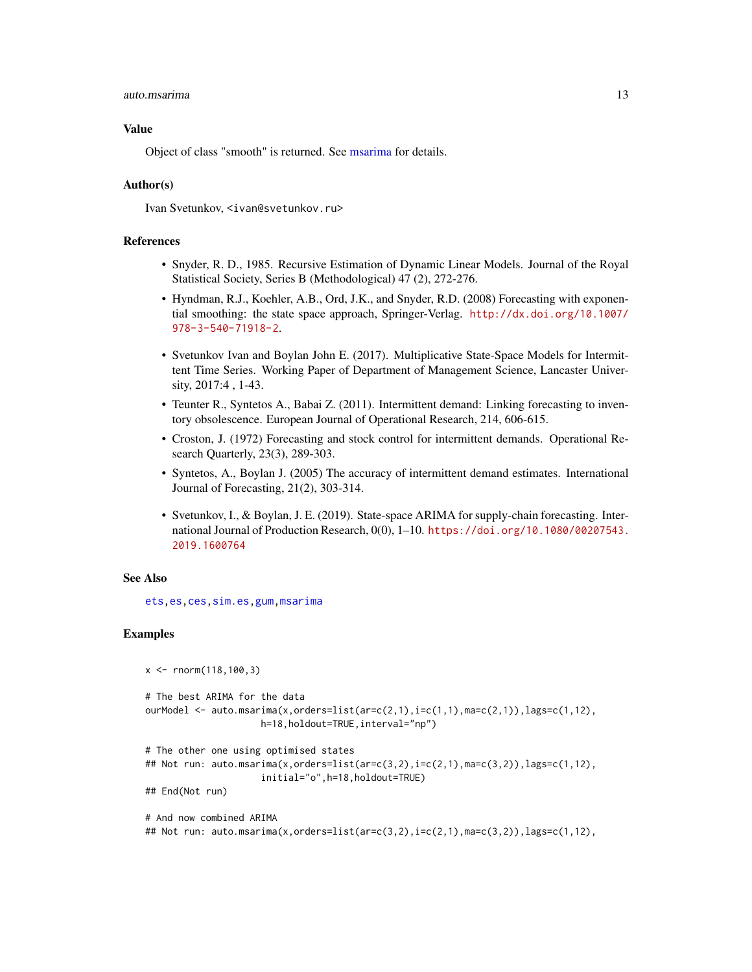#### auto.msarima 13

#### Value

Object of class "smooth" is returned. See [msarima](#page-42-1) for details.

## Author(s)

Ivan Svetunkov, <ivan@svetunkov.ru>

# References

- Snyder, R. D., 1985. Recursive Estimation of Dynamic Linear Models. Journal of the Royal Statistical Society, Series B (Methodological) 47 (2), 272-276.
- Hyndman, R.J., Koehler, A.B., Ord, J.K., and Snyder, R.D. (2008) Forecasting with exponential smoothing: the state space approach, Springer-Verlag. [http://dx.doi.org/10.1007/](http://dx.doi.org/10.1007/978-3-540-71918-2) [978-3-540-71918-2](http://dx.doi.org/10.1007/978-3-540-71918-2).
- Svetunkov Ivan and Boylan John E. (2017). Multiplicative State-Space Models for Intermittent Time Series. Working Paper of Department of Management Science, Lancaster University, 2017:4 , 1-43.
- Teunter R., Syntetos A., Babai Z. (2011). Intermittent demand: Linking forecasting to inventory obsolescence. European Journal of Operational Research, 214, 606-615.
- Croston, J. (1972) Forecasting and stock control for intermittent demands. Operational Research Quarterly, 23(3), 289-303.
- Syntetos, A., Boylan J. (2005) The accuracy of intermittent demand estimates. International Journal of Forecasting, 21(2), 303-314.
- Svetunkov, I., & Boylan, J. E. (2019). State-space ARIMA for supply-chain forecasting. International Journal of Production Research, 0(0), 1–10. [https://doi.org/10.1080/00207543.](https://doi.org/10.1080/00207543.2019.1600764) [2019.1600764](https://doi.org/10.1080/00207543.2019.1600764)

#### See Also

[ets](#page-0-0)[,es](#page-24-1)[,ces](#page-17-1)[,sim.es](#page-64-1)[,gum,](#page-33-1)[msarima](#page-42-1)

## Examples

```
x \le - rnorm(118, 100, 3)# The best ARIMA for the data
ourModel <- auto.msarima(x,orders=list(ar=c(2,1),i=c(1,1),ma=c(2,1)),lags=c(1,12),
                     h=18,holdout=TRUE,interval="np")
# The other one using optimised states
## Not run: auto.msarima(x,orders=list(ar=c(3,2),i=c(2,1),ma=c(3,2)),lags=c(1,12),
                     initial="o",h=18,holdout=TRUE)
## End(Not run)
# And now combined ARIMA
```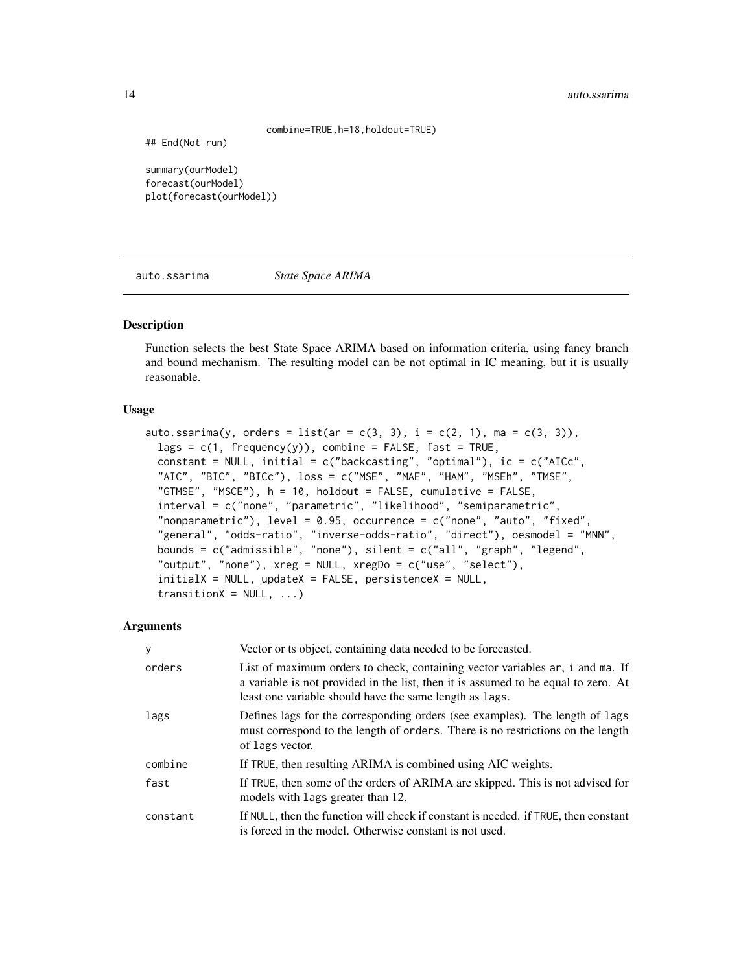#### 14 auto.ssarima

combine=TRUE,h=18,holdout=TRUE)

## End(Not run)

summary(ourModel) forecast(ourModel) plot(forecast(ourModel))

<span id="page-13-1"></span>auto.ssarima *State Space ARIMA*

# Description

Function selects the best State Space ARIMA based on information criteria, using fancy branch and bound mechanism. The resulting model can be not optimal in IC meaning, but it is usually reasonable.

## Usage

```
auto.ssarima(y, orders = list(ar = c(3, 3), i = c(2, 1), ma = c(3, 3)),
  lags = c(1, frequency(y)), combine = FALSE, fast = TRUE,constant = NULL, initial = c("backcasting", "optimal"), ic = c("AICc","AIC", "BIC", "BICc"), loss = c("MSE", "MAE", "HAM", "MSEh", "TMSE",
  "GTMSE", "MSCE"), h = 10, holdout = FALSE, cumulative = FALSE,
  interval = c("none", "parametric", "likelihood", "semiparametric",
  "nonparametric"), level = 0.95, occurrence = c("none", "auto", "fixed","general", "odds-ratio", "inverse-odds-ratio", "direct"), oesmodel = "MNN",
 bounds = c("admissible", "none"), silent = c("all", "graph", "legend",
  "output", "none"), xreg = NULL, xregDo = c("use", "select"),
  initialX = NULL, updateX = FALSE, persistenceX = NULL,
  transitionX = NULL, ...
```
## Arguments

| y        | Vector or ts object, containing data needed to be forecasted.                                                                                                                                                                  |
|----------|--------------------------------------------------------------------------------------------------------------------------------------------------------------------------------------------------------------------------------|
| orders   | List of maximum orders to check, containing vector variables ar, i and ma. If<br>a variable is not provided in the list, then it is assumed to be equal to zero. At<br>least one variable should have the same length as lags. |
| lags     | Defines lags for the corresponding orders (see examples). The length of lags<br>must correspond to the length of orders. There is no restrictions on the length<br>of lags vector.                                             |
| combine  | If TRUE, then resulting ARIMA is combined using AIC weights.                                                                                                                                                                   |
| fast     | If TRUE, then some of the orders of ARIMA are skipped. This is not advised for<br>models with lags greater than 12.                                                                                                            |
| constant | If NULL, then the function will check if constant is needed. If TRUE, then constant<br>is forced in the model. Otherwise constant is not used.                                                                                 |

<span id="page-13-0"></span>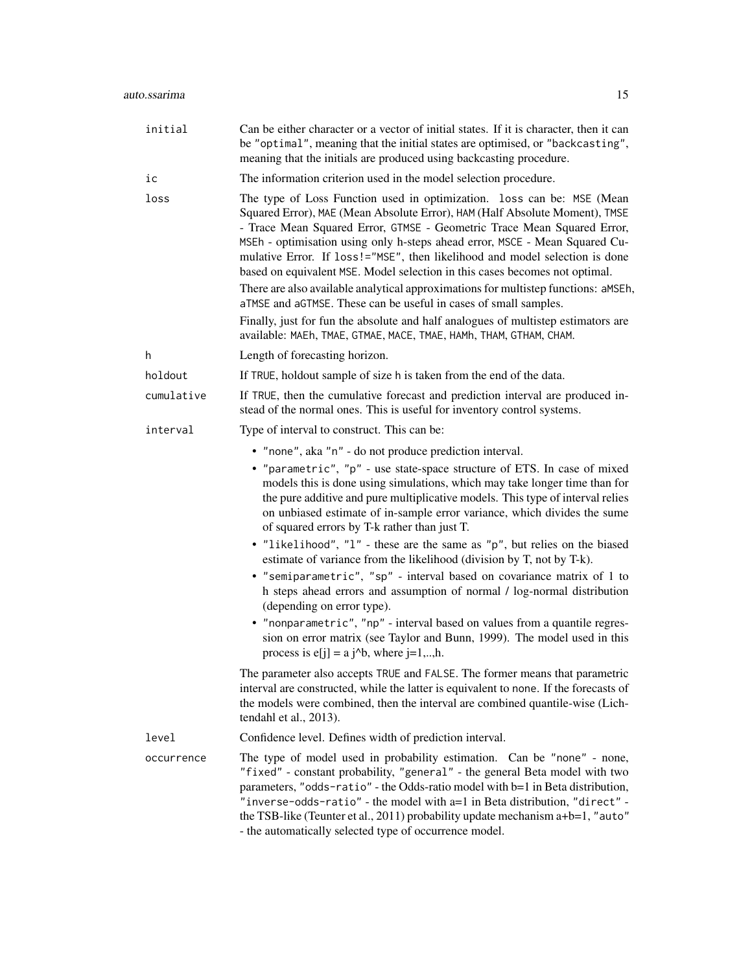| initial    | Can be either character or a vector of initial states. If it is character, then it can<br>be "optimal", meaning that the initial states are optimised, or "backcasting",<br>meaning that the initials are produced using backcasting procedure.                                                                                                                                                                                                                                                                                                                                                                                                                                                                                                                                                    |
|------------|----------------------------------------------------------------------------------------------------------------------------------------------------------------------------------------------------------------------------------------------------------------------------------------------------------------------------------------------------------------------------------------------------------------------------------------------------------------------------------------------------------------------------------------------------------------------------------------------------------------------------------------------------------------------------------------------------------------------------------------------------------------------------------------------------|
| ic         | The information criterion used in the model selection procedure.                                                                                                                                                                                                                                                                                                                                                                                                                                                                                                                                                                                                                                                                                                                                   |
| loss       | The type of Loss Function used in optimization. loss can be: MSE (Mean<br>Squared Error), MAE (Mean Absolute Error), HAM (Half Absolute Moment), TMSE<br>- Trace Mean Squared Error, GTMSE - Geometric Trace Mean Squared Error,<br>MSEh - optimisation using only h-steps ahead error, MSCE - Mean Squared Cu-<br>mulative Error. If loss!="MSE", then likelihood and model selection is done<br>based on equivalent MSE. Model selection in this cases becomes not optimal.<br>There are also available analytical approximations for multistep functions: aMSEh,<br>aTMSE and aGTMSE. These can be useful in cases of small samples.<br>Finally, just for fun the absolute and half analogues of multistep estimators are<br>available: MAEh, TMAE, GTMAE, MACE, TMAE, HAMh, THAM, GTHAM, CHAM. |
| h          | Length of forecasting horizon.                                                                                                                                                                                                                                                                                                                                                                                                                                                                                                                                                                                                                                                                                                                                                                     |
| holdout    | If TRUE, holdout sample of size h is taken from the end of the data.                                                                                                                                                                                                                                                                                                                                                                                                                                                                                                                                                                                                                                                                                                                               |
| cumulative | If TRUE, then the cumulative forecast and prediction interval are produced in-<br>stead of the normal ones. This is useful for inventory control systems.                                                                                                                                                                                                                                                                                                                                                                                                                                                                                                                                                                                                                                          |
| interval   | Type of interval to construct. This can be:                                                                                                                                                                                                                                                                                                                                                                                                                                                                                                                                                                                                                                                                                                                                                        |
|            | • "none", aka "n" - do not produce prediction interval.                                                                                                                                                                                                                                                                                                                                                                                                                                                                                                                                                                                                                                                                                                                                            |
|            | • "parametric", "p" - use state-space structure of ETS. In case of mixed<br>models this is done using simulations, which may take longer time than for<br>the pure additive and pure multiplicative models. This type of interval relies<br>on unbiased estimate of in-sample error variance, which divides the sume<br>of squared errors by T-k rather than just T.                                                                                                                                                                                                                                                                                                                                                                                                                               |
|            | • "likelihood", "l" - these are the same as "p", but relies on the biased<br>estimate of variance from the likelihood (division by T, not by T-k).                                                                                                                                                                                                                                                                                                                                                                                                                                                                                                                                                                                                                                                 |
|            | • "semiparametric", "sp" - interval based on covariance matrix of 1 to<br>h steps ahead errors and assumption of normal / log-normal distribution<br>(depending on error type).                                                                                                                                                                                                                                                                                                                                                                                                                                                                                                                                                                                                                    |
|            | • "nonparametric", "np" - interval based on values from a quantile regres-<br>sion on error matrix (see Taylor and Bunn, 1999). The model used in this<br>process is $e[j] = a j^b$ , where $j=1,,h$ .                                                                                                                                                                                                                                                                                                                                                                                                                                                                                                                                                                                             |
|            | The parameter also accepts TRUE and FALSE. The former means that parametric<br>interval are constructed, while the latter is equivalent to none. If the forecasts of<br>the models were combined, then the interval are combined quantile-wise (Lich-<br>tendahl et al., 2013).                                                                                                                                                                                                                                                                                                                                                                                                                                                                                                                    |
| level      | Confidence level. Defines width of prediction interval.                                                                                                                                                                                                                                                                                                                                                                                                                                                                                                                                                                                                                                                                                                                                            |
| occurrence | The type of model used in probability estimation. Can be "none" - none,<br>"fixed" - constant probability, "general" - the general Beta model with two<br>parameters, "odds-ratio" - the Odds-ratio model with b=1 in Beta distribution,<br>"inverse-odds-ratio" - the model with a=1 in Beta distribution, "direct" -<br>the TSB-like (Teunter et al., 2011) probability update mechanism a+b=1, "auto"<br>- the automatically selected type of occurrence model.                                                                                                                                                                                                                                                                                                                                 |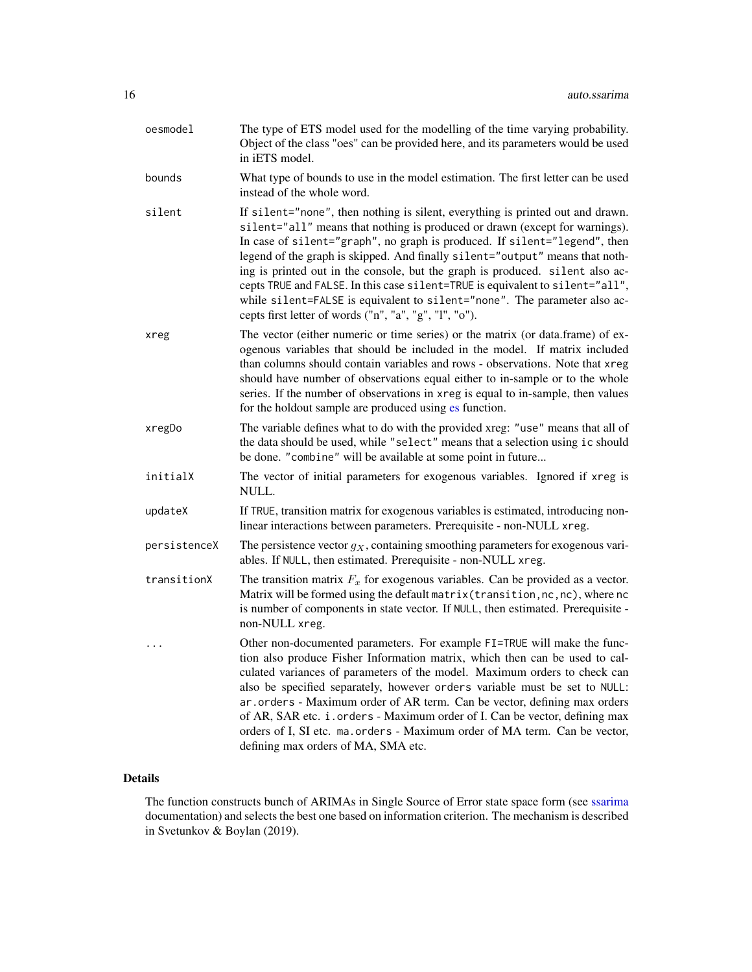| oesmodel     | The type of ETS model used for the modelling of the time varying probability.<br>Object of the class "oes" can be provided here, and its parameters would be used<br>in iETS model.                                                                                                                                                                                                                                                                                                                                                                                                                                                 |
|--------------|-------------------------------------------------------------------------------------------------------------------------------------------------------------------------------------------------------------------------------------------------------------------------------------------------------------------------------------------------------------------------------------------------------------------------------------------------------------------------------------------------------------------------------------------------------------------------------------------------------------------------------------|
| bounds       | What type of bounds to use in the model estimation. The first letter can be used<br>instead of the whole word.                                                                                                                                                                                                                                                                                                                                                                                                                                                                                                                      |
| silent       | If silent="none", then nothing is silent, everything is printed out and drawn.<br>silent="all" means that nothing is produced or drawn (except for warnings).<br>In case of silent="graph", no graph is produced. If silent="legend", then<br>legend of the graph is skipped. And finally silent="output" means that noth-<br>ing is printed out in the console, but the graph is produced. silent also ac-<br>cepts TRUE and FALSE. In this case silent=TRUE is equivalent to silent="all",<br>while silent=FALSE is equivalent to silent="none". The parameter also ac-<br>cepts first letter of words ("n", "a", "g", "l", "o"). |
| xreg         | The vector (either numeric or time series) or the matrix (or data.frame) of ex-<br>ogenous variables that should be included in the model. If matrix included<br>than columns should contain variables and rows - observations. Note that xreg<br>should have number of observations equal either to in-sample or to the whole<br>series. If the number of observations in xreg is equal to in-sample, then values<br>for the holdout sample are produced using es function.                                                                                                                                                        |
| xregDo       | The variable defines what to do with the provided xreg: "use" means that all of<br>the data should be used, while "select" means that a selection using ic should<br>be done. "combine" will be available at some point in future                                                                                                                                                                                                                                                                                                                                                                                                   |
| initialX     | The vector of initial parameters for exogenous variables. Ignored if xreg is<br>NULL.                                                                                                                                                                                                                                                                                                                                                                                                                                                                                                                                               |
| updateX      | If TRUE, transition matrix for exogenous variables is estimated, introducing non-<br>linear interactions between parameters. Prerequisite - non-NULL xreg.                                                                                                                                                                                                                                                                                                                                                                                                                                                                          |
| persistenceX | The persistence vector $g_X$ , containing smoothing parameters for exogenous vari-<br>ables. If NULL, then estimated. Prerequisite - non-NULL xreg.                                                                                                                                                                                                                                                                                                                                                                                                                                                                                 |
| transitionX  | The transition matrix $F_x$ for exogenous variables. Can be provided as a vector.<br>Matrix will be formed using the default matrix (transition, nc, nc), where nc<br>is number of components in state vector. If NULL, then estimated. Prerequisite -<br>non-NULL xreg.                                                                                                                                                                                                                                                                                                                                                            |
|              | Other non-documented parameters. For example FI=TRUE will make the func-<br>tion also produce Fisher Information matrix, which then can be used to cal-<br>culated variances of parameters of the model. Maximum orders to check can<br>also be specified separately, however orders variable must be set to NULL:<br>ar.orders - Maximum order of AR term. Can be vector, defining max orders<br>of AR, SAR etc. i.orders - Maximum order of I. Can be vector, defining max<br>orders of I, SI etc. ma. orders - Maximum order of MA term. Can be vector,<br>defining max orders of MA, SMA etc.                                   |

# Details

The function constructs bunch of ARIMAs in Single Source of Error state space form (see [ssarima](#page-89-1) documentation) and selects the best one based on information criterion. The mechanism is described in Svetunkov & Boylan (2019).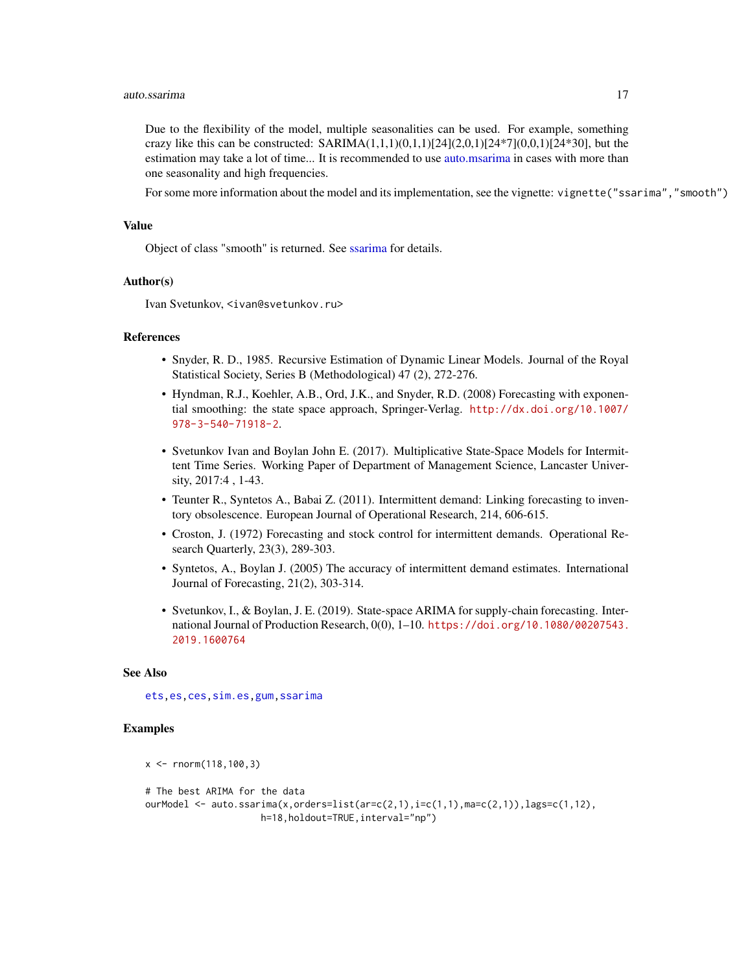#### auto.ssarima 17

Due to the flexibility of the model, multiple seasonalities can be used. For example, something crazy like this can be constructed:  $SARIMA(1,1,1)(0,1,1)[24](2,0,1)[24*7](0,0,1)[24*30]$ , but the estimation may take a lot of time... It is recommended to use [auto.msarima](#page-9-1) in cases with more than one seasonality and high frequencies.

For some more information about the model and its implementation, see the vignette: vignette("ssarima","smooth")

## Value

Object of class "smooth" is returned. See [ssarima](#page-89-1) for details.

## Author(s)

Ivan Svetunkov, <ivan@svetunkov.ru>

# References

- Snyder, R. D., 1985. Recursive Estimation of Dynamic Linear Models. Journal of the Royal Statistical Society, Series B (Methodological) 47 (2), 272-276.
- Hyndman, R.J., Koehler, A.B., Ord, J.K., and Snyder, R.D. (2008) Forecasting with exponential smoothing: the state space approach, Springer-Verlag. [http://dx.doi.org/10.1007/](http://dx.doi.org/10.1007/978-3-540-71918-2) [978-3-540-71918-2](http://dx.doi.org/10.1007/978-3-540-71918-2).
- Svetunkov Ivan and Boylan John E. (2017). Multiplicative State-Space Models for Intermittent Time Series. Working Paper of Department of Management Science, Lancaster University, 2017:4 , 1-43.
- Teunter R., Syntetos A., Babai Z. (2011). Intermittent demand: Linking forecasting to inventory obsolescence. European Journal of Operational Research, 214, 606-615.
- Croston, J. (1972) Forecasting and stock control for intermittent demands. Operational Research Quarterly, 23(3), 289-303.
- Syntetos, A., Boylan J. (2005) The accuracy of intermittent demand estimates. International Journal of Forecasting, 21(2), 303-314.
- Svetunkov, I., & Boylan, J. E. (2019). State-space ARIMA for supply-chain forecasting. International Journal of Production Research, 0(0), 1–10. [https://doi.org/10.1080/00207543.](https://doi.org/10.1080/00207543.2019.1600764) [2019.1600764](https://doi.org/10.1080/00207543.2019.1600764)

#### See Also

[ets](#page-0-0)[,es](#page-24-1)[,ces](#page-17-1)[,sim.es](#page-64-1)[,gum,](#page-33-1)[ssarima](#page-89-1)

## Examples

```
x <- rnorm(118,100,3)
# The best ARIMA for the data
ourModel \leq auto.ssarima(x,orders=list(ar=c(2,1),i=c(1,1),ma=c(2,1)),lags=c(1,12),
                     h=18,holdout=TRUE,interval="np")
```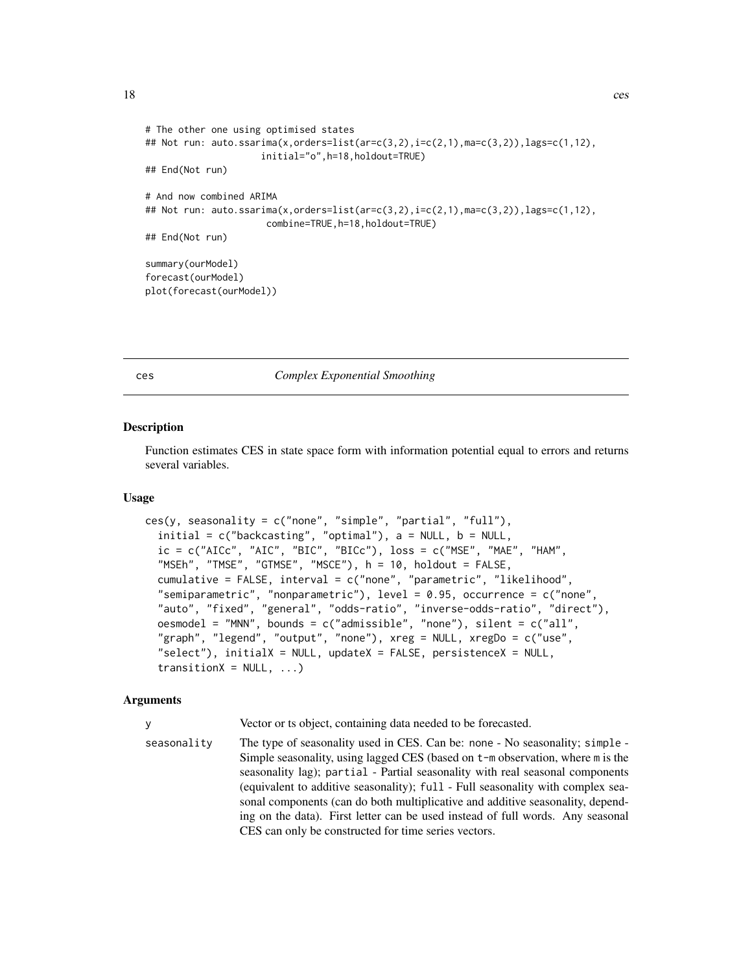```
# The other one using optimised states
## Not run: auto.ssarima(x,orders=list(ar=c(3,2),i=c(2,1),ma=c(3,2)),lags=c(1,12),
                     initial="o",h=18,holdout=TRUE)
## End(Not run)
# And now combined ARIMA
## Not run: auto.ssarima(x,orders=list(ar=c(3,2),i=c(2,1),ma=c(3,2)),lags=c(1,12),
                      combine=TRUE,h=18,holdout=TRUE)
## End(Not run)
summary(ourModel)
forecast(ourModel)
plot(forecast(ourModel))
```
## <span id="page-17-1"></span>ces *Complex Exponential Smoothing*

#### Description

Function estimates CES in state space form with information potential equal to errors and returns several variables.

#### Usage

```
ces(y, seasonality = c("none", "simple", "partial", "full"),
  initial = c("backcasting", "optimal"), a = NULL, b = NULL,ic = c("AICc", "AIC", "BIC", "BICc"), loss = c("MSE", "MAE", "HAM","MSEh", "TMSE", "GTMSE", "MSCE"), h = 10, holdout = FALSE,
  cumulative = FALSE, interval = c("none", "parametric", "likelihood",
  "semiparametric", "nonparametric"), level = 0.95, occurrence = c("none",
  "auto", "fixed", "general", "odds-ratio", "inverse-odds-ratio", "direct"),
  oesmodel = "MNN", bounds = c("admissible", "none"), silent = c("all",
  "graph", "legend", "output", "none"), xreg = NULL, xregDo = c("use",
  "select"), initialX = NULL, updateX = FALSE, persistenceX = NULL,
  transitionX = NULL, ...)
```
## Arguments

y Vector or ts object, containing data needed to be forecasted.

seasonality The type of seasonality used in CES. Can be: none - No seasonality; simple - Simple seasonality, using lagged CES (based on t-m observation, where m is the seasonality lag); partial - Partial seasonality with real seasonal components (equivalent to additive seasonality); full - Full seasonality with complex seasonal components (can do both multiplicative and additive seasonality, depending on the data). First letter can be used instead of full words. Any seasonal CES can only be constructed for time series vectors.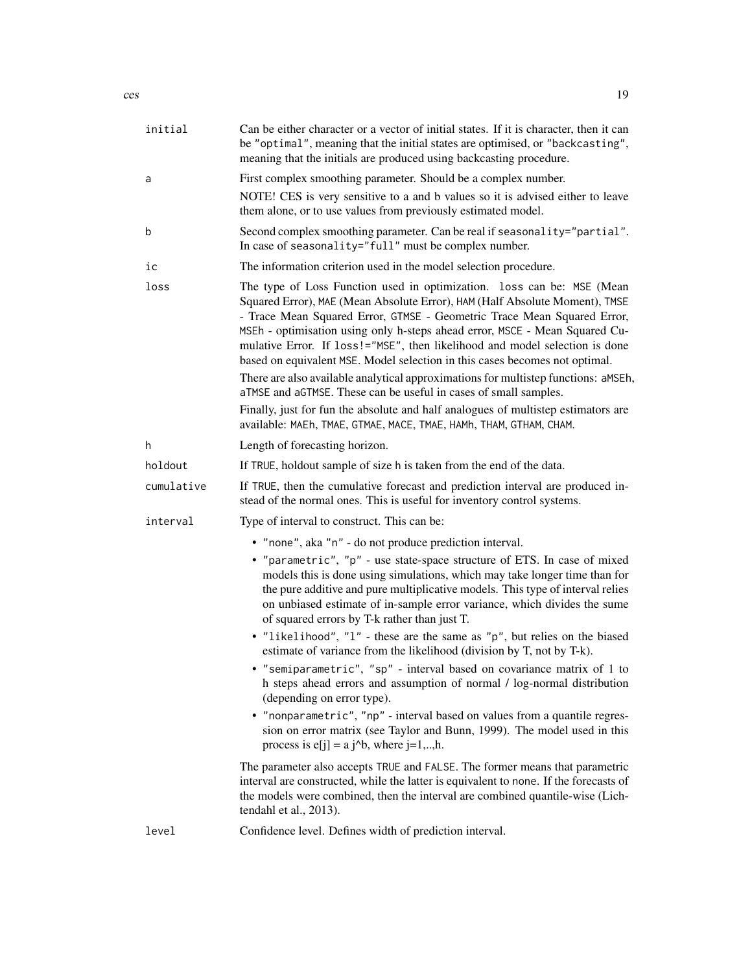| initial    | Can be either character or a vector of initial states. If it is character, then it can<br>be "optimal", meaning that the initial states are optimised, or "backcasting",<br>meaning that the initials are produced using backcasting procedure.                                                                                                                                                                                                                                                                                                                                                                                                                                                                              |
|------------|------------------------------------------------------------------------------------------------------------------------------------------------------------------------------------------------------------------------------------------------------------------------------------------------------------------------------------------------------------------------------------------------------------------------------------------------------------------------------------------------------------------------------------------------------------------------------------------------------------------------------------------------------------------------------------------------------------------------------|
| a          | First complex smoothing parameter. Should be a complex number.                                                                                                                                                                                                                                                                                                                                                                                                                                                                                                                                                                                                                                                               |
|            | NOTE! CES is very sensitive to a and b values so it is advised either to leave<br>them alone, or to use values from previously estimated model.                                                                                                                                                                                                                                                                                                                                                                                                                                                                                                                                                                              |
| b          | Second complex smoothing parameter. Can be real if seasonality="partial".<br>In case of seasonality="full" must be complex number.                                                                                                                                                                                                                                                                                                                                                                                                                                                                                                                                                                                           |
| ic         | The information criterion used in the model selection procedure.                                                                                                                                                                                                                                                                                                                                                                                                                                                                                                                                                                                                                                                             |
| loss       | The type of Loss Function used in optimization. loss can be: MSE (Mean<br>Squared Error), MAE (Mean Absolute Error), HAM (Half Absolute Moment), TMSE<br>- Trace Mean Squared Error, GTMSE - Geometric Trace Mean Squared Error,<br>MSEh - optimisation using only h-steps ahead error, MSCE - Mean Squared Cu-<br>mulative Error. If loss!="MSE", then likelihood and model selection is done<br>based on equivalent MSE. Model selection in this cases becomes not optimal.<br>There are also available analytical approximations for multistep functions: aMSEh,<br>aTMSE and aGTMSE. These can be useful in cases of small samples.<br>Finally, just for fun the absolute and half analogues of multistep estimators are |
|            | available: MAEh, TMAE, GTMAE, MACE, TMAE, HAMh, THAM, GTHAM, CHAM.                                                                                                                                                                                                                                                                                                                                                                                                                                                                                                                                                                                                                                                           |
| h          | Length of forecasting horizon.                                                                                                                                                                                                                                                                                                                                                                                                                                                                                                                                                                                                                                                                                               |
| holdout    | If TRUE, holdout sample of size h is taken from the end of the data.                                                                                                                                                                                                                                                                                                                                                                                                                                                                                                                                                                                                                                                         |
| cumulative | If TRUE, then the cumulative forecast and prediction interval are produced in-<br>stead of the normal ones. This is useful for inventory control systems.                                                                                                                                                                                                                                                                                                                                                                                                                                                                                                                                                                    |
| interval   | Type of interval to construct. This can be:                                                                                                                                                                                                                                                                                                                                                                                                                                                                                                                                                                                                                                                                                  |
|            | • "none", aka "n" - do not produce prediction interval.                                                                                                                                                                                                                                                                                                                                                                                                                                                                                                                                                                                                                                                                      |
|            | • "parametric", "p" - use state-space structure of ETS. In case of mixed<br>models this is done using simulations, which may take longer time than for<br>the pure additive and pure multiplicative models. This type of interval relies<br>on unbiased estimate of in-sample error variance, which divides the sume<br>of squared errors by T-k rather than just T.                                                                                                                                                                                                                                                                                                                                                         |
|            | • "likelihood", "l" - these are the same as "p", but relies on the biased<br>estimate of variance from the likelihood (division by T, not by T-k).                                                                                                                                                                                                                                                                                                                                                                                                                                                                                                                                                                           |
|            | • "semiparametric", "sp" - interval based on covariance matrix of 1 to<br>h steps ahead errors and assumption of normal / log-normal distribution<br>(depending on error type).                                                                                                                                                                                                                                                                                                                                                                                                                                                                                                                                              |
|            | • "nonparametric", "np" - interval based on values from a quantile regres-<br>sion on error matrix (see Taylor and Bunn, 1999). The model used in this<br>process is $e[j] = a j^b$ , where $j=1,,h$ .                                                                                                                                                                                                                                                                                                                                                                                                                                                                                                                       |
|            | The parameter also accepts TRUE and FALSE. The former means that parametric<br>interval are constructed, while the latter is equivalent to none. If the forecasts of<br>the models were combined, then the interval are combined quantile-wise (Lich-<br>tendahl et al., 2013).                                                                                                                                                                                                                                                                                                                                                                                                                                              |
| level      | Confidence level. Defines width of prediction interval.                                                                                                                                                                                                                                                                                                                                                                                                                                                                                                                                                                                                                                                                      |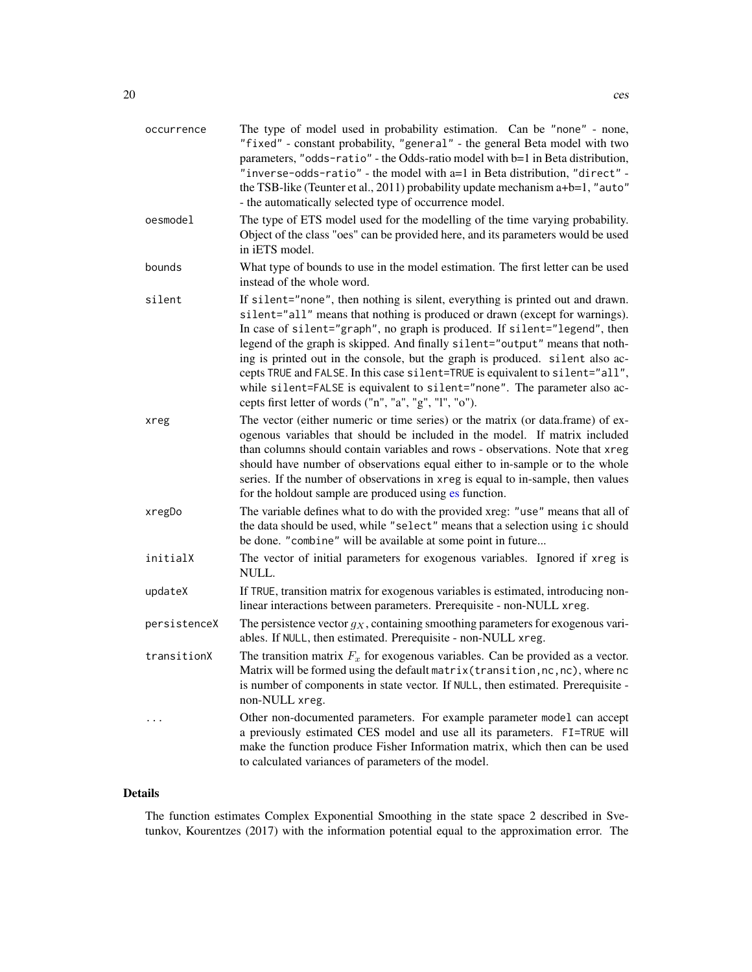| occurrence   | The type of model used in probability estimation. Can be "none" - none,<br>"fixed" - constant probability, "general" - the general Beta model with two<br>parameters, "odds-ratio" - the Odds-ratio model with b=1 in Beta distribution,<br>"inverse-odds-ratio" - the model with a=1 in Beta distribution, "direct" -<br>the TSB-like (Teunter et al., 2011) probability update mechanism a+b=1, "auto"<br>- the automatically selected type of occurrence model.                                                                                                                                                                  |
|--------------|-------------------------------------------------------------------------------------------------------------------------------------------------------------------------------------------------------------------------------------------------------------------------------------------------------------------------------------------------------------------------------------------------------------------------------------------------------------------------------------------------------------------------------------------------------------------------------------------------------------------------------------|
| oesmodel     | The type of ETS model used for the modelling of the time varying probability.<br>Object of the class "oes" can be provided here, and its parameters would be used<br>in iETS model.                                                                                                                                                                                                                                                                                                                                                                                                                                                 |
| bounds       | What type of bounds to use in the model estimation. The first letter can be used<br>instead of the whole word.                                                                                                                                                                                                                                                                                                                                                                                                                                                                                                                      |
| silent       | If silent="none", then nothing is silent, everything is printed out and drawn.<br>silent="all" means that nothing is produced or drawn (except for warnings).<br>In case of silent="graph", no graph is produced. If silent="legend", then<br>legend of the graph is skipped. And finally silent="output" means that noth-<br>ing is printed out in the console, but the graph is produced. silent also ac-<br>cepts TRUE and FALSE. In this case silent=TRUE is equivalent to silent="all",<br>while silent=FALSE is equivalent to silent="none". The parameter also ac-<br>cepts first letter of words ("n", "a", "g", "l", "o"). |
| xreg         | The vector (either numeric or time series) or the matrix (or data.frame) of ex-<br>ogenous variables that should be included in the model. If matrix included<br>than columns should contain variables and rows - observations. Note that xreg<br>should have number of observations equal either to in-sample or to the whole<br>series. If the number of observations in xreg is equal to in-sample, then values<br>for the holdout sample are produced using es function.                                                                                                                                                        |
| xregDo       | The variable defines what to do with the provided xreg: "use" means that all of<br>the data should be used, while "select" means that a selection using ic should<br>be done. "combine" will be available at some point in future                                                                                                                                                                                                                                                                                                                                                                                                   |
| initialX     | The vector of initial parameters for exogenous variables. Ignored if xreg is<br>NULL.                                                                                                                                                                                                                                                                                                                                                                                                                                                                                                                                               |
| updateX      | If TRUE, transition matrix for exogenous variables is estimated, introducing non-<br>linear interactions between parameters. Prerequisite - non-NULL xreg.                                                                                                                                                                                                                                                                                                                                                                                                                                                                          |
| persistenceX | The persistence vector $g_X$ , containing smoothing parameters for exogenous vari-<br>ables. If NULL, then estimated. Prerequisite - non-NULL xreg.                                                                                                                                                                                                                                                                                                                                                                                                                                                                                 |
| transitionX  | The transition matrix $F_x$ for exogenous variables. Can be provided as a vector.<br>Matrix will be formed using the default matrix (transition, nc, nc), where nc<br>is number of components in state vector. If NULL, then estimated. Prerequisite -<br>non-NULL xreg.                                                                                                                                                                                                                                                                                                                                                            |
|              | Other non-documented parameters. For example parameter model can accept<br>a previously estimated CES model and use all its parameters. FI=TRUE will<br>make the function produce Fisher Information matrix, which then can be used<br>to calculated variances of parameters of the model.                                                                                                                                                                                                                                                                                                                                          |

# Details

The function estimates Complex Exponential Smoothing in the state space 2 described in Svetunkov, Kourentzes (2017) with the information potential equal to the approximation error. The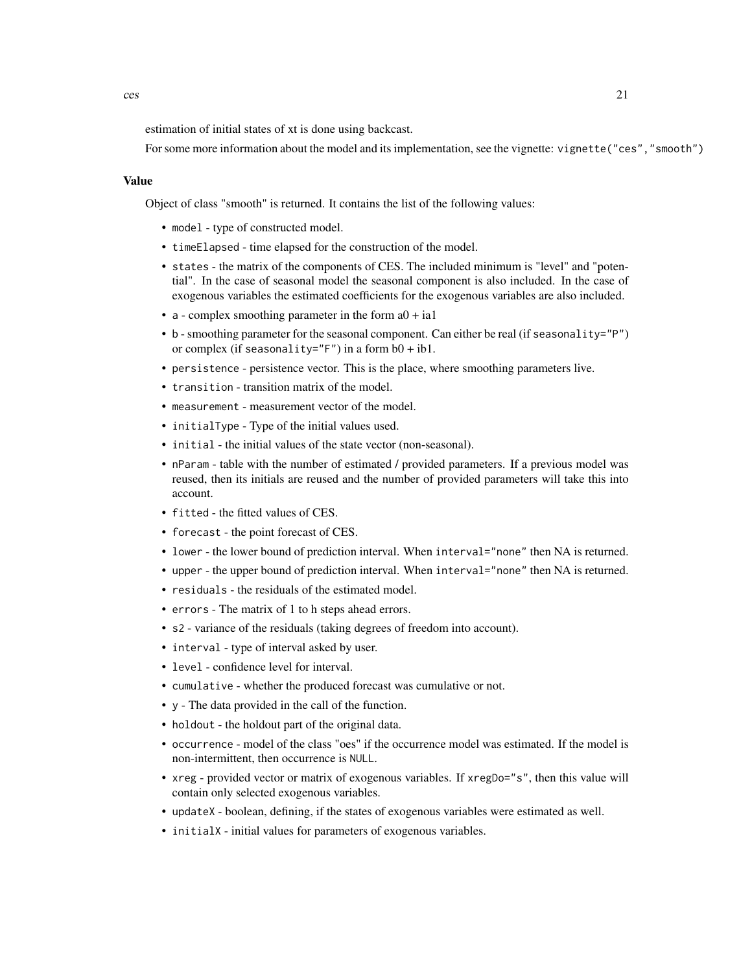estimation of initial states of xt is done using backcast.

For some more information about the model and its implementation, see the vignette: vignette("ces","smooth")

#### Value

Object of class "smooth" is returned. It contains the list of the following values:

- model type of constructed model.
- timeElapsed time elapsed for the construction of the model.
- states the matrix of the components of CES. The included minimum is "level" and "potential". In the case of seasonal model the seasonal component is also included. In the case of exogenous variables the estimated coefficients for the exogenous variables are also included.
- a complex smoothing parameter in the form  $a0 + ia1$
- b smoothing parameter for the seasonal component. Can either be real (if seasonality="P") or complex (if seasonality=" $F''$ ) in a form  $b0 + ib1$ .
- persistence persistence vector. This is the place, where smoothing parameters live.
- transition transition matrix of the model.
- measurement measurement vector of the model.
- initialType Type of the initial values used.
- initial the initial values of the state vector (non-seasonal).
- nParam table with the number of estimated / provided parameters. If a previous model was reused, then its initials are reused and the number of provided parameters will take this into account.
- fitted the fitted values of CES.
- forecast the point forecast of CES.
- lower the lower bound of prediction interval. When interval="none" then NA is returned.
- upper the upper bound of prediction interval. When interval="none" then NA is returned.
- residuals the residuals of the estimated model.
- errors The matrix of 1 to h steps ahead errors.
- s2 variance of the residuals (taking degrees of freedom into account).
- interval type of interval asked by user.
- level confidence level for interval.
- cumulative whether the produced forecast was cumulative or not.
- y The data provided in the call of the function.
- holdout the holdout part of the original data.
- occurrence model of the class "oes" if the occurrence model was estimated. If the model is non-intermittent, then occurrence is NULL.
- xreg provided vector or matrix of exogenous variables. If xregDo="s", then this value will contain only selected exogenous variables.
- updateX boolean, defining, if the states of exogenous variables were estimated as well.
- initialX initial values for parameters of exogenous variables.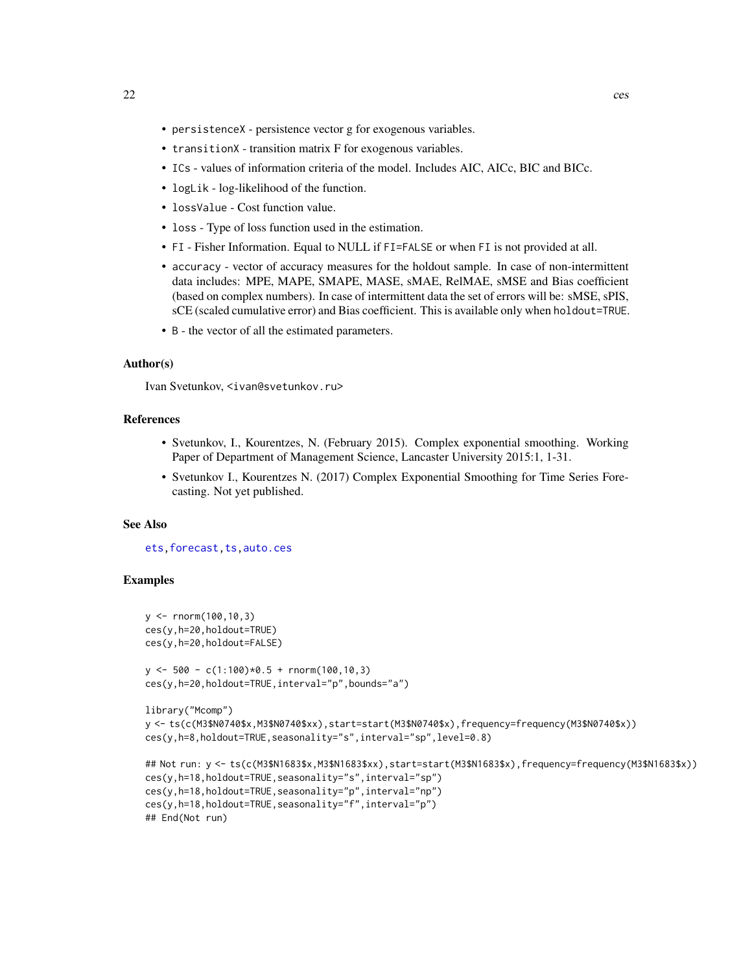- persistenceX persistence vector g for exogenous variables.
- transitionX transition matrix F for exogenous variables.
- ICs values of information criteria of the model. Includes AIC, AICc, BIC and BICc.
- logLik log-likelihood of the function.
- lossValue Cost function value.
- loss Type of loss function used in the estimation.
- FI Fisher Information. Equal to NULL if FI=FALSE or when FI is not provided at all.
- accuracy vector of accuracy measures for the holdout sample. In case of non-intermittent data includes: MPE, MAPE, SMAPE, MASE, sMAE, RelMAE, sMSE and Bias coefficient (based on complex numbers). In case of intermittent data the set of errors will be: sMSE, sPIS, sCE (scaled cumulative error) and Bias coefficient. This is available only when holdout=TRUE.
- B the vector of all the estimated parameters.

# Author(s)

Ivan Svetunkov, <ivan@svetunkov.ru>

## References

- Svetunkov, I., Kourentzes, N. (February 2015). Complex exponential smoothing. Working Paper of Department of Management Science, Lancaster University 2015:1, 1-31.
- Svetunkov I., Kourentzes N. (2017) Complex Exponential Smoothing for Time Series Forecasting. Not yet published.

## See Also

[ets](#page-0-0), forecast, ts, auto.ces

# **Examples**

```
y \le - rnorm(100,10,3)
ces(y,h=20,holdout=TRUE)
ces(y,h=20,holdout=FALSE)
y \le -500 - c(1:100)*0.5 + rnorm(100,10,3)ces(y,h=20,holdout=TRUE,interval="p",bounds="a")
library("Mcomp")
y <- ts(c(M3$N0740$x,M3$N0740$xx),start=start(M3$N0740$x),frequency=frequency(M3$N0740$x))
ces(y,h=8,holdout=TRUE, seasonality="s", interval="sp", level=0.8)
## Not run: y <- ts(c(M3$N1683$x,M3$N1683$xx),start=start(M3$N1683$x),frequency=frequency(M3$N1683$x))
ces(y,h=18,holdout=TRUE,seasonality="s",interval="sp")
ces(y,h=18,holdout=TRUE,seasonality="p",interval="np")
ces(y,h=18,holdout=TRUE,seasonality="f",interval="p")
## End(Not run)
```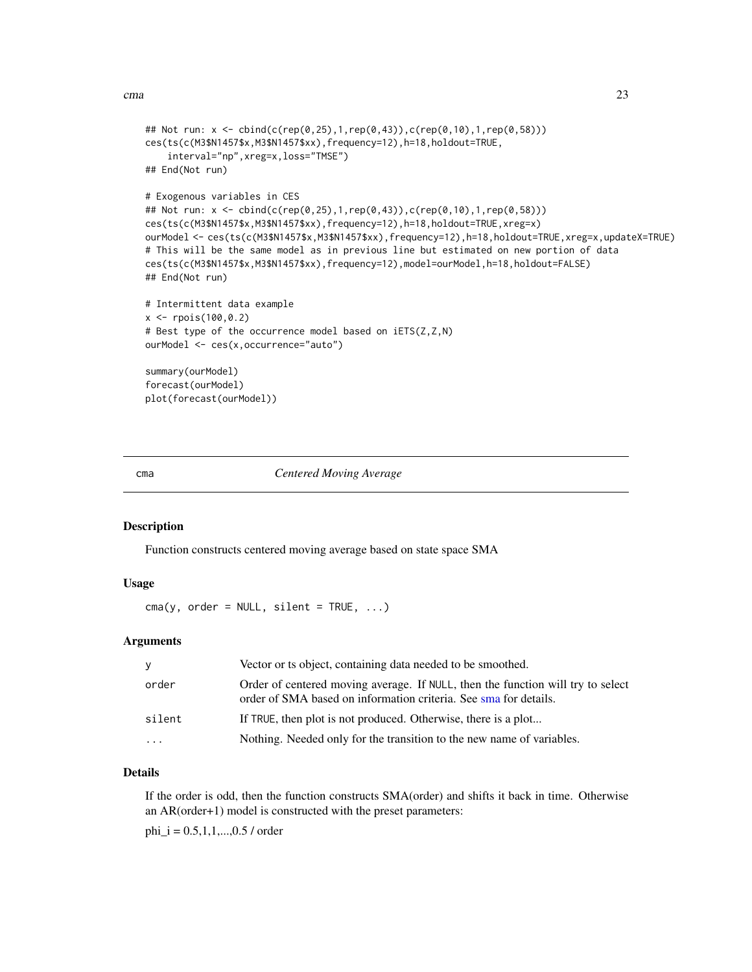```
## Not run: x <- cbind(c(rep(0,25),1,rep(0,43)),c(rep(0,10),1,rep(0,58)))
ces(ts(c(M3$N1457$x,M3$N1457$xx),frequency=12),h=18,holdout=TRUE,
    interval="np",xreg=x,loss="TMSE")
## End(Not run)
# Exogenous variables in CES
## Not run: x <- cbind(c(rep(0,25),1,rep(0,43)),c(rep(0,10),1,rep(0,58)))
ces(ts(c(M3$N1457$x,M3$N1457$xx),frequency=12),h=18,holdout=TRUE,xreg=x)
ourModel <- ces(ts(c(M3$N1457$x,M3$N1457$xx),frequency=12),h=18,holdout=TRUE,xreg=x,updateX=TRUE)
# This will be the same model as in previous line but estimated on new portion of data
ces(ts(c(M3$N1457$x,M3$N1457$xx),frequency=12),model=ourModel,h=18,holdout=FALSE)
## End(Not run)
# Intermittent data example
x \le - rpois(100,0.2)
# Best type of the occurrence model based on iETS(Z,Z,N)
ourModel <- ces(x,occurrence="auto")
summary(ourModel)
forecast(ourModel)
plot(forecast(ourModel))
```
cma *Centered Moving Average*

# **Description**

Function constructs centered moving average based on state space SMA

## Usage

 $cma(y, order = NULL, silent = TRUE, ...)$ 

## Arguments

| v      | Vector or ts object, containing data needed to be smoothed.                                                                                         |
|--------|-----------------------------------------------------------------------------------------------------------------------------------------------------|
| order  | Order of centered moving average. If NULL, then the function will try to select<br>order of SMA based on information criteria. See sma for details. |
| silent | If TRUE, then plot is not produced. Otherwise, there is a plot                                                                                      |
| .      | Nothing. Needed only for the transition to the new name of variables.                                                                               |

# Details

If the order is odd, then the function constructs SMA(order) and shifts it back in time. Otherwise an AR(order+1) model is constructed with the preset parameters:

 $phi_i = 0.5, 1, 1, \ldots, 0.5$  / order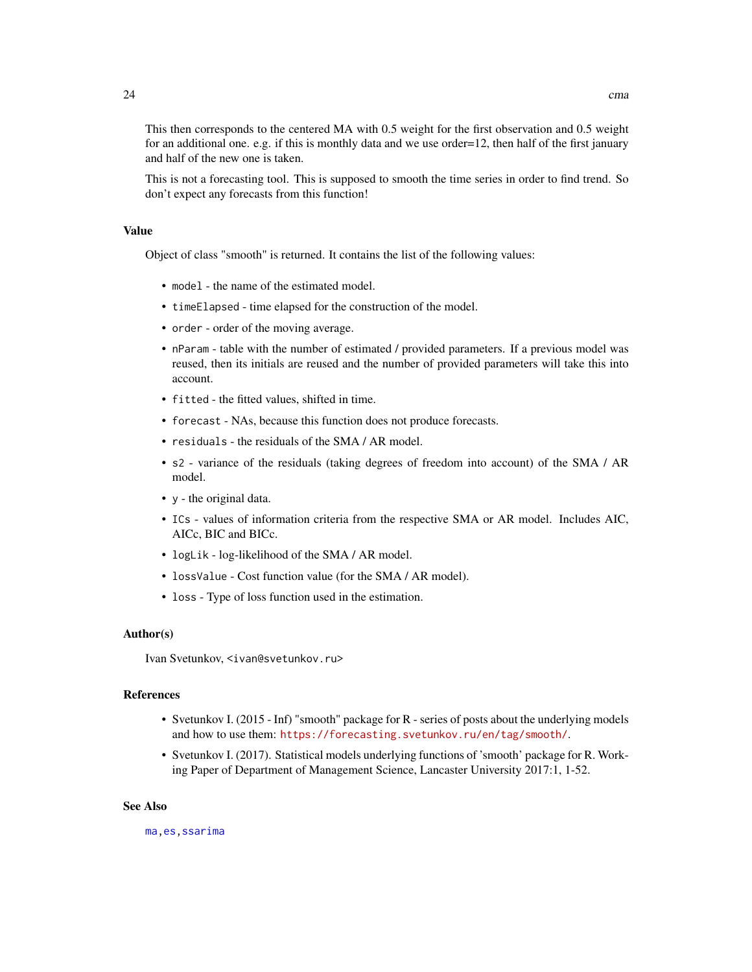This then corresponds to the centered MA with 0.5 weight for the first observation and 0.5 weight for an additional one. e.g. if this is monthly data and we use order=12, then half of the first january and half of the new one is taken.

This is not a forecasting tool. This is supposed to smooth the time series in order to find trend. So don't expect any forecasts from this function!

# Value

Object of class "smooth" is returned. It contains the list of the following values:

- model the name of the estimated model.
- timeElapsed time elapsed for the construction of the model.
- order order of the moving average.
- nParam table with the number of estimated / provided parameters. If a previous model was reused, then its initials are reused and the number of provided parameters will take this into account.
- fitted the fitted values, shifted in time.
- forecast NAs, because this function does not produce forecasts.
- residuals the residuals of the SMA / AR model.
- s2 variance of the residuals (taking degrees of freedom into account) of the SMA / AR model.
- y the original data.
- ICs values of information criteria from the respective SMA or AR model. Includes AIC, AICc, BIC and BICc.
- logLik log-likelihood of the SMA / AR model.
- lossValue Cost function value (for the SMA / AR model).
- loss Type of loss function used in the estimation.

#### Author(s)

Ivan Svetunkov, <ivan@svetunkov.ru>

## References

- Svetunkov I. (2015 Inf) "smooth" package for R series of posts about the underlying models and how to use them: <https://forecasting.svetunkov.ru/en/tag/smooth/>.
- Svetunkov I. (2017). Statistical models underlying functions of 'smooth' package for R. Working Paper of Department of Management Science, Lancaster University 2017:1, 1-52.

#### See Also

[ma](#page-0-0)[,es](#page-24-1)[,ssarima](#page-89-1)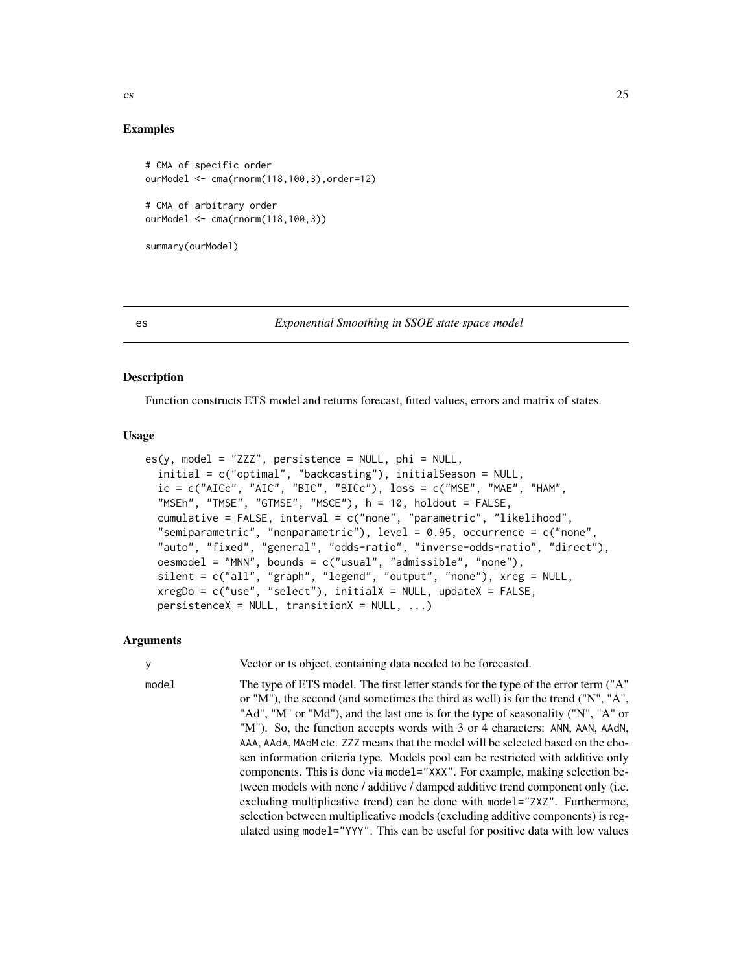<span id="page-24-0"></span>

#### Examples

```
# CMA of specific order
ourModel <- cma(rnorm(118,100,3),order=12)
# CMA of arbitrary order
ourModel <- cma(rnorm(118,100,3))
summary(ourModel)
```

```
es Exponential Smoothing in SSOE state space model
```
### Description

Function constructs ETS model and returns forecast, fitted values, errors and matrix of states.

#### Usage

```
es(y, model = "ZZZ", persistence = NULL, phi = NULL,initial = c("optimal", "backcasting"), initialSeason = NULL,
  ic = c("AICc", "AIC", "BIC", "BICc"), loss = c("MSE", "MAE", "HAM","MSEh", "TMSE", "GTMSE", "MSCE"), h = 10, holdout = FALSE,
  cumulative = FALSE, interval = c("none", "parametric", "likelihood",
  "semiparametric", "nonparametric"), level = 0.95, occurrence = c("none",
  "auto", "fixed", "general", "odds-ratio", "inverse-odds-ratio", "direct"),
 oesmodel = "MNN", bounds = c("usual", "admissible", "none"),
 silent = c("all", "graph", "legend", "output", "none"), xreg = NULL,
  xregDo = c("use", "select"), initialX = NULL, updateX = FALSE,persistenceX = NULL, transitionX = NULL, ...)
```
#### Arguments

y Vector or ts object, containing data needed to be forecasted.

model The type of ETS model. The first letter stands for the type of the error term ("A" or "M"), the second (and sometimes the third as well) is for the trend ("N", "A", "Ad", "M" or "Md"), and the last one is for the type of seasonality ("N", "A" or "M"). So, the function accepts words with 3 or 4 characters: ANN, AAN, AAdN, AAA, AAdA, MAdM etc. ZZZ means that the model will be selected based on the chosen information criteria type. Models pool can be restricted with additive only components. This is done via model="XXX". For example, making selection between models with none / additive / damped additive trend component only (i.e. excluding multiplicative trend) can be done with model="ZXZ". Furthermore, selection between multiplicative models (excluding additive components) is regulated using model="YYY". This can be useful for positive data with low values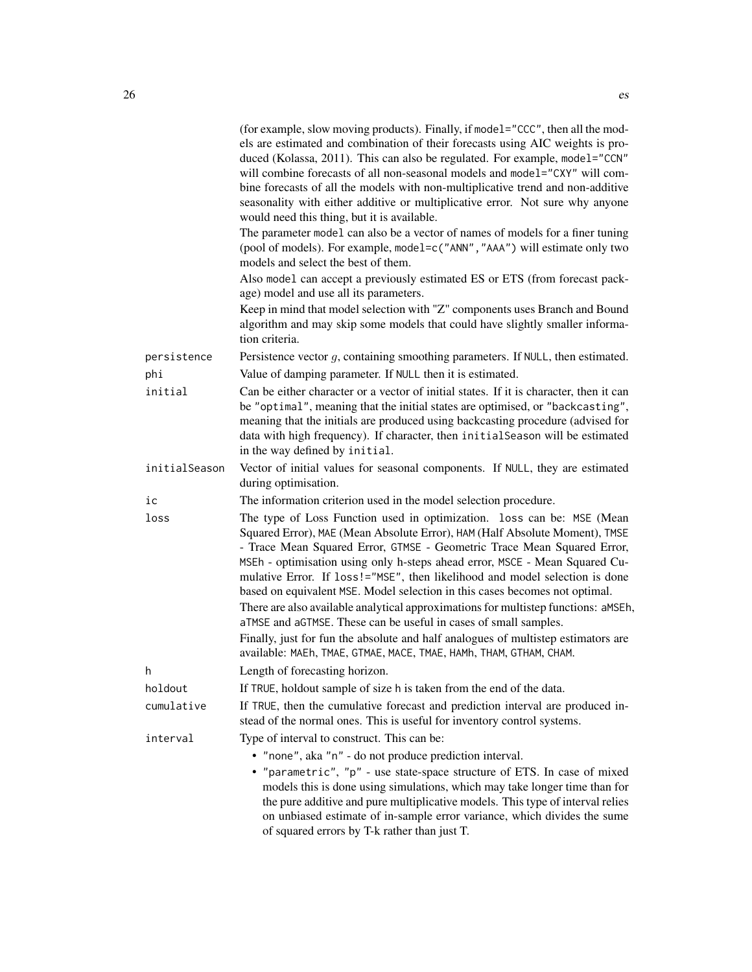|               | (for example, slow moving products). Finally, if model="CCC", then all the mod-<br>els are estimated and combination of their forecasts using AIC weights is pro-<br>duced (Kolassa, 2011). This can also be regulated. For example, model="CCN"<br>will combine forecasts of all non-seasonal models and model="CXY" will com-<br>bine forecasts of all the models with non-multiplicative trend and non-additive<br>seasonality with either additive or multiplicative error. Not sure why anyone<br>would need this thing, but it is available.                                                                                      |
|---------------|-----------------------------------------------------------------------------------------------------------------------------------------------------------------------------------------------------------------------------------------------------------------------------------------------------------------------------------------------------------------------------------------------------------------------------------------------------------------------------------------------------------------------------------------------------------------------------------------------------------------------------------------|
|               | The parameter model can also be a vector of names of models for a finer tuning<br>(pool of models). For example, model=c("ANN", "AAA") will estimate only two<br>models and select the best of them.                                                                                                                                                                                                                                                                                                                                                                                                                                    |
|               | Also model can accept a previously estimated ES or ETS (from forecast pack-<br>age) model and use all its parameters.                                                                                                                                                                                                                                                                                                                                                                                                                                                                                                                   |
|               | Keep in mind that model selection with "Z" components uses Branch and Bound<br>algorithm and may skip some models that could have slightly smaller informa-<br>tion criteria.                                                                                                                                                                                                                                                                                                                                                                                                                                                           |
| persistence   | Persistence vector $g$ , containing smoothing parameters. If NULL, then estimated.                                                                                                                                                                                                                                                                                                                                                                                                                                                                                                                                                      |
| phi           | Value of damping parameter. If NULL then it is estimated.                                                                                                                                                                                                                                                                                                                                                                                                                                                                                                                                                                               |
| initial       | Can be either character or a vector of initial states. If it is character, then it can<br>be "optimal", meaning that the initial states are optimised, or "backcasting",<br>meaning that the initials are produced using backcasting procedure (advised for<br>data with high frequency). If character, then initial Season will be estimated<br>in the way defined by initial.                                                                                                                                                                                                                                                         |
| initialSeason | Vector of initial values for seasonal components. If NULL, they are estimated<br>during optimisation.                                                                                                                                                                                                                                                                                                                                                                                                                                                                                                                                   |
| ic            | The information criterion used in the model selection procedure.                                                                                                                                                                                                                                                                                                                                                                                                                                                                                                                                                                        |
| loss          | The type of Loss Function used in optimization. loss can be: MSE (Mean<br>Squared Error), MAE (Mean Absolute Error), HAM (Half Absolute Moment), TMSE<br>- Trace Mean Squared Error, GTMSE - Geometric Trace Mean Squared Error,<br>MSEh - optimisation using only h-steps ahead error, MSCE - Mean Squared Cu-<br>mulative Error. If loss!="MSE", then likelihood and model selection is done<br>based on equivalent MSE. Model selection in this cases becomes not optimal.<br>There are also available analytical approximations for multistep functions: aMSEh,<br>aTMSE and aGTMSE. These can be useful in cases of small samples. |
|               | Finally, just for fun the absolute and half analogues of multistep estimators are<br>available: MAEh, TMAE, GTMAE, MACE, TMAE, HAMh, THAM, GTHAM, CHAM.                                                                                                                                                                                                                                                                                                                                                                                                                                                                                 |
| h             | Length of forecasting horizon.                                                                                                                                                                                                                                                                                                                                                                                                                                                                                                                                                                                                          |
| holdout       | If TRUE, holdout sample of size h is taken from the end of the data.                                                                                                                                                                                                                                                                                                                                                                                                                                                                                                                                                                    |
| cumulative    | If TRUE, then the cumulative forecast and prediction interval are produced in-<br>stead of the normal ones. This is useful for inventory control systems.                                                                                                                                                                                                                                                                                                                                                                                                                                                                               |
| interval      | Type of interval to construct. This can be:<br>• "none", aka "n" - do not produce prediction interval.<br>• "parametric", "p" - use state-space structure of ETS. In case of mixed<br>models this is done using simulations, which may take longer time than for<br>the pure additive and pure multiplicative models. This type of interval relies<br>on unbiased estimate of in-sample error variance, which divides the sume<br>of squared errors by T-k rather than just T.                                                                                                                                                          |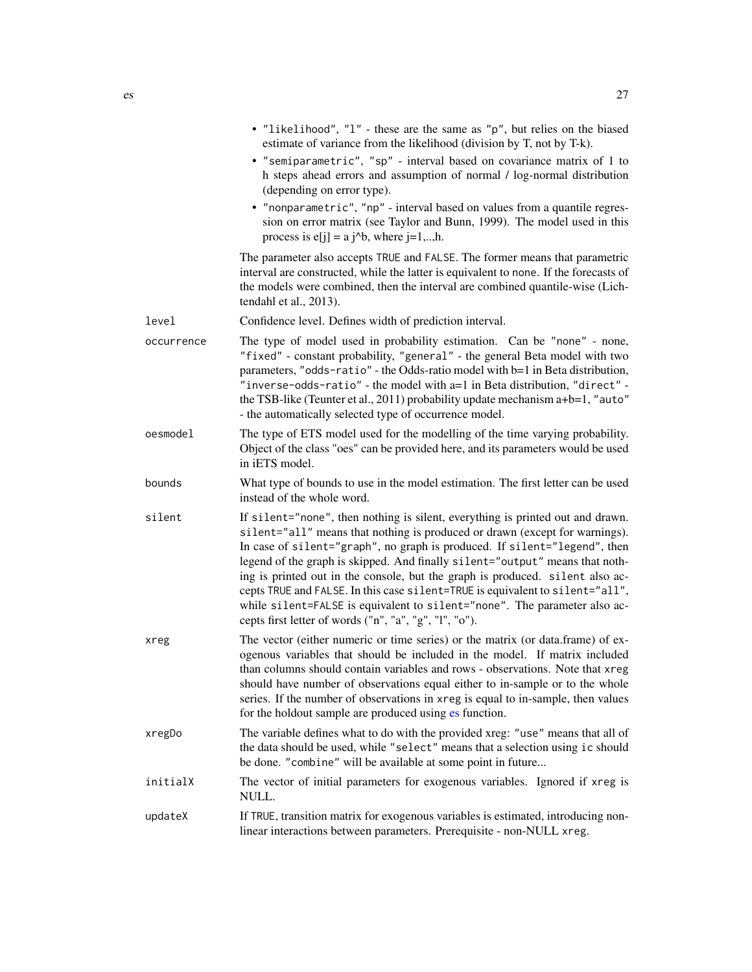• "nonparametric", "np" - interval based on values from a quantile regression on error matrix (see Taylor and Bunn, 1999). The model used in this process is  $e[j] = a j^b$ , where  $j=1,..,h$ .

The parameter also accepts TRUE and FALSE. The former means that parametric interval are constructed, while the latter is equivalent to none. If the forecasts of the models were combined, then the interval are combined quantile-wise (Lichtendahl et al., 2013).

level Confidence level. Defines width of prediction interval.

(depending on error type).

- occurrence The type of model used in probability estimation. Can be "none" none, "fixed" - constant probability, "general" - the general Beta model with two parameters, "odds-ratio" - the Odds-ratio model with b=1 in Beta distribution, "inverse-odds-ratio" - the model with a=1 in Beta distribution, "direct" the TSB-like (Teunter et al., 2011) probability update mechanism a+b=1, "auto" - the automatically selected type of occurrence model.
- oesmodel The type of ETS model used for the modelling of the time varying probability. Object of the class "oes" can be provided here, and its parameters would be used in iETS model.
- bounds What type of bounds to use in the model estimation. The first letter can be used instead of the whole word.
- silent If silent="none", then nothing is silent, everything is printed out and drawn. silent="all" means that nothing is produced or drawn (except for warnings). In case of silent="graph", no graph is produced. If silent="legend", then legend of the graph is skipped. And finally silent="output" means that nothing is printed out in the console, but the graph is produced. silent also accepts TRUE and FALSE. In this case silent=TRUE is equivalent to silent="all", while silent=FALSE is equivalent to silent="none". The parameter also accepts first letter of words ("n", "a", "g", "l", "o").
- xreg The vector (either numeric or time series) or the matrix (or data.frame) of exogenous variables that should be included in the model. If matrix included than columns should contain variables and rows - observations. Note that xreg should have number of observations equal either to in-sample or to the whole series. If the number of observations in xreg is equal to in-sample, then values for the holdout sample are produced using [es](#page-24-1) function.
- xregDo The variable defines what to do with the provided xreg: "use" means that all of the data should be used, while "select" means that a selection using ic should be done. "combine" will be available at some point in future...
- initialX The vector of initial parameters for exogenous variables. Ignored if xreg is NULL.
- updateX If TRUE, transition matrix for exogenous variables is estimated, introducing nonlinear interactions between parameters. Prerequisite - non-NULL xreg.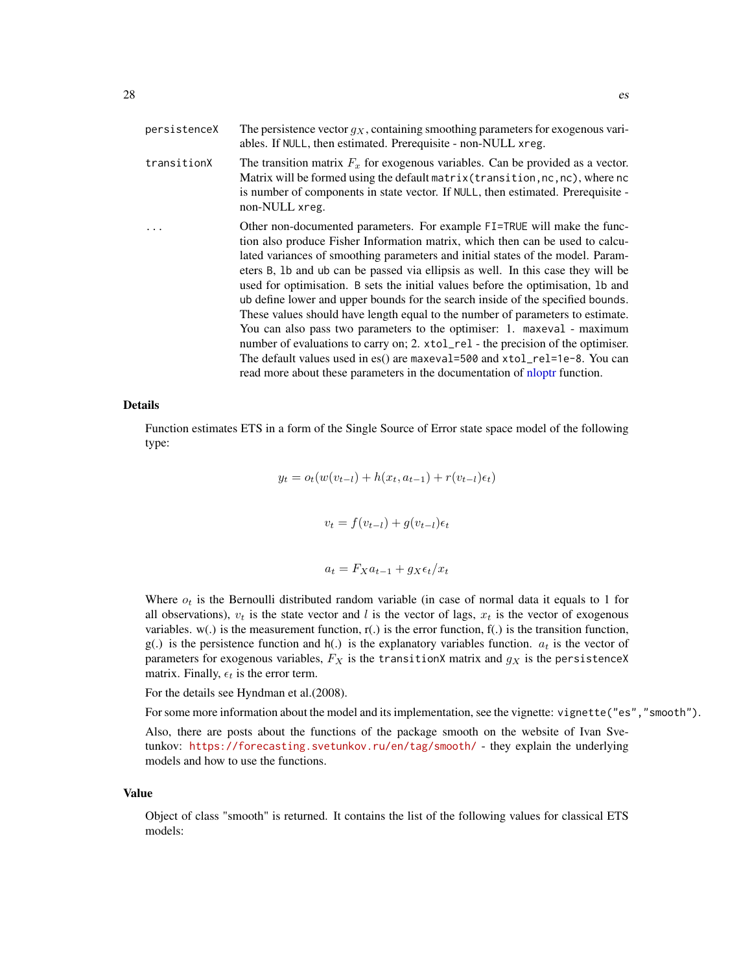| persistenceX | The persistence vector $q_X$ , containing smoothing parameters for exogenous vari-<br>ables. If NULL, then estimated. Prerequisite - non-NULL xreg.                                                                                                                                                                                                                                                                                                                                                                                                                                                                                                                                                                                                                                                                                                                                                                   |
|--------------|-----------------------------------------------------------------------------------------------------------------------------------------------------------------------------------------------------------------------------------------------------------------------------------------------------------------------------------------------------------------------------------------------------------------------------------------------------------------------------------------------------------------------------------------------------------------------------------------------------------------------------------------------------------------------------------------------------------------------------------------------------------------------------------------------------------------------------------------------------------------------------------------------------------------------|
| transitionX  | The transition matrix $F_x$ for exogenous variables. Can be provided as a vector.<br>Matrix will be formed using the default matrix (transition, nc, nc), where nc<br>is number of components in state vector. If NULL, then estimated. Prerequisite -<br>non-NULL xreg.                                                                                                                                                                                                                                                                                                                                                                                                                                                                                                                                                                                                                                              |
|              | Other non-documented parameters. For example FI=TRUE will make the func-<br>tion also produce Fisher Information matrix, which then can be used to calcu-<br>lated variances of smoothing parameters and initial states of the model. Param-<br>eters B, 1b and ub can be passed via ellipsis as well. In this case they will be<br>used for optimisation. B sets the initial values before the optimisation, 1b and<br>ub define lower and upper bounds for the search inside of the specified bounds.<br>These values should have length equal to the number of parameters to estimate.<br>You can also pass two parameters to the optimiser: 1. maxeval - maximum<br>number of evaluations to carry on; 2. xtol_rel - the precision of the optimiser.<br>The default values used in es() are maxeval=500 and $xtol_{rel}=1e-8$ . You can<br>read more about these parameters in the documentation of not function. |

# Details

Function estimates ETS in a form of the Single Source of Error state space model of the following type:

$$
y_t = o_t(w(v_{t-l}) + h(x_t, a_{t-1}) + r(v_{t-l})\epsilon_t)
$$

$$
v_t = f(v_{t-l}) + g(v_{t-l})\epsilon_t
$$

$$
a_t = F_X a_{t-1} + g_X \epsilon_t / x_t
$$

Where  $o_t$  is the Bernoulli distributed random variable (in case of normal data it equals to 1 for all observations),  $v_t$  is the state vector and l is the vector of lags,  $x_t$  is the vector of exogenous variables.  $w(.)$  is the measurement function,  $r(.)$  is the error function,  $f(.)$  is the transition function, g(.) is the persistence function and h(.) is the explanatory variables function.  $a_t$  is the vector of parameters for exogenous variables,  $F_X$  is the transitionX matrix and  $g_X$  is the persistenceX matrix. Finally,  $\epsilon_t$  is the error term.

For the details see Hyndman et al.(2008).

For some more information about the model and its implementation, see the vignette: vignette("es","smooth").

Also, there are posts about the functions of the package smooth on the website of Ivan Svetunkov: <https://forecasting.svetunkov.ru/en/tag/smooth/> - they explain the underlying models and how to use the functions.

#### Value

Object of class "smooth" is returned. It contains the list of the following values for classical ETS models: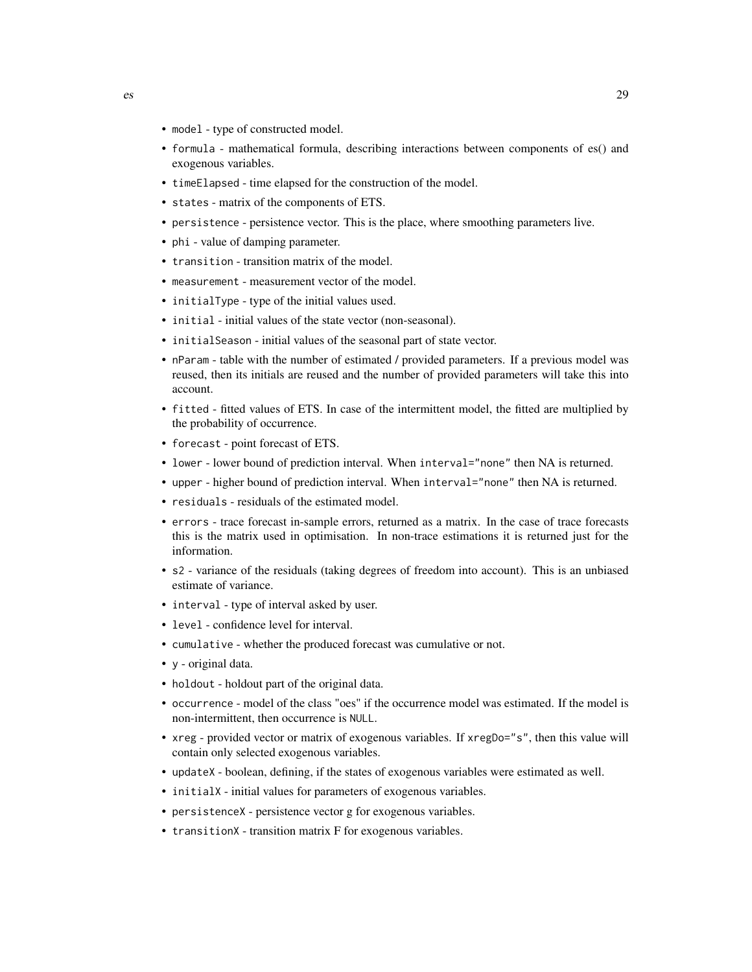- model type of constructed model.
- formula mathematical formula, describing interactions between components of es() and exogenous variables.
- timeElapsed time elapsed for the construction of the model.
- states matrix of the components of ETS.
- persistence persistence vector. This is the place, where smoothing parameters live.
- phi value of damping parameter.
- transition transition matrix of the model.
- measurement measurement vector of the model.
- initialType type of the initial values used.
- initial initial values of the state vector (non-seasonal).
- initialSeason initial values of the seasonal part of state vector.
- nParam table with the number of estimated / provided parameters. If a previous model was reused, then its initials are reused and the number of provided parameters will take this into account.
- fitted fitted values of ETS. In case of the intermittent model, the fitted are multiplied by the probability of occurrence.
- forecast point forecast of ETS.
- lower lower bound of prediction interval. When interval="none" then NA is returned.
- upper higher bound of prediction interval. When interval="none" then NA is returned.
- residuals residuals of the estimated model.
- errors trace forecast in-sample errors, returned as a matrix. In the case of trace forecasts this is the matrix used in optimisation. In non-trace estimations it is returned just for the information.
- s2 variance of the residuals (taking degrees of freedom into account). This is an unbiased estimate of variance.
- interval type of interval asked by user.
- level confidence level for interval.
- cumulative whether the produced forecast was cumulative or not.
- y original data.
- holdout holdout part of the original data.
- occurrence model of the class "oes" if the occurrence model was estimated. If the model is non-intermittent, then occurrence is NULL.
- xreg provided vector or matrix of exogenous variables. If xregDo="s", then this value will contain only selected exogenous variables.
- updateX boolean, defining, if the states of exogenous variables were estimated as well.
- initialX initial values for parameters of exogenous variables.
- persistenceX persistence vector g for exogenous variables.
- transitionX transition matrix F for exogenous variables.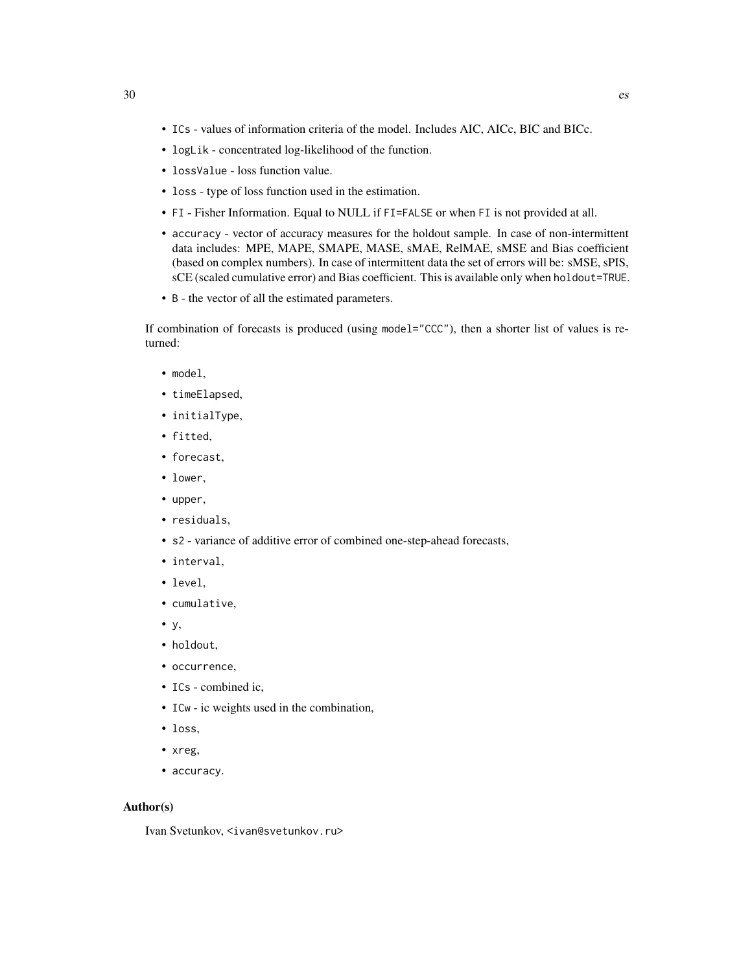- ICs values of information criteria of the model. Includes AIC, AICc, BIC and BICc.
- logLik concentrated log-likelihood of the function.
- lossValue loss function value.
- loss type of loss function used in the estimation.
- FI Fisher Information. Equal to NULL if FI=FALSE or when FI is not provided at all.
- accuracy vector of accuracy measures for the holdout sample. In case of non-intermittent data includes: MPE, MAPE, SMAPE, MASE, sMAE, RelMAE, sMSE and Bias coefficient (based on complex numbers). In case of intermittent data the set of errors will be: sMSE, sPIS, sCE (scaled cumulative error) and Bias coefficient. This is available only when holdout=TRUE.
- B the vector of all the estimated parameters.

If combination of forecasts is produced (using model="CCC"), then a shorter list of values is returned:

- model,
- timeElapsed,
- initialType,
- fitted,
- forecast,
- lower,
- upper,
- residuals,
- s2 variance of additive error of combined one-step-ahead forecasts,
- interval,
- level,
- cumulative,
- y,
- holdout,
- occurrence,
- ICs combined ic,
- ICw ic weights used in the combination,
- loss,
- xreg,
- accuracy.

#### Author(s)

Ivan Svetunkov, <ivan@svetunkov.ru>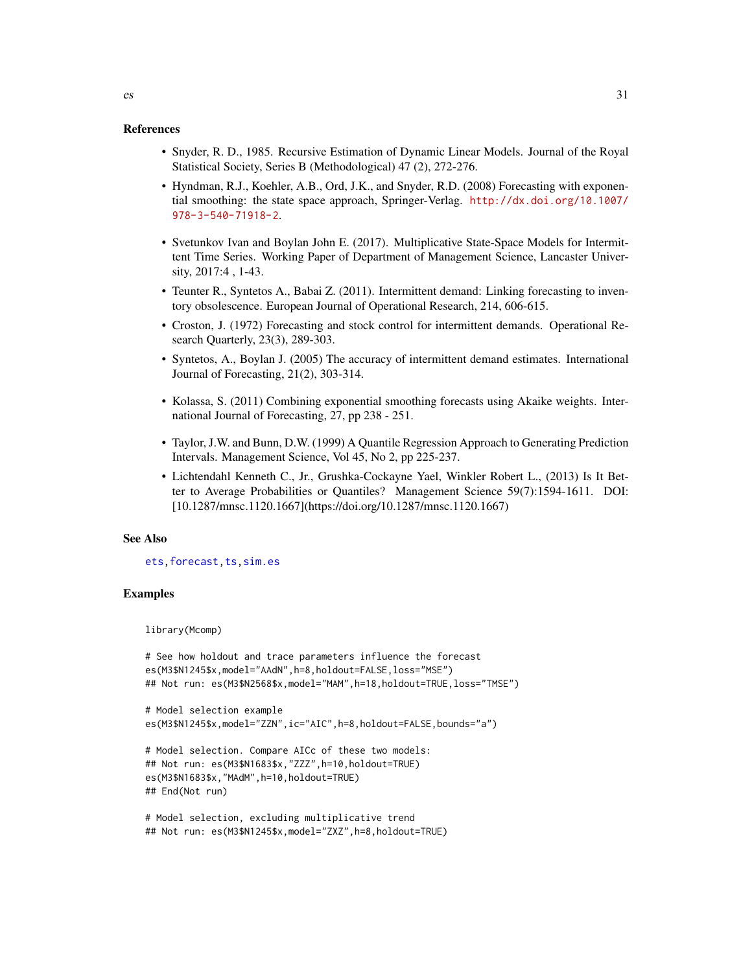## References

- Snyder, R. D., 1985. Recursive Estimation of Dynamic Linear Models. Journal of the Royal Statistical Society, Series B (Methodological) 47 (2), 272-276.
- Hyndman, R.J., Koehler, A.B., Ord, J.K., and Snyder, R.D. (2008) Forecasting with exponential smoothing: the state space approach, Springer-Verlag. [http://dx.doi.org/10.1007/](http://dx.doi.org/10.1007/978-3-540-71918-2) [978-3-540-71918-2](http://dx.doi.org/10.1007/978-3-540-71918-2).
- Svetunkov Ivan and Boylan John E. (2017). Multiplicative State-Space Models for Intermittent Time Series. Working Paper of Department of Management Science, Lancaster University, 2017:4 , 1-43.
- Teunter R., Syntetos A., Babai Z. (2011). Intermittent demand: Linking forecasting to inventory obsolescence. European Journal of Operational Research, 214, 606-615.
- Croston, J. (1972) Forecasting and stock control for intermittent demands. Operational Research Quarterly, 23(3), 289-303.
- Syntetos, A., Boylan J. (2005) The accuracy of intermittent demand estimates. International Journal of Forecasting, 21(2), 303-314.
- Kolassa, S. (2011) Combining exponential smoothing forecasts using Akaike weights. International Journal of Forecasting, 27, pp 238 - 251.
- Taylor, J.W. and Bunn, D.W. (1999) A Quantile Regression Approach to Generating Prediction Intervals. Management Science, Vol 45, No 2, pp 225-237.
- Lichtendahl Kenneth C., Jr., Grushka-Cockayne Yael, Winkler Robert L., (2013) Is It Better to Average Probabilities or Quantiles? Management Science 59(7):1594-1611. DOI: [10.1287/mnsc.1120.1667](https://doi.org/10.1287/mnsc.1120.1667)

## See Also

[ets](#page-0-0)[,forecast](#page-31-1)[,ts](#page-0-0)[,sim.es](#page-64-1)

## Examples

library(Mcomp)

```
# See how holdout and trace parameters influence the forecast
es(M3$N1245$x,model="AAdN",h=8,holdout=FALSE,loss="MSE")
## Not run: es(M3$N2568$x,model="MAM",h=18,holdout=TRUE,loss="TMSE")
```

```
# Model selection example
es(M3$N1245$x,model="ZZN",ic="AIC",h=8,holdout=FALSE,bounds="a")
```

```
# Model selection. Compare AICc of these two models:
## Not run: es(M3$N1683$x,"ZZZ",h=10,holdout=TRUE)
es(M3$N1683$x,"MAdM",h=10,holdout=TRUE)
## End(Not run)
```

```
# Model selection, excluding multiplicative trend
## Not run: es(M3$N1245$x,model="ZXZ",h=8,holdout=TRUE)
```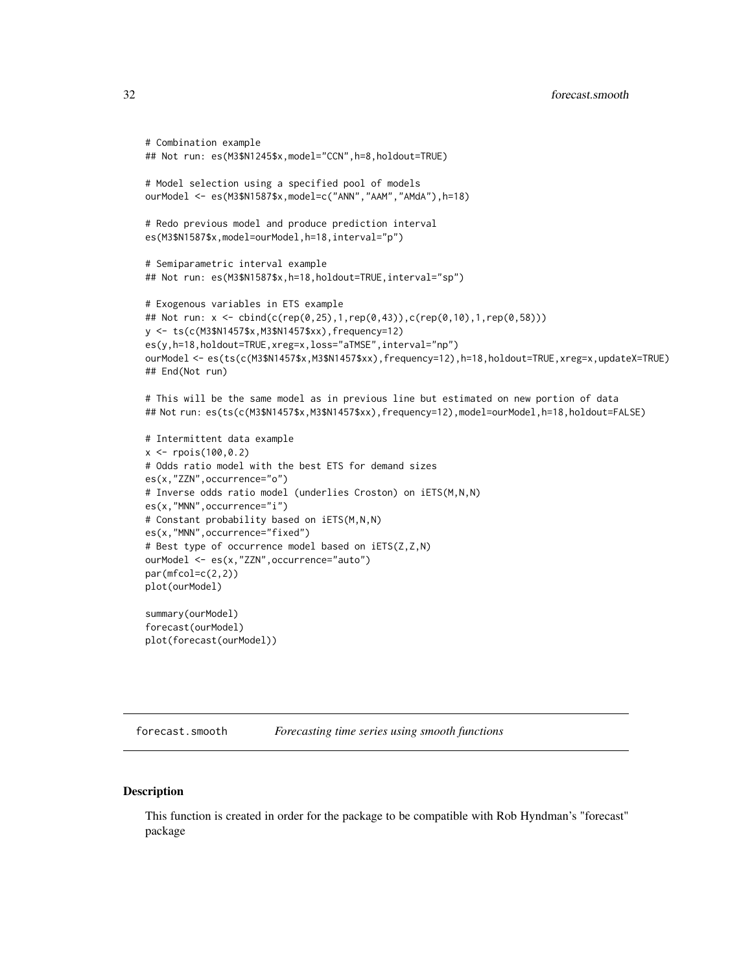```
# Combination example
## Not run: es(M3$N1245$x,model="CCN",h=8,holdout=TRUE)
# Model selection using a specified pool of models
ourModel <- es(M3$N1587$x,model=c("ANN","AAM","AMdA"),h=18)
# Redo previous model and produce prediction interval
es(M3$N1587$x,model=ourModel,h=18,interval="p")
# Semiparametric interval example
## Not run: es(M3$N1587$x,h=18,holdout=TRUE,interval="sp")
# Exogenous variables in ETS example
## Not run: x <- cbind(c(rep(0,25),1,rep(0,43)),c(rep(0,10),1,rep(0,58)))
y <- ts(c(M3$N1457$x,M3$N1457$xx),frequency=12)
es(y,h=18,holdout=TRUE,xreg=x,loss="aTMSE",interval="np")
ourModel <- es(ts(c(M3$N1457$x,M3$N1457$xx),frequency=12),h=18,holdout=TRUE,xreg=x,updateX=TRUE)
## End(Not run)
# This will be the same model as in previous line but estimated on new portion of data
## Not run: es(ts(c(M3$N1457$x,M3$N1457$xx),frequency=12),model=ourModel,h=18,holdout=FALSE)
# Intermittent data example
x <- rpois(100,0.2)
# Odds ratio model with the best ETS for demand sizes
es(x,"ZZN",occurrence="o")
# Inverse odds ratio model (underlies Croston) on iETS(M,N,N)
es(x,"MNN",occurrence="i")
# Constant probability based on iETS(M,N,N)
es(x,"MNN",occurrence="fixed")
# Best type of occurrence model based on iETS(Z,Z,N)
ourModel <- es(x,"ZZN",occurrence="auto")
par(mfcol=c(2,2))plot(ourModel)
summary(ourModel)
forecast(ourModel)
plot(forecast(ourModel))
```

```
forecast.smooth Forecasting time series using smooth functions
```
# <span id="page-31-1"></span>**Description**

This function is created in order for the package to be compatible with Rob Hyndman's "forecast" package

<span id="page-31-0"></span>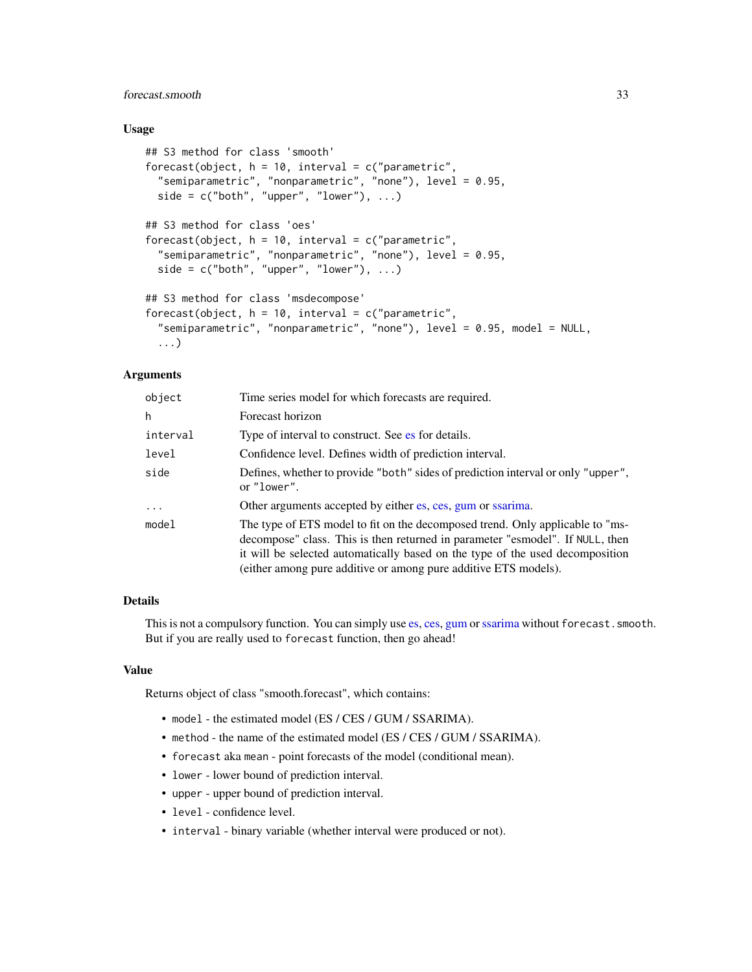# forecast.smooth 33

## Usage

```
## S3 method for class 'smooth'
forecast(object, h = 10, interval = c("parametric",
  "semiparametric", "nonparametric", "none"), level = 0.95,
 side = c("both", "upper", "lower"), ...)
## S3 method for class 'oes'
forecast(object, h = 10, interval = c("parametric",
  "semiparametric", "nonparametric", "none"), level = 0.95,
 side = c("both", "upper", "lower"), ...)
## S3 method for class 'msdecompose'
forecast(object, h = 10, interval = c("parametric",
  "semiparametric", "nonparametric", "none"), level = 0.95, model = NULL,
  ...)
```
# **Arguments**

| object     | Time series model for which forecasts are required.                                                                                                                                                                                                                                                                |
|------------|--------------------------------------------------------------------------------------------------------------------------------------------------------------------------------------------------------------------------------------------------------------------------------------------------------------------|
| h          | Forecast horizon                                                                                                                                                                                                                                                                                                   |
| interval   | Type of interval to construct. See es for details.                                                                                                                                                                                                                                                                 |
| level      | Confidence level. Defines width of prediction interval.                                                                                                                                                                                                                                                            |
| side       | Defines, whether to provide "both" sides of prediction interval or only "upper",<br>or "lower".                                                                                                                                                                                                                    |
| $\ddots$ . | Other arguments accepted by either es, ces, gum or ssarima.                                                                                                                                                                                                                                                        |
| model      | The type of ETS model to fit on the decomposed trend. Only applicable to "ms-<br>decompose" class. This is then returned in parameter "esmodel". If NULL, then<br>it will be selected automatically based on the type of the used decomposition<br>(either among pure additive or among pure additive ETS models). |

# Details

This is not a compulsory function. You can simply use [es,](#page-24-1) [ces,](#page-17-1) [gum](#page-33-1) or [ssarima](#page-89-1) without forecast. smooth. But if you are really used to forecast function, then go ahead!

#### Value

Returns object of class "smooth.forecast", which contains:

- model the estimated model (ES / CES / GUM / SSARIMA).
- method the name of the estimated model (ES / CES / GUM / SSARIMA).
- forecast aka mean point forecasts of the model (conditional mean).
- lower lower bound of prediction interval.
- upper upper bound of prediction interval.
- level confidence level.
- interval binary variable (whether interval were produced or not).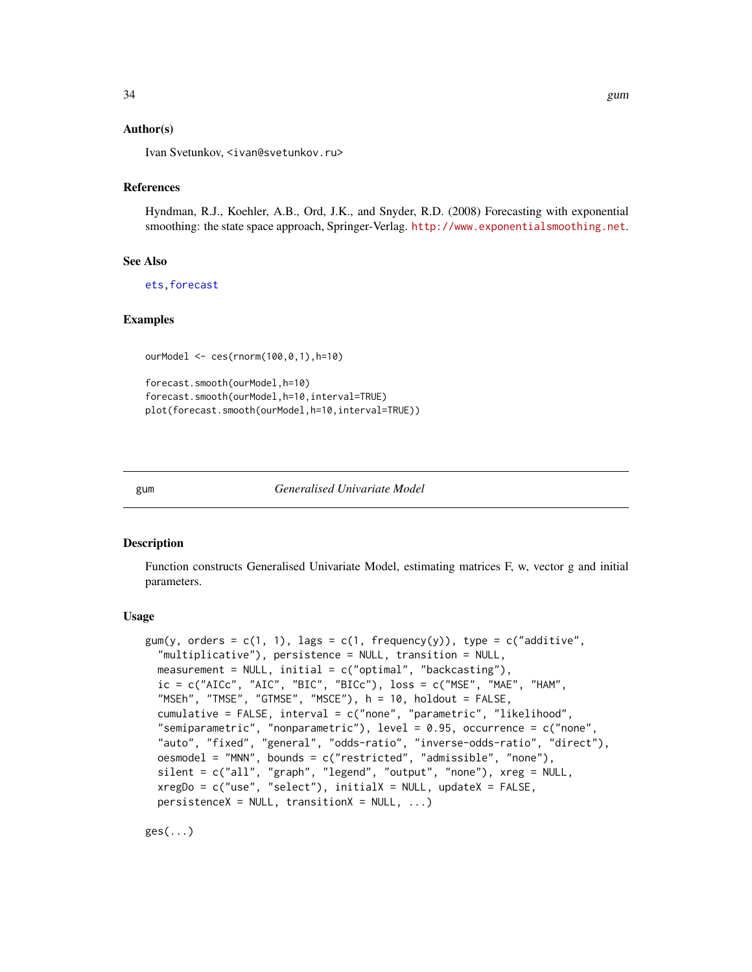# <span id="page-33-0"></span>Author(s)

Ivan Svetunkov, <ivan@svetunkov.ru>

## References

Hyndman, R.J., Koehler, A.B., Ord, J.K., and Snyder, R.D. (2008) Forecasting with exponential smoothing: the state space approach, Springer-Verlag. <http://www.exponentialsmoothing.net>.

## See Also

[ets](#page-0-0)[,forecast](#page-31-1)

#### Examples

ourModel <- ces(rnorm(100,0,1),h=10)

```
forecast.smooth(ourModel,h=10)
forecast.smooth(ourModel,h=10,interval=TRUE)
plot(forecast.smooth(ourModel,h=10,interval=TRUE))
```
<span id="page-33-1"></span>gum *Generalised Univariate Model*

#### Description

Function constructs Generalised Univariate Model, estimating matrices F, w, vector g and initial parameters.

#### Usage

```
gum(y, orders = c(1, 1), lags = c(1, 1) frequency(y)), type = c("additive","multiplicative"), persistence = NULL, transition = NULL,
 measurement = NULL, initial = c("optimal", "backcasting"),ic = c("AICc", "AIC", "BIC", "BICc"), loss = c("MSE", "MAE", "HAM","MSEh", "TMSE", "GTMSE", "MSCE"), h = 10, holdout = FALSE,
 cumulative = FALSE, interval = c("none", "parametric", "likelihood",
 "semiparametric", "nonparametric"), level = 0.95, occurrence = c("none",
 "auto", "fixed", "general", "odds-ratio", "inverse-odds-ratio", "direct"),
 oesmodel = "MNN", bounds = c("restricted", "admissible", "none"),
 silent = c("all", "graph", "legend", "output", "none"), xreg = NULL,
 xregDo = c("use", "select"), initialX = NULL, updateX = FALSE,persistenceX = NULL, transitionX = NULL, ...)
```
ges(...)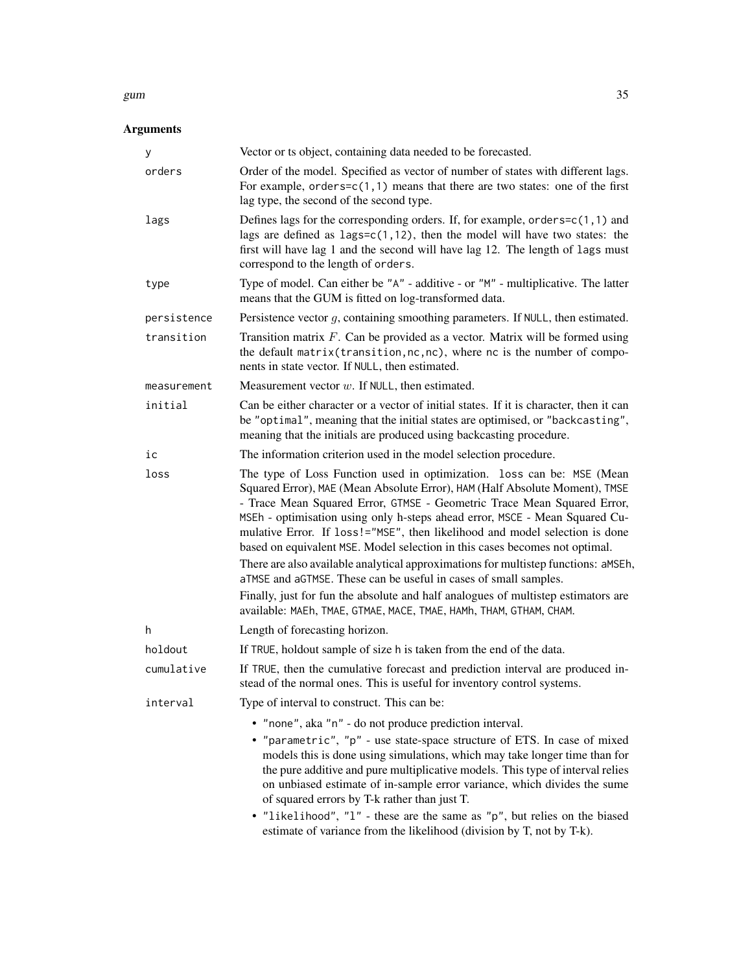## gum  $35$

# Arguments

| у           | Vector or ts object, containing data needed to be forecasted.                                                                                                                                                                                                                                                                                                                                                                                                                                                                                                                         |
|-------------|---------------------------------------------------------------------------------------------------------------------------------------------------------------------------------------------------------------------------------------------------------------------------------------------------------------------------------------------------------------------------------------------------------------------------------------------------------------------------------------------------------------------------------------------------------------------------------------|
| orders      | Order of the model. Specified as vector of number of states with different lags.<br>For example, orders= $c(1,1)$ means that there are two states: one of the first<br>lag type, the second of the second type.                                                                                                                                                                                                                                                                                                                                                                       |
| lags        | Defines lags for the corresponding orders. If, for example, orders= $c(1, 1)$ and<br>lags are defined as $lags = c(1, 12)$ , then the model will have two states: the<br>first will have lag 1 and the second will have lag 12. The length of lags must<br>correspond to the length of orders.                                                                                                                                                                                                                                                                                        |
| type        | Type of model. Can either be "A" - additive - or "M" - multiplicative. The latter<br>means that the GUM is fitted on log-transformed data.                                                                                                                                                                                                                                                                                                                                                                                                                                            |
| persistence | Persistence vector $g$ , containing smoothing parameters. If NULL, then estimated.                                                                                                                                                                                                                                                                                                                                                                                                                                                                                                    |
| transition  | Transition matrix $F$ . Can be provided as a vector. Matrix will be formed using<br>the default matrix (transition, nc, nc), where nc is the number of compo-<br>nents in state vector. If NULL, then estimated.                                                                                                                                                                                                                                                                                                                                                                      |
| measurement | Measurement vector $w$ . If NULL, then estimated.                                                                                                                                                                                                                                                                                                                                                                                                                                                                                                                                     |
| initial     | Can be either character or a vector of initial states. If it is character, then it can<br>be "optimal", meaning that the initial states are optimised, or "backcasting",<br>meaning that the initials are produced using backcasting procedure.                                                                                                                                                                                                                                                                                                                                       |
| iс          | The information criterion used in the model selection procedure.                                                                                                                                                                                                                                                                                                                                                                                                                                                                                                                      |
| loss        | The type of Loss Function used in optimization. loss can be: MSE (Mean<br>Squared Error), MAE (Mean Absolute Error), HAM (Half Absolute Moment), TMSE<br>- Trace Mean Squared Error, GTMSE - Geometric Trace Mean Squared Error,<br>MSEh - optimisation using only h-steps ahead error, MSCE - Mean Squared Cu-<br>mulative Error. If loss!="MSE", then likelihood and model selection is done<br>based on equivalent MSE. Model selection in this cases becomes not optimal.<br>There are also available analytical approximations for multistep functions: aMSEh,                   |
|             | aTMSE and aGTMSE. These can be useful in cases of small samples.<br>Finally, just for fun the absolute and half analogues of multistep estimators are                                                                                                                                                                                                                                                                                                                                                                                                                                 |
|             | available: MAEh, TMAE, GTMAE, MACE, TMAE, HAMh, THAM, GTHAM, CHAM.                                                                                                                                                                                                                                                                                                                                                                                                                                                                                                                    |
| h           | Length of forecasting horizon.                                                                                                                                                                                                                                                                                                                                                                                                                                                                                                                                                        |
| holdout     | If TRUE, holdout sample of size h is taken from the end of the data.                                                                                                                                                                                                                                                                                                                                                                                                                                                                                                                  |
| cumulative  | If TRUE, then the cumulative forecast and prediction interval are produced in-<br>stead of the normal ones. This is useful for inventory control systems.                                                                                                                                                                                                                                                                                                                                                                                                                             |
| interval    | Type of interval to construct. This can be:                                                                                                                                                                                                                                                                                                                                                                                                                                                                                                                                           |
|             | • "none", aka "n" - do not produce prediction interval.<br>• "parametric", "p" - use state-space structure of ETS. In case of mixed<br>models this is done using simulations, which may take longer time than for<br>the pure additive and pure multiplicative models. This type of interval relies<br>on unbiased estimate of in-sample error variance, which divides the sume<br>of squared errors by T-k rather than just T.<br>• "likelihood", "l" - these are the same as "p", but relies on the biased<br>estimate of variance from the likelihood (division by T, not by T-k). |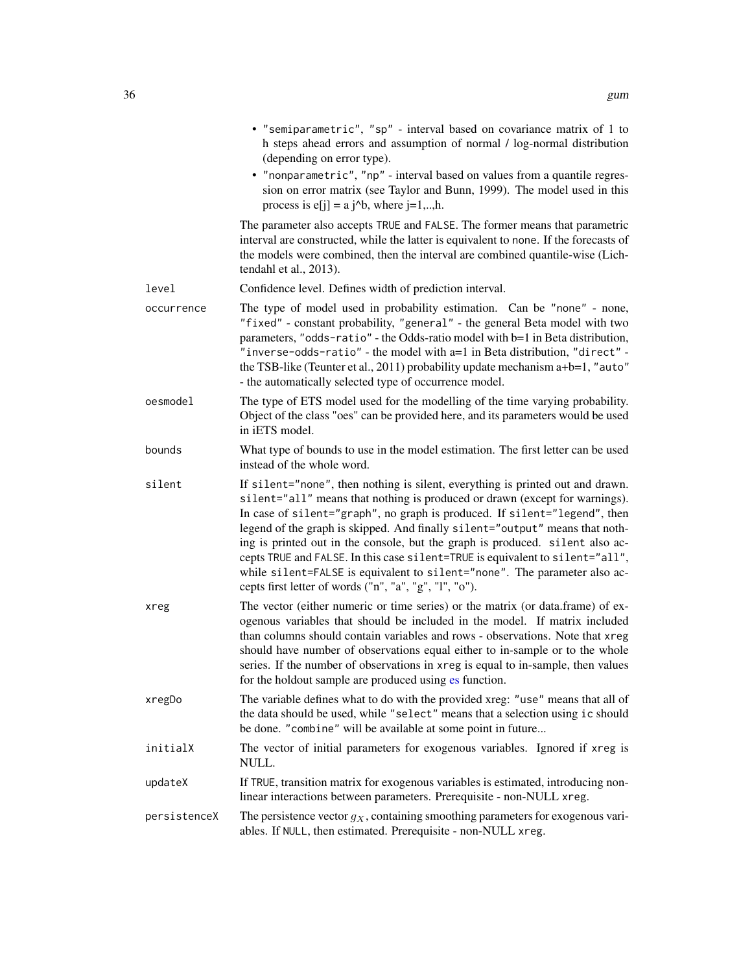|              | • "semiparametric", "sp" - interval based on covariance matrix of 1 to<br>h steps ahead errors and assumption of normal / log-normal distribution<br>(depending on error type).                                                                                                                                                                                                                                                                                                                                                                                                                                                     |
|--------------|-------------------------------------------------------------------------------------------------------------------------------------------------------------------------------------------------------------------------------------------------------------------------------------------------------------------------------------------------------------------------------------------------------------------------------------------------------------------------------------------------------------------------------------------------------------------------------------------------------------------------------------|
|              | • "nonparametric", "np" - interval based on values from a quantile regres-<br>sion on error matrix (see Taylor and Bunn, 1999). The model used in this<br>process is $e[j] = a j^b$ , where $j=1,,h$ .                                                                                                                                                                                                                                                                                                                                                                                                                              |
|              | The parameter also accepts TRUE and FALSE. The former means that parametric<br>interval are constructed, while the latter is equivalent to none. If the forecasts of<br>the models were combined, then the interval are combined quantile-wise (Lich-<br>tendahl et al., 2013).                                                                                                                                                                                                                                                                                                                                                     |
| level        | Confidence level. Defines width of prediction interval.                                                                                                                                                                                                                                                                                                                                                                                                                                                                                                                                                                             |
| occurrence   | The type of model used in probability estimation. Can be "none" - none,<br>"fixed" - constant probability, "general" - the general Beta model with two<br>parameters, "odds-ratio" - the Odds-ratio model with b=1 in Beta distribution,<br>"inverse-odds-ratio" - the model with a=1 in Beta distribution, "direct" -<br>the TSB-like (Teunter et al., 2011) probability update mechanism a+b=1, "auto"<br>- the automatically selected type of occurrence model.                                                                                                                                                                  |
| oesmodel     | The type of ETS model used for the modelling of the time varying probability.<br>Object of the class "oes" can be provided here, and its parameters would be used<br>in iETS model.                                                                                                                                                                                                                                                                                                                                                                                                                                                 |
| bounds       | What type of bounds to use in the model estimation. The first letter can be used<br>instead of the whole word.                                                                                                                                                                                                                                                                                                                                                                                                                                                                                                                      |
| silent       | If silent="none", then nothing is silent, everything is printed out and drawn.<br>silent="all" means that nothing is produced or drawn (except for warnings).<br>In case of silent="graph", no graph is produced. If silent="legend", then<br>legend of the graph is skipped. And finally silent="output" means that noth-<br>ing is printed out in the console, but the graph is produced. silent also ac-<br>cepts TRUE and FALSE. In this case silent=TRUE is equivalent to silent="all",<br>while silent=FALSE is equivalent to silent="none". The parameter also ac-<br>cepts first letter of words ("n", "a", "g", "l", "o"). |
| xreg         | The vector (either numeric or time series) or the matrix (or data.frame) of ex-<br>ogenous variables that should be included in the model. If matrix included<br>than columns should contain variables and rows - observations. Note that xreg<br>should have number of observations equal either to in-sample or to the whole<br>series. If the number of observations in xreg is equal to in-sample, then values<br>for the holdout sample are produced using es function.                                                                                                                                                        |
| xregDo       | The variable defines what to do with the provided xreg: "use" means that all of<br>the data should be used, while "select" means that a selection using ic should<br>be done. "combine" will be available at some point in future                                                                                                                                                                                                                                                                                                                                                                                                   |
| initialX     | The vector of initial parameters for exogenous variables. Ignored if xreg is<br>NULL.                                                                                                                                                                                                                                                                                                                                                                                                                                                                                                                                               |
| updateX      | If TRUE, transition matrix for exogenous variables is estimated, introducing non-<br>linear interactions between parameters. Prerequisite - non-NULL xreg.                                                                                                                                                                                                                                                                                                                                                                                                                                                                          |
| persistenceX | The persistence vector $g_X$ , containing smoothing parameters for exogenous vari-<br>ables. If NULL, then estimated. Prerequisite - non-NULL xreg.                                                                                                                                                                                                                                                                                                                                                                                                                                                                                 |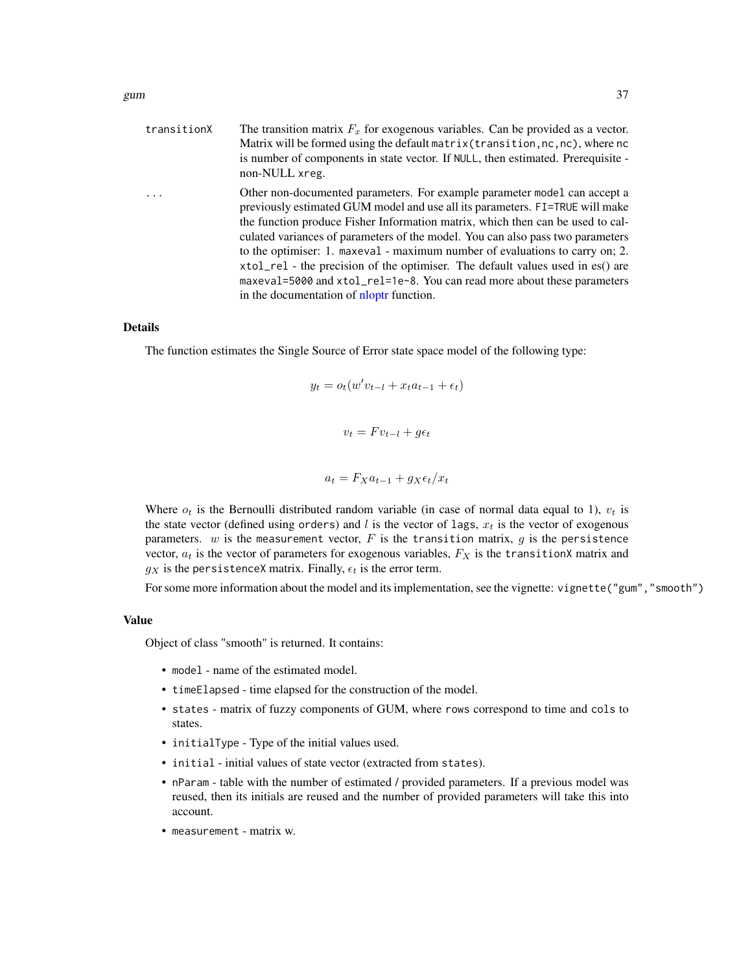| transitionX | The transition matrix $F_x$ for exogenous variables. Can be provided as a vector.<br>Matrix will be formed using the default matrix (transition, nc, nc), where nc<br>is number of components in state vector. If NULL, then estimated. Prerequisite -<br>non-NULL xreg.                                                                                                                                                                                                                                                                                                                                                |
|-------------|-------------------------------------------------------------------------------------------------------------------------------------------------------------------------------------------------------------------------------------------------------------------------------------------------------------------------------------------------------------------------------------------------------------------------------------------------------------------------------------------------------------------------------------------------------------------------------------------------------------------------|
| .           | Other non-documented parameters. For example parameter model can accept a<br>previously estimated GUM model and use all its parameters. FI=TRUE will make<br>the function produce Fisher Information matrix, which then can be used to cal-<br>culated variances of parameters of the model. You can also pass two parameters<br>to the optimiser: 1. maxeval - maximum number of evaluations to carry on; 2.<br>xtol_rel - the precision of the optimiser. The default values used in es() are<br>maxeval=5000 and xtol_rel=1e-8. You can read more about these parameters<br>in the documentation of nloptr function. |

The function estimates the Single Source of Error state space model of the following type:

$$
y_t = o_t(w'v_{t-l} + x_t a_{t-1} + \epsilon_t)
$$

$$
v_t = F v_{t-l} + g \epsilon_t
$$

$$
a_t = F_X a_{t-1} + g_X \epsilon_t / x_t
$$

Where  $o_t$  is the Bernoulli distributed random variable (in case of normal data equal to 1),  $v_t$  is the state vector (defined using orders) and  $l$  is the vector of lags,  $x_t$  is the vector of exogenous parameters.  $w$  is the measurement vector,  $F$  is the transition matrix,  $g$  is the persistence vector,  $a_t$  is the vector of parameters for exogenous variables,  $F_X$  is the transitionX matrix and  $g_X$  is the persistenceX matrix. Finally,  $\epsilon_t$  is the error term.

For some more information about the model and its implementation, see the vignette: vignette("gum","smooth")

#### Value

Object of class "smooth" is returned. It contains:

- model name of the estimated model.
- timeElapsed time elapsed for the construction of the model.
- states matrix of fuzzy components of GUM, where rows correspond to time and cols to states.
- initialType Type of the initial values used.
- initial initial values of state vector (extracted from states).
- nParam table with the number of estimated / provided parameters. If a previous model was reused, then its initials are reused and the number of provided parameters will take this into account.
- measurement matrix w.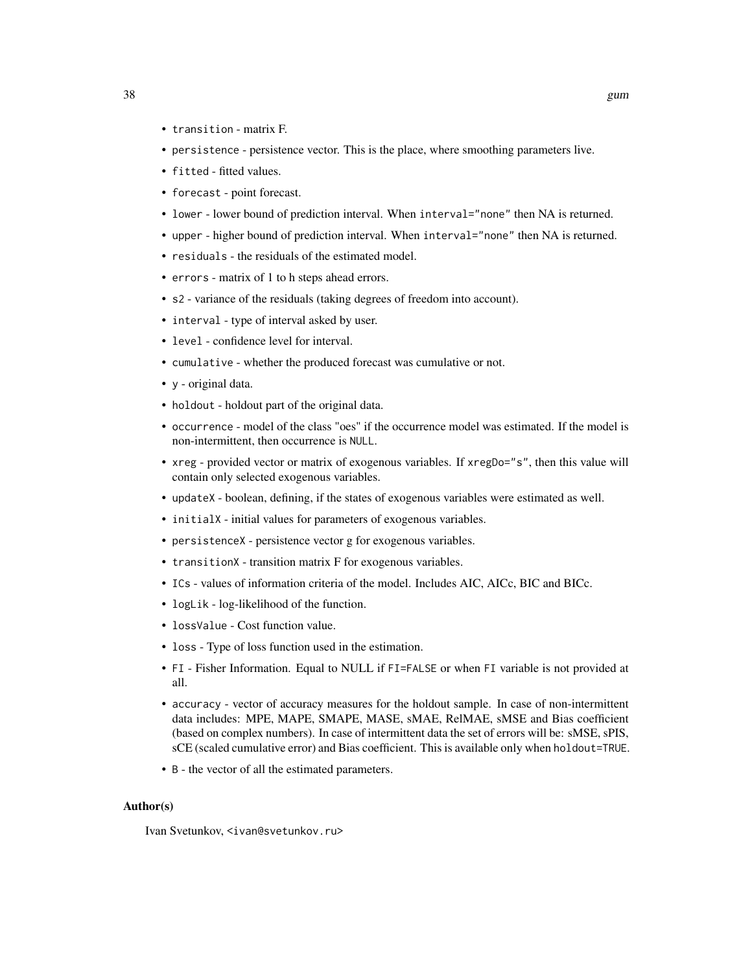- transition matrix F.
- persistence persistence vector. This is the place, where smoothing parameters live.
- fitted fitted values.
- forecast point forecast.
- lower lower bound of prediction interval. When interval="none" then NA is returned.
- upper higher bound of prediction interval. When interval="none" then NA is returned.
- residuals the residuals of the estimated model.
- errors matrix of 1 to h steps ahead errors.
- s2 variance of the residuals (taking degrees of freedom into account).
- interval type of interval asked by user.
- level confidence level for interval.
- cumulative whether the produced forecast was cumulative or not.
- y original data.
- holdout holdout part of the original data.
- occurrence model of the class "oes" if the occurrence model was estimated. If the model is non-intermittent, then occurrence is NULL.
- xreg provided vector or matrix of exogenous variables. If xregDo="s", then this value will contain only selected exogenous variables.
- updateX boolean, defining, if the states of exogenous variables were estimated as well.
- initialX initial values for parameters of exogenous variables.
- persistenceX persistence vector g for exogenous variables.
- transitionX transition matrix F for exogenous variables.
- ICs values of information criteria of the model. Includes AIC, AICc, BIC and BICc.
- logLik log-likelihood of the function.
- lossValue Cost function value.
- loss Type of loss function used in the estimation.
- FI Fisher Information. Equal to NULL if FI=FALSE or when FI variable is not provided at all.
- accuracy vector of accuracy measures for the holdout sample. In case of non-intermittent data includes: MPE, MAPE, SMAPE, MASE, sMAE, RelMAE, sMSE and Bias coefficient (based on complex numbers). In case of intermittent data the set of errors will be: sMSE, sPIS, sCE (scaled cumulative error) and Bias coefficient. This is available only when holdout=TRUE.
- B the vector of all the estimated parameters.

#### Author(s)

Ivan Svetunkov, <ivan@svetunkov.ru>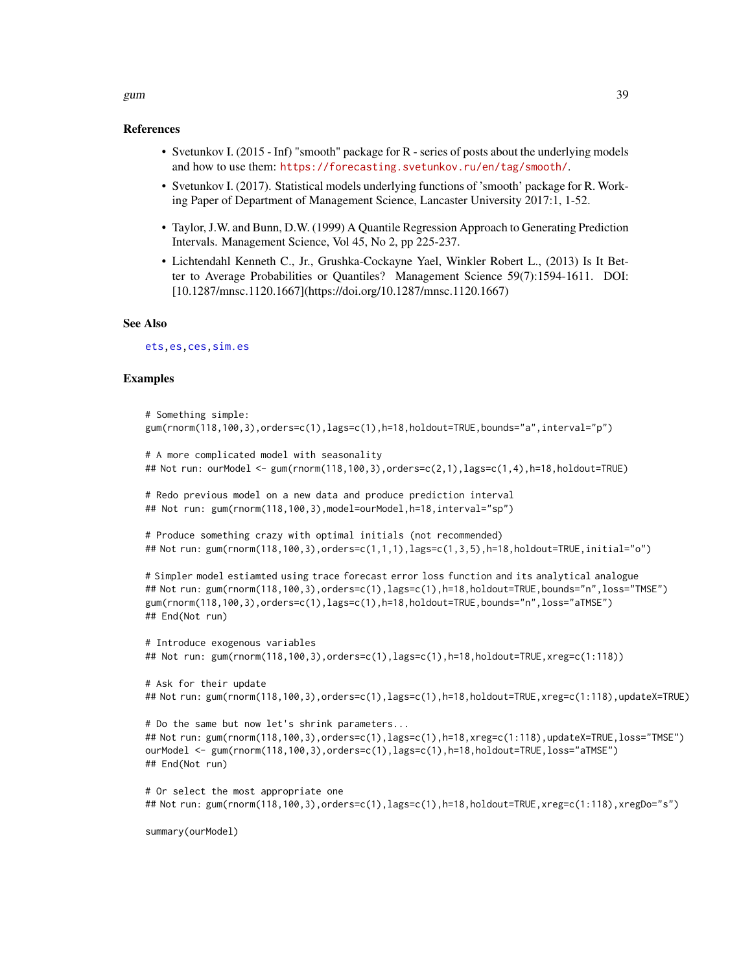# References

- Svetunkov I. (2015 Inf) "smooth" package for R series of posts about the underlying models and how to use them: <https://forecasting.svetunkov.ru/en/tag/smooth/>.
- Svetunkov I. (2017). Statistical models underlying functions of 'smooth' package for R. Working Paper of Department of Management Science, Lancaster University 2017:1, 1-52.
- Taylor, J.W. and Bunn, D.W. (1999) A Quantile Regression Approach to Generating Prediction Intervals. Management Science, Vol 45, No 2, pp 225-237.
- Lichtendahl Kenneth C., Jr., Grushka-Cockayne Yael, Winkler Robert L., (2013) Is It Better to Average Probabilities or Quantiles? Management Science 59(7):1594-1611. DOI: [10.1287/mnsc.1120.1667](https://doi.org/10.1287/mnsc.1120.1667)

#### See Also

[ets](#page-0-0)[,es](#page-24-0)[,ces](#page-17-0)[,sim.es](#page-64-0)

## Examples

```
# Something simple:
gum(rnorm(118,100,3),orders=c(1),lags=c(1),h=18,holdout=TRUE,bounds="a",interval="p")
# A more complicated model with seasonality
## Not run: ourModel <- gum(rnorm(118,100,3),orders=c(2,1),lags=c(1,4),h=18,holdout=TRUE)
# Redo previous model on a new data and produce prediction interval
## Not run: gum(rnorm(118,100,3),model=ourModel,h=18,interval="sp")
# Produce something crazy with optimal initials (not recommended)
## Not run: gum(rnorm(118,100,3),orders=c(1,1,1),lags=c(1,3,5),h=18,holdout=TRUE,initial="o")
# Simpler model estiamted using trace forecast error loss function and its analytical analogue
## Not run: gum(rnorm(118,100,3),orders=c(1),lags=c(1),h=18,holdout=TRUE,bounds="n",loss="TMSE")
gum(rnorm(118,100,3),orders=c(1),lags=c(1),h=18,holdout=TRUE,bounds="n",loss="aTMSE")
## End(Not run)
# Introduce exogenous variables
## Not run: gum(rnorm(118,100,3),orders=c(1),lags=c(1),h=18,holdout=TRUE,xreg=c(1:118))
# Ask for their update
## Not run: gum(rnorm(118,100,3),orders=c(1),lags=c(1),h=18,holdout=TRUE,xreg=c(1:118),updateX=TRUE)
# Do the same but now let's shrink parameters...
## Not run: gum(rnorm(118,100,3),orders=c(1),lags=c(1),h=18,xreg=c(1:118),updateX=TRUE,loss="TMSE")
ourModel <- gum(rnorm(118,100,3),orders=c(1),lags=c(1),h=18,holdout=TRUE,loss="aTMSE")
## End(Not run)
# Or select the most appropriate one
## Not run: gum(rnorm(118,100,3),orders=c(1),lags=c(1),h=18,holdout=TRUE,xreg=c(1:118),xregDo="s")
```
summary(ourModel)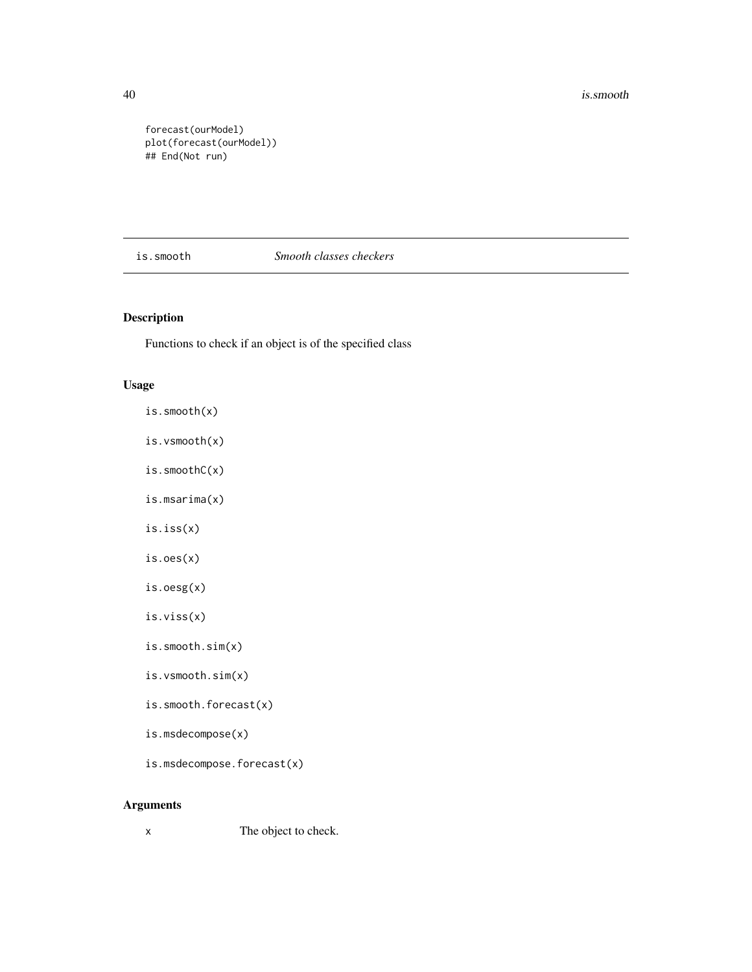40 is.smooth and the set of the set of the set of the set of the set of the set of the set of the set of the set of the set of the set of the set of the set of the set of the set of the set of the set of the set of the set

forecast(ourModel) plot(forecast(ourModel)) ## End(Not run)

## is.smooth *Smooth classes checkers*

## Description

Functions to check if an object is of the specified class

## Usage

- is.smooth(x)
- is.vsmooth(x)
- is.smoothC(x)
- is.msarima(x)
- is.iss(x)
- is.oes(x)
- is.oesg(x)
- is.viss(x)
- is.smooth.sim(x)
- is.vsmooth.sim(x)
- is.smooth.forecast(x)
- is.msdecompose(x)
- is.msdecompose.forecast(x)

## Arguments

x The object to check.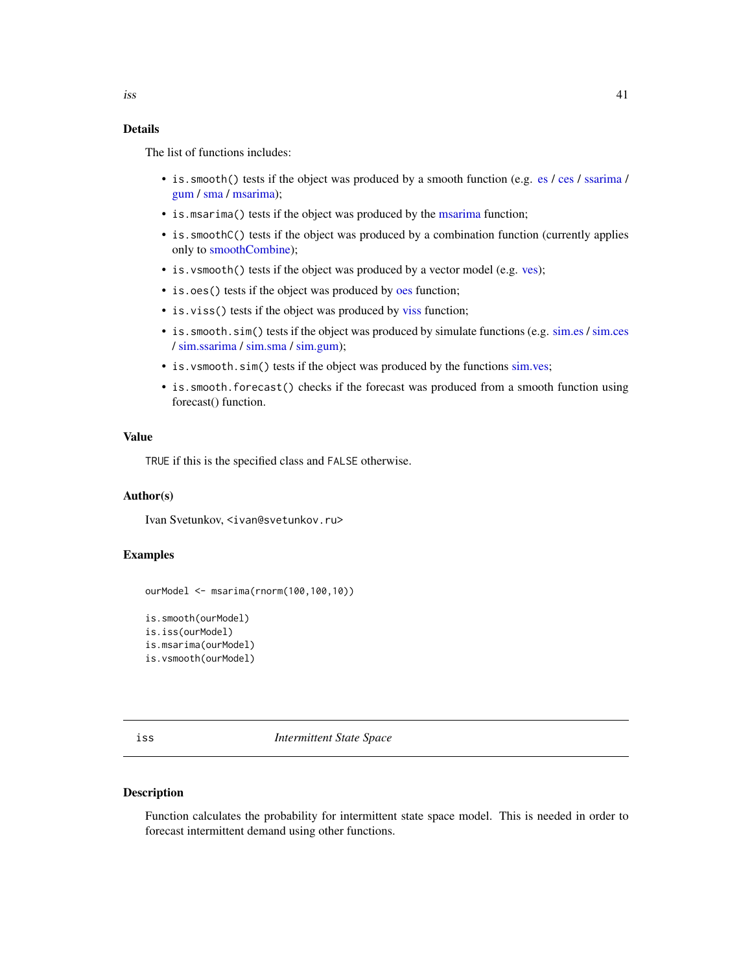The list of functions includes:

- is.smooth() t[es](#page-24-0)ts if the object was produced by a smooth function (e.g. es / [ces](#page-17-0) / [ssarima](#page-89-0) / [gum](#page-33-0) / [sma](#page-78-0) / [msarima\)](#page-42-0);
- is. [msarima](#page-42-0)() tests if the object was produced by the msarima function;
- is. smoothC() tests if the object was produced by a combination function (currently applies only to [smoothCombine\)](#page-84-0);
- is. vsmooth() tests if the object was produced by a vector model (e.g. [ves\)](#page-95-0);
- is.[oes](#page-50-0)() tests if the object was produced by oes function;
- is. [viss](#page-101-0)() tests if the object was produced by viss function;
- is.smooth.sim() tests if the object was produced by simulate functions (e.g. [sim.es](#page-64-0) / [sim.ces](#page-62-0) / [sim.ssarima](#page-73-0) / [sim.sma](#page-71-0) / [sim.gum\)](#page-67-0);
- is. vsmooth.sim() tests if the object was produced by the functions [sim.ves;](#page-75-0)
- is.smooth.forecast() checks if the forecast was produced from a smooth function using forecast() function.

#### Value

TRUE if this is the specified class and FALSE otherwise.

## Author(s)

Ivan Svetunkov, <ivan@svetunkov.ru>

## Examples

```
ourModel <- msarima(rnorm(100,100,10))
```

```
is.smooth(ourModel)
is.iss(ourModel)
is.msarima(ourModel)
is.vsmooth(ourModel)
```
iss *Intermittent State Space*

### Description

Function calculates the probability for intermittent state space model. This is needed in order to forecast intermittent demand using other functions.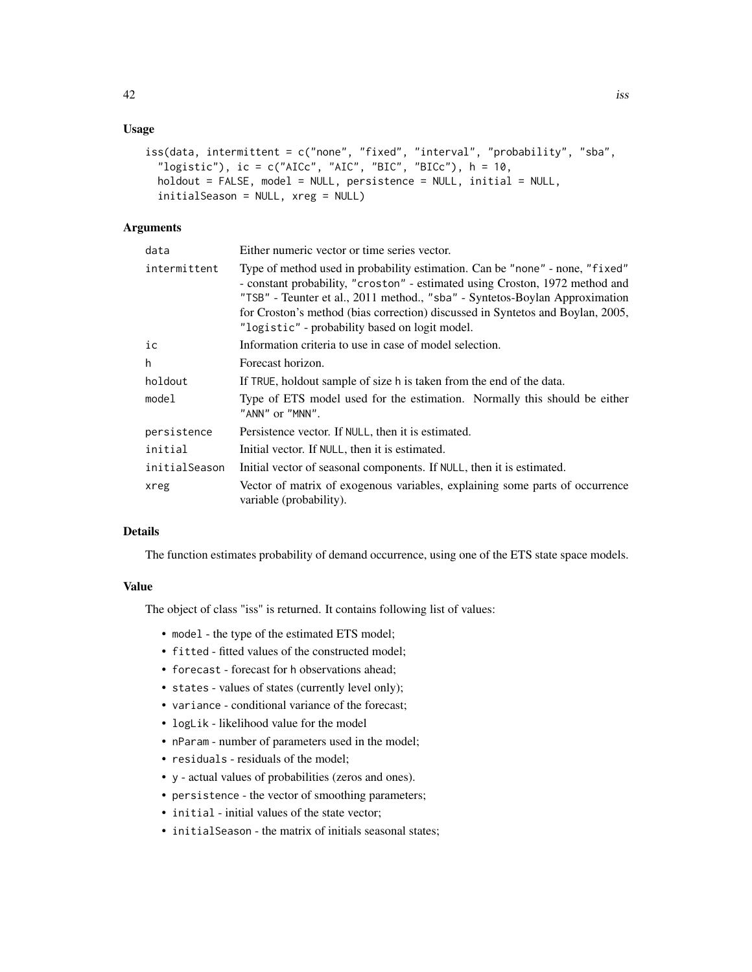## Usage

```
iss(data, intermittent = c("none", "fixed", "interval", "probability", "sba",
  "logistic"), ic = c("AICc", "AIC", "BIC", "BICc"), h = 10,
  holdout = FALSE, model = NULL, persistence = NULL, initial = NULL,
  initialSeason = NULL, xreg = NULL)
```
## Arguments

| data          | Either numeric vector or time series vector.                                                                                                                                                                                                                                                                                                                                    |
|---------------|---------------------------------------------------------------------------------------------------------------------------------------------------------------------------------------------------------------------------------------------------------------------------------------------------------------------------------------------------------------------------------|
| intermittent  | Type of method used in probability estimation. Can be "none" - none, "fixed"<br>- constant probability, "croston" - estimated using Croston, 1972 method and<br>"TSB" - Teunter et al., 2011 method., "sba" - Syntetos-Boylan Approximation<br>for Croston's method (bias correction) discussed in Syntetos and Boylan, 2005,<br>"logistic" - probability based on logit model. |
| ic            | Information criteria to use in case of model selection.                                                                                                                                                                                                                                                                                                                         |
| h             | Forecast horizon.                                                                                                                                                                                                                                                                                                                                                               |
| holdout       | If TRUE, holdout sample of size h is taken from the end of the data.                                                                                                                                                                                                                                                                                                            |
| model         | Type of ETS model used for the estimation. Normally this should be either<br>"ANN" or "MNN".                                                                                                                                                                                                                                                                                    |
| persistence   | Persistence vector. If NULL, then it is estimated.                                                                                                                                                                                                                                                                                                                              |
| initial       | Initial vector. If NULL, then it is estimated.                                                                                                                                                                                                                                                                                                                                  |
| initialSeason | Initial vector of seasonal components. If NULL, then it is estimated.                                                                                                                                                                                                                                                                                                           |
| xreg          | Vector of matrix of exogenous variables, explaining some parts of occurrence<br>variable (probability).                                                                                                                                                                                                                                                                         |

#### Details

The function estimates probability of demand occurrence, using one of the ETS state space models.

## Value

The object of class "iss" is returned. It contains following list of values:

- model the type of the estimated ETS model;
- fitted fitted values of the constructed model:
- forecast forecast for h observations ahead;
- states values of states (currently level only);
- variance conditional variance of the forecast;
- logLik likelihood value for the model
- nParam number of parameters used in the model;
- residuals residuals of the model;
- y actual values of probabilities (zeros and ones).
- persistence the vector of smoothing parameters;
- initial initial values of the state vector;
- initialSeason the matrix of initials seasonal states;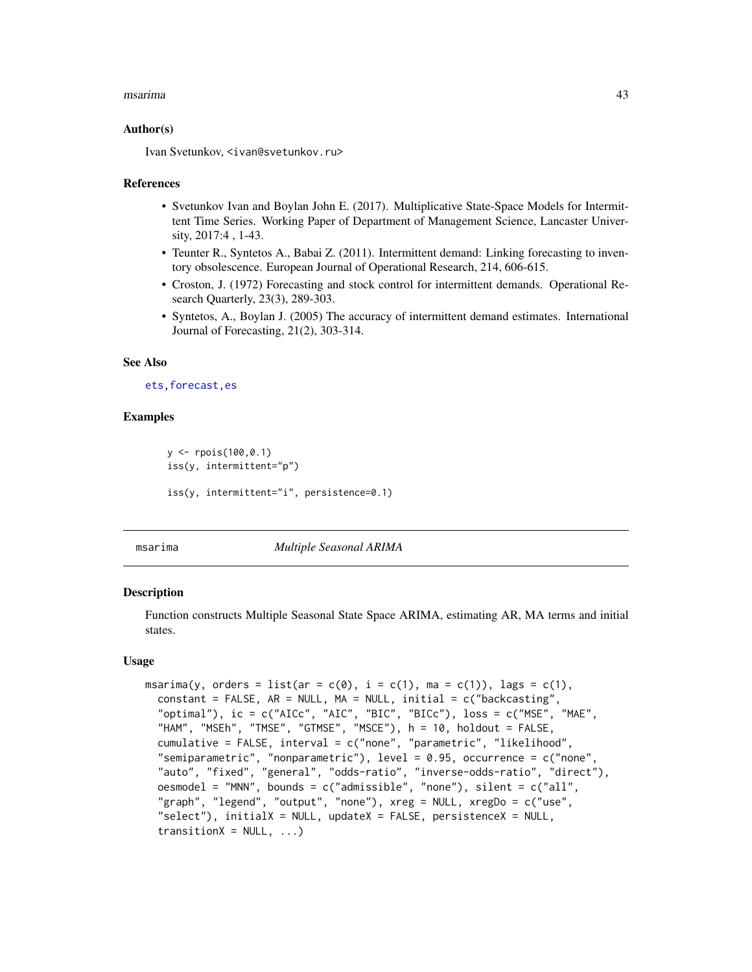#### msarima 43

#### Author(s)

Ivan Svetunkov, <ivan@svetunkov.ru>

#### References

- Svetunkov Ivan and Boylan John E. (2017). Multiplicative State-Space Models for Intermittent Time Series. Working Paper of Department of Management Science, Lancaster University, 2017:4 , 1-43.
- Teunter R., Syntetos A., Babai Z. (2011). Intermittent demand: Linking forecasting to inventory obsolescence. European Journal of Operational Research, 214, 606-615.
- Croston, J. (1972) Forecasting and stock control for intermittent demands. Operational Research Quarterly, 23(3), 289-303.
- Syntetos, A., Boylan J. (2005) The accuracy of intermittent demand estimates. International Journal of Forecasting, 21(2), 303-314.

#### See Also

## [ets](#page-0-0)[,forecast](#page-31-0)[,es](#page-24-0)

## Examples

```
y <- rpois(100,0.1)
iss(y, intermittent="p")
iss(y, intermittent="i", persistence=0.1)
```
<span id="page-42-0"></span>

msarima *Multiple Seasonal ARIMA*

#### **Description**

Function constructs Multiple Seasonal State Space ARIMA, estimating AR, MA terms and initial states.

## Usage

```
msarima(y, orders = list(ar = c(0), i = c(1), ma = c(1)), lags = c(1),
  constant = FALSE, AR = NULL, MA = NULL, initial = c("backcasting","optimal"), ic = c("AICc", "AIC", "BIC", "BICc"), loss = c("MSE", "MAE",
  "HAM", "MSEh", "TMSE", "GTMSE", "MSCE"), h = 10, holdout = FALSE,
  cumulative = FALSE, interval = c("none", "parametric", "likelihood",
  "semiparametric", "nonparametric"), level = 0.95, occurrence = c("none",
  "auto", "fixed", "general", "odds-ratio", "inverse-odds-ratio", "direct"),
  oesmodel = "MNN", bounds = c("admissible", "none"), silent = c("all",
  "graph", "legend", "output", "none"), xreg = NULL, xregDo = c("use",
  "select"), initialX = NULL, updateX = FALSE, persistenceX = NULL,
  transitionX = NULL, ...
```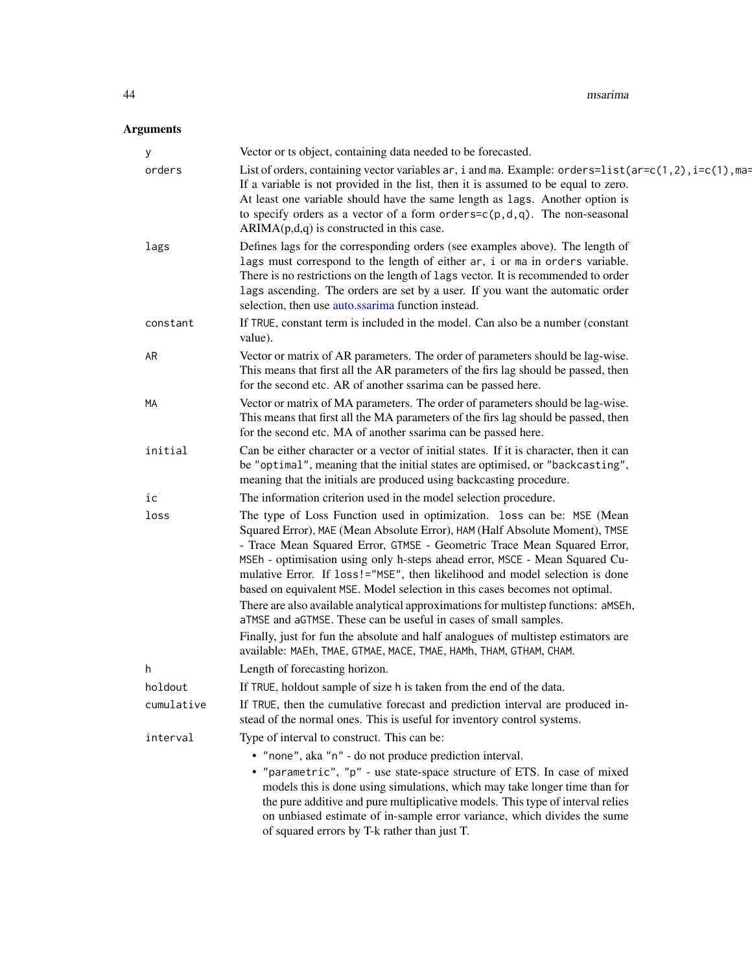| у          | Vector or ts object, containing data needed to be forecasted.                                                                                                                                                                                                                                                                                                                                                                                                                                                                                                                                                                                                                                                                                                                                      |
|------------|----------------------------------------------------------------------------------------------------------------------------------------------------------------------------------------------------------------------------------------------------------------------------------------------------------------------------------------------------------------------------------------------------------------------------------------------------------------------------------------------------------------------------------------------------------------------------------------------------------------------------------------------------------------------------------------------------------------------------------------------------------------------------------------------------|
| orders     | List of orders, containing vector variables ar, i and ma. Example: orders= $list(ar=c(1,2), i=c(1), ma=$<br>If a variable is not provided in the list, then it is assumed to be equal to zero.<br>At least one variable should have the same length as lags. Another option is<br>to specify orders as a vector of a form orders= $c(p, d, q)$ . The non-seasonal<br>$ARIMA(p,d,q)$ is constructed in this case.                                                                                                                                                                                                                                                                                                                                                                                   |
| lags       | Defines lags for the corresponding orders (see examples above). The length of<br>lags must correspond to the length of either ar, i or ma in orders variable.<br>There is no restrictions on the length of lags vector. It is recommended to order<br>lags ascending. The orders are set by a user. If you want the automatic order<br>selection, then use auto.ssarima function instead.                                                                                                                                                                                                                                                                                                                                                                                                          |
| constant   | If TRUE, constant term is included in the model. Can also be a number (constant<br>value).                                                                                                                                                                                                                                                                                                                                                                                                                                                                                                                                                                                                                                                                                                         |
| AR         | Vector or matrix of AR parameters. The order of parameters should be lag-wise.<br>This means that first all the AR parameters of the firs lag should be passed, then<br>for the second etc. AR of another ssarima can be passed here.                                                                                                                                                                                                                                                                                                                                                                                                                                                                                                                                                              |
| МA         | Vector or matrix of MA parameters. The order of parameters should be lag-wise.<br>This means that first all the MA parameters of the firs lag should be passed, then<br>for the second etc. MA of another ssarima can be passed here.                                                                                                                                                                                                                                                                                                                                                                                                                                                                                                                                                              |
| initial    | Can be either character or a vector of initial states. If it is character, then it can<br>be "optimal", meaning that the initial states are optimised, or "backcasting",<br>meaning that the initials are produced using backcasting procedure.                                                                                                                                                                                                                                                                                                                                                                                                                                                                                                                                                    |
| ic         | The information criterion used in the model selection procedure.                                                                                                                                                                                                                                                                                                                                                                                                                                                                                                                                                                                                                                                                                                                                   |
| loss       | The type of Loss Function used in optimization. loss can be: MSE (Mean<br>Squared Error), MAE (Mean Absolute Error), HAM (Half Absolute Moment), TMSE<br>- Trace Mean Squared Error, GTMSE - Geometric Trace Mean Squared Error,<br>MSEh - optimisation using only h-steps ahead error, MSCE - Mean Squared Cu-<br>mulative Error. If loss!="MSE", then likelihood and model selection is done<br>based on equivalent MSE. Model selection in this cases becomes not optimal.<br>There are also available analytical approximations for multistep functions: aMSEh,<br>aTMSE and aGTMSE. These can be useful in cases of small samples.<br>Finally, just for fun the absolute and half analogues of multistep estimators are<br>available: MAEh, TMAE, GTMAE, MACE, TMAE, HAMh, THAM, GTHAM, CHAM. |
| h          | Length of forecasting horizon.                                                                                                                                                                                                                                                                                                                                                                                                                                                                                                                                                                                                                                                                                                                                                                     |
| holdout    | If TRUE, holdout sample of size h is taken from the end of the data.                                                                                                                                                                                                                                                                                                                                                                                                                                                                                                                                                                                                                                                                                                                               |
| cumulative | If TRUE, then the cumulative forecast and prediction interval are produced in-<br>stead of the normal ones. This is useful for inventory control systems.                                                                                                                                                                                                                                                                                                                                                                                                                                                                                                                                                                                                                                          |
| interval   | Type of interval to construct. This can be:                                                                                                                                                                                                                                                                                                                                                                                                                                                                                                                                                                                                                                                                                                                                                        |
|            | • "none", aka "n" - do not produce prediction interval.<br>• "parametric", "p" - use state-space structure of ETS. In case of mixed<br>models this is done using simulations, which may take longer time than for<br>the pure additive and pure multiplicative models. This type of interval relies<br>on unbiased estimate of in-sample error variance, which divides the sume<br>of squared errors by T-k rather than just T.                                                                                                                                                                                                                                                                                                                                                                    |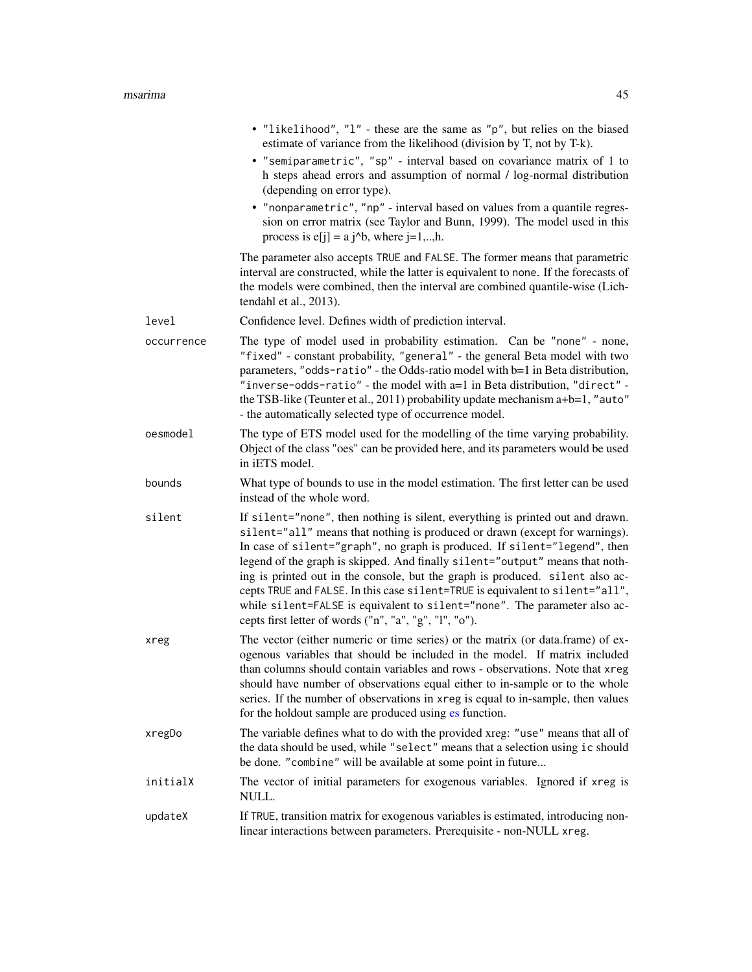|            | • "likelihood", "l" - these are the same as "p", but relies on the biased<br>estimate of variance from the likelihood (division by T, not by T-k).<br>• "semiparametric", "sp" - interval based on covariance matrix of 1 to<br>h steps ahead errors and assumption of normal / log-normal distribution<br>(depending on error type).<br>• "nonparametric", "np" - interval based on values from a quantile regres-<br>sion on error matrix (see Taylor and Bunn, 1999). The model used in this<br>process is $e[j] = a j^b$ , where $j=1,,h$ .                                                                                     |
|------------|-------------------------------------------------------------------------------------------------------------------------------------------------------------------------------------------------------------------------------------------------------------------------------------------------------------------------------------------------------------------------------------------------------------------------------------------------------------------------------------------------------------------------------------------------------------------------------------------------------------------------------------|
|            | The parameter also accepts TRUE and FALSE. The former means that parametric<br>interval are constructed, while the latter is equivalent to none. If the forecasts of<br>the models were combined, then the interval are combined quantile-wise (Lich-<br>tendahl et al., 2013).                                                                                                                                                                                                                                                                                                                                                     |
| level      | Confidence level. Defines width of prediction interval.                                                                                                                                                                                                                                                                                                                                                                                                                                                                                                                                                                             |
| occurrence | The type of model used in probability estimation. Can be "none" - none,<br>"fixed" - constant probability, "general" - the general Beta model with two<br>parameters, "odds-ratio" - the Odds-ratio model with b=1 in Beta distribution,<br>"inverse-odds-ratio" - the model with a=1 in Beta distribution, "direct" -<br>the TSB-like (Teunter et al., 2011) probability update mechanism a+b=1, "auto"<br>- the automatically selected type of occurrence model.                                                                                                                                                                  |
| oesmodel   | The type of ETS model used for the modelling of the time varying probability.<br>Object of the class "oes" can be provided here, and its parameters would be used<br>in iETS model.                                                                                                                                                                                                                                                                                                                                                                                                                                                 |
| bounds     | What type of bounds to use in the model estimation. The first letter can be used<br>instead of the whole word.                                                                                                                                                                                                                                                                                                                                                                                                                                                                                                                      |
| silent     | If silent="none", then nothing is silent, everything is printed out and drawn.<br>silent="all" means that nothing is produced or drawn (except for warnings).<br>In case of silent="graph", no graph is produced. If silent="legend", then<br>legend of the graph is skipped. And finally silent="output" means that noth-<br>ing is printed out in the console, but the graph is produced. silent also ac-<br>cepts TRUE and FALSE. In this case silent=TRUE is equivalent to silent="all",<br>while silent=FALSE is equivalent to silent="none". The parameter also ac-<br>cepts first letter of words ("n", "a", "g", "l", "o"). |
| xreg       | The vector (either numeric or time series) or the matrix (or data.frame) of ex-<br>ogenous variables that should be included in the model. If matrix included<br>than columns should contain variables and rows - observations. Note that xreg<br>should have number of observations equal either to in-sample or to the whole<br>series. If the number of observations in xreg is equal to in-sample, then values<br>for the holdout sample are produced using es function.                                                                                                                                                        |
| xregDo     | The variable defines what to do with the provided xreg: "use" means that all of<br>the data should be used, while "select" means that a selection using ic should<br>be done. "combine" will be available at some point in future                                                                                                                                                                                                                                                                                                                                                                                                   |
| initialX   | The vector of initial parameters for exogenous variables. Ignored if xreg is<br>NULL.                                                                                                                                                                                                                                                                                                                                                                                                                                                                                                                                               |
| updateX    | If TRUE, transition matrix for exogenous variables is estimated, introducing non-<br>linear interactions between parameters. Prerequisite - non-NULL xreg.                                                                                                                                                                                                                                                                                                                                                                                                                                                                          |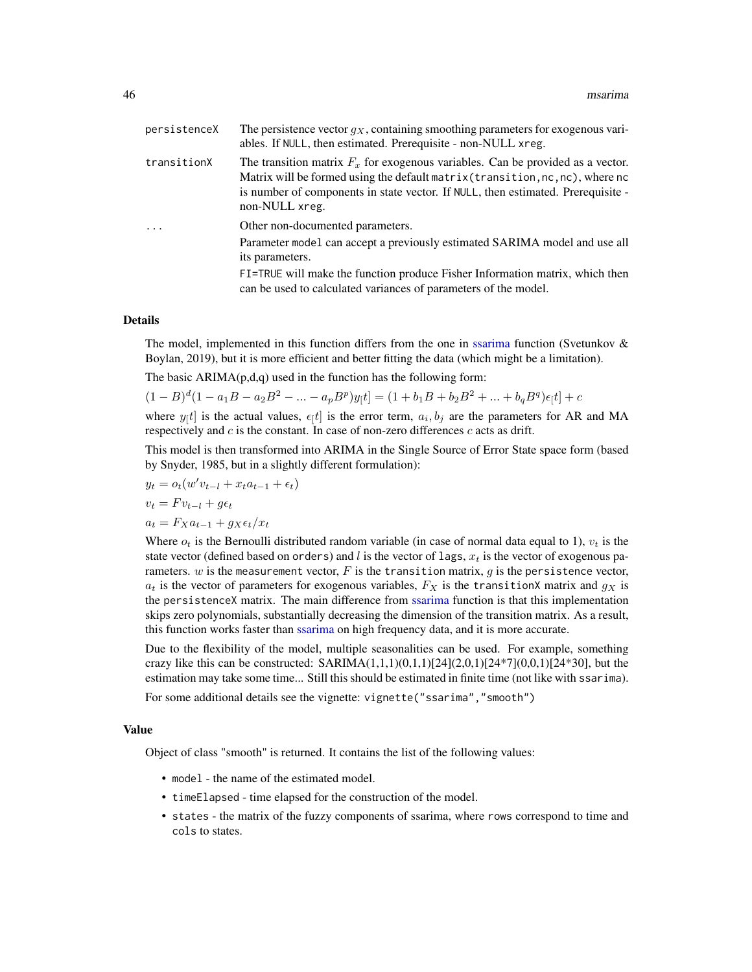| persistenceX | The persistence vector $g_X$ , containing smoothing parameters for exogenous vari-<br>ables. If NULL, then estimated. Prerequisite - non-NULL xreg.                                                                                                                           |
|--------------|-------------------------------------------------------------------------------------------------------------------------------------------------------------------------------------------------------------------------------------------------------------------------------|
| transitionX  | The transition matrix $F_x$ for exogenous variables. Can be provided as a vector.<br>Matrix will be formed using the default matrix (transition, $nc, nc$ ), where $nc$<br>is number of components in state vector. If NULL, then estimated. Prerequisite -<br>non-NULL xreg. |
| $\cdot$      | Other non-documented parameters.                                                                                                                                                                                                                                              |
|              | Parameter model can accept a previously estimated SARIMA model and use all<br>its parameters.                                                                                                                                                                                 |
|              | FI=TRUE will make the function produce Fisher Information matrix, which then<br>can be used to calculated variances of parameters of the model.                                                                                                                               |
|              |                                                                                                                                                                                                                                                                               |

The model, implemented in this function differs from the one in [ssarima](#page-89-0) function (Svetunkov  $\&$ Boylan, 2019), but it is more efficient and better fitting the data (which might be a limitation).

The basic  $ARIMA(p,d,q)$  used in the function has the following form:

$$
(1 - B)d(1 - a1B - a2B2 - ... - apBp)y[t] = (1 + b1B + b2B2 + ... + bqBq)\epsilon[t] + c
$$

where  $y_{[t]}$  is the actual values,  $\epsilon_{[t]}$  is the error term,  $a_i, b_j$  are the parameters for AR and MA respectively and  $c$  is the constant. In case of non-zero differences  $c$  acts as drift.

This model is then transformed into ARIMA in the Single Source of Error State space form (based by Snyder, 1985, but in a slightly different formulation):

$$
y_t = o_t(w'v_{t-l} + x_t a_{t-1} + \epsilon_t)
$$
  

$$
v_t = F v_{t-l} + g \epsilon_t
$$
  

$$
a_t = F_X a_{t-1} + g_X \epsilon_t / x_t
$$

Where  $o_t$  is the Bernoulli distributed random variable (in case of normal data equal to 1),  $v_t$  is the state vector (defined based on orders) and l is the vector of lags,  $x_t$  is the vector of exogenous parameters.  $w$  is the measurement vector,  $F$  is the transition matrix,  $g$  is the persistence vector,  $a_t$  is the vector of parameters for exogenous variables,  $F_X$  is the transitionX matrix and  $g_X$  is the persistenceX matrix. The main difference from [ssarima](#page-89-0) function is that this implementation skips zero polynomials, substantially decreasing the dimension of the transition matrix. As a result, this function works faster than [ssarima](#page-89-0) on high frequency data, and it is more accurate.

Due to the flexibility of the model, multiple seasonalities can be used. For example, something crazy like this can be constructed:  $SARIMA(1,1,1)(0,1,1)[24](2,0,1)[24*7](0,0,1)[24*30]$ , but the estimation may take some time... Still this should be estimated in finite time (not like with ssarima).

For some additional details see the vignette: vignette("ssarima","smooth")

## Value

Object of class "smooth" is returned. It contains the list of the following values:

- model the name of the estimated model.
- timeElapsed time elapsed for the construction of the model.
- states the matrix of the fuzzy components of ssarima, where rows correspond to time and cols to states.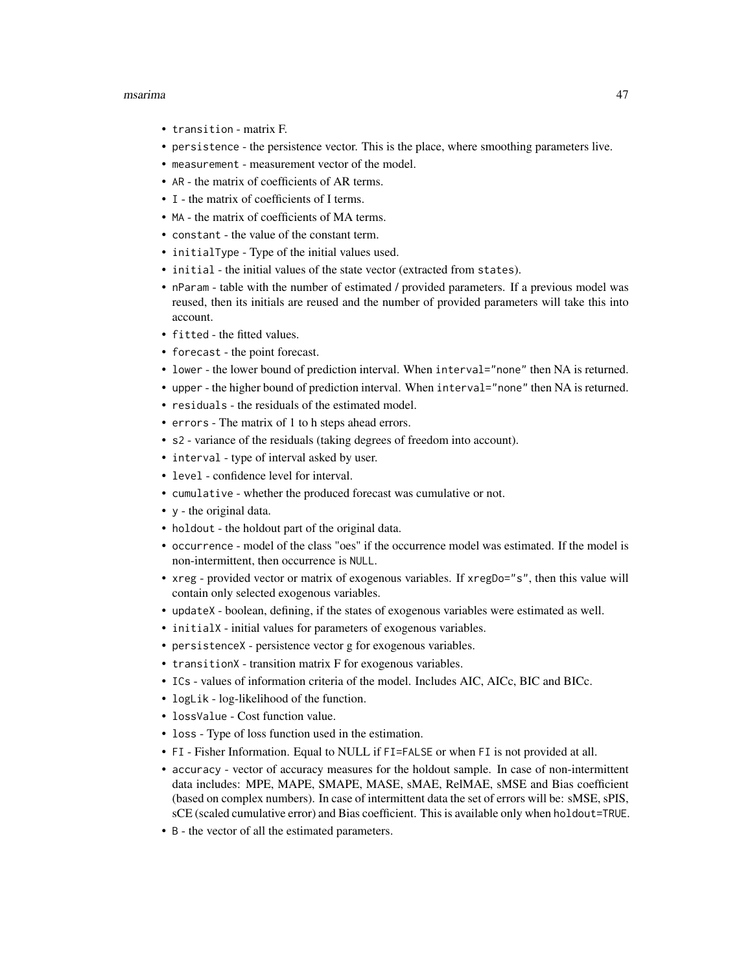#### msarima 47

- transition matrix F.
- persistence the persistence vector. This is the place, where smoothing parameters live.
- measurement measurement vector of the model.
- AR the matrix of coefficients of AR terms.
- I the matrix of coefficients of I terms.
- MA the matrix of coefficients of MA terms.
- constant the value of the constant term.
- initialType Type of the initial values used.
- initial the initial values of the state vector (extracted from states).
- nParam table with the number of estimated / provided parameters. If a previous model was reused, then its initials are reused and the number of provided parameters will take this into account.
- fitted the fitted values.
- forecast the point forecast.
- lower the lower bound of prediction interval. When interval="none" then NA is returned.
- upper the higher bound of prediction interval. When interval="none" then NA is returned.
- residuals the residuals of the estimated model.
- errors The matrix of 1 to h steps ahead errors.
- s2 variance of the residuals (taking degrees of freedom into account).
- interval type of interval asked by user.
- level confidence level for interval.
- cumulative whether the produced forecast was cumulative or not.
- y the original data.
- holdout the holdout part of the original data.
- occurrence model of the class "oes" if the occurrence model was estimated. If the model is non-intermittent, then occurrence is NULL.
- xreg provided vector or matrix of exogenous variables. If xregDo="s", then this value will contain only selected exogenous variables.
- updateX boolean, defining, if the states of exogenous variables were estimated as well.
- initialX initial values for parameters of exogenous variables.
- persistenceX persistence vector g for exogenous variables.
- transitionX transition matrix F for exogenous variables.
- ICs values of information criteria of the model. Includes AIC, AICc, BIC and BICc.
- logLik log-likelihood of the function.
- lossValue Cost function value.
- loss Type of loss function used in the estimation.
- FI Fisher Information. Equal to NULL if FI=FALSE or when FI is not provided at all.
- accuracy vector of accuracy measures for the holdout sample. In case of non-intermittent data includes: MPE, MAPE, SMAPE, MASE, sMAE, RelMAE, sMSE and Bias coefficient (based on complex numbers). In case of intermittent data the set of errors will be: sMSE, sPIS, sCE (scaled cumulative error) and Bias coefficient. This is available only when holdout=TRUE.
- B the vector of all the estimated parameters.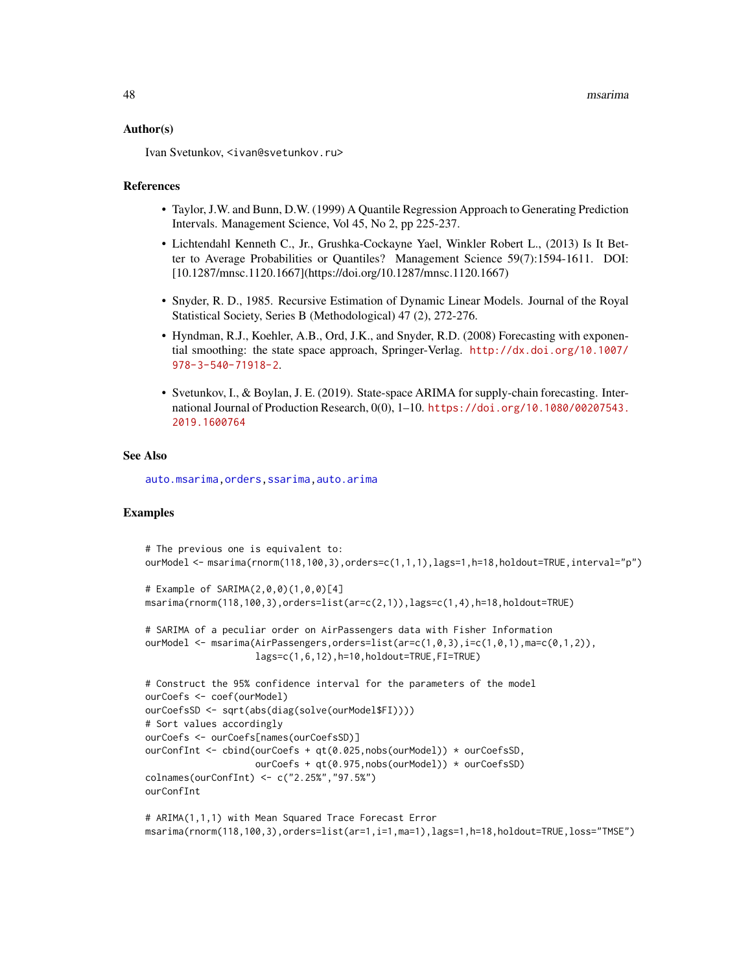#### Author(s)

Ivan Svetunkov, <ivan@svetunkov.ru>

#### References

- Taylor, J.W. and Bunn, D.W. (1999) A Quantile Regression Approach to Generating Prediction Intervals. Management Science, Vol 45, No 2, pp 225-237.
- Lichtendahl Kenneth C., Jr., Grushka-Cockayne Yael, Winkler Robert L., (2013) Is It Better to Average Probabilities or Quantiles? Management Science 59(7):1594-1611. DOI: [10.1287/mnsc.1120.1667](https://doi.org/10.1287/mnsc.1120.1667)
- Snyder, R. D., 1985. Recursive Estimation of Dynamic Linear Models. Journal of the Royal Statistical Society, Series B (Methodological) 47 (2), 272-276.
- Hyndman, R.J., Koehler, A.B., Ord, J.K., and Snyder, R.D. (2008) Forecasting with exponential smoothing: the state space approach, Springer-Verlag. [http://dx.doi.org/10.1007/](http://dx.doi.org/10.1007/978-3-540-71918-2) [978-3-540-71918-2](http://dx.doi.org/10.1007/978-3-540-71918-2).
- Svetunkov, I., & Boylan, J. E. (2019). State-space ARIMA for supply-chain forecasting. International Journal of Production Research, 0(0), 1–10. [https://doi.org/10.1080/00207543.](https://doi.org/10.1080/00207543.2019.1600764) [2019.1600764](https://doi.org/10.1080/00207543.2019.1600764)

#### See Also

[auto.msarima](#page-9-0)[,orders,](#page-57-0)[ssarima,](#page-89-0)[auto.arima](#page-0-0)

## Examples

```
# The previous one is equivalent to:
ourModel <- msarima(rnorm(118,100,3),orders=c(1,1,1),lags=1,h=18,holdout=TRUE,interval="p")
# Example of SARIMA(2,0,0)(1,0,0)[4]
msarima(rnorm(118,100,3),orders=list(ar=c(2,1)),lags=c(1,4),h=18,holdout=TRUE)
# SARIMA of a peculiar order on AirPassengers data with Fisher Information
ourModel \leq msarima(AirPassengers,orders=list(ar=c(1,0,3),i=c(1,0,1),ma=c(0,1,2)),
                    lags=c(1,6,12),h=10,holdout=TRUE,FI=TRUE)
# Construct the 95% confidence interval for the parameters of the model
ourCoefs <- coef(ourModel)
ourCoefsSD <- sqrt(abs(diag(solve(ourModel$FI))))
# Sort values accordingly
ourCoefs <- ourCoefs[names(ourCoefsSD)]
ourConfInt <- cbind(ourCoefs + qt(0.025,nobs(ourModel)) * ourCoefsSD,
                    ourCoefs + qt(0.975,nobs(ourModel)) * ourCoefsSD)
colnames(ourConfInt) <- c("2.25%","97.5%")
ourConfInt
# ARIMA(1,1,1) with Mean Squared Trace Forecast Error
```
msarima(rnorm(118,100,3),orders=list(ar=1,i=1,ma=1),lags=1,h=18,holdout=TRUE,loss="TMSE")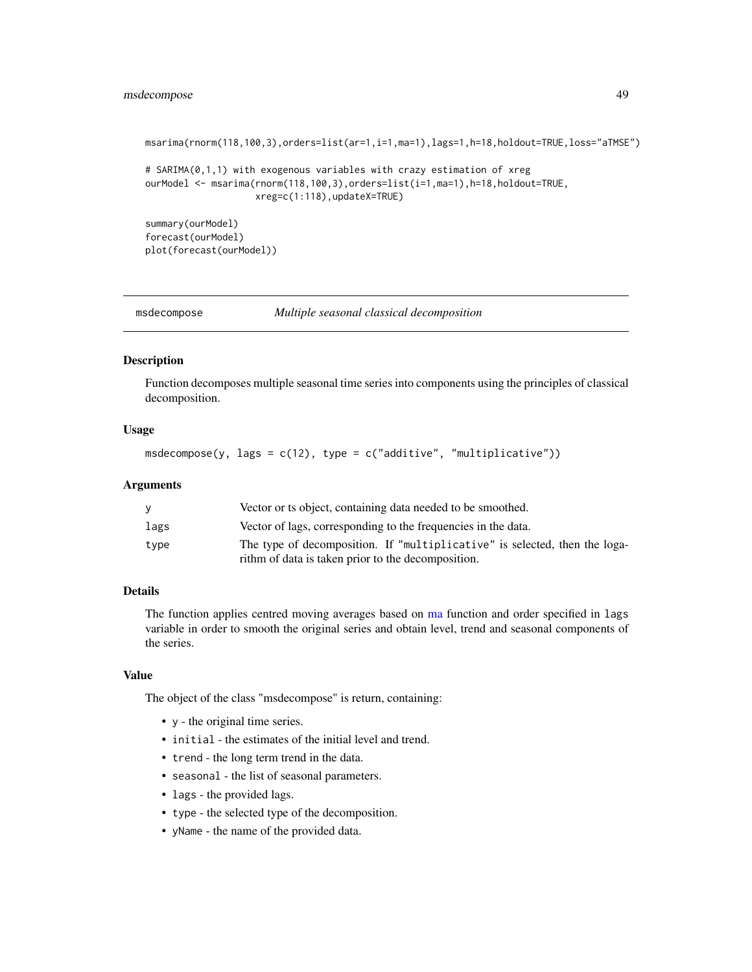## msdecompose 49

```
msarima(rnorm(118,100,3),orders=list(ar=1,i=1,ma=1),lags=1,h=18,holdout=TRUE,loss="aTMSE")
# SARIMA(0,1,1) with exogenous variables with crazy estimation of xreg
ourModel <- msarima(rnorm(118,100,3),orders=list(i=1,ma=1),h=18,holdout=TRUE,
                    xreg=c(1:118),updateX=TRUE)
summary(ourModel)
forecast(ourModel)
plot(forecast(ourModel))
```
msdecompose *Multiple seasonal classical decomposition*

#### Description

Function decomposes multiple seasonal time series into components using the principles of classical decomposition.

## Usage

```
msdecompose(y, lags = c(12), type = c("additive", "multiplicative"))
```
## Arguments

|      | Vector or ts object, containing data needed to be smoothed.                |
|------|----------------------------------------------------------------------------|
| lags | Vector of lags, corresponding to the frequencies in the data.              |
| tvpe | The type of decomposition. If "multiplicative" is selected, then the loga- |
|      | rithm of data is taken prior to the decomposition.                         |

## Details

The function applies centred moving averages based on [ma](#page-0-0) function and order specified in lags variable in order to smooth the original series and obtain level, trend and seasonal components of the series.

## Value

The object of the class "msdecompose" is return, containing:

- y the original time series.
- initial the estimates of the initial level and trend.
- trend the long term trend in the data.
- seasonal the list of seasonal parameters.
- lags the provided lags.
- type the selected type of the decomposition.
- yName the name of the provided data.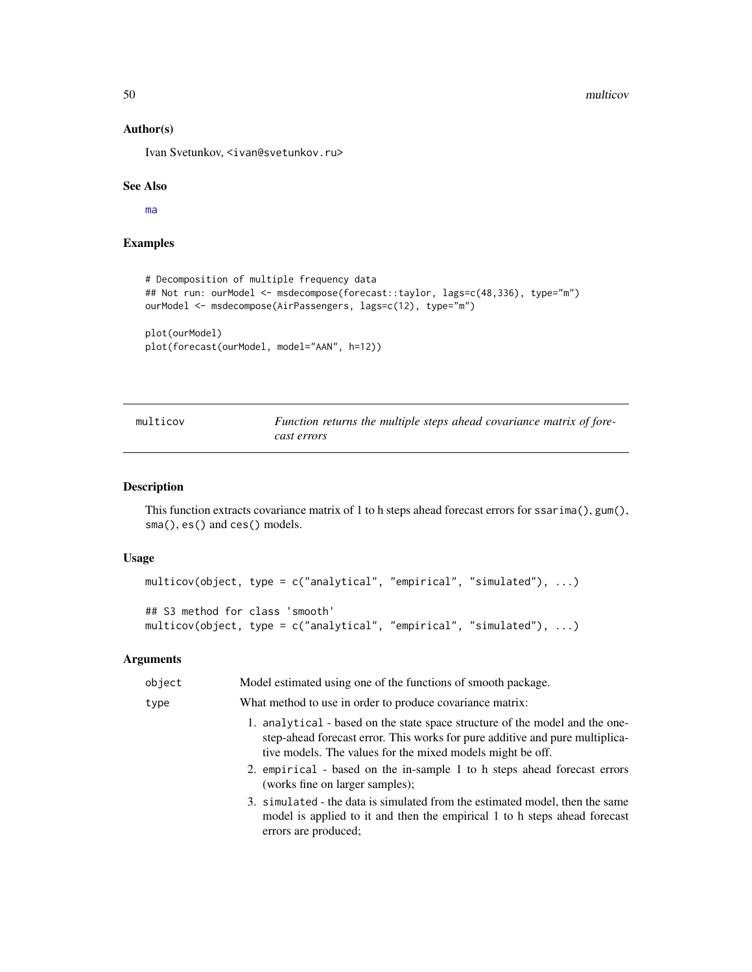50 multicov

## Author(s)

Ivan Svetunkov, <ivan@svetunkov.ru>

## See Also

[ma](#page-0-0)

## Examples

```
# Decomposition of multiple frequency data
## Not run: ourModel <- msdecompose(forecast::taylor, lags=c(48,336), type="m")
ourModel <- msdecompose(AirPassengers, lags=c(12), type="m")
plot(ourModel)
```

```
plot(forecast(ourModel, model="AAN", h=12))
```

| multicov | Function returns the multiple steps ahead covariance matrix of fore- |
|----------|----------------------------------------------------------------------|
|          | cast errors                                                          |

## Description

This function extracts covariance matrix of 1 to h steps ahead forecast errors for ssarima(), gum(), sma(), es() and ces() models.

#### Usage

```
multicov(object, type = c("analytical", "empirical", "simulated"), ...)
## S3 method for class 'smooth'
multicov(object, type = c("analytical", "empirical", "simulated"), ...)
```

| object | Model estimated using one of the functions of smooth package.                                                                                                                                                              |
|--------|----------------------------------------------------------------------------------------------------------------------------------------------------------------------------------------------------------------------------|
| type   | What method to use in order to produce covariance matrix:                                                                                                                                                                  |
|        | 1. analytical - based on the state space structure of the model and the one-<br>step-ahead forecast error. This works for pure additive and pure multiplica-<br>tive models. The values for the mixed models might be off. |
|        | 2. empirical - based on the in-sample 1 to h steps ahead forecast errors<br>(works fine on larger samples);                                                                                                                |
|        | 3. simulated - the data is simulated from the estimated model, then the same<br>model is applied to it and then the empirical 1 to h steps ahead forecast<br>errors are produced;                                          |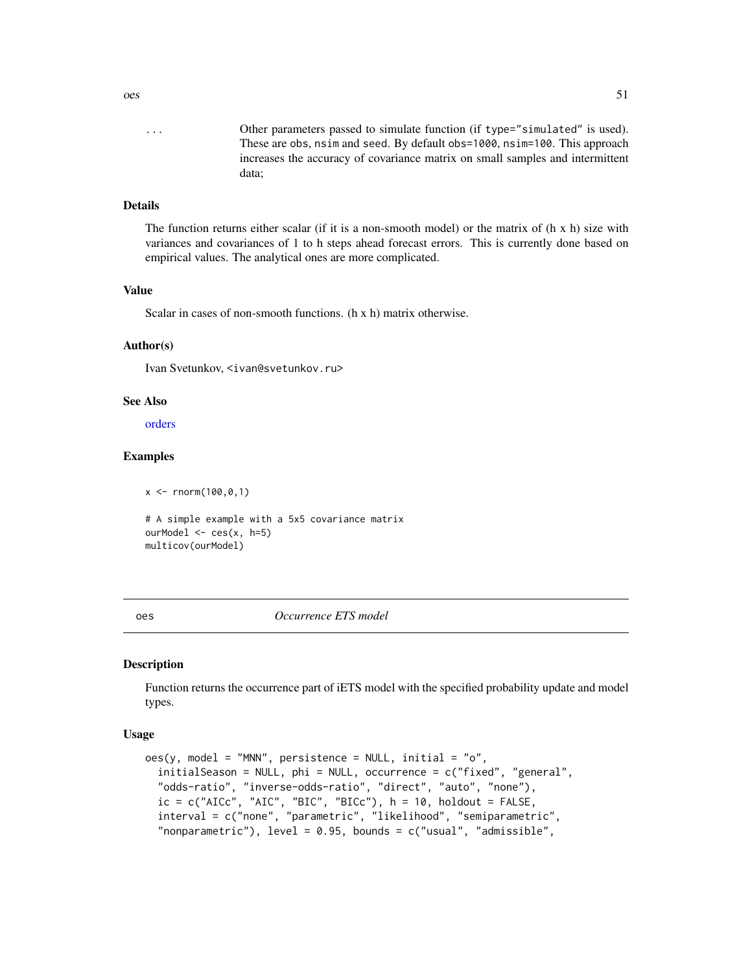... Other parameters passed to simulate function (if type="simulated" is used). These are obs, nsim and seed. By default obs=1000, nsim=100. This approach increases the accuracy of covariance matrix on small samples and intermittent data;

## Details

The function returns either scalar (if it is a non-smooth model) or the matrix of  $(h \times h)$  size with variances and covariances of 1 to h steps ahead forecast errors. This is currently done based on empirical values. The analytical ones are more complicated.

## Value

Scalar in cases of non-smooth functions. (h x h) matrix otherwise.

#### Author(s)

Ivan Svetunkov, <ivan@svetunkov.ru>

## See Also

[orders](#page-57-0)

#### Examples

 $x < -$  rnorm(100,0,1)

```
# A simple example with a 5x5 covariance matrix
ourModel <- ces(x, h=5)
multicov(ourModel)
```
<span id="page-50-0"></span>

oes *Occurrence ETS model*

#### Description

Function returns the occurrence part of iETS model with the specified probability update and model types.

## Usage

```
oes(y, model = "MNN", persistence = NULL, initial = "o",initialSeason = NULL, phi = NULL, occurrence = c("fixed", "general",
  "odds-ratio", "inverse-odds-ratio", "direct", "auto", "none"),
  ic = c("AICc", "AIC", "BIC", "BICc"), h = 10, holdout = FALSE,interval = c("none", "parametric", "likelihood", "semiparametric",
  "nonparametric"), level = 0.95, bounds = c("usual", "admissible",
```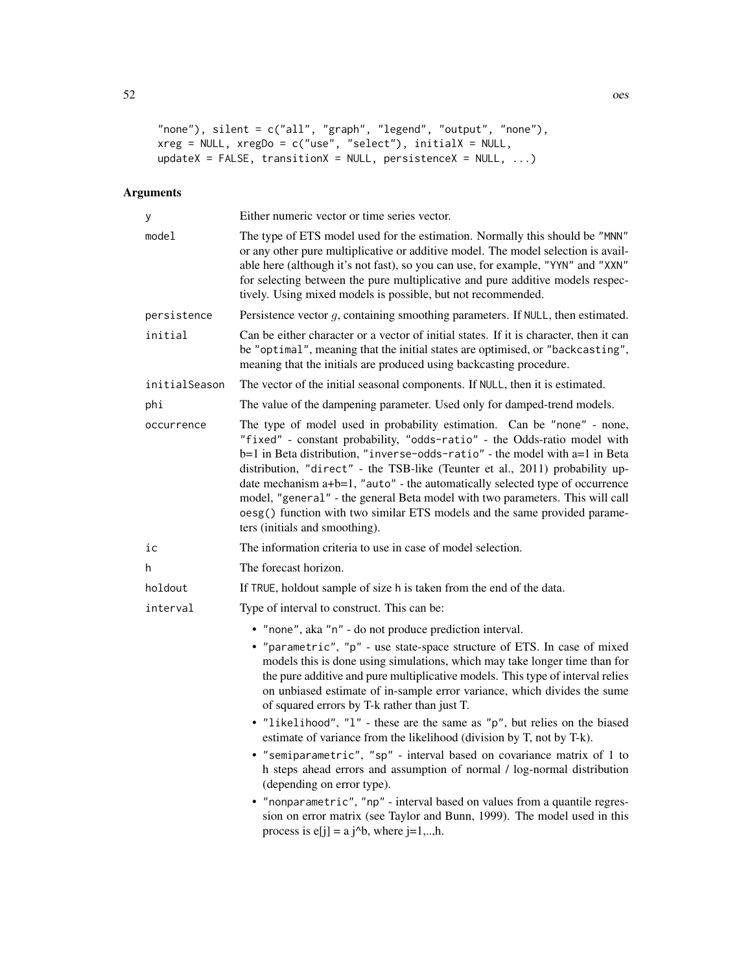```
"none"), silent = c("all", "graph", "legend", "output", "none"),xreg = NULL, xregDo = c("use", "select"), initialX = NULL,updateX = FALSE, transitionX = NULL, persistenceX = NULL, ...)
```

| У             | Either numeric vector or time series vector.                                                                                                                                                                                                                                                                                                                                                                                                                                                                                                                                                       |
|---------------|----------------------------------------------------------------------------------------------------------------------------------------------------------------------------------------------------------------------------------------------------------------------------------------------------------------------------------------------------------------------------------------------------------------------------------------------------------------------------------------------------------------------------------------------------------------------------------------------------|
| model         | The type of ETS model used for the estimation. Normally this should be "MNN"<br>or any other pure multiplicative or additive model. The model selection is avail-<br>able here (although it's not fast), so you can use, for example, "YYN" and "XXN"<br>for selecting between the pure multiplicative and pure additive models respec-<br>tively. Using mixed models is possible, but not recommended.                                                                                                                                                                                            |
| persistence   | Persistence vector $g$ , containing smoothing parameters. If NULL, then estimated.                                                                                                                                                                                                                                                                                                                                                                                                                                                                                                                 |
| initial       | Can be either character or a vector of initial states. If it is character, then it can<br>be "optimal", meaning that the initial states are optimised, or "backcasting",<br>meaning that the initials are produced using backcasting procedure.                                                                                                                                                                                                                                                                                                                                                    |
| initialSeason | The vector of the initial seasonal components. If NULL, then it is estimated.                                                                                                                                                                                                                                                                                                                                                                                                                                                                                                                      |
| phi           | The value of the dampening parameter. Used only for damped-trend models.                                                                                                                                                                                                                                                                                                                                                                                                                                                                                                                           |
| occurrence    | The type of model used in probability estimation. Can be "none" - none,<br>"fixed" - constant probability, "odds-ratio" - the Odds-ratio model with<br>b=1 in Beta distribution, "inverse-odds-ratio" - the model with a=1 in Beta<br>distribution, "direct" - the TSB-like (Teunter et al., 2011) probability up-<br>date mechanism a+b=1, "auto" - the automatically selected type of occurrence<br>model, "general" - the general Beta model with two parameters. This will call<br>oesg() function with two similar ETS models and the same provided parame-<br>ters (initials and smoothing). |
| iс            | The information criteria to use in case of model selection.                                                                                                                                                                                                                                                                                                                                                                                                                                                                                                                                        |
| h.            | The forecast horizon.                                                                                                                                                                                                                                                                                                                                                                                                                                                                                                                                                                              |
| holdout       | If TRUE, holdout sample of size h is taken from the end of the data.                                                                                                                                                                                                                                                                                                                                                                                                                                                                                                                               |
| interval      | Type of interval to construct. This can be:                                                                                                                                                                                                                                                                                                                                                                                                                                                                                                                                                        |
|               | • "none", aka "n" - do not produce prediction interval.                                                                                                                                                                                                                                                                                                                                                                                                                                                                                                                                            |
|               | • "parametric", "p" - use state-space structure of ETS. In case of mixed<br>models this is done using simulations, which may take longer time than for<br>the pure additive and pure multiplicative models. This type of interval relies<br>on unbiased estimate of in-sample error variance, which divides the sume<br>of squared errors by T-k rather than just T.                                                                                                                                                                                                                               |
|               | • "likelihood", "l" - these are the same as "p", but relies on the biased<br>estimate of variance from the likelihood (division by T, not by T-k).                                                                                                                                                                                                                                                                                                                                                                                                                                                 |
|               | • "semiparametric", "sp" - interval based on covariance matrix of 1 to<br>h steps ahead errors and assumption of normal / log-normal distribution<br>(depending on error type).                                                                                                                                                                                                                                                                                                                                                                                                                    |
|               | • "nonparametric", "np" - interval based on values from a quantile regres-<br>sion on error matrix (see Taylor and Bunn, 1999). The model used in this<br>process is $e[j] = a j^b$ , where $j=1,,h$ .                                                                                                                                                                                                                                                                                                                                                                                             |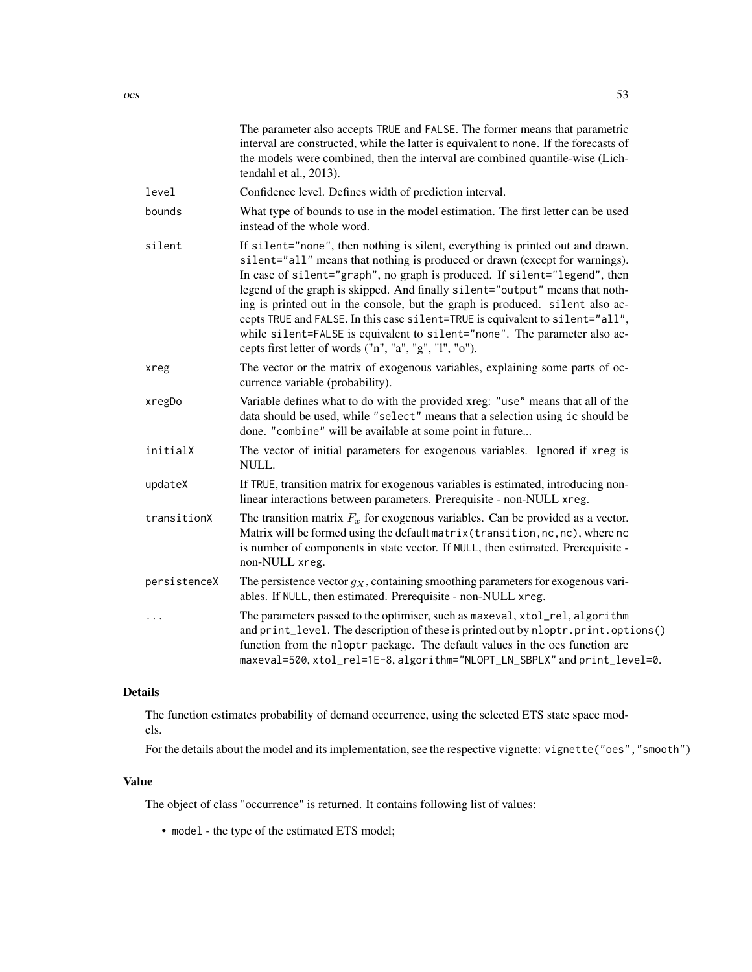|              | The parameter also accepts TRUE and FALSE. The former means that parametric<br>interval are constructed, while the latter is equivalent to none. If the forecasts of<br>the models were combined, then the interval are combined quantile-wise (Lich-<br>tendahl et al., 2013).                                                                                                                                                                                                                                                                                                                                                     |
|--------------|-------------------------------------------------------------------------------------------------------------------------------------------------------------------------------------------------------------------------------------------------------------------------------------------------------------------------------------------------------------------------------------------------------------------------------------------------------------------------------------------------------------------------------------------------------------------------------------------------------------------------------------|
| level        | Confidence level. Defines width of prediction interval.                                                                                                                                                                                                                                                                                                                                                                                                                                                                                                                                                                             |
| bounds       | What type of bounds to use in the model estimation. The first letter can be used<br>instead of the whole word.                                                                                                                                                                                                                                                                                                                                                                                                                                                                                                                      |
| silent       | If silent="none", then nothing is silent, everything is printed out and drawn.<br>silent="all" means that nothing is produced or drawn (except for warnings).<br>In case of silent="graph", no graph is produced. If silent="legend", then<br>legend of the graph is skipped. And finally silent="output" means that noth-<br>ing is printed out in the console, but the graph is produced. silent also ac-<br>cepts TRUE and FALSE. In this case silent=TRUE is equivalent to silent="all",<br>while silent=FALSE is equivalent to silent="none". The parameter also ac-<br>cepts first letter of words ("n", "a", "g", "l", "o"). |
| xreg         | The vector or the matrix of exogenous variables, explaining some parts of oc-<br>currence variable (probability).                                                                                                                                                                                                                                                                                                                                                                                                                                                                                                                   |
| xregDo       | Variable defines what to do with the provided xreg: "use" means that all of the<br>data should be used, while "select" means that a selection using ic should be<br>done. "combine" will be available at some point in future                                                                                                                                                                                                                                                                                                                                                                                                       |
| initialX     | The vector of initial parameters for exogenous variables. Ignored if xreg is<br>NULL.                                                                                                                                                                                                                                                                                                                                                                                                                                                                                                                                               |
| updateX      | If TRUE, transition matrix for exogenous variables is estimated, introducing non-<br>linear interactions between parameters. Prerequisite - non-NULL xreg.                                                                                                                                                                                                                                                                                                                                                                                                                                                                          |
| transitionX  | The transition matrix $F_x$ for exogenous variables. Can be provided as a vector.<br>Matrix will be formed using the default matrix (transition, nc, nc), where nc<br>is number of components in state vector. If NULL, then estimated. Prerequisite -<br>non-NULL xreg.                                                                                                                                                                                                                                                                                                                                                            |
| persistenceX | The persistence vector $g_X$ , containing smoothing parameters for exogenous vari-<br>ables. If NULL, then estimated. Prerequisite - non-NULL xreg.                                                                                                                                                                                                                                                                                                                                                                                                                                                                                 |
| $\cdots$     | The parameters passed to the optimiser, such as maxeval, xtol_rel, algorithm<br>and print_level. The description of these is printed out by nloptr.print.options()<br>function from the nloptr package. The default values in the oes function are<br>maxeval=500, xtol_rel=1E-8, algorithm="NLOPT_LN_SBPLX" and print_level=0.                                                                                                                                                                                                                                                                                                     |
|              |                                                                                                                                                                                                                                                                                                                                                                                                                                                                                                                                                                                                                                     |

The function estimates probability of demand occurrence, using the selected ETS state space models.

For the details about the model and its implementation, see the respective vignette: vignette("oes","smooth")

## Value

The object of class "occurrence" is returned. It contains following list of values:

• model - the type of the estimated ETS model;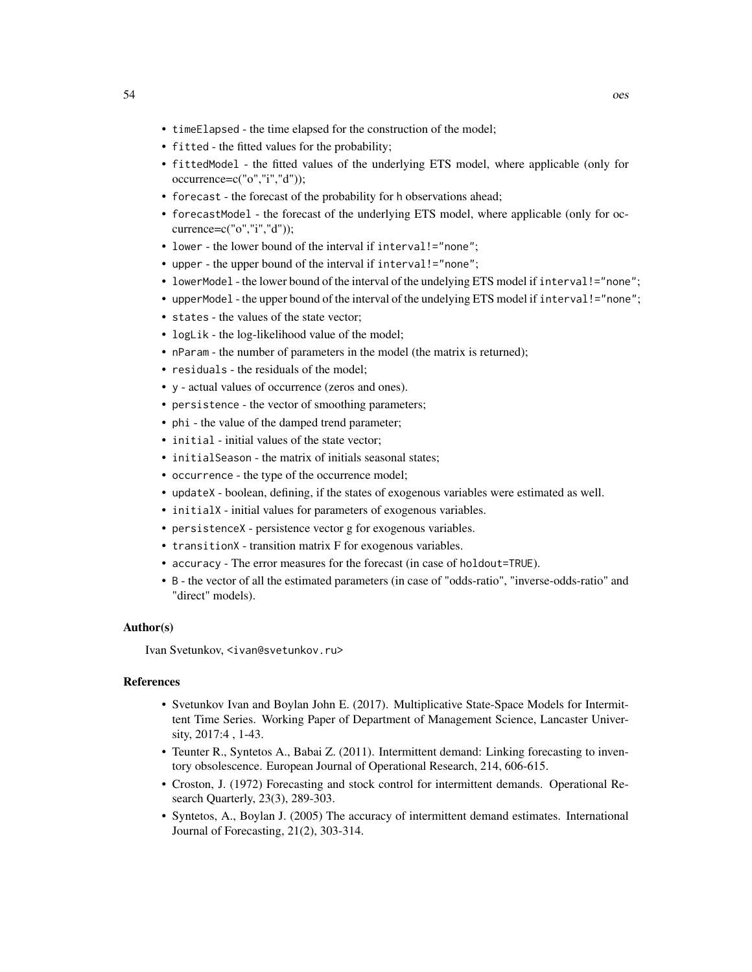- timeElapsed the time elapsed for the construction of the model;
- fitted the fitted values for the probability;
- fittedModel the fitted values of the underlying ETS model, where applicable (only for occurrence=c("o","i","d"));
- forecast the forecast of the probability for h observations ahead;
- forecastModel the forecast of the underlying ETS model, where applicable (only for occurrence=c("o","i","d"));
- lower the lower bound of the interval if interval!="none";
- upper the upper bound of the interval if interval!="none";
- lowerModel the lower bound of the interval of the undelying ETS model if interval!="none";
- upperModel the upper bound of the interval of the undelying ETS model if interval!="none";
- states the values of the state vector;
- logLik the log-likelihood value of the model;
- nParam the number of parameters in the model (the matrix is returned);
- residuals the residuals of the model;
- y actual values of occurrence (zeros and ones).
- persistence the vector of smoothing parameters;
- phi the value of the damped trend parameter;
- initial initial values of the state vector;
- initialSeason the matrix of initials seasonal states;
- occurrence the type of the occurrence model;
- updateX boolean, defining, if the states of exogenous variables were estimated as well.
- initialX initial values for parameters of exogenous variables.
- persistenceX persistence vector g for exogenous variables.
- transitionX transition matrix F for exogenous variables.
- accuracy The error measures for the forecast (in case of holdout=TRUE).
- B the vector of all the estimated parameters (in case of "odds-ratio", "inverse-odds-ratio" and "direct" models).

## Author(s)

Ivan Svetunkov, <ivan@svetunkov.ru>

## References

- Svetunkov Ivan and Boylan John E. (2017). Multiplicative State-Space Models for Intermittent Time Series. Working Paper of Department of Management Science, Lancaster University, 2017:4 , 1-43.
- Teunter R., Syntetos A., Babai Z. (2011). Intermittent demand: Linking forecasting to inventory obsolescence. European Journal of Operational Research, 214, 606-615.
- Croston, J. (1972) Forecasting and stock control for intermittent demands. Operational Research Quarterly, 23(3), 289-303.
- Syntetos, A., Boylan J. (2005) The accuracy of intermittent demand estimates. International Journal of Forecasting, 21(2), 303-314.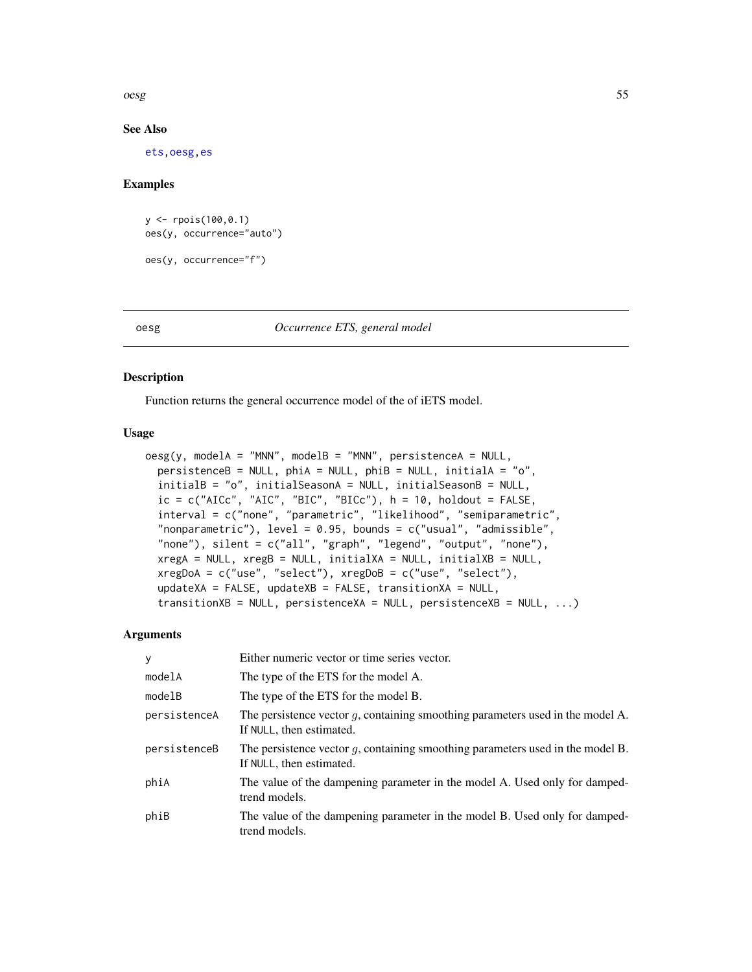oesg 55

## See Also

[ets](#page-0-0)[,oesg](#page-54-0)[,es](#page-24-0)

#### Examples

```
y <- rpois(100,0.1)
oes(y, occurrence="auto")
oes(y, occurrence="f")
```
## <span id="page-54-0"></span>oesg *Occurrence ETS, general model*

## Description

Function returns the general occurrence model of the of iETS model.

## Usage

```
oesg(y, modelA = "MNN", modelB = "MNN", persistentCA = NULL,persistenceB = NULL, phiA = NULL, phiB = NULL, initialA = "o",
  initialB = "o", initialSeasonA = NULL, initialSeasonB = NULL,
  ic = c("AICc", "AIC", "BIC", "BICc"), h = 10, holdout = FALSE,interval = c("none", "parametric", "likelihood", "semiparametric",
  "nonparametric"), level = 0.95, bounds = c("usual", "admissible",
  "none"), silent = c("all", "graph", "legend", "output", "none"),
  xregA = NULL, xregB = NULL, initialXA = NULL, initialXB = NULL,
  xregDoA = c("use", "select"), xregDoB = c("use", "select"),
  updateXA = FALSE, updateXB = FALSE, transitionXA = NULL,transitionXB = NULL, persistenceXA = NULL, persistenceXB = NULL, ...)
```

| У            | Either numeric vector or time series vector.                                                                  |
|--------------|---------------------------------------------------------------------------------------------------------------|
| modelA       | The type of the ETS for the model A.                                                                          |
| modelB       | The type of the ETS for the model B.                                                                          |
| persistenceA | The persistence vector $g$ , containing smoothing parameters used in the model A.<br>If NULL, then estimated. |
| persistenceB | The persistence vector $q$ , containing smoothing parameters used in the model B.<br>If NULL, then estimated. |
| phiA         | The value of the dampening parameter in the model A. Used only for damped-<br>trend models.                   |
| phiB         | The value of the dampening parameter in the model B. Used only for damped-<br>trend models.                   |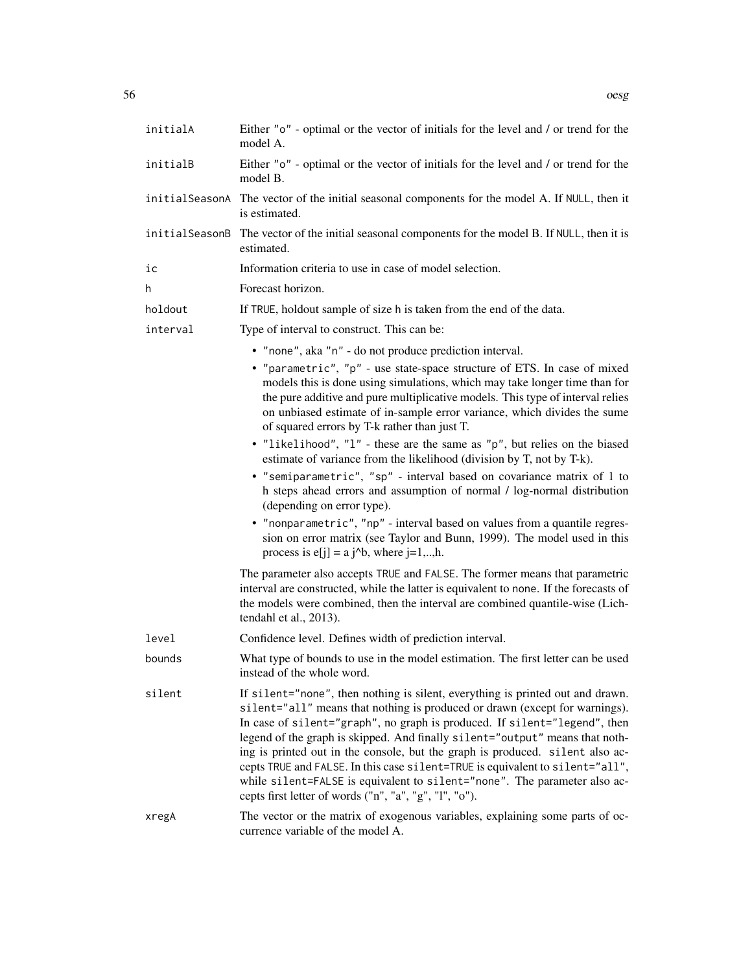| initialA | Either "o" - optimal or the vector of initials for the level and / or trend for the<br>model A.                                                                                                                                                                                                                                                                                                                                                                                                                                                                                                                                     |
|----------|-------------------------------------------------------------------------------------------------------------------------------------------------------------------------------------------------------------------------------------------------------------------------------------------------------------------------------------------------------------------------------------------------------------------------------------------------------------------------------------------------------------------------------------------------------------------------------------------------------------------------------------|
| initialB | Either "o" - optimal or the vector of initials for the level and / or trend for the<br>model B.                                                                                                                                                                                                                                                                                                                                                                                                                                                                                                                                     |
|          | initialSeasonA The vector of the initial seasonal components for the model A. If NULL, then it<br>is estimated.                                                                                                                                                                                                                                                                                                                                                                                                                                                                                                                     |
|          | initialSeasonB The vector of the initial seasonal components for the model B. If NULL, then it is<br>estimated.                                                                                                                                                                                                                                                                                                                                                                                                                                                                                                                     |
| iс       | Information criteria to use in case of model selection.                                                                                                                                                                                                                                                                                                                                                                                                                                                                                                                                                                             |
| h.       | Forecast horizon.                                                                                                                                                                                                                                                                                                                                                                                                                                                                                                                                                                                                                   |
| holdout  | If TRUE, holdout sample of size h is taken from the end of the data.                                                                                                                                                                                                                                                                                                                                                                                                                                                                                                                                                                |
| interval | Type of interval to construct. This can be:                                                                                                                                                                                                                                                                                                                                                                                                                                                                                                                                                                                         |
|          | • "none", aka "n" - do not produce prediction interval.                                                                                                                                                                                                                                                                                                                                                                                                                                                                                                                                                                             |
|          | • "parametric", "p" - use state-space structure of ETS. In case of mixed<br>models this is done using simulations, which may take longer time than for<br>the pure additive and pure multiplicative models. This type of interval relies<br>on unbiased estimate of in-sample error variance, which divides the sume<br>of squared errors by T-k rather than just T.<br>• "likelihood", "l" - these are the same as "p", but relies on the biased                                                                                                                                                                                   |
|          | estimate of variance from the likelihood (division by T, not by T-k).<br>• "semiparametric", "sp" - interval based on covariance matrix of 1 to<br>h steps ahead errors and assumption of normal / log-normal distribution<br>(depending on error type).<br>• "nonparametric", "np" - interval based on values from a quantile regres-<br>sion on error matrix (see Taylor and Bunn, 1999). The model used in this                                                                                                                                                                                                                  |
|          | process is $e[j] = a j^b$ , where $j=1,,h$ .                                                                                                                                                                                                                                                                                                                                                                                                                                                                                                                                                                                        |
|          | The parameter also accepts TRUE and FALSE. The former means that parametric<br>interval are constructed, while the latter is equivalent to none. If the forecasts of<br>the models were combined, then the interval are combined quantile-wise (Lich-<br>tendahl et al., 2013).                                                                                                                                                                                                                                                                                                                                                     |
| level    | Confidence level. Defines width of prediction interval.                                                                                                                                                                                                                                                                                                                                                                                                                                                                                                                                                                             |
| bounds   | What type of bounds to use in the model estimation. The first letter can be used<br>instead of the whole word.                                                                                                                                                                                                                                                                                                                                                                                                                                                                                                                      |
| silent   | If silent="none", then nothing is silent, everything is printed out and drawn.<br>silent="all" means that nothing is produced or drawn (except for warnings).<br>In case of silent="graph", no graph is produced. If silent="legend", then<br>legend of the graph is skipped. And finally silent="output" means that noth-<br>ing is printed out in the console, but the graph is produced. silent also ac-<br>cepts TRUE and FALSE. In this case silent=TRUE is equivalent to silent="all",<br>while silent=FALSE is equivalent to silent="none". The parameter also ac-<br>cepts first letter of words ("n", "a", "g", "l", "o"). |
| xregA    | The vector or the matrix of exogenous variables, explaining some parts of oc-<br>currence variable of the model A.                                                                                                                                                                                                                                                                                                                                                                                                                                                                                                                  |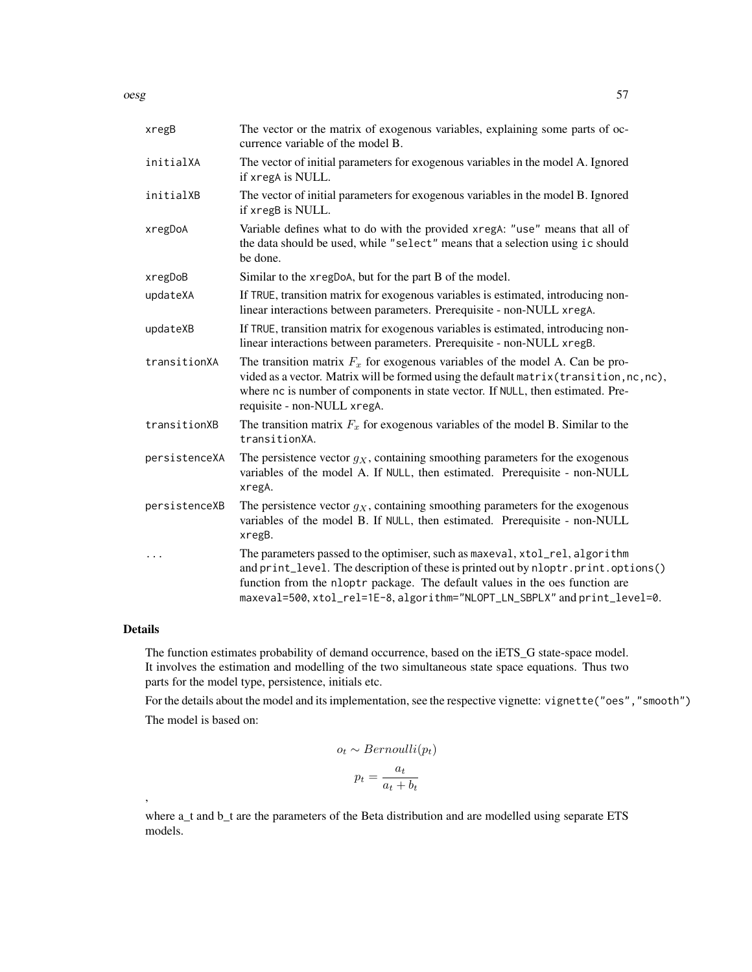oesg 57 and 57 and 57 and 57 and 57 and 57 and 57 and 57 and 57 and 57 and 57 and 57 and 57 and 57 and 57

| xregB         | The vector or the matrix of exogenous variables, explaining some parts of oc-<br>currence variable of the model B.                                                                                                                                                                                                              |
|---------------|---------------------------------------------------------------------------------------------------------------------------------------------------------------------------------------------------------------------------------------------------------------------------------------------------------------------------------|
| initialXA     | The vector of initial parameters for exogenous variables in the model A. Ignored<br>if xregA is NULL.                                                                                                                                                                                                                           |
| initialXB     | The vector of initial parameters for exogenous variables in the model B. Ignored<br>if xregB is NULL.                                                                                                                                                                                                                           |
| xregDoA       | Variable defines what to do with the provided xregA: "use" means that all of<br>the data should be used, while "select" means that a selection using ic should<br>be done.                                                                                                                                                      |
| xregDoB       | Similar to the xregDoA, but for the part B of the model.                                                                                                                                                                                                                                                                        |
| updateXA      | If TRUE, transition matrix for exogenous variables is estimated, introducing non-<br>linear interactions between parameters. Prerequisite - non-NULL xregA.                                                                                                                                                                     |
| updateXB      | If TRUE, transition matrix for exogenous variables is estimated, introducing non-<br>linear interactions between parameters. Prerequisite - non-NULL xregB.                                                                                                                                                                     |
| transitionXA  | The transition matrix $F_x$ for exogenous variables of the model A. Can be pro-<br>vided as a vector. Matrix will be formed using the default matrix (transition, nc, nc),<br>where nc is number of components in state vector. If NULL, then estimated. Pre-<br>requisite - non-NULL xregA.                                    |
| transitionXB  | The transition matrix $F_x$ for exogenous variables of the model B. Similar to the<br>transitionXA.                                                                                                                                                                                                                             |
| persistenceXA | The persistence vector $g_X$ , containing smoothing parameters for the exogenous<br>variables of the model A. If NULL, then estimated. Prerequisite - non-NULL<br>xregA.                                                                                                                                                        |
| persistenceXB | The persistence vector $g_X$ , containing smoothing parameters for the exogenous<br>variables of the model B. If NULL, then estimated. Prerequisite - non-NULL<br>xregB.                                                                                                                                                        |
| $\cdots$      | The parameters passed to the optimiser, such as maxeval, xtol_rel, algorithm<br>and print_level. The description of these is printed out by nloptr.print.options()<br>function from the nloptr package. The default values in the oes function are<br>maxeval=500, xtol_rel=1E-8, algorithm="NLOPT_LN_SBPLX" and print_level=0. |

## Details

,

The function estimates probability of demand occurrence, based on the iETS\_G state-space model. It involves the estimation and modelling of the two simultaneous state space equations. Thus two parts for the model type, persistence, initials etc.

For the details about the model and its implementation, see the respective vignette: vignette("oes","smooth") The model is based on:

$$
o_t \sim Bernoulli(p_t)
$$

$$
p_t = \frac{a_t}{a_t + b_t}
$$

where a\_t and b\_t are the parameters of the Beta distribution and are modelled using separate ETS models.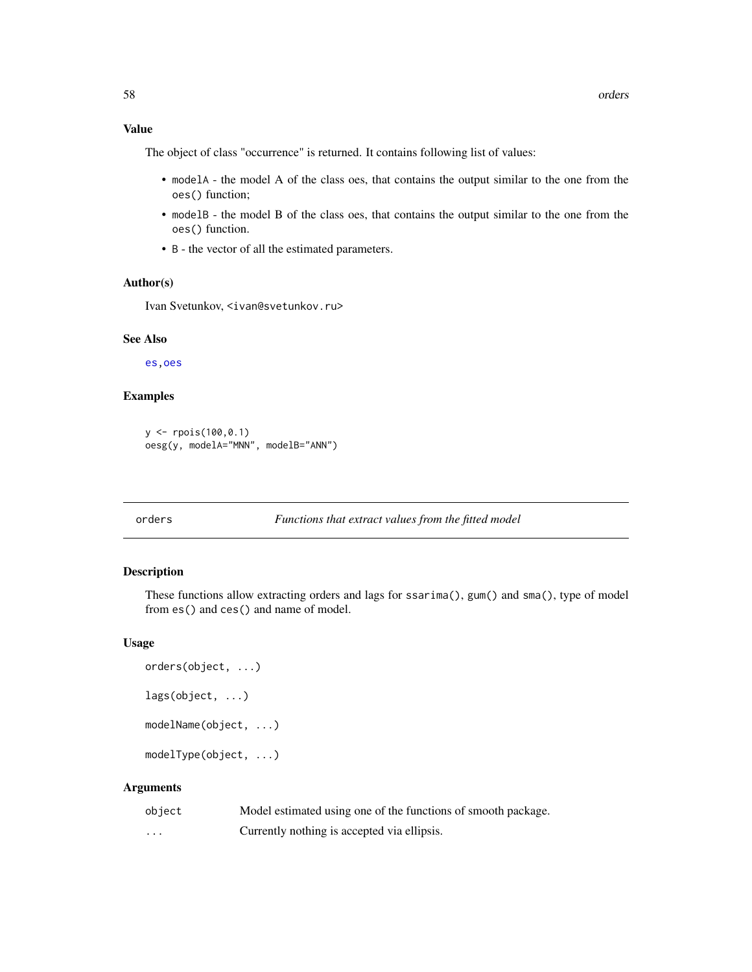## Value

The object of class "occurrence" is returned. It contains following list of values:

- modelA the model A of the class oes, that contains the output similar to the one from the oes() function;
- modelB the model B of the class oes, that contains the output similar to the one from the oes() function.
- B the vector of all the estimated parameters.

## Author(s)

Ivan Svetunkov, <ivan@svetunkov.ru>

#### See Also

[es](#page-24-0)[,oes](#page-50-0)

## Examples

```
y <- rpois(100,0.1)
oesg(y, modelA="MNN", modelB="ANN")
```
## <span id="page-57-0"></span>orders *Functions that extract values from the fitted model*

## Description

These functions allow extracting orders and lags for ssarima(), gum() and sma(), type of model from es() and ces() and name of model.

#### Usage

```
orders(object, ...)
lags(object, ...)
modelName(object, ...)
modelType(object, ...)
```

| object                  | Model estimated using one of the functions of smooth package. |
|-------------------------|---------------------------------------------------------------|
| $\cdot$ $\cdot$ $\cdot$ | Currently nothing is accepted via ellipsis.                   |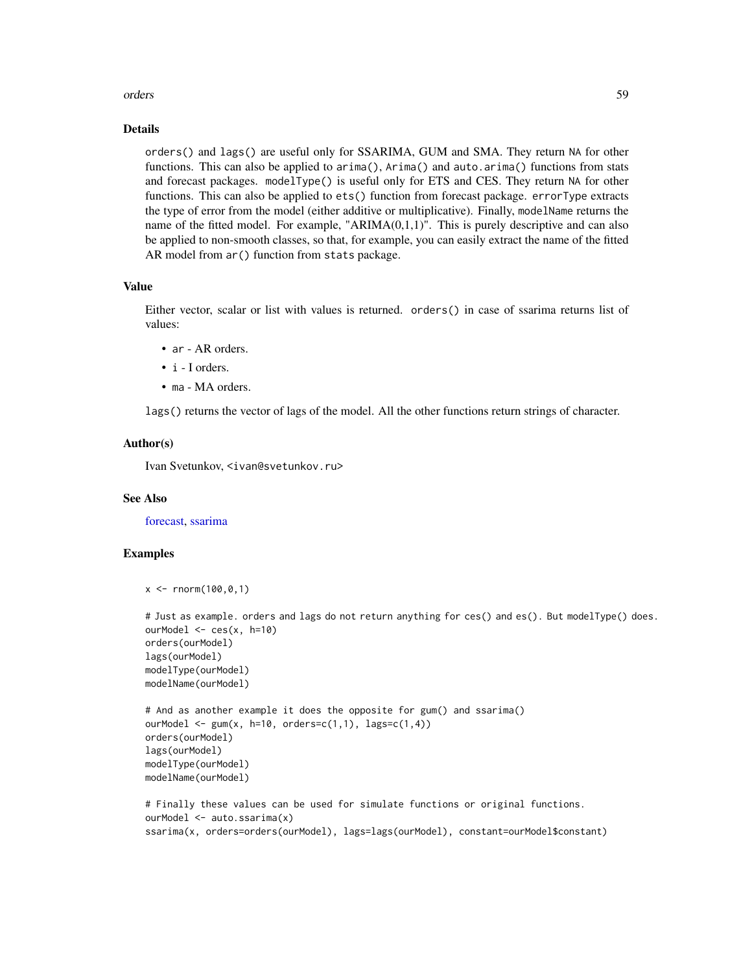#### orders 59

#### Details

orders() and lags() are useful only for SSARIMA, GUM and SMA. They return NA for other functions. This can also be applied to arima(), Arima() and auto.arima() functions from stats and forecast packages. modelType() is useful only for ETS and CES. They return NA for other functions. This can also be applied to ets() function from forecast package. errorType extracts the type of error from the model (either additive or multiplicative). Finally, modelName returns the name of the fitted model. For example, " $ARIMA(0,1,1)$ ". This is purely descriptive and can also be applied to non-smooth classes, so that, for example, you can easily extract the name of the fitted AR model from ar() function from stats package.

## Value

Either vector, scalar or list with values is returned. orders() in case of ssarima returns list of values:

- ar AR orders.
- i I orders.
- ma MA orders.

lags() returns the vector of lags of the model. All the other functions return strings of character.

## Author(s)

Ivan Svetunkov, <ivan@svetunkov.ru>

#### See Also

[forecast,](#page-31-0) [ssarima](#page-89-0)

## Examples

```
x < - rnorm(100,0,1)
```

```
# Just as example. orders and lags do not return anything for ces() and es(). But modelType() does.
ourModel <- ces(x, h=10)
orders(ourModel)
lags(ourModel)
modelType(ourModel)
modelName(ourModel)
# And as another example it does the opposite for gum() and ssarima()
```

```
ourModel \leq gum(x, h=10, orders=c(1,1), lags=c(1,4))
orders(ourModel)
lags(ourModel)
modelType(ourModel)
modelName(ourModel)
```

```
# Finally these values can be used for simulate functions or original functions.
ourModel <- auto.ssarima(x)
ssarima(x, orders=orders(ourModel), lags=lags(ourModel), constant=ourModel$constant)
```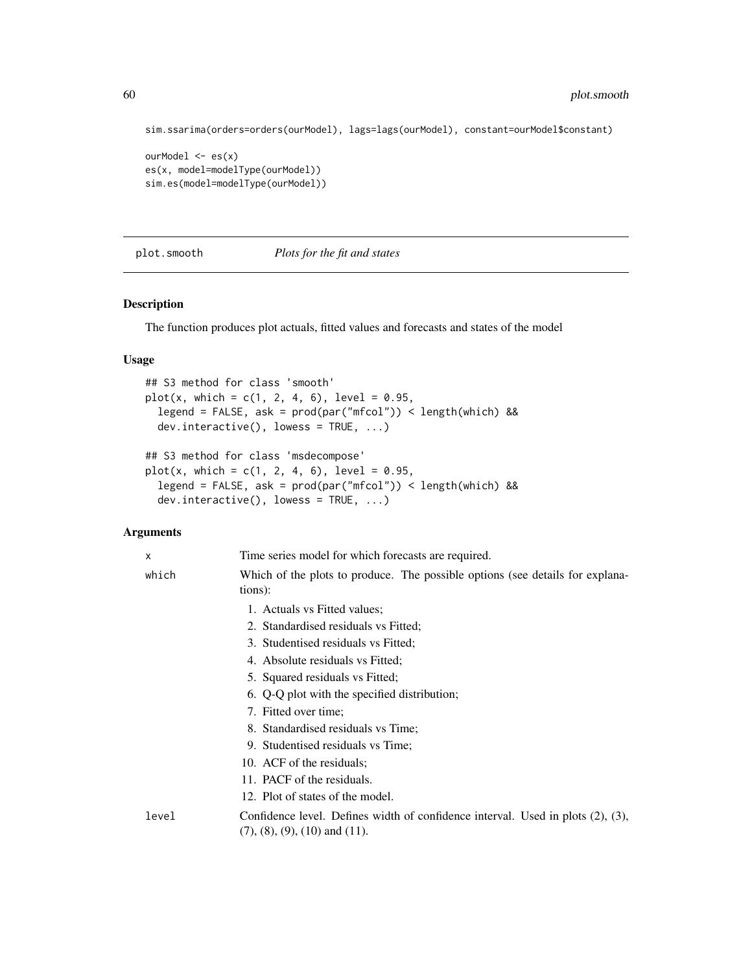```
sim.ssarima(orders=orders(ourModel), lags=lags(ourModel), constant=ourModel$constant)
ourModel <- es(x)
es(x, model=modelType(ourModel))
sim.es(model=modelType(ourModel))
```
## plot.smooth *Plots for the fit and states*

## Description

The function produces plot actuals, fitted values and forecasts and states of the model

## Usage

```
## S3 method for class 'smooth'
plot(x, which = c(1, 2, 4, 6), level = 0.95,legend = FALSE, ask = prod(par("mfcol")) < length(which) &&
  dev.interactive(), lowess = TRUE, ...)
## S3 method for class 'msdecompose'
plot(x, which = c(1, 2, 4, 6), level = 0.95,legend = FALSE, ask = prod(par("mfcol")) < length(which) &&
```

```
dev.interactive(), lowess = TRUE, ...)
```

| X     | Time series model for which forecasts are required.                                                                            |
|-------|--------------------------------------------------------------------------------------------------------------------------------|
| which | Which of the plots to produce. The possible options (see details for explana-<br>tions):                                       |
|       | 1. Actuals vs Fitted values;                                                                                                   |
|       | 2. Standardised residuals vs Fitted;                                                                                           |
|       | 3. Studentised residuals vs Fitted;                                                                                            |
|       | 4. Absolute residuals vs Fitted;                                                                                               |
|       | 5. Squared residuals vs Fitted;                                                                                                |
|       | 6. Q-Q plot with the specified distribution;                                                                                   |
|       | 7. Fitted over time;                                                                                                           |
|       | 8. Standardised residuals vs Time;                                                                                             |
|       | 9. Studentised residuals vs Time;                                                                                              |
|       | 10. ACF of the residuals;                                                                                                      |
|       | 11. PACF of the residuals.                                                                                                     |
|       | 12. Plot of states of the model.                                                                                               |
| level | Confidence level. Defines width of confidence interval. Used in plots (2), (3),<br>$(7)$ , $(8)$ , $(9)$ , $(10)$ and $(11)$ . |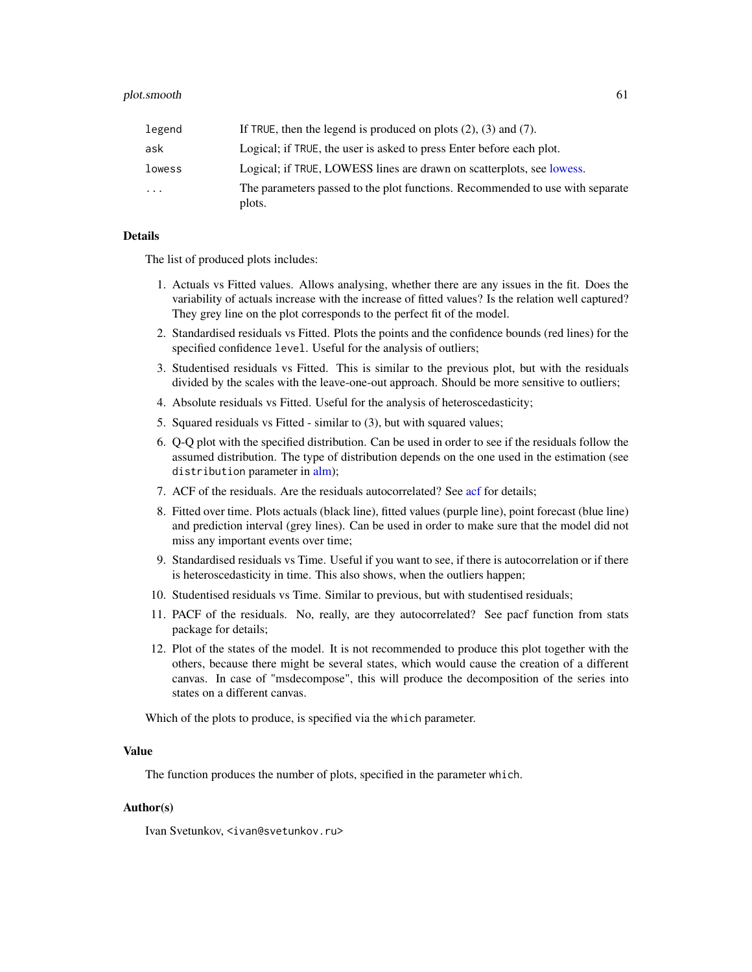| legend | If TRUE, then the legend is produced on plots $(2)$ , $(3)$ and $(7)$ .                 |
|--------|-----------------------------------------------------------------------------------------|
| ask    | Logical; if TRUE, the user is asked to press Enter before each plot.                    |
| lowess | Logical; if TRUE, LOWESS lines are drawn on scatterplots, see lowess.                   |
| .      | The parameters passed to the plot functions. Recommended to use with separate<br>plots. |

The list of produced plots includes:

- 1. Actuals vs Fitted values. Allows analysing, whether there are any issues in the fit. Does the variability of actuals increase with the increase of fitted values? Is the relation well captured? They grey line on the plot corresponds to the perfect fit of the model.
- 2. Standardised residuals vs Fitted. Plots the points and the confidence bounds (red lines) for the specified confidence level. Useful for the analysis of outliers;
- 3. Studentised residuals vs Fitted. This is similar to the previous plot, but with the residuals divided by the scales with the leave-one-out approach. Should be more sensitive to outliers;
- 4. Absolute residuals vs Fitted. Useful for the analysis of heteroscedasticity;
- 5. Squared residuals vs Fitted similar to (3), but with squared values;
- 6. Q-Q plot with the specified distribution. Can be used in order to see if the residuals follow the assumed distribution. The type of distribution depends on the one used in the estimation (see distribution parameter in [alm\)](#page-0-0);
- 7. ACF of the residuals. Are the residuals autocorrelated? See [acf](#page-0-0) for details;
- 8. Fitted over time. Plots actuals (black line), fitted values (purple line), point forecast (blue line) and prediction interval (grey lines). Can be used in order to make sure that the model did not miss any important events over time;
- 9. Standardised residuals vs Time. Useful if you want to see, if there is autocorrelation or if there is heteroscedasticity in time. This also shows, when the outliers happen;
- 10. Studentised residuals vs Time. Similar to previous, but with studentised residuals;
- 11. PACF of the residuals. No, really, are they autocorrelated? See pacf function from stats package for details;
- 12. Plot of the states of the model. It is not recommended to produce this plot together with the others, because there might be several states, which would cause the creation of a different canvas. In case of "msdecompose", this will produce the decomposition of the series into states on a different canvas.

Which of the plots to produce, is specified via the which parameter.

## Value

The function produces the number of plots, specified in the parameter which.

## Author(s)

Ivan Svetunkov, <ivan@svetunkov.ru>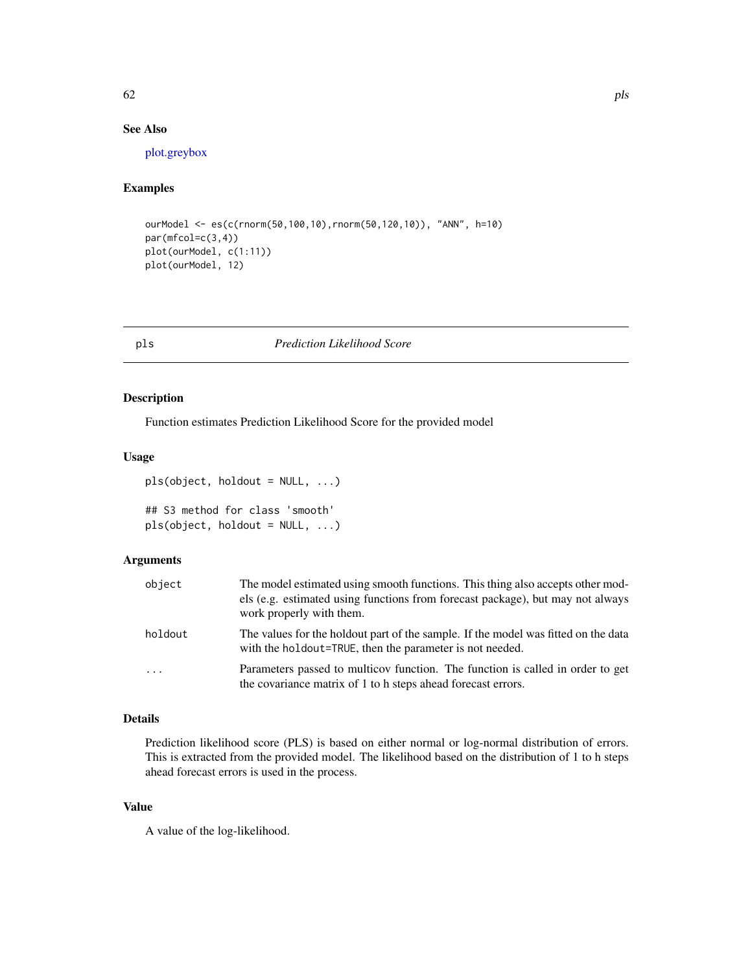## See Also

[plot.greybox](#page-0-0)

## Examples

```
ourModel <- es(c(rnorm(50,100,10),rnorm(50,120,10)), "ANN", h=10)
par(mfcol=c(3,4))
plot(ourModel, c(1:11))
plot(ourModel, 12)
```
pls *Prediction Likelihood Score*

## Description

Function estimates Prediction Likelihood Score for the provided model

#### Usage

```
pls(object, holdout = NULL, ...)
```

```
## S3 method for class 'smooth'
pls(object, holdout = NULL, ...)
```
## Arguments

| object     | The model estimated using smooth functions. This thing also accepts other mod-<br>els (e.g. estimated using functions from forecast package), but may not always<br>work properly with them. |
|------------|----------------------------------------------------------------------------------------------------------------------------------------------------------------------------------------------|
| holdout    | The values for the holdout part of the sample. If the model was fitted on the data<br>with the holdout=TRUE, then the parameter is not needed.                                               |
| $\ddots$ . | Parameters passed to multicov function. The function is called in order to get<br>the covariance matrix of 1 to h steps ahead forecast errors.                                               |

#### Details

Prediction likelihood score (PLS) is based on either normal or log-normal distribution of errors. This is extracted from the provided model. The likelihood based on the distribution of 1 to h steps ahead forecast errors is used in the process.

### Value

A value of the log-likelihood.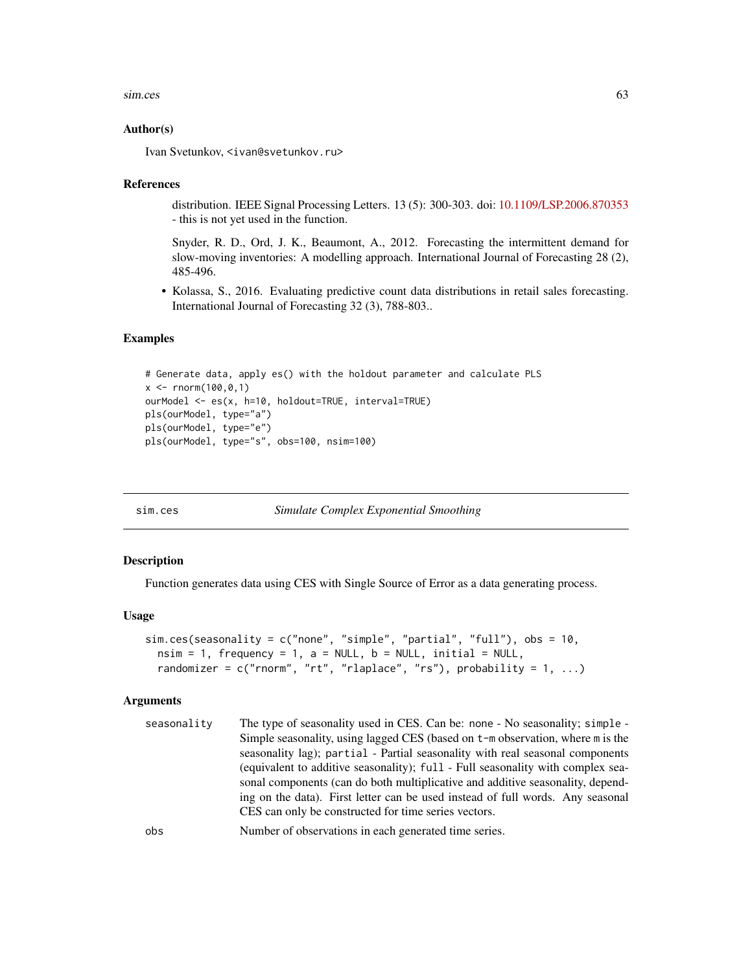#### sim.ces 63

## Author(s)

Ivan Svetunkov, <ivan@svetunkov.ru>

#### References

distribution. IEEE Signal Processing Letters. 13 (5): 300-303. doi: [10.1109/LSP.2006.870353](https://doi.org/10.1109/LSP.2006.870353) - this is not yet used in the function.

Snyder, R. D., Ord, J. K., Beaumont, A., 2012. Forecasting the intermittent demand for slow-moving inventories: A modelling approach. International Journal of Forecasting 28 (2), 485-496.

• Kolassa, S., 2016. Evaluating predictive count data distributions in retail sales forecasting. International Journal of Forecasting 32 (3), 788-803..

#### Examples

```
# Generate data, apply es() with the holdout parameter and calculate PLS
x < - rnorm(100,0,1)
ourModel <- es(x, h=10, holdout=TRUE, interval=TRUE)
pls(ourModel, type="a")
pls(ourModel, type="e")
pls(ourModel, type="s", obs=100, nsim=100)
```
<span id="page-62-0"></span>sim.ces *Simulate Complex Exponential Smoothing*

#### Description

Function generates data using CES with Single Source of Error as a data generating process.

#### Usage

```
sim.ces(seasonality = c("none", "simple", "partial", "full"), obs = 10,
 nsim = 1, frequency = 1, a = NULL, b = NULL, initial = NULL,
  randomizer = c("rnorm", "rt", "rlaplace", "rs"), probability = 1, ...)
```
## Arguments

| seasonality | The type of seasonality used in CES. Can be: none - No seasonality; simple -<br>Simple seasonality, using lagged CES (based on $t$ –m observation, where m is the<br>seasonality lag); partial - Partial seasonality with real seasonal components<br>(equivalent to additive seasonality); full - Full seasonality with complex sea-<br>sonal components (can do both multiplicative and additive seasonality, depend- |
|-------------|-------------------------------------------------------------------------------------------------------------------------------------------------------------------------------------------------------------------------------------------------------------------------------------------------------------------------------------------------------------------------------------------------------------------------|
|             | ing on the data). First letter can be used instead of full words. Any seasonal<br>CES can only be constructed for time series vectors.                                                                                                                                                                                                                                                                                  |
| ohe         | Number of observations in each generated time series                                                                                                                                                                                                                                                                                                                                                                    |

obs Number of observations in each generated time series.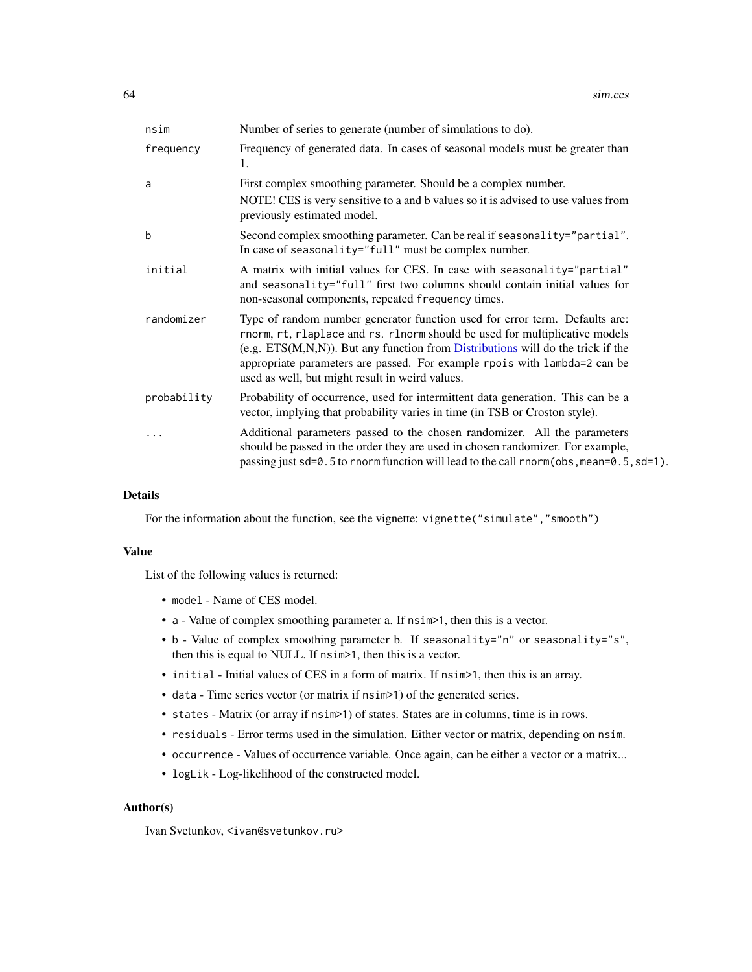| nsim        | Number of series to generate (number of simulations to do).                                                                                                                                                                                                                                                                                                                      |
|-------------|----------------------------------------------------------------------------------------------------------------------------------------------------------------------------------------------------------------------------------------------------------------------------------------------------------------------------------------------------------------------------------|
| frequency   | Frequency of generated data. In cases of seasonal models must be greater than<br>1.                                                                                                                                                                                                                                                                                              |
| a           | First complex smoothing parameter. Should be a complex number.                                                                                                                                                                                                                                                                                                                   |
|             | NOTE! CES is very sensitive to a and b values so it is advised to use values from<br>previously estimated model.                                                                                                                                                                                                                                                                 |
| b           | Second complex smoothing parameter. Can be real if seasonality="partial".<br>In case of seasonality="full" must be complex number.                                                                                                                                                                                                                                               |
| initial     | A matrix with initial values for CES. In case with seasonality="partial"<br>and seasonality="full" first two columns should contain initial values for<br>non-seasonal components, repeated frequency times.                                                                                                                                                                     |
| randomizer  | Type of random number generator function used for error term. Defaults are:<br>rnorm, rt, rlaplace and rs. rlnorm should be used for multiplicative models<br>$(e.g. ETS(M,N,N))$ . But any function from Distributions will do the trick if the<br>appropriate parameters are passed. For example rpois with lambda=2 can be<br>used as well, but might result in weird values. |
| probability | Probability of occurrence, used for intermittent data generation. This can be a<br>vector, implying that probability varies in time (in TSB or Croston style).                                                                                                                                                                                                                   |
| $\cdots$    | Additional parameters passed to the chosen randomizer. All the parameters<br>should be passed in the order they are used in chosen randomizer. For example,<br>passing just $sd=0.5$ to rnorm function will lead to the call rnorm(obs, mean=0.5, $sd=1$ ).                                                                                                                      |

For the information about the function, see the vignette: vignette("simulate","smooth")

## Value

List of the following values is returned:

- model Name of CES model.
- a Value of complex smoothing parameter a. If nsim>1, then this is a vector.
- b Value of complex smoothing parameter b. If seasonality="n" or seasonality="s", then this is equal to NULL. If nsim>1, then this is a vector.
- initial Initial values of CES in a form of matrix. If nsim>1, then this is an array.
- data Time series vector (or matrix if nsim>1) of the generated series.
- states Matrix (or array if nsim>1) of states. States are in columns, time is in rows.
- residuals Error terms used in the simulation. Either vector or matrix, depending on nsim.
- occurrence Values of occurrence variable. Once again, can be either a vector or a matrix...
- logLik Log-likelihood of the constructed model.

#### Author(s)

Ivan Svetunkov, <ivan@svetunkov.ru>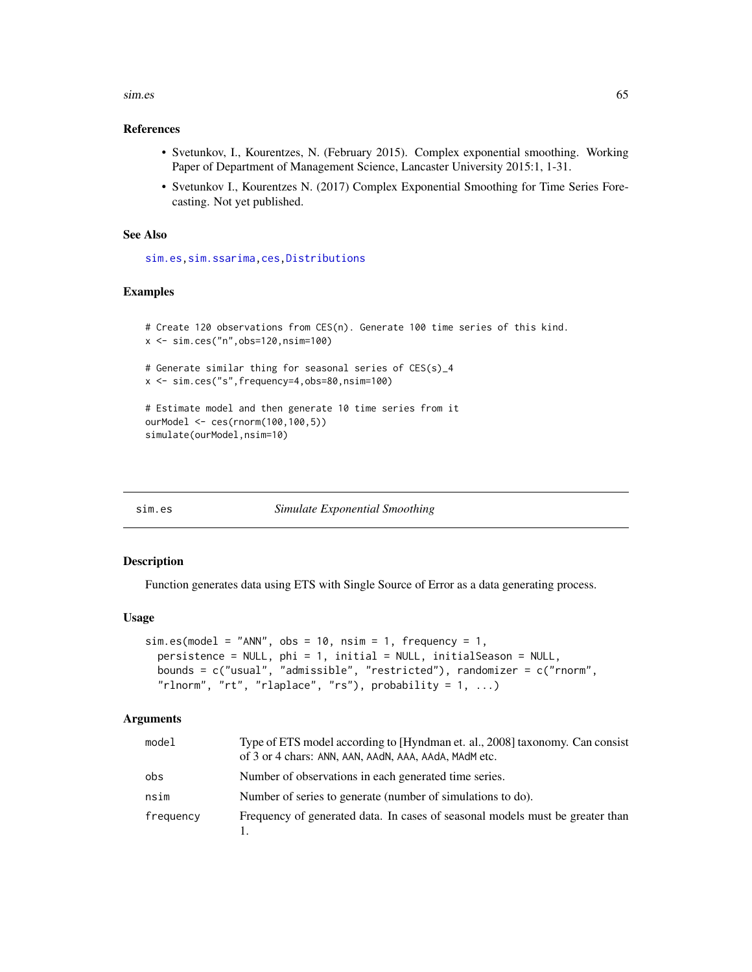#### $\sin$ es 65

## References

- Svetunkov, I., Kourentzes, N. (February 2015). Complex exponential smoothing. Working Paper of Department of Management Science, Lancaster University 2015:1, 1-31.
- Svetunkov I., Kourentzes N. (2017) Complex Exponential Smoothing for Time Series Forecasting. Not yet published.

## See Also

[sim.es](#page-64-0)[,sim.ssarima](#page-73-0)[,ces,](#page-17-0)[Distributions](#page-0-0)

## Examples

```
# Create 120 observations from CES(n). Generate 100 time series of this kind.
x <- sim.ces("n",obs=120,nsim=100)
# Generate similar thing for seasonal series of CES(s)_4
x <- sim.ces("s",frequency=4,obs=80,nsim=100)
# Estimate model and then generate 10 time series from it
ourModel <- ces(rnorm(100,100,5))
simulate(ourModel,nsim=10)
```
<span id="page-64-0"></span>

sim.es *Simulate Exponential Smoothing*

#### Description

Function generates data using ETS with Single Source of Error as a data generating process.

#### Usage

```
sim.es(model = "ANN", obs = 10, nsim = 1, frequency = 1,
 persistence = NULL, phi = 1, initial = NULL, initialSeason = NULL,
 bounds = c("usual", "admissible", "restricted"), randomizer = c("rnorm",
  "rlnorm", "rt", "rlaplace", "rs"), probability = 1, ...)
```

| model     | Type of ETS model according to [Hyndman et. al., 2008] taxonomy. Can consist  |
|-----------|-------------------------------------------------------------------------------|
|           | of 3 or 4 chars: ANN, AAN, AAdN, AAA, AAdA, MAdM etc.                         |
| obs       | Number of observations in each generated time series.                         |
| nsim      | Number of series to generate (number of simulations to do).                   |
| frequency | Frequency of generated data. In cases of seasonal models must be greater than |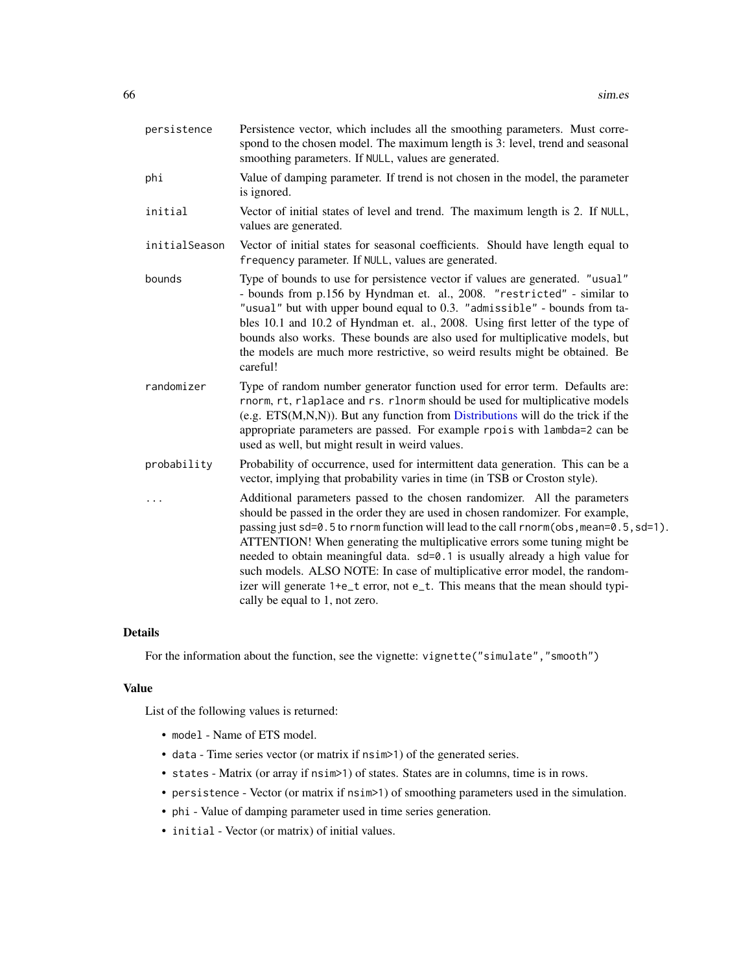| persistence   | Persistence vector, which includes all the smoothing parameters. Must corre-<br>spond to the chosen model. The maximum length is 3: level, trend and seasonal<br>smoothing parameters. If NULL, values are generated.                                                                                                                                                                                                                                                                                                                                                                                                 |
|---------------|-----------------------------------------------------------------------------------------------------------------------------------------------------------------------------------------------------------------------------------------------------------------------------------------------------------------------------------------------------------------------------------------------------------------------------------------------------------------------------------------------------------------------------------------------------------------------------------------------------------------------|
| phi           | Value of damping parameter. If trend is not chosen in the model, the parameter<br>is ignored.                                                                                                                                                                                                                                                                                                                                                                                                                                                                                                                         |
| initial       | Vector of initial states of level and trend. The maximum length is 2. If NULL,<br>values are generated.                                                                                                                                                                                                                                                                                                                                                                                                                                                                                                               |
| initialSeason | Vector of initial states for seasonal coefficients. Should have length equal to<br>frequency parameter. If NULL, values are generated.                                                                                                                                                                                                                                                                                                                                                                                                                                                                                |
| bounds        | Type of bounds to use for persistence vector if values are generated. "usual"<br>- bounds from p.156 by Hyndman et. al., 2008. "restricted" - similar to<br>"usual" but with upper bound equal to 0.3. "admissible" - bounds from ta-<br>bles 10.1 and 10.2 of Hyndman et. al., 2008. Using first letter of the type of<br>bounds also works. These bounds are also used for multiplicative models, but<br>the models are much more restrictive, so weird results might be obtained. Be<br>careful!                                                                                                                   |
| randomizer    | Type of random number generator function used for error term. Defaults are:<br>rnorm, rt, rlaplace and rs. rlnorm should be used for multiplicative models<br>(e.g. $ETS(M,N,N)$ ). But any function from Distributions will do the trick if the<br>appropriate parameters are passed. For example rpois with lambda=2 can be<br>used as well, but might result in weird values.                                                                                                                                                                                                                                      |
| probability   | Probability of occurrence, used for intermittent data generation. This can be a<br>vector, implying that probability varies in time (in TSB or Croston style).                                                                                                                                                                                                                                                                                                                                                                                                                                                        |
|               | Additional parameters passed to the chosen randomizer. All the parameters<br>should be passed in the order they are used in chosen randomizer. For example,<br>passing just sd=0.5 to rnorm function will lead to the call rnorm(obs, mean=0.5, sd=1).<br>ATTENTION! When generating the multiplicative errors some tuning might be<br>needed to obtain meaningful data. sd=0.1 is usually already a high value for<br>such models. ALSO NOTE: In case of multiplicative error model, the random-<br>izer will generate 1+e_t error, not e_t. This means that the mean should typi-<br>cally be equal to 1, not zero. |

For the information about the function, see the vignette: vignette("simulate", "smooth")

## Value

List of the following values is returned:

- model Name of ETS model.
- data Time series vector (or matrix if nsim>1) of the generated series.
- states Matrix (or array if nsim>1) of states. States are in columns, time is in rows.
- persistence Vector (or matrix if nsim>1) of smoothing parameters used in the simulation.
- phi Value of damping parameter used in time series generation.
- initial Vector (or matrix) of initial values.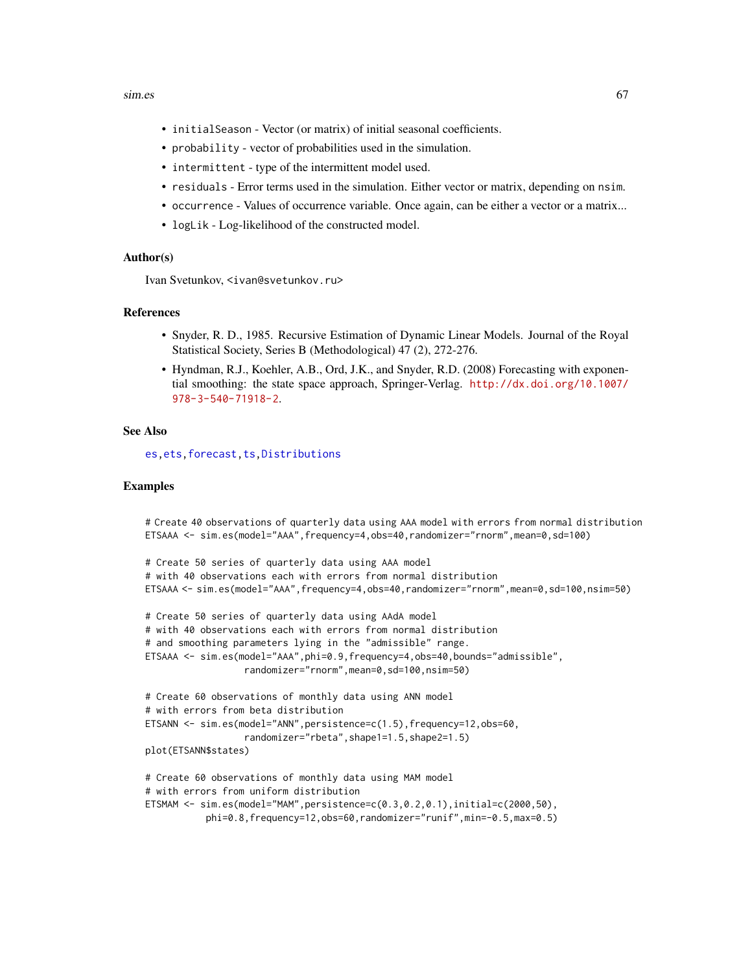#### $\sin$ es 67

- initialSeason Vector (or matrix) of initial seasonal coefficients.
- probability vector of probabilities used in the simulation.
- intermittent type of the intermittent model used.
- residuals Error terms used in the simulation. Either vector or matrix, depending on nsim.
- occurrence Values of occurrence variable. Once again, can be either a vector or a matrix...
- logLik Log-likelihood of the constructed model.

## Author(s)

Ivan Svetunkov, <ivan@svetunkov.ru>

## References

- Snyder, R. D., 1985. Recursive Estimation of Dynamic Linear Models. Journal of the Royal Statistical Society, Series B (Methodological) 47 (2), 272-276.
- Hyndman, R.J., Koehler, A.B., Ord, J.K., and Snyder, R.D. (2008) Forecasting with exponential smoothing: the state space approach, Springer-Verlag. [http://dx.doi.org/10.1007/](http://dx.doi.org/10.1007/978-3-540-71918-2) [978-3-540-71918-2](http://dx.doi.org/10.1007/978-3-540-71918-2).

#### See Also

[es](#page-24-0)[,ets](#page-0-0)[,forecast](#page-31-0)[,ts,Distributions](#page-0-0)

## Examples

```
# Create 40 observations of quarterly data using AAA model with errors from normal distribution
ETSAAA <- sim.es(model="AAA",frequency=4,obs=40,randomizer="rnorm",mean=0,sd=100)
# Create 50 series of quarterly data using AAA model
# with 40 observations each with errors from normal distribution
ETSAAA <- sim.es(model="AAA",frequency=4,obs=40,randomizer="rnorm",mean=0,sd=100,nsim=50)
# Create 50 series of quarterly data using AAdA model
# with 40 observations each with errors from normal distribution
# and smoothing parameters lying in the "admissible" range.
ETSAAA <- sim.es(model="AAA",phi=0.9,frequency=4,obs=40,bounds="admissible",
                  randomizer="rnorm",mean=0,sd=100,nsim=50)
# Create 60 observations of monthly data using ANN model
# with errors from beta distribution
ETSANN <- sim.es(model="ANN",persistence=c(1.5),frequency=12,obs=60,
                  randomizer="rbeta",shape1=1.5,shape2=1.5)
plot(ETSANN$states)
# Create 60 observations of monthly data using MAM model
# with errors from uniform distribution
ETSMAM <- sim.es(model="MAM",persistence=c(0.3,0.2,0.1),initial=c(2000,50),
           phi=0.8,frequency=12,obs=60,randomizer="runif",min=-0.5,max=0.5)
```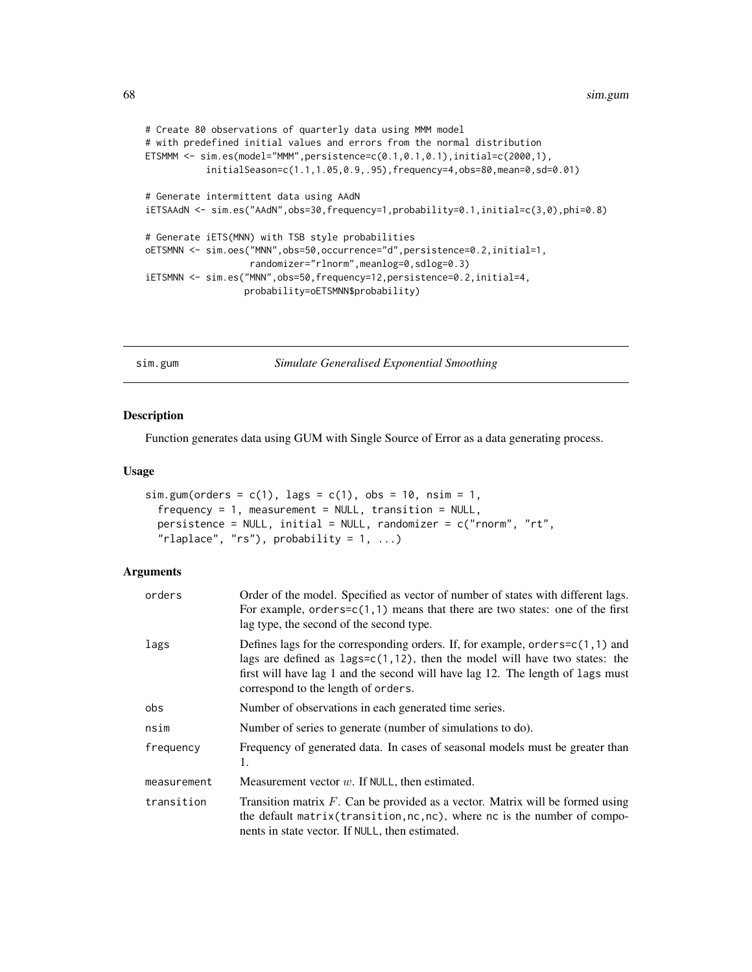```
# Create 80 observations of quarterly data using MMM model
# with predefined initial values and errors from the normal distribution
ETSMMM <- sim.es(model="MMM",persistence=c(0.1,0.1,0.1),initial=c(2000,1),
           initialSeason=c(1.1,1.05,0.9,.95),frequency=4,obs=80,mean=0,sd=0.01)
# Generate intermittent data using AAdN
iETSAAdN <- sim.es("AAdN",obs=30,frequency=1,probability=0.1,initial=c(3,0),phi=0.8)
# Generate iETS(MNN) with TSB style probabilities
oETSMNN <- sim.oes("MNN",obs=50,occurrence="d",persistence=0.2,initial=1,
                   randomizer="rlnorm",meanlog=0,sdlog=0.3)
iETSMNN <- sim.es("MNN",obs=50,frequency=12,persistence=0.2,initial=4,
                  probability=oETSMNN$probability)
```
<span id="page-67-0"></span>sim.gum *Simulate Generalised Exponential Smoothing*

#### Description

Function generates data using GUM with Single Source of Error as a data generating process.

## Usage

```
sim.gum(orders = c(1), lags = c(1), obs = 10, nsim = 1,frequency = 1, measurement = NULL, transition = NULL,
 persistence = NULL, initial = NULL, randomizer = c("rnorm", "rt",
  "rlaplace", "rs"), probability = 1, ...)
```

| orders      | Order of the model. Specified as vector of number of states with different lags.<br>For example, orders= $c(1,1)$ means that there are two states: one of the first<br>lag type, the second of the second type.                                                                               |
|-------------|-----------------------------------------------------------------------------------------------------------------------------------------------------------------------------------------------------------------------------------------------------------------------------------------------|
| lags        | Defines lags for the corresponding orders. If, for example, orders= $c(1,1)$ and<br>lags are defined as $lags = c(1, 12)$ , then the model will have two states: the<br>first will have lag 1 and the second will have lag 12. The length of lags must<br>correspond to the length of orders. |
| obs         | Number of observations in each generated time series.                                                                                                                                                                                                                                         |
| nsim        | Number of series to generate (number of simulations to do).                                                                                                                                                                                                                                   |
| frequency   | Frequency of generated data. In cases of seasonal models must be greater than<br>1.                                                                                                                                                                                                           |
| measurement | Measurement vector $w$ . If NULL, then estimated.                                                                                                                                                                                                                                             |
| transition  | Transition matrix $F$ . Can be provided as a vector. Matrix will be formed using<br>the default matrix (transition, $nc, nc$ ), where $nc$ is the number of compo-<br>nents in state vector. If NULL, then estimated.                                                                         |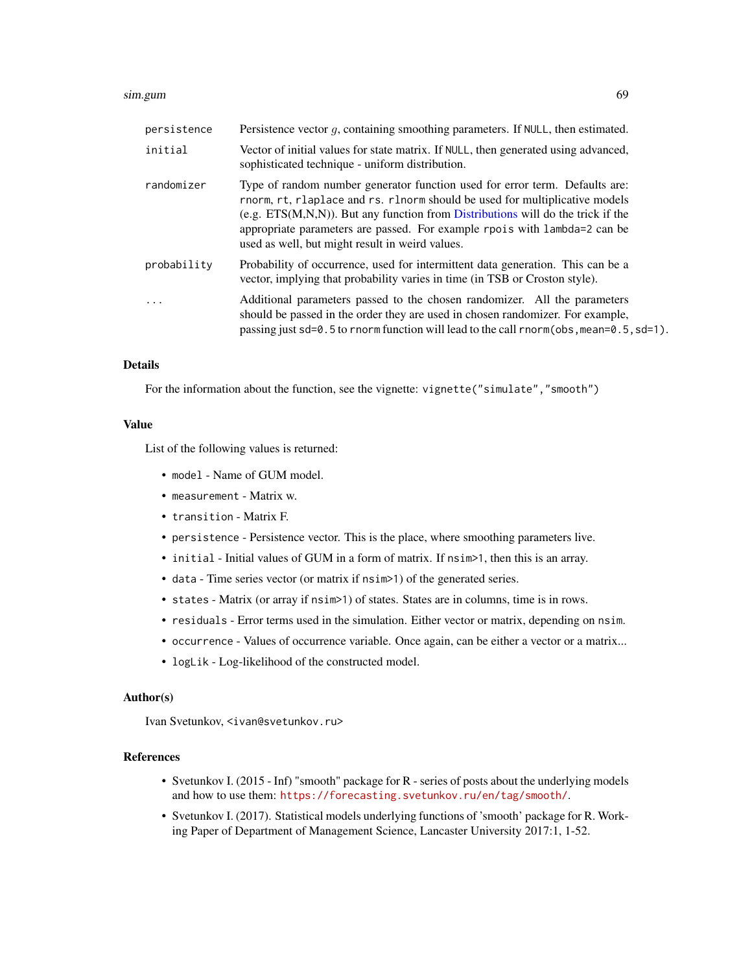#### sim.gum 69

| persistence | Persistence vector $q$ , containing smoothing parameters. If NULL, then estimated.                                                                                                                                                                                                                                                                                               |
|-------------|----------------------------------------------------------------------------------------------------------------------------------------------------------------------------------------------------------------------------------------------------------------------------------------------------------------------------------------------------------------------------------|
| initial     | Vector of initial values for state matrix. If NULL, then generated using advanced,<br>sophisticated technique - uniform distribution.                                                                                                                                                                                                                                            |
| randomizer  | Type of random number generator function used for error term. Defaults are:<br>rnorm, rt, rlaplace and rs. rlnorm should be used for multiplicative models<br>$(e.g. ETS(M,N,N))$ . But any function from Distributions will do the trick if the<br>appropriate parameters are passed. For example rpois with lambda=2 can be<br>used as well, but might result in weird values. |
| probability | Probability of occurrence, used for intermittent data generation. This can be a<br>vector, implying that probability varies in time (in TSB or Croston style).                                                                                                                                                                                                                   |
| .           | Additional parameters passed to the chosen randomizer. All the parameters<br>should be passed in the order they are used in chosen randomizer. For example,<br>passing just $sd=0.5$ to rnorm function will lead to the call rnorm(obs, mean=0.5, $sd=1$ ).                                                                                                                      |

## Details

For the information about the function, see the vignette: vignette("simulate", "smooth")

#### Value

List of the following values is returned:

- model Name of GUM model.
- measurement Matrix w.
- transition Matrix F.
- persistence Persistence vector. This is the place, where smoothing parameters live.
- initial Initial values of GUM in a form of matrix. If nsim>1, then this is an array.
- data Time series vector (or matrix if nsim>1) of the generated series.
- states Matrix (or array if nsim>1) of states. States are in columns, time is in rows.
- residuals Error terms used in the simulation. Either vector or matrix, depending on nsim.
- occurrence Values of occurrence variable. Once again, can be either a vector or a matrix...
- logLik Log-likelihood of the constructed model.

#### Author(s)

Ivan Svetunkov, <ivan@svetunkov.ru>

## References

- Svetunkov I. (2015 Inf) "smooth" package for R series of posts about the underlying models and how to use them: <https://forecasting.svetunkov.ru/en/tag/smooth/>.
- Svetunkov I. (2017). Statistical models underlying functions of 'smooth' package for R. Working Paper of Department of Management Science, Lancaster University 2017:1, 1-52.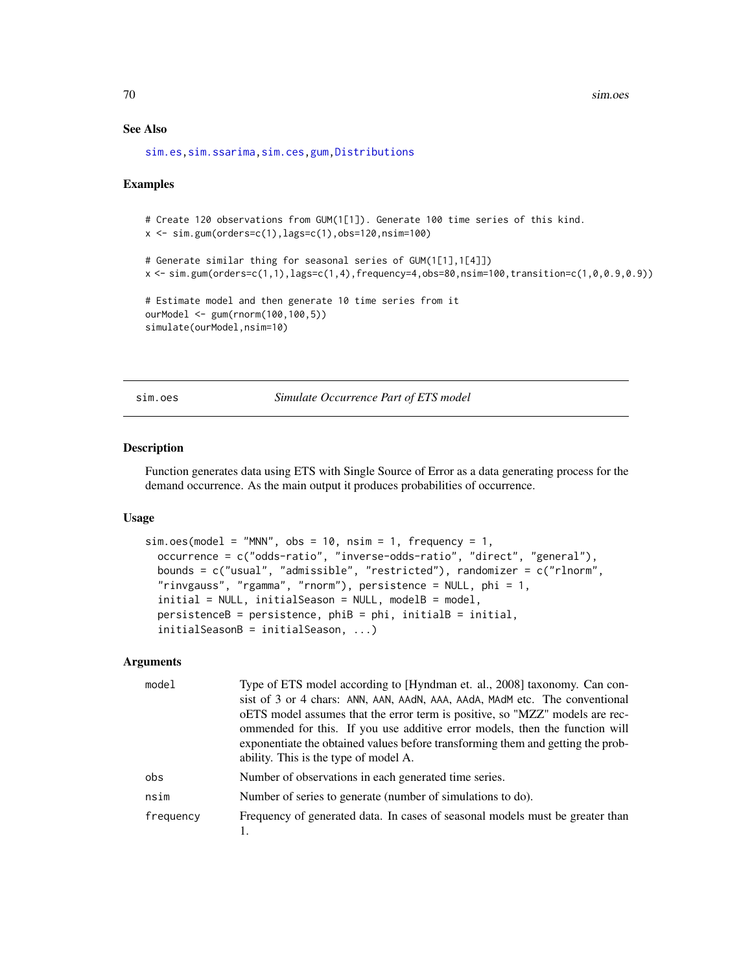## See Also

[sim.es](#page-64-0)[,sim.ssarima](#page-73-0)[,sim.ces,](#page-62-0)[gum,](#page-33-0)[Distributions](#page-0-0)

#### Examples

```
# Create 120 observations from GUM(1[1]). Generate 100 time series of this kind.
x \le -\sin \theta.gum(orders=c(1), lags=c(1), obs=120, nsim=100)
# Generate similar thing for seasonal series of GUM(1[1],1[4]])
x <- sim.gum(orders=c(1,1),lags=c(1,4),frequency=4,obs=80,nsim=100,transition=c(1,0,0.9,0.9))
# Estimate model and then generate 10 time series from it
ourModel <- gum(rnorm(100,100,5))
simulate(ourModel,nsim=10)
```
sim.oes *Simulate Occurrence Part of ETS model*

## Description

Function generates data using ETS with Single Source of Error as a data generating process for the demand occurrence. As the main output it produces probabilities of occurrence.

#### Usage

```
sim. oes(model = "MNN", obs = 10, nsim = 1, frequency = 1,occurrence = c("odds-ratio", "inverse-odds-ratio", "direct", "general"),
 bounds = c("usual", "admissible", "restricted"), randomizer = c("rlnorm",
  "rinvgauss", "rgamma", "rnorm"), persistence = NULL, phi = 1,
  initial = NULL, initialSearch = model,
 persistenceB = persistence, phi = phi, initialB = initial,initialSeasonB = initialSeason, ...)
```

| model     | Type of ETS model according to [Hyndman et. al., 2008] taxonomy. Can con-       |
|-----------|---------------------------------------------------------------------------------|
|           | sist of 3 or 4 chars: ANN, AAN, AAdN, AAA, AAdA, MAdM etc. The conventional     |
|           | oETS model assumes that the error term is positive, so "MZZ" models are rec-    |
|           | ommended for this. If you use additive error models, then the function will     |
|           | exponentiate the obtained values before transforming them and getting the prob- |
|           | ability. This is the type of model A.                                           |
| obs       | Number of observations in each generated time series.                           |
| nsim      | Number of series to generate (number of simulations to do).                     |
| frequency | Frequency of generated data. In cases of seasonal models must be greater than   |
|           |                                                                                 |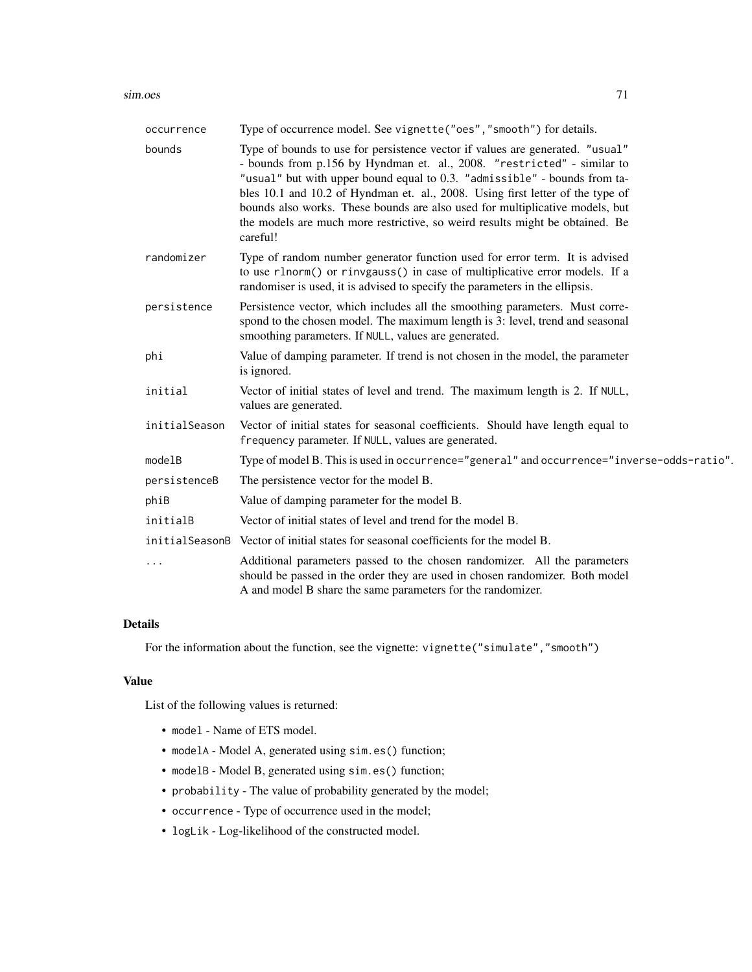#### sim.oes 71

| occurrence    | Type of occurrence model. See vignette ("oes", "smooth") for details.                                                                                                                                                                                                                                                                                                                                                                                                                               |
|---------------|-----------------------------------------------------------------------------------------------------------------------------------------------------------------------------------------------------------------------------------------------------------------------------------------------------------------------------------------------------------------------------------------------------------------------------------------------------------------------------------------------------|
| bounds        | Type of bounds to use for persistence vector if values are generated. "usual"<br>- bounds from p.156 by Hyndman et. al., 2008. "restricted" - similar to<br>"usual" but with upper bound equal to 0.3. "admissible" - bounds from ta-<br>bles 10.1 and 10.2 of Hyndman et. al., 2008. Using first letter of the type of<br>bounds also works. These bounds are also used for multiplicative models, but<br>the models are much more restrictive, so weird results might be obtained. Be<br>careful! |
| randomizer    | Type of random number generator function used for error term. It is advised<br>to use rlnorm() or rinvgauss() in case of multiplicative error models. If a<br>randomiser is used, it is advised to specify the parameters in the ellipsis.                                                                                                                                                                                                                                                          |
| persistence   | Persistence vector, which includes all the smoothing parameters. Must corre-<br>spond to the chosen model. The maximum length is 3: level, trend and seasonal<br>smoothing parameters. If NULL, values are generated.                                                                                                                                                                                                                                                                               |
| phi           | Value of damping parameter. If trend is not chosen in the model, the parameter<br>is ignored.                                                                                                                                                                                                                                                                                                                                                                                                       |
| initial       | Vector of initial states of level and trend. The maximum length is 2. If NULL,<br>values are generated.                                                                                                                                                                                                                                                                                                                                                                                             |
| initialSeason | Vector of initial states for seasonal coefficients. Should have length equal to<br>frequency parameter. If NULL, values are generated.                                                                                                                                                                                                                                                                                                                                                              |
| modelB        | Type of model B. This is used in occurrence="general" and occurrence="inverse-odds-ratio".                                                                                                                                                                                                                                                                                                                                                                                                          |
| persistenceB  | The persistence vector for the model B.                                                                                                                                                                                                                                                                                                                                                                                                                                                             |
| phiB          | Value of damping parameter for the model B.                                                                                                                                                                                                                                                                                                                                                                                                                                                         |
| initialB      | Vector of initial states of level and trend for the model B.                                                                                                                                                                                                                                                                                                                                                                                                                                        |
|               | initial Season B Vector of initial states for seasonal coefficients for the model B.                                                                                                                                                                                                                                                                                                                                                                                                                |
| $\cdots$      | Additional parameters passed to the chosen randomizer. All the parameters<br>should be passed in the order they are used in chosen randomizer. Both model<br>A and model B share the same parameters for the randomizer.                                                                                                                                                                                                                                                                            |
|               |                                                                                                                                                                                                                                                                                                                                                                                                                                                                                                     |

## Details

For the information about the function, see the vignette: vignette("simulate","smooth")

## Value

List of the following values is returned:

- model Name of ETS model.
- modelA Model A, generated using sim.es() function;
- modelB Model B, generated using sim.es() function;
- probability The value of probability generated by the model;
- occurrence Type of occurrence used in the model;
- logLik Log-likelihood of the constructed model.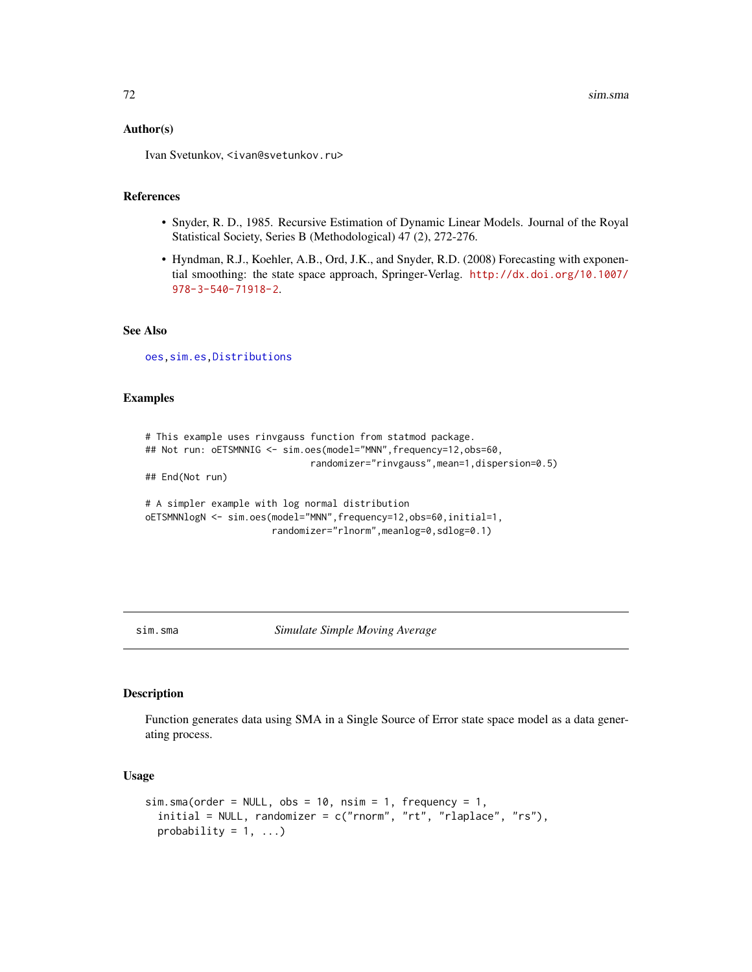#### Author(s)

Ivan Svetunkov, <ivan@svetunkov.ru>

#### References

- Snyder, R. D., 1985. Recursive Estimation of Dynamic Linear Models. Journal of the Royal Statistical Society, Series B (Methodological) 47 (2), 272-276.
- Hyndman, R.J., Koehler, A.B., Ord, J.K., and Snyder, R.D. (2008) Forecasting with exponential smoothing: the state space approach, Springer-Verlag. [http://dx.doi.org/10.1007/](http://dx.doi.org/10.1007/978-3-540-71918-2) [978-3-540-71918-2](http://dx.doi.org/10.1007/978-3-540-71918-2).

## See Also

[oes](#page-50-0)[,sim.es](#page-64-0)[,Distributions](#page-0-0)

## Examples

```
# This example uses rinvgauss function from statmod package.
## Not run: oETSMNNIG <- sim.oes(model="MNN", frequency=12, obs=60,
                              randomizer="rinvgauss",mean=1,dispersion=0.5)
## End(Not run)
# A simpler example with log normal distribution
oETSMNNlogN <- sim.oes(model="MNN",frequency=12,obs=60,initial=1,
                       randomizer="rlnorm",meanlog=0,sdlog=0.1)
```
<span id="page-71-0"></span>sim.sma *Simulate Simple Moving Average*

#### Description

Function generates data using SMA in a Single Source of Error state space model as a data generating process.

### Usage

```
sim.sma(order = NULL, obs = 10, nsim = 1, frequency = 1,initial = NULL, randomizer = c("rnorm", "rt", "rlaplace", "rs"),
 probability = 1, ...)
```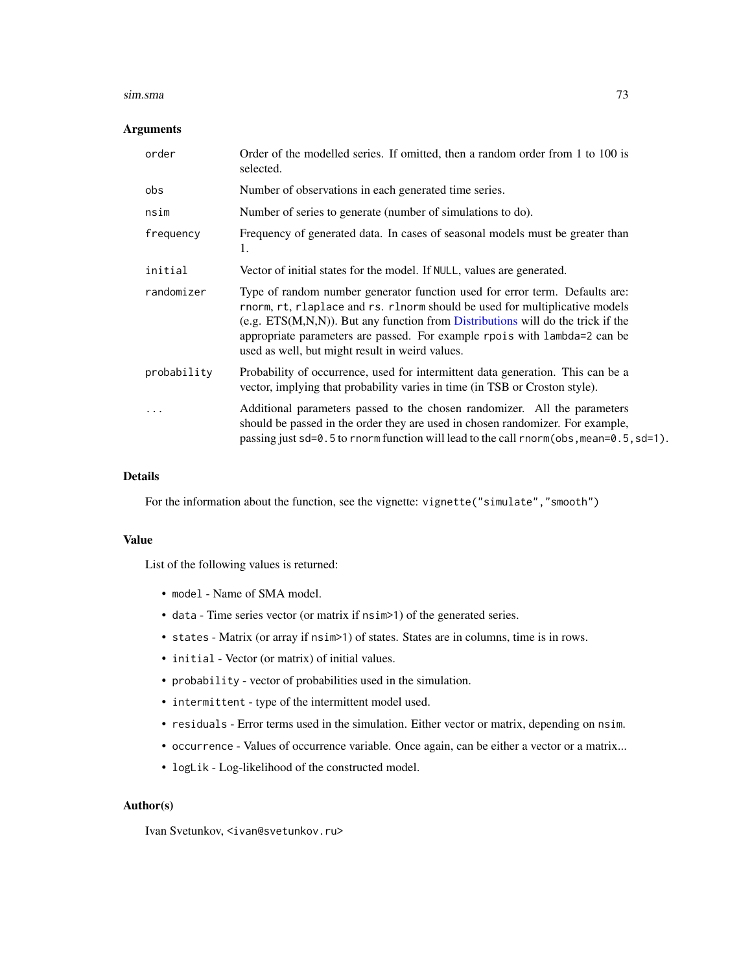#### sim.sma 73

## Arguments

| order       | Order of the modelled series. If omitted, then a random order from 1 to 100 is<br>selected.                                                                                                                                                                                                                                                                                      |
|-------------|----------------------------------------------------------------------------------------------------------------------------------------------------------------------------------------------------------------------------------------------------------------------------------------------------------------------------------------------------------------------------------|
| obs         | Number of observations in each generated time series.                                                                                                                                                                                                                                                                                                                            |
| nsim        | Number of series to generate (number of simulations to do).                                                                                                                                                                                                                                                                                                                      |
| frequency   | Frequency of generated data. In cases of seasonal models must be greater than<br>1.                                                                                                                                                                                                                                                                                              |
| initial     | Vector of initial states for the model. If NULL, values are generated.                                                                                                                                                                                                                                                                                                           |
| randomizer  | Type of random number generator function used for error term. Defaults are:<br>rnorm, rt, rlaplace and rs. rlnorm should be used for multiplicative models<br>$(e.g. ETS(M,N,N))$ . But any function from Distributions will do the trick if the<br>appropriate parameters are passed. For example rpois with lambda=2 can be<br>used as well, but might result in weird values. |
| probability | Probability of occurrence, used for intermittent data generation. This can be a<br>vector, implying that probability varies in time (in TSB or Croston style).                                                                                                                                                                                                                   |
|             | Additional parameters passed to the chosen randomizer. All the parameters<br>should be passed in the order they are used in chosen randomizer. For example,<br>passing just sd=0.5 to rnorm function will lead to the call rnorm(obs, mean=0.5, sd=1).                                                                                                                           |

## Details

For the information about the function, see the vignette: vignette("simulate", "smooth")

#### Value

List of the following values is returned:

- model Name of SMA model.
- data Time series vector (or matrix if nsim>1) of the generated series.
- states Matrix (or array if nsim>1) of states. States are in columns, time is in rows.
- initial Vector (or matrix) of initial values.
- probability vector of probabilities used in the simulation.
- intermittent type of the intermittent model used.
- residuals Error terms used in the simulation. Either vector or matrix, depending on nsim.
- occurrence Values of occurrence variable. Once again, can be either a vector or a matrix...
- logLik Log-likelihood of the constructed model.

#### Author(s)

Ivan Svetunkov, <ivan@svetunkov.ru>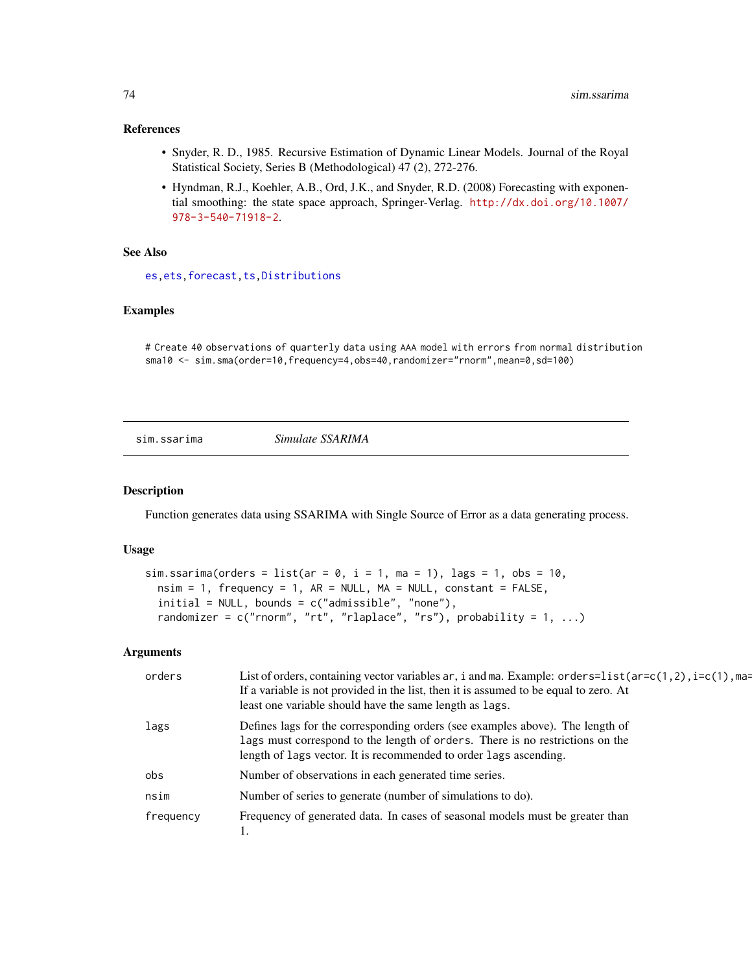## <span id="page-73-1"></span>References

- Snyder, R. D., 1985. Recursive Estimation of Dynamic Linear Models. Journal of the Royal Statistical Society, Series B (Methodological) 47 (2), 272-276.
- Hyndman, R.J., Koehler, A.B., Ord, J.K., and Snyder, R.D. (2008) Forecasting with exponential smoothing: the state space approach, Springer-Verlag. [http://dx.doi.org/10.1007/](http://dx.doi.org/10.1007/978-3-540-71918-2) [978-3-540-71918-2](http://dx.doi.org/10.1007/978-3-540-71918-2).

## See Also

[es](#page-24-0)[,ets](#page-0-0)[,forecast](#page-31-0)[,ts,Distributions](#page-0-0)

## Examples

# Create 40 observations of quarterly data using AAA model with errors from normal distribution sma10 <- sim.sma(order=10,frequency=4,obs=40,randomizer="rnorm",mean=0,sd=100)

#### <span id="page-73-0"></span>sim.ssarima *Simulate SSARIMA*

#### Description

Function generates data using SSARIMA with Single Source of Error as a data generating process.

# Usage

```
sim.ssarima(orders = list(ar = 0, i = 1, ma = 1), lags = 1, obs = 10,
 nsim = 1, frequency = 1, AR = NULL, MA = NULL, constant = FALSE,
  initial = NULL, bounds = c("admissible", "none"),randomizer = c("rnorm", "rt", "rlaplace", "rs"), probability = 1, ...)
```
#### Arguments

| orders    | List of orders, containing vector variables ar, i and ma. Example: orders=list(ar=c(1,2), i=c(1), ma=<br>If a variable is not provided in the list, then it is assumed to be equal to zero. At<br>least one variable should have the same length as lags. |
|-----------|-----------------------------------------------------------------------------------------------------------------------------------------------------------------------------------------------------------------------------------------------------------|
| lags      | Defines lags for the corresponding orders (see examples above). The length of<br>lags must correspond to the length of orders. There is no restrictions on the<br>length of lags vector. It is recommended to order lags ascending.                       |
| obs       | Number of observations in each generated time series.                                                                                                                                                                                                     |
| nsim      | Number of series to generate (number of simulations to do).                                                                                                                                                                                               |
| frequency | Frequency of generated data. In cases of seasonal models must be greater than                                                                                                                                                                             |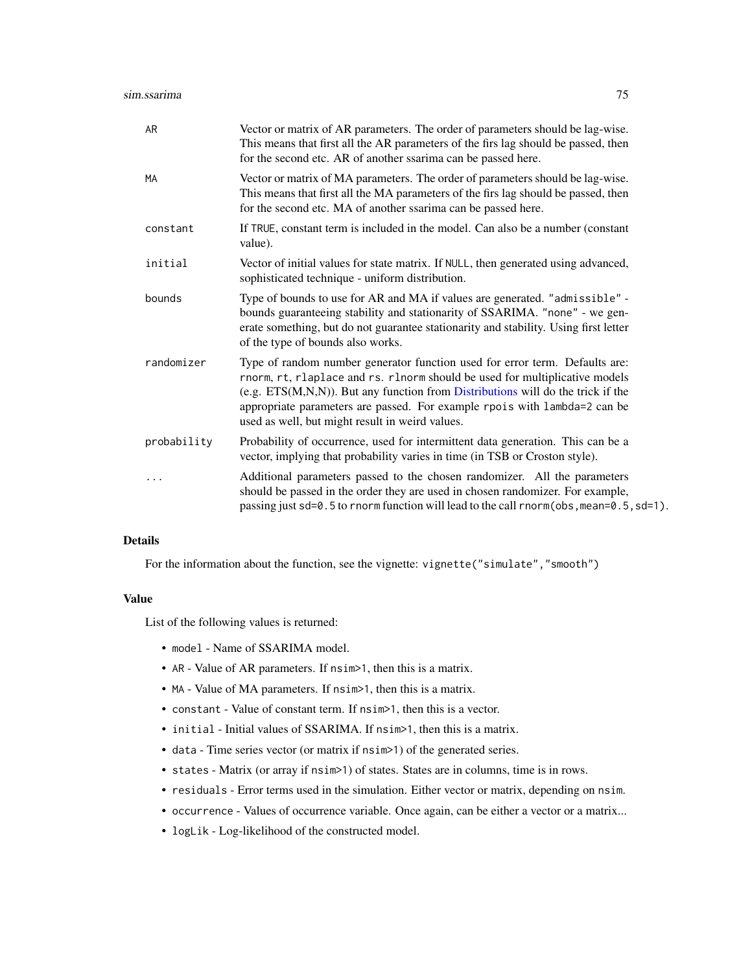| AR          | Vector or matrix of AR parameters. The order of parameters should be lag-wise.<br>This means that first all the AR parameters of the firs lag should be passed, then<br>for the second etc. AR of another ssarima can be passed here.                                                                                                                                            |
|-------------|----------------------------------------------------------------------------------------------------------------------------------------------------------------------------------------------------------------------------------------------------------------------------------------------------------------------------------------------------------------------------------|
| MA          | Vector or matrix of MA parameters. The order of parameters should be lag-wise.<br>This means that first all the MA parameters of the firs lag should be passed, then<br>for the second etc. MA of another ssarima can be passed here.                                                                                                                                            |
| constant    | If TRUE, constant term is included in the model. Can also be a number (constant<br>value).                                                                                                                                                                                                                                                                                       |
| initial     | Vector of initial values for state matrix. If NULL, then generated using advanced,<br>sophisticated technique - uniform distribution.                                                                                                                                                                                                                                            |
| bounds      | Type of bounds to use for AR and MA if values are generated. "admissible" -<br>bounds guaranteeing stability and stationarity of SSARIMA. "none" - we gen-<br>erate something, but do not guarantee stationarity and stability. Using first letter<br>of the type of bounds also works.                                                                                          |
| randomizer  | Type of random number generator function used for error term. Defaults are:<br>rnorm, rt, rlaplace and rs. rlnorm should be used for multiplicative models<br>(e.g. $ETS(M,N,N)$ ). But any function from Distributions will do the trick if the<br>appropriate parameters are passed. For example rpois with lambda=2 can be<br>used as well, but might result in weird values. |
| probability | Probability of occurrence, used for intermittent data generation. This can be a<br>vector, implying that probability varies in time (in TSB or Croston style).                                                                                                                                                                                                                   |
|             | Additional parameters passed to the chosen randomizer. All the parameters<br>should be passed in the order they are used in chosen randomizer. For example,<br>passing just sd=0.5 to rnorm function will lead to the call rnorm(obs, mean=0.5, sd=1).                                                                                                                           |

## Details

For the information about the function, see the vignette: vignette("simulate", "smooth")

#### Value

List of the following values is returned:

- model Name of SSARIMA model.
- AR Value of AR parameters. If nsim>1, then this is a matrix.
- MA Value of MA parameters. If nsim>1, then this is a matrix.
- constant Value of constant term. If nsim>1, then this is a vector.
- initial Initial values of SSARIMA. If nsim>1, then this is a matrix.
- data Time series vector (or matrix if nsim>1) of the generated series.
- states Matrix (or array if nsim>1) of states. States are in columns, time is in rows.
- residuals Error terms used in the simulation. Either vector or matrix, depending on nsim.
- occurrence Values of occurrence variable. Once again, can be either a vector or a matrix...
- logLik Log-likelihood of the constructed model.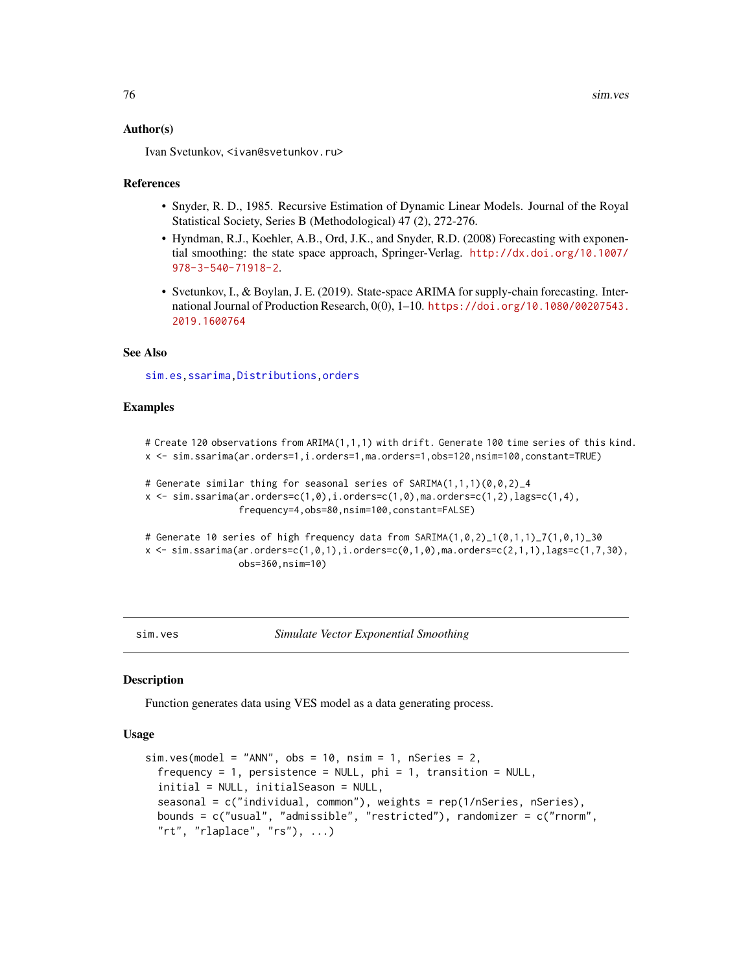#### <span id="page-75-0"></span>Author(s)

Ivan Svetunkov, <ivan@svetunkov.ru>

#### References

- Snyder, R. D., 1985. Recursive Estimation of Dynamic Linear Models. Journal of the Royal Statistical Society, Series B (Methodological) 47 (2), 272-276.
- Hyndman, R.J., Koehler, A.B., Ord, J.K., and Snyder, R.D. (2008) Forecasting with exponential smoothing: the state space approach, Springer-Verlag. [http://dx.doi.org/10.1007/](http://dx.doi.org/10.1007/978-3-540-71918-2) [978-3-540-71918-2](http://dx.doi.org/10.1007/978-3-540-71918-2).
- Svetunkov, I., & Boylan, J. E. (2019). State-space ARIMA for supply-chain forecasting. International Journal of Production Research, 0(0), 1–10. [https://doi.org/10.1080/00207543.](https://doi.org/10.1080/00207543.2019.1600764) [2019.1600764](https://doi.org/10.1080/00207543.2019.1600764)

## See Also

[sim.es](#page-64-0)[,ssarima](#page-89-0)[,Distributions,](#page-0-0)[orders](#page-57-0)

#### Examples

```
# Create 120 observations from ARIMA(1,1,1) with drift. Generate 100 time series of this kind.
x <- sim.ssarima(ar.orders=1,i.orders=1,ma.orders=1,obs=120,nsim=100,constant=TRUE)
# Generate similar thing for seasonal series of SARIMA(1,1,1)(0,0,2)_4
x \leftarrow \text{sim}.\text{ssarima}(\text{ar}.\text{orders}=\text{c}(1, \emptyset), \text{i}.\text{orders}=\text{c}(1, \emptyset), \text{ma}.\text{orders}=\text{c}(1, 2), \text{lags}=\text{c}(1, 4),frequency=4,obs=80,nsim=100,constant=FALSE)
# Generate 10 series of high frequency data from SARIMA(1,0,2)_1(0,1,1)_7(1,0,1)_30
x \leq -\sin \arcsin \arctan (\ar.orders=c(1,0,1), i.orders=c(0,1,0), ma.orders=c(2,1,1), lags=c(1,7,30),obs=360,nsim=10)
```
sim.ves *Simulate Vector Exponential Smoothing*

#### **Description**

Function generates data using VES model as a data generating process.

## Usage

```
sim.ves(mod = "ANN", obs = 10, ns = 1, ns = 2,frequency = 1, persistence = NULL, phi = 1, transition = NULL,
 initial = NULL, initialSeason = NULL,
 seasonal = c("individual, common"), weights = rep(1/nSeries, nSeries),
 bounds = c("usual", "admissible", "restricted"), randomizer = c("rnorm",
 "rt", "rlaplace", "rs"), \ldots)
```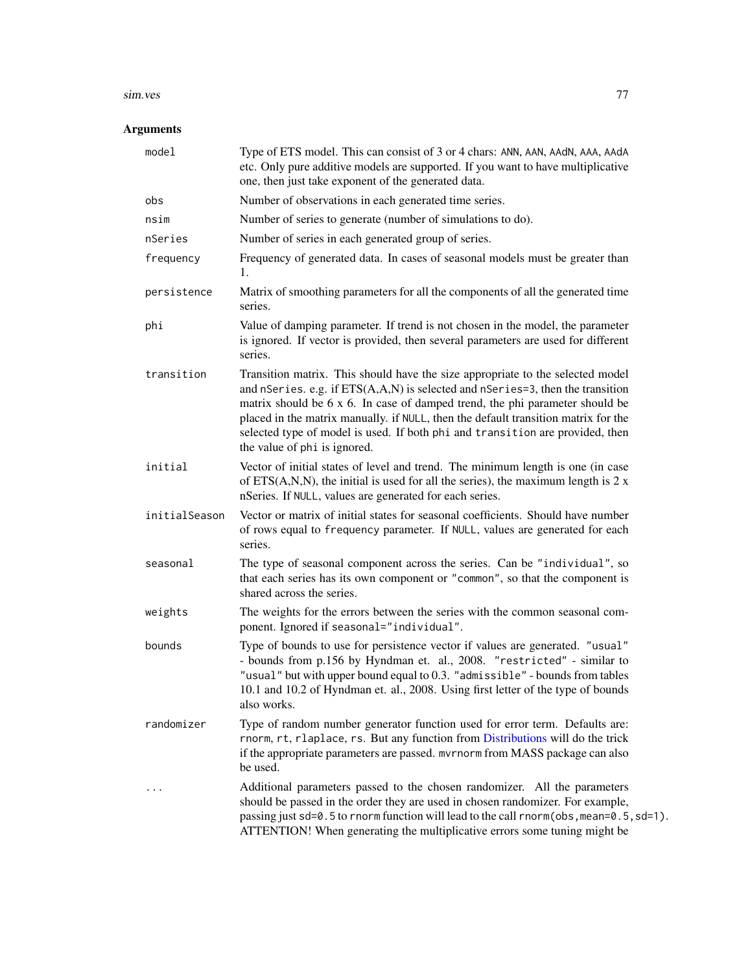#### sim.ves 77

# Arguments

| model         | Type of ETS model. This can consist of 3 or 4 chars: ANN, AAN, AAdN, AAA, AAdA<br>etc. Only pure additive models are supported. If you want to have multiplicative<br>one, then just take exponent of the generated data.                                                                                                                                                                                                                               |
|---------------|---------------------------------------------------------------------------------------------------------------------------------------------------------------------------------------------------------------------------------------------------------------------------------------------------------------------------------------------------------------------------------------------------------------------------------------------------------|
| obs           | Number of observations in each generated time series.                                                                                                                                                                                                                                                                                                                                                                                                   |
| nsim          | Number of series to generate (number of simulations to do).                                                                                                                                                                                                                                                                                                                                                                                             |
| nSeries       | Number of series in each generated group of series.                                                                                                                                                                                                                                                                                                                                                                                                     |
| frequency     | Frequency of generated data. In cases of seasonal models must be greater than<br>1.                                                                                                                                                                                                                                                                                                                                                                     |
| persistence   | Matrix of smoothing parameters for all the components of all the generated time<br>series.                                                                                                                                                                                                                                                                                                                                                              |
| phi           | Value of damping parameter. If trend is not chosen in the model, the parameter<br>is ignored. If vector is provided, then several parameters are used for different<br>series.                                                                                                                                                                                                                                                                          |
| transition    | Transition matrix. This should have the size appropriate to the selected model<br>and nSeries. e.g. if ETS(A,A,N) is selected and nSeries=3, then the transition<br>matrix should be 6 x 6. In case of damped trend, the phi parameter should be<br>placed in the matrix manually. if NULL, then the default transition matrix for the<br>selected type of model is used. If both phi and transition are provided, then<br>the value of phi is ignored. |
| initial       | Vector of initial states of level and trend. The minimum length is one (in case<br>of $ETS(A,N,N)$ , the initial is used for all the series), the maximum length is 2 x<br>nSeries. If NULL, values are generated for each series.                                                                                                                                                                                                                      |
| initialSeason | Vector or matrix of initial states for seasonal coefficients. Should have number<br>of rows equal to frequency parameter. If NULL, values are generated for each<br>series.                                                                                                                                                                                                                                                                             |
| seasonal      | The type of seasonal component across the series. Can be "individual", so<br>that each series has its own component or "common", so that the component is<br>shared across the series.                                                                                                                                                                                                                                                                  |
| weights       | The weights for the errors between the series with the common seasonal com-<br>ponent. Ignored if seasonal="individual".                                                                                                                                                                                                                                                                                                                                |
| bounds        | Type of bounds to use for persistence vector if values are generated. "usual"<br>- bounds from p.156 by Hyndman et. al., 2008. "restricted" - similar to<br>"usual" but with upper bound equal to 0.3. "admissible" - bounds from tables<br>10.1 and 10.2 of Hyndman et. al., 2008. Using first letter of the type of bounds<br>also works.                                                                                                             |
| randomizer    | Type of random number generator function used for error term. Defaults are:<br>rnorm, rt, rlaplace, rs. But any function from Distributions will do the trick<br>if the appropriate parameters are passed. mvrnorm from MASS package can also<br>be used.                                                                                                                                                                                               |
|               | Additional parameters passed to the chosen randomizer. All the parameters<br>should be passed in the order they are used in chosen randomizer. For example,<br>passing just sd=0.5 to rnorm function will lead to the call rnorm(obs, mean=0.5, sd=1).<br>ATTENTION! When generating the multiplicative errors some tuning might be                                                                                                                     |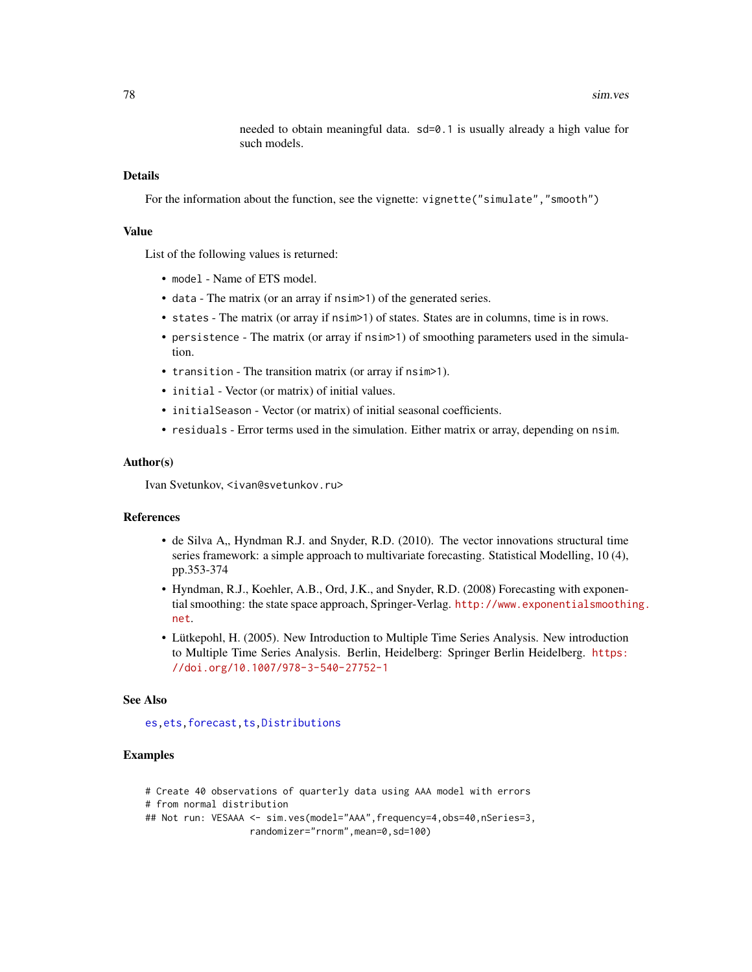needed to obtain meaningful data. sd=0.1 is usually already a high value for such models.

## <span id="page-77-0"></span>Details

For the information about the function, see the vignette: vignette("simulate", "smooth")

#### Value

List of the following values is returned:

- model Name of ETS model.
- data The matrix (or an array if nsim>1) of the generated series.
- states The matrix (or array if nsim>1) of states. States are in columns, time is in rows.
- persistence The matrix (or array if nsim>1) of smoothing parameters used in the simulation.
- transition The transition matrix (or array if nsim>1).
- initial Vector (or matrix) of initial values.
- initialSeason Vector (or matrix) of initial seasonal coefficients.
- residuals Error terms used in the simulation. Either matrix or array, depending on nsim.

#### Author(s)

Ivan Svetunkov, <ivan@svetunkov.ru>

#### References

- de Silva A,, Hyndman R.J. and Snyder, R.D. (2010). The vector innovations structural time series framework: a simple approach to multivariate forecasting. Statistical Modelling, 10 (4), pp.353-374
- Hyndman, R.J., Koehler, A.B., Ord, J.K., and Snyder, R.D. (2008) Forecasting with exponential smoothing: the state space approach, Springer-Verlag. [http://www.exponentialsmoothi](http://www.exponentialsmoothing.net)ng. [net](http://www.exponentialsmoothing.net).
- Lütkepohl, H. (2005). New Introduction to Multiple Time Series Analysis. New introduction to Multiple Time Series Analysis. Berlin, Heidelberg: Springer Berlin Heidelberg. [https:](https://doi.org/10.1007/978-3-540-27752-1) [//doi.org/10.1007/978-3-540-27752-1](https://doi.org/10.1007/978-3-540-27752-1)

#### See Also

[es](#page-24-0)[,ets](#page-0-0)[,forecast](#page-31-0)[,ts,Distributions](#page-0-0)

## Examples

- # Create 40 observations of quarterly data using AAA model with errors
- # from normal distribution

```
## Not run: VESAAA <- sim.ves(model="AAA", frequency=4, obs=40, nSeries=3,
                   randomizer="rnorm",mean=0,sd=100)
```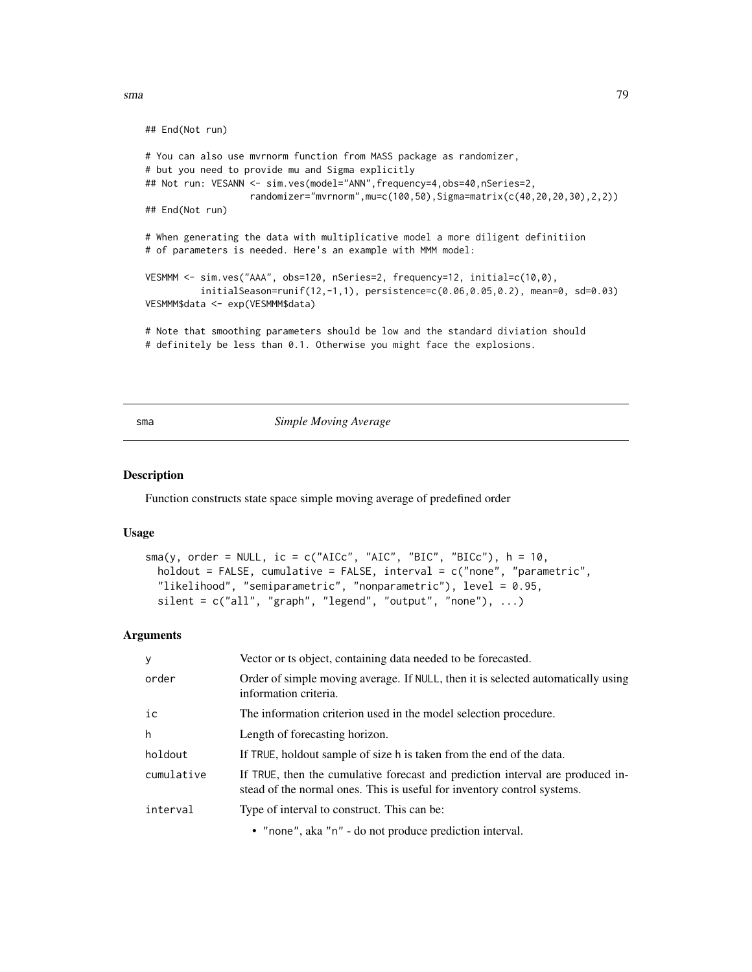<span id="page-78-1"></span>sma and the contract of the contract of the contract of the contract of the contract of the contract of the contract of the contract of the contract of the contract of the contract of the contract of the contract of the co

```
## End(Not run)
# You can also use mvrnorm function from MASS package as randomizer,
# but you need to provide mu and Sigma explicitly
## Not run: VESANN <- sim.ves(model="ANN", frequency=4, obs=40, nSeries=2,
                  randomizer="mvrnorm",mu=c(100,50),Sigma=matrix(c(40,20,20,30),2,2))
## End(Not run)
# When generating the data with multiplicative model a more diligent definitiion
# of parameters is needed. Here's an example with MMM model:
VESMMM <- sim.ves("AAA", obs=120, nSeries=2, frequency=12, initial=c(10,0),
          initialSeason=runif(12,-1,1), persistence=c(0.06,0.05,0.2), mean=0, sd=0.03)
VESMMM$data <- exp(VESMMM$data)
# Note that smoothing parameters should be low and the standard diviation should
# definitely be less than 0.1. Otherwise you might face the explosions.
```
<span id="page-78-0"></span>

sma *Simple Moving Average*

#### Description

Function constructs state space simple moving average of predefined order

#### Usage

```
sma(y, order = NULL, ic = c("AICc", "AIC", "BIC", "BICc"), h = 10,holdout = FALSE, cumulative = FALSE, interval = c("none", "parametric",
  "likelihood", "semiparametric", "nonparametric"), level = 0.95,
  silent = c("all", "graph", "legend", "output", "none"), ...)
```
#### Arguments

| У          | Vector or ts object, containing data needed to be forecasted.                                                                                             |
|------------|-----------------------------------------------------------------------------------------------------------------------------------------------------------|
| order      | Order of simple moving average. If NULL, then it is selected automatically using<br>information criteria.                                                 |
| ic         | The information criterion used in the model selection procedure.                                                                                          |
| h          | Length of forecasting horizon.                                                                                                                            |
| holdout    | If TRUE, holdout sample of size h is taken from the end of the data.                                                                                      |
| cumulative | If TRUE, then the cumulative forecast and prediction interval are produced in-<br>stead of the normal ones. This is useful for inventory control systems. |
| interval   | Type of interval to construct. This can be:                                                                                                               |
|            | • "none", aka "n" - do not produce prediction interval.                                                                                                   |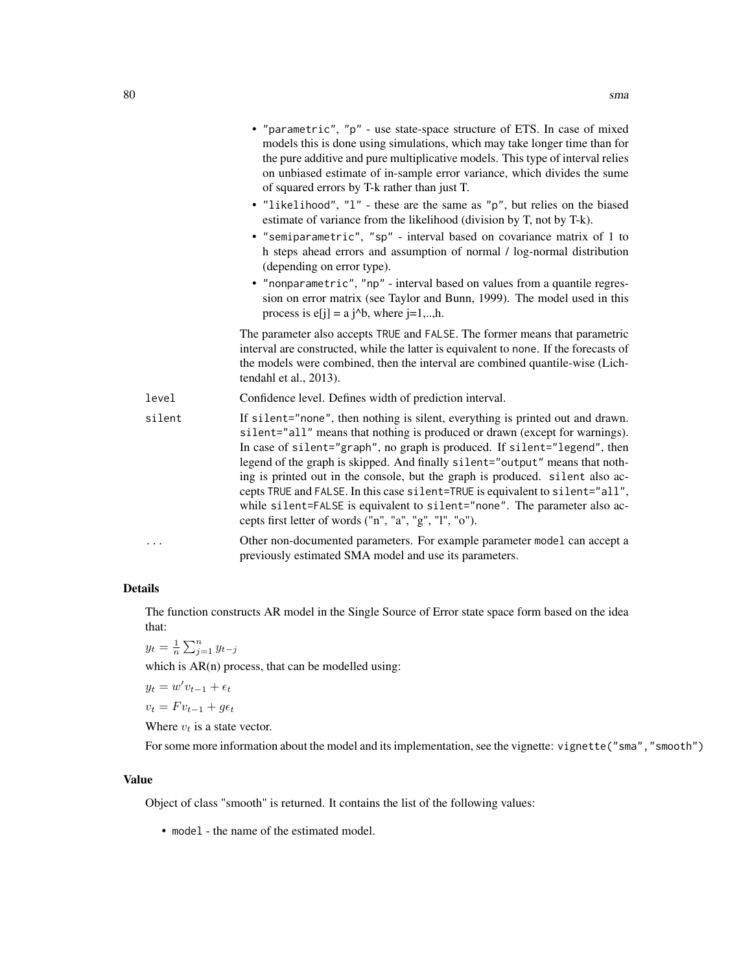|          | • "parametric", "p" - use state-space structure of ETS. In case of mixed<br>models this is done using simulations, which may take longer time than for<br>the pure additive and pure multiplicative models. This type of interval relies<br>on unbiased estimate of in-sample error variance, which divides the sume<br>of squared errors by T-k rather than just T.                                                                                                                                                                                                                                                                |
|----------|-------------------------------------------------------------------------------------------------------------------------------------------------------------------------------------------------------------------------------------------------------------------------------------------------------------------------------------------------------------------------------------------------------------------------------------------------------------------------------------------------------------------------------------------------------------------------------------------------------------------------------------|
|          | • "likelihood", "l" - these are the same as "p", but relies on the biased<br>estimate of variance from the likelihood (division by T, not by T-k).                                                                                                                                                                                                                                                                                                                                                                                                                                                                                  |
|          | • "semiparametric", "sp" - interval based on covariance matrix of 1 to<br>h steps ahead errors and assumption of normal / log-normal distribution<br>(depending on error type).                                                                                                                                                                                                                                                                                                                                                                                                                                                     |
|          | • "nonparametric", "np" - interval based on values from a quantile regres-<br>sion on error matrix (see Taylor and Bunn, 1999). The model used in this<br>process is $e[i] = a i^b$ , where $i=1,,h$ .                                                                                                                                                                                                                                                                                                                                                                                                                              |
|          | The parameter also accepts TRUE and FALSE. The former means that parametric<br>interval are constructed, while the latter is equivalent to none. If the forecasts of<br>the models were combined, then the interval are combined quantile-wise (Lich-<br>tendahl et al., 2013).                                                                                                                                                                                                                                                                                                                                                     |
| level    | Confidence level. Defines width of prediction interval.                                                                                                                                                                                                                                                                                                                                                                                                                                                                                                                                                                             |
| silent   | If silent="none", then nothing is silent, everything is printed out and drawn.<br>silent="all" means that nothing is produced or drawn (except for warnings).<br>In case of silent="graph", no graph is produced. If silent="legend", then<br>legend of the graph is skipped. And finally silent="output" means that noth-<br>ing is printed out in the console, but the graph is produced. silent also ac-<br>cepts TRUE and FALSE. In this case silent=TRUE is equivalent to silent="all",<br>while silent=FALSE is equivalent to silent="none". The parameter also ac-<br>cepts first letter of words ("n", "a", "g", "l", "o"). |
| $\cdots$ | Other non-documented parameters. For example parameter model can accept a<br>previously estimated SMA model and use its parameters.                                                                                                                                                                                                                                                                                                                                                                                                                                                                                                 |

## Details

The function constructs AR model in the Single Source of Error state space form based on the idea that:

$$
y_t = \frac{1}{n} \sum_{j=1}^n y_{t-j}
$$

which is  $AR(n)$  process, that can be modelled using:

$$
y_t = w'v_{t-1} + \epsilon_t
$$

 $v_t = F v_{t-1} + g \epsilon_t$ 

Where  $v_t$  is a state vector.

For some more information about the model and its implementation, see the vignette: vignette("sma", "smooth")

## Value

Object of class "smooth" is returned. It contains the list of the following values:

• model - the name of the estimated model.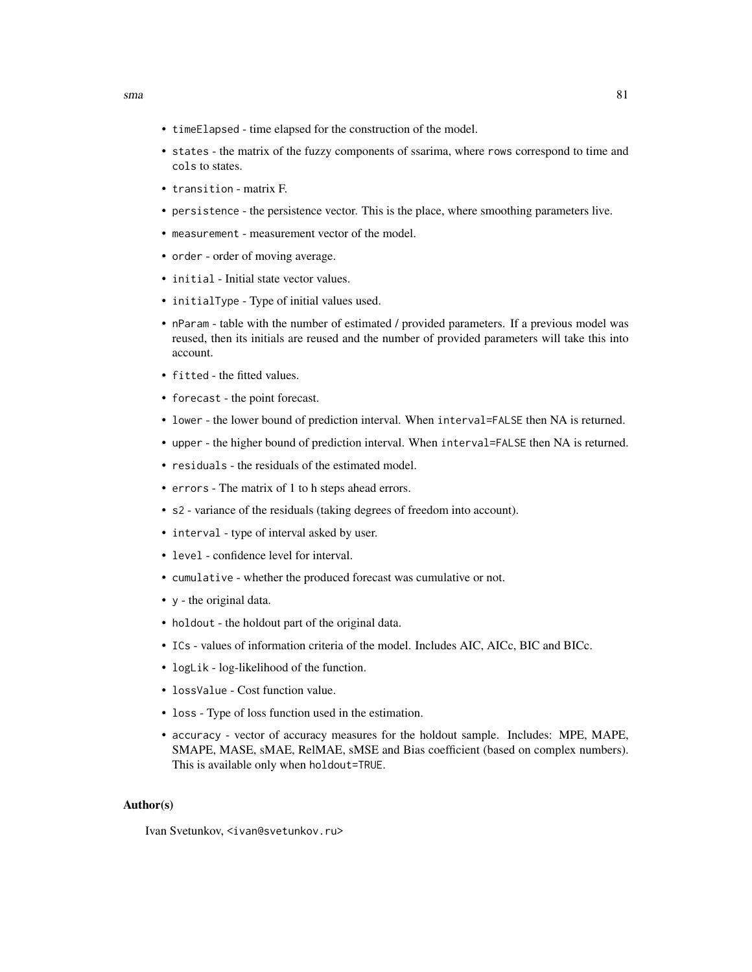- timeElapsed time elapsed for the construction of the model.
- states the matrix of the fuzzy components of ssarima, where rows correspond to time and cols to states.
- transition matrix F.
- persistence the persistence vector. This is the place, where smoothing parameters live.
- measurement measurement vector of the model.
- order order of moving average.
- initial Initial state vector values.
- initialType Type of initial values used.
- nParam table with the number of estimated / provided parameters. If a previous model was reused, then its initials are reused and the number of provided parameters will take this into account.
- fitted the fitted values.
- forecast the point forecast.
- lower the lower bound of prediction interval. When interval=FALSE then NA is returned.
- upper the higher bound of prediction interval. When interval=FALSE then NA is returned.
- residuals the residuals of the estimated model.
- errors The matrix of 1 to h steps ahead errors.
- s2 variance of the residuals (taking degrees of freedom into account).
- interval type of interval asked by user.
- level confidence level for interval.
- cumulative whether the produced forecast was cumulative or not.
- y the original data.
- holdout the holdout part of the original data.
- ICs values of information criteria of the model. Includes AIC, AICc, BIC and BICc.
- logLik log-likelihood of the function.
- lossValue Cost function value.
- loss Type of loss function used in the estimation.
- accuracy vector of accuracy measures for the holdout sample. Includes: MPE, MAPE, SMAPE, MASE, sMAE, RelMAE, sMSE and Bias coefficient (based on complex numbers). This is available only when holdout=TRUE.

#### Author(s)

Ivan Svetunkov, <ivan@svetunkov.ru>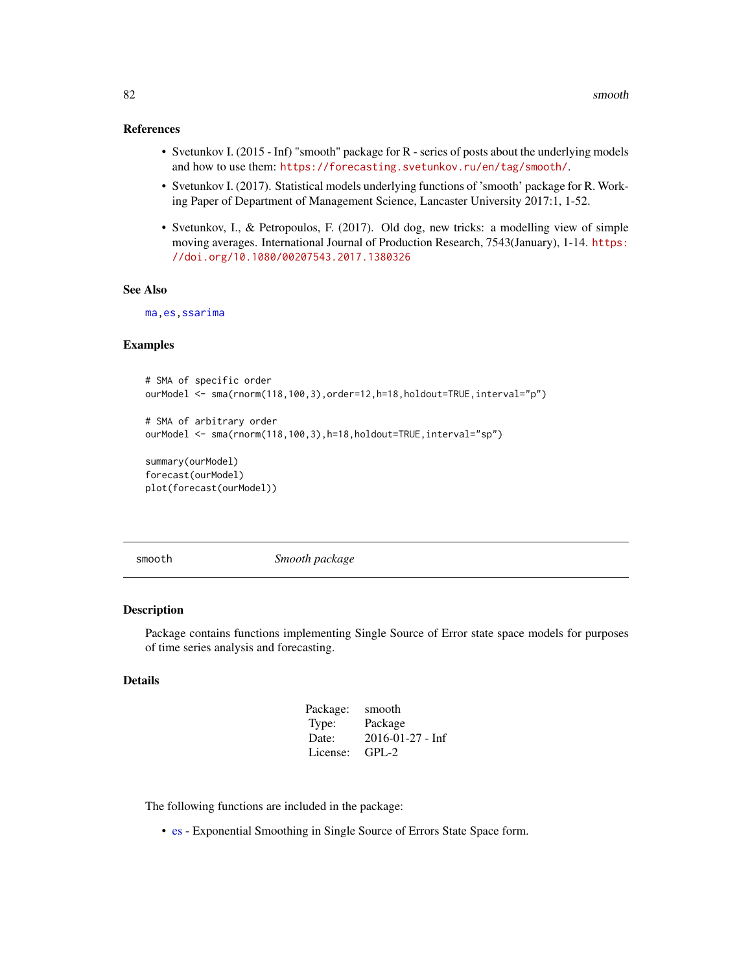#### <span id="page-81-0"></span>References

- Svetunkov I. (2015 Inf) "smooth" package for R series of posts about the underlying models and how to use them: <https://forecasting.svetunkov.ru/en/tag/smooth/>.
- Svetunkov I. (2017). Statistical models underlying functions of 'smooth' package for R. Working Paper of Department of Management Science, Lancaster University 2017:1, 1-52.
- Svetunkov, I., & Petropoulos, F. (2017). Old dog, new tricks: a modelling view of simple moving averages. International Journal of Production Research, 7543(January), 1-14. [https:](https://doi.org/10.1080/00207543.2017.1380326) [//doi.org/10.1080/00207543.2017.1380326](https://doi.org/10.1080/00207543.2017.1380326)

## See Also

[ma](#page-0-0)[,es](#page-24-0)[,ssarima](#page-89-0)

## Examples

```
# SMA of specific order
ourModel <- sma(rnorm(118,100,3),order=12,h=18,holdout=TRUE,interval="p")
# SMA of arbitrary order
ourModel <- sma(rnorm(118,100,3),h=18,holdout=TRUE,interval="sp")
summary(ourModel)
forecast(ourModel)
```
plot(forecast(ourModel))

smooth *Smooth package*

# Description

Package contains functions implementing Single Source of Error state space models for purposes of time series analysis and forecasting.

## Details

| Package: | smooth                   |
|----------|--------------------------|
| Type:    | Package                  |
| Date:    | $2016 - 01 - 27 - \ln f$ |
| License: | $GPL-2$                  |

The following functions are included in the package:

• [es](#page-24-0) - Exponential Smoothing in Single Source of Errors State Space form.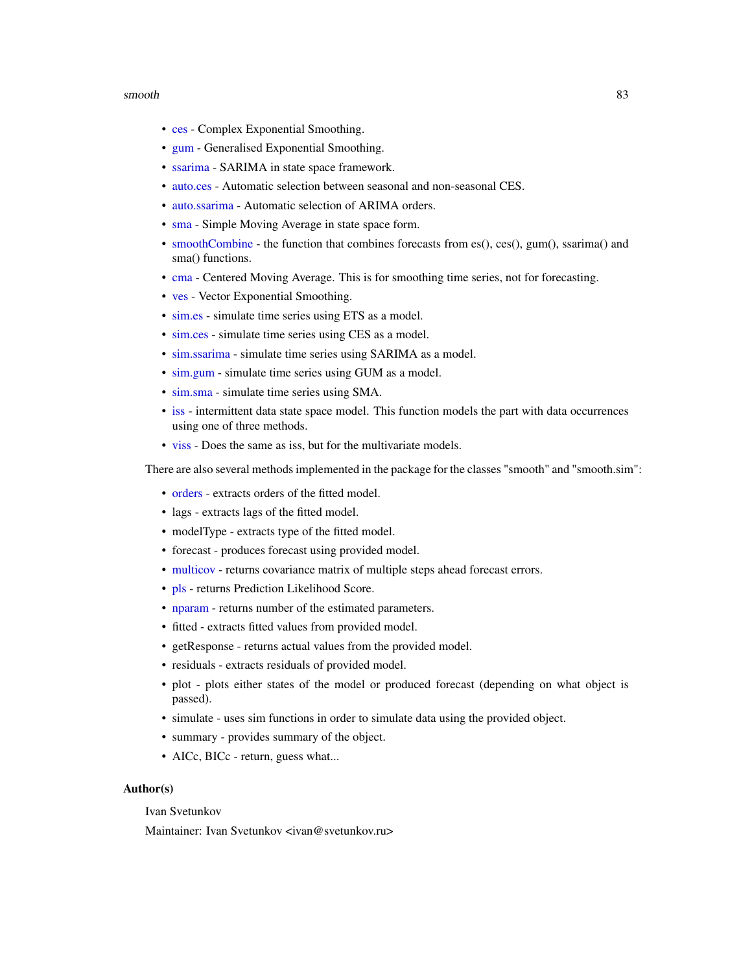#### <span id="page-82-0"></span>smooth 83

- [ces](#page-17-0) Complex Exponential Smoothing.
- [gum](#page-33-0) Generalised Exponential Smoothing.
- [ssarima](#page-89-0) SARIMA in state space framework.
- [auto.ces](#page-2-0) Automatic selection between seasonal and non-seasonal CES.
- [auto.ssarima](#page-13-0) Automatic selection of ARIMA orders.
- [sma](#page-78-0) Simple Moving Average in state space form.
- [smoothCombine](#page-84-0) the function that combines forecasts from es(), ces(), gum(), ssarima() and sma() functions.
- [cma](#page-22-0) Centered Moving Average. This is for smoothing time series, not for forecasting.
- [ves](#page-95-0) Vector Exponential Smoothing.
- [sim.es](#page-64-0) simulate time series using ETS as a model.
- [sim.ces](#page-62-0) simulate time series using CES as a model.
- [sim.ssarima](#page-73-0) simulate time series using SARIMA as a model.
- [sim.gum](#page-67-0) simulate time series using GUM as a model.
- [sim.sma](#page-71-0) simulate time series using SMA.
- [iss](#page-40-0) intermittent data state space model. This function models the part with data occurrences using one of three methods.
- [viss](#page-101-0) Does the same as iss, but for the multivariate models.

There are also several methods implemented in the package for the classes "smooth" and "smooth.sim":

- [orders](#page-57-0) extracts orders of the fitted model.
- lags extracts lags of the fitted model.
- modelType extracts type of the fitted model.
- forecast produces forecast using provided model.
- [multicov](#page-49-0) returns covariance matrix of multiple steps ahead forecast errors.
- [pls](#page-61-0) returns Prediction Likelihood Score.
- [nparam](#page-0-0) returns number of the estimated parameters.
- fitted extracts fitted values from provided model.
- getResponse returns actual values from the provided model.
- residuals extracts residuals of provided model.
- plot plots either states of the model or produced forecast (depending on what object is passed).
- simulate uses sim functions in order to simulate data using the provided object.
- summary provides summary of the object.
- AICc, BICc return, guess what...

## Author(s)

Ivan Svetunkov

Maintainer: Ivan Svetunkov <ivan@svetunkov.ru>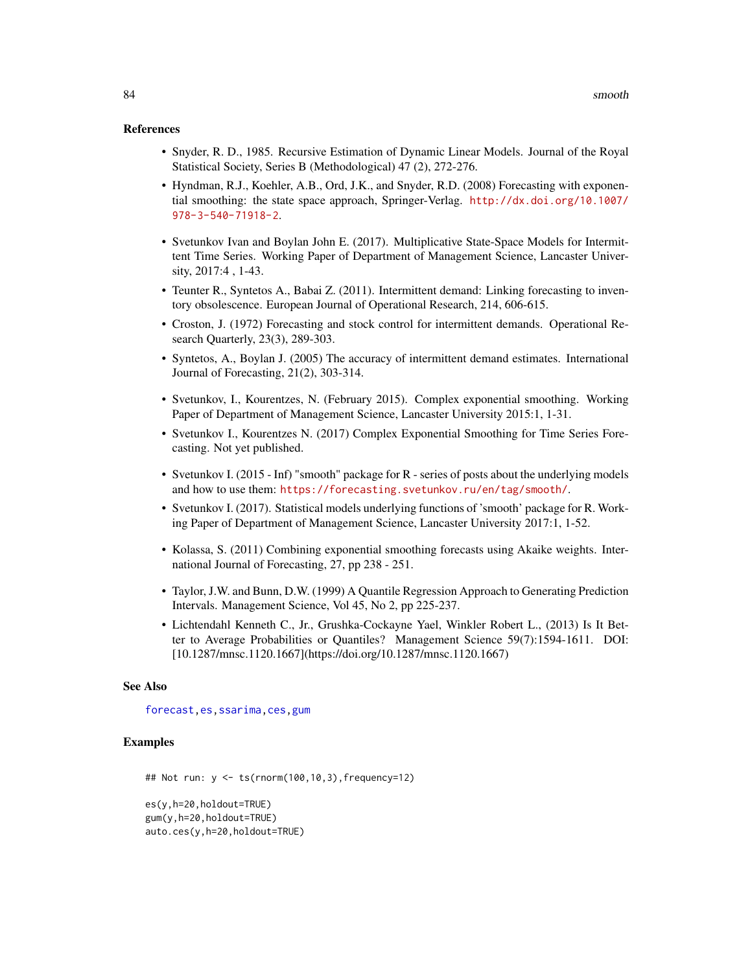#### <span id="page-83-0"></span>References

- Snyder, R. D., 1985. Recursive Estimation of Dynamic Linear Models. Journal of the Royal Statistical Society, Series B (Methodological) 47 (2), 272-276.
- Hyndman, R.J., Koehler, A.B., Ord, J.K., and Snyder, R.D. (2008) Forecasting with exponential smoothing: the state space approach, Springer-Verlag. [http://dx.doi.org/10.1007/](http://dx.doi.org/10.1007/978-3-540-71918-2) [978-3-540-71918-2](http://dx.doi.org/10.1007/978-3-540-71918-2).
- Svetunkov Ivan and Boylan John E. (2017). Multiplicative State-Space Models for Intermittent Time Series. Working Paper of Department of Management Science, Lancaster University, 2017:4 , 1-43.
- Teunter R., Syntetos A., Babai Z. (2011). Intermittent demand: Linking forecasting to inventory obsolescence. European Journal of Operational Research, 214, 606-615.
- Croston, J. (1972) Forecasting and stock control for intermittent demands. Operational Research Quarterly, 23(3), 289-303.
- Syntetos, A., Boylan J. (2005) The accuracy of intermittent demand estimates. International Journal of Forecasting, 21(2), 303-314.
- Svetunkov, I., Kourentzes, N. (February 2015). Complex exponential smoothing. Working Paper of Department of Management Science, Lancaster University 2015:1, 1-31.
- Svetunkov I., Kourentzes N. (2017) Complex Exponential Smoothing for Time Series Forecasting. Not yet published.
- Svetunkov I. (2015 Inf) "smooth" package for R series of posts about the underlying models and how to use them: <https://forecasting.svetunkov.ru/en/tag/smooth/>.
- Svetunkov I. (2017). Statistical models underlying functions of 'smooth' package for R. Working Paper of Department of Management Science, Lancaster University 2017:1, 1-52.
- Kolassa, S. (2011) Combining exponential smoothing forecasts using Akaike weights. International Journal of Forecasting, 27, pp 238 - 251.
- Taylor, J.W. and Bunn, D.W. (1999) A Quantile Regression Approach to Generating Prediction Intervals. Management Science, Vol 45, No 2, pp 225-237.
- Lichtendahl Kenneth C., Jr., Grushka-Cockayne Yael, Winkler Robert L., (2013) Is It Better to Average Probabilities or Quantiles? Management Science 59(7):1594-1611. DOI: [10.1287/mnsc.1120.1667](https://doi.org/10.1287/mnsc.1120.1667)

### See Also

[forecast](#page-31-0)[,es](#page-24-0)[,ssarima,](#page-89-0)[ces,](#page-17-0)[gum](#page-33-0)

#### Examples

```
## Not run: y <- ts(rnorm(100,10,3),frequency=12)
es(y,h=20,holdout=TRUE)
```

```
gum(y,h=20,holdout=TRUE)
auto.ces(y,h=20,holdout=TRUE)
```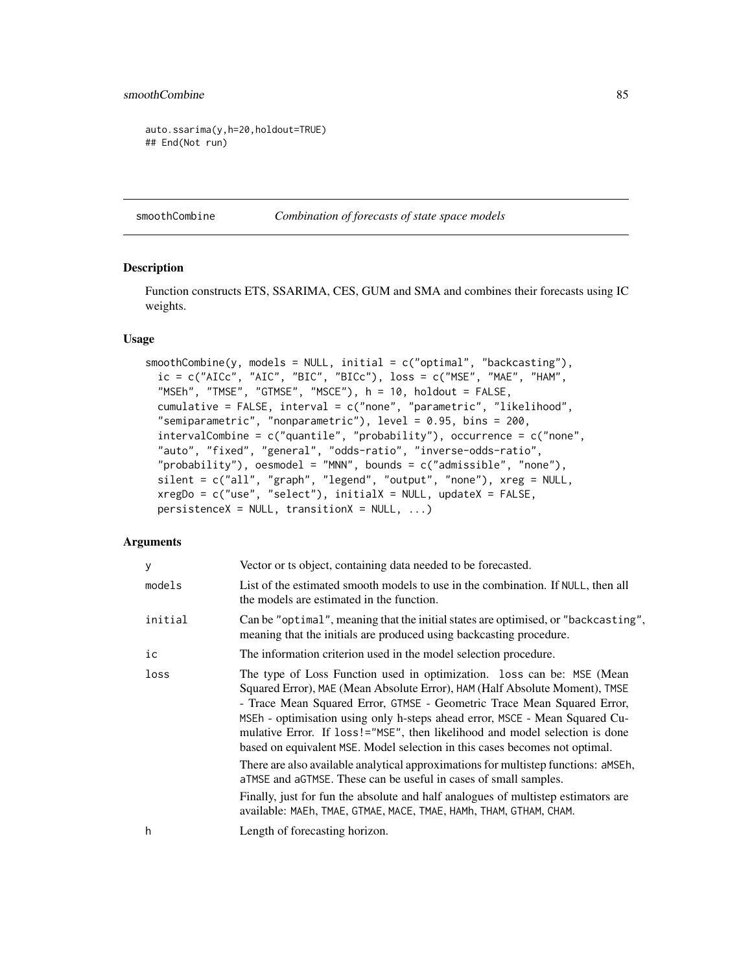## <span id="page-84-1"></span>smoothCombine 85

auto.ssarima(y,h=20,holdout=TRUE) ## End(Not run)

<span id="page-84-0"></span>smoothCombine *Combination of forecasts of state space models*

### Description

Function constructs ETS, SSARIMA, CES, GUM and SMA and combines their forecasts using IC weights.

#### Usage

```
smoothCombine(y, models = NULL, initial = c("optimal", "backcasting"),
  ic = c("AICc", "AIC", "BIC", "BICc"), loss = c("MSE", "MAE", "HAM","MSEh", "TMSE", "GTMSE", "MSCE"), h = 10, holdout = FALSE,
  cumulative = FALSE, interval = c("none", "parametric", "likelihood",
  "semiparametric", "nonparametric"), level = 0.95, bins = 200,
  intervalCombine = c("quantile", "probability"), occurrence = c("none",
  "auto", "fixed", "general", "odds-ratio", "inverse-odds-ratio",
  "probability"), oesmodel = "MNN", bounds = c("admissible", "none"),
 silent = c("all", "graph", "legend", "output", "none"), xreg = NULL,
  xregDo = c("use", "select"), initialX = NULL, updateX = FALSE,persistenceX = NULL, transitionX = NULL, ...)
```
## Arguments

| y       | Vector or ts object, containing data needed to be forecasted.                                                                                                                                                                                                                                                                                                                                                                                                                                                                                                                                                                                                                                                                                                                                      |
|---------|----------------------------------------------------------------------------------------------------------------------------------------------------------------------------------------------------------------------------------------------------------------------------------------------------------------------------------------------------------------------------------------------------------------------------------------------------------------------------------------------------------------------------------------------------------------------------------------------------------------------------------------------------------------------------------------------------------------------------------------------------------------------------------------------------|
| models  | List of the estimated smooth models to use in the combination. If NULL, then all<br>the models are estimated in the function.                                                                                                                                                                                                                                                                                                                                                                                                                                                                                                                                                                                                                                                                      |
| initial | Can be "optimal", meaning that the initial states are optimised, or "backcasting",<br>meaning that the initials are produced using backcasting procedure.                                                                                                                                                                                                                                                                                                                                                                                                                                                                                                                                                                                                                                          |
| ic      | The information criterion used in the model selection procedure.                                                                                                                                                                                                                                                                                                                                                                                                                                                                                                                                                                                                                                                                                                                                   |
| loss    | The type of Loss Function used in optimization. loss can be: MSE (Mean<br>Squared Error), MAE (Mean Absolute Error), HAM (Half Absolute Moment), TMSE<br>- Trace Mean Squared Error, GTMSE - Geometric Trace Mean Squared Error,<br>MSEh - optimisation using only h-steps ahead error, MSCE - Mean Squared Cu-<br>mulative Error. If loss!="MSE", then likelihood and model selection is done<br>based on equivalent MSE. Model selection in this cases becomes not optimal.<br>There are also available analytical approximations for multistep functions: aMSEh,<br>aTMSE and aGTMSE. These can be useful in cases of small samples.<br>Finally, just for fun the absolute and half analogues of multistep estimators are<br>available: MAEh, TMAE, GTMAE, MACE, TMAE, HAMh, THAM, GTHAM, CHAM. |
| h       | Length of forecasting horizon.                                                                                                                                                                                                                                                                                                                                                                                                                                                                                                                                                                                                                                                                                                                                                                     |
|         |                                                                                                                                                                                                                                                                                                                                                                                                                                                                                                                                                                                                                                                                                                                                                                                                    |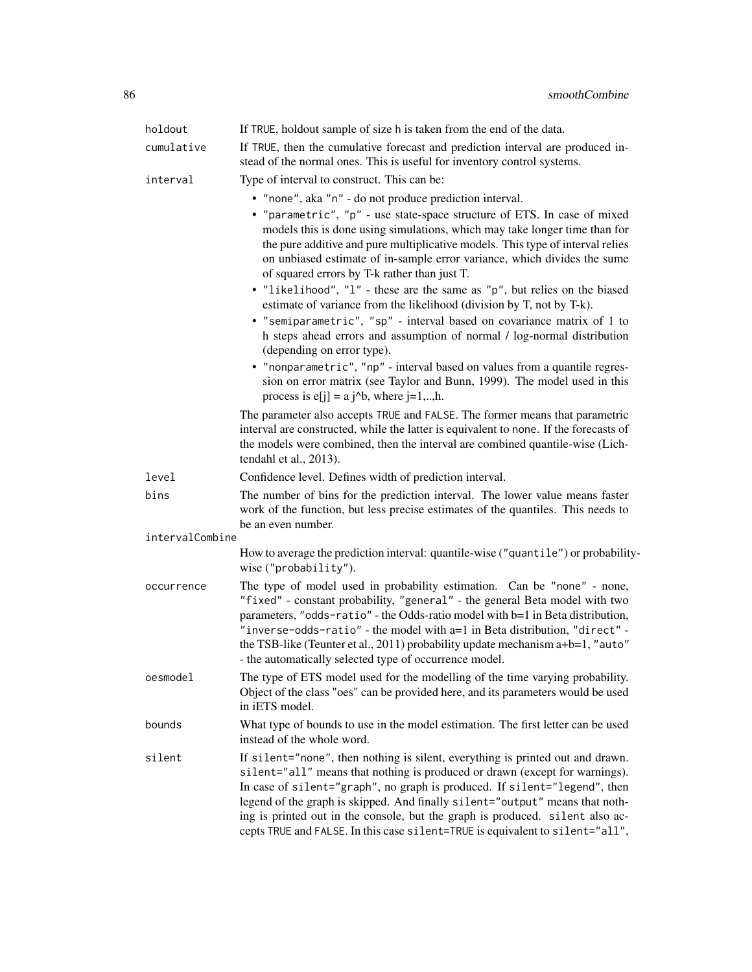| holdout         | If TRUE, holdout sample of size h is taken from the end of the data.                                                                                                                                                                                                                                                                                                                                                                                                                         |
|-----------------|----------------------------------------------------------------------------------------------------------------------------------------------------------------------------------------------------------------------------------------------------------------------------------------------------------------------------------------------------------------------------------------------------------------------------------------------------------------------------------------------|
| cumulative      | If TRUE, then the cumulative forecast and prediction interval are produced in-<br>stead of the normal ones. This is useful for inventory control systems.                                                                                                                                                                                                                                                                                                                                    |
| interval        | Type of interval to construct. This can be:                                                                                                                                                                                                                                                                                                                                                                                                                                                  |
|                 | • "none", aka "n" - do not produce prediction interval.                                                                                                                                                                                                                                                                                                                                                                                                                                      |
|                 | • "parametric", "p" - use state-space structure of ETS. In case of mixed<br>models this is done using simulations, which may take longer time than for<br>the pure additive and pure multiplicative models. This type of interval relies<br>on unbiased estimate of in-sample error variance, which divides the sume<br>of squared errors by T-k rather than just T.                                                                                                                         |
|                 | • "likelihood", "l" - these are the same as "p", but relies on the biased<br>estimate of variance from the likelihood (division by T, not by T-k).<br>• "semiparametric", "sp" - interval based on covariance matrix of 1 to<br>h steps ahead errors and assumption of normal / log-normal distribution<br>(depending on error type).                                                                                                                                                        |
|                 | • "nonparametric", "np" - interval based on values from a quantile regres-<br>sion on error matrix (see Taylor and Bunn, 1999). The model used in this<br>process is $e[j] = a j^b$ , where $j=1,,h$ .                                                                                                                                                                                                                                                                                       |
|                 | The parameter also accepts TRUE and FALSE. The former means that parametric<br>interval are constructed, while the latter is equivalent to none. If the forecasts of<br>the models were combined, then the interval are combined quantile-wise (Lich-<br>tendahl et al., 2013).                                                                                                                                                                                                              |
| level           | Confidence level. Defines width of prediction interval.                                                                                                                                                                                                                                                                                                                                                                                                                                      |
| bins            | The number of bins for the prediction interval. The lower value means faster<br>work of the function, but less precise estimates of the quantiles. This needs to<br>be an even number.                                                                                                                                                                                                                                                                                                       |
| intervalCombine |                                                                                                                                                                                                                                                                                                                                                                                                                                                                                              |
|                 | How to average the prediction interval: quantile-wise ("quantile") or probability-<br>wise ("probability").                                                                                                                                                                                                                                                                                                                                                                                  |
| occurrence      | The type of model used in probability estimation. Can be "none" - none,<br>"fixed" - constant probability, "general" - the general Beta model with two<br>parameters, "odds-ratio" - the Odds-ratio model with b=1 in Beta distribution,<br>"inverse-odds-ratio" - the model with a=1 in Beta distribution, "direct" -<br>the TSB-like (Teunter et al., 2011) probability update mechanism a+b=1, "auto"<br>- the automatically selected type of occurrence model.                           |
| oesmodel        | The type of ETS model used for the modelling of the time varying probability.<br>Object of the class "oes" can be provided here, and its parameters would be used<br>in iETS model.                                                                                                                                                                                                                                                                                                          |
| bounds          | What type of bounds to use in the model estimation. The first letter can be used<br>instead of the whole word.                                                                                                                                                                                                                                                                                                                                                                               |
| silent          | If silent="none", then nothing is silent, everything is printed out and drawn.<br>silent="all" means that nothing is produced or drawn (except for warnings).<br>In case of silent="graph", no graph is produced. If silent="legend", then<br>legend of the graph is skipped. And finally silent="output" means that noth-<br>ing is printed out in the console, but the graph is produced. silent also ac-<br>cepts TRUE and FALSE. In this case silent=TRUE is equivalent to silent="all", |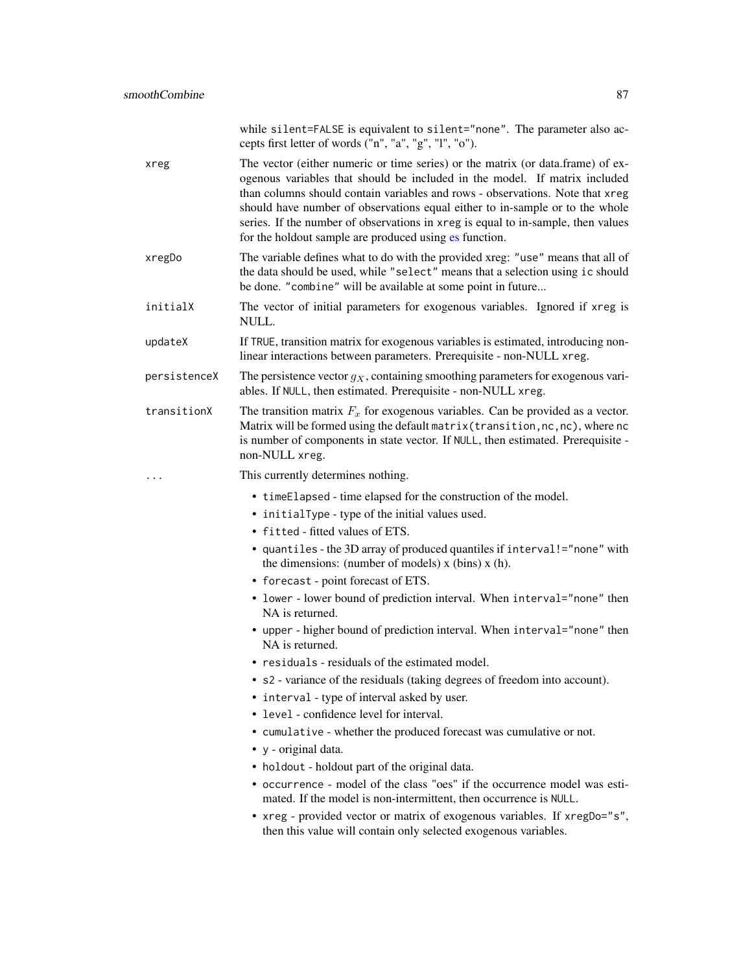<span id="page-86-0"></span>

|              | while silent=FALSE is equivalent to silent="none". The parameter also ac-<br>cepts first letter of words ("n", "a", "g", "l", "o").                                                                                                                                                                                                                                                                                                                                                                                                                                                                                                                                                                                                                             |
|--------------|-----------------------------------------------------------------------------------------------------------------------------------------------------------------------------------------------------------------------------------------------------------------------------------------------------------------------------------------------------------------------------------------------------------------------------------------------------------------------------------------------------------------------------------------------------------------------------------------------------------------------------------------------------------------------------------------------------------------------------------------------------------------|
| xreg         | The vector (either numeric or time series) or the matrix (or data.frame) of ex-<br>ogenous variables that should be included in the model. If matrix included<br>than columns should contain variables and rows - observations. Note that xreg<br>should have number of observations equal either to in-sample or to the whole<br>series. If the number of observations in xreg is equal to in-sample, then values<br>for the holdout sample are produced using es function.                                                                                                                                                                                                                                                                                    |
| xregDo       | The variable defines what to do with the provided xreg: "use" means that all of<br>the data should be used, while "select" means that a selection using ic should<br>be done. "combine" will be available at some point in future                                                                                                                                                                                                                                                                                                                                                                                                                                                                                                                               |
| initialX     | The vector of initial parameters for exogenous variables. Ignored if xreg is<br>NULL.                                                                                                                                                                                                                                                                                                                                                                                                                                                                                                                                                                                                                                                                           |
| updateX      | If TRUE, transition matrix for exogenous variables is estimated, introducing non-<br>linear interactions between parameters. Prerequisite - non-NULL xreg.                                                                                                                                                                                                                                                                                                                                                                                                                                                                                                                                                                                                      |
| persistenceX | The persistence vector $g_X$ , containing smoothing parameters for exogenous vari-<br>ables. If NULL, then estimated. Prerequisite - non-NULL xreg.                                                                                                                                                                                                                                                                                                                                                                                                                                                                                                                                                                                                             |
| transitionX  | The transition matrix $F_x$ for exogenous variables. Can be provided as a vector.<br>Matrix will be formed using the default matrix (transition, nc, nc), where nc<br>is number of components in state vector. If NULL, then estimated. Prerequisite -<br>non-NULL xreg.                                                                                                                                                                                                                                                                                                                                                                                                                                                                                        |
|              | This currently determines nothing.                                                                                                                                                                                                                                                                                                                                                                                                                                                                                                                                                                                                                                                                                                                              |
|              |                                                                                                                                                                                                                                                                                                                                                                                                                                                                                                                                                                                                                                                                                                                                                                 |
|              | • timeElapsed - time elapsed for the construction of the model.<br>• initialType - type of the initial values used.<br>• fitted - fitted values of ETS.<br>• quantiles - the 3D array of produced quantiles if interval!="none" with<br>the dimensions: (number of models) $x$ (bins) $x$ (h).<br>• forecast - point forecast of ETS.<br>• lower - lower bound of prediction interval. When interval="none" then<br>NA is returned.<br>• upper - higher bound of prediction interval. When interval="none" then<br>NA is returned.<br>• residuals - residuals of the estimated model.<br>• s2 - variance of the residuals (taking degrees of freedom into account).<br>• interval - type of interval asked by user.<br>• level - confidence level for interval. |
|              | • cumulative - whether the produced forecast was cumulative or not.<br>• y - original data.                                                                                                                                                                                                                                                                                                                                                                                                                                                                                                                                                                                                                                                                     |
|              | • holdout - holdout part of the original data.                                                                                                                                                                                                                                                                                                                                                                                                                                                                                                                                                                                                                                                                                                                  |
|              | • occurrence - model of the class "oes" if the occurrence model was esti-<br>mated. If the model is non-intermittent, then occurrence is NULL.<br>• xreg - provided vector or matrix of exogenous variables. If xregDo="s",                                                                                                                                                                                                                                                                                                                                                                                                                                                                                                                                     |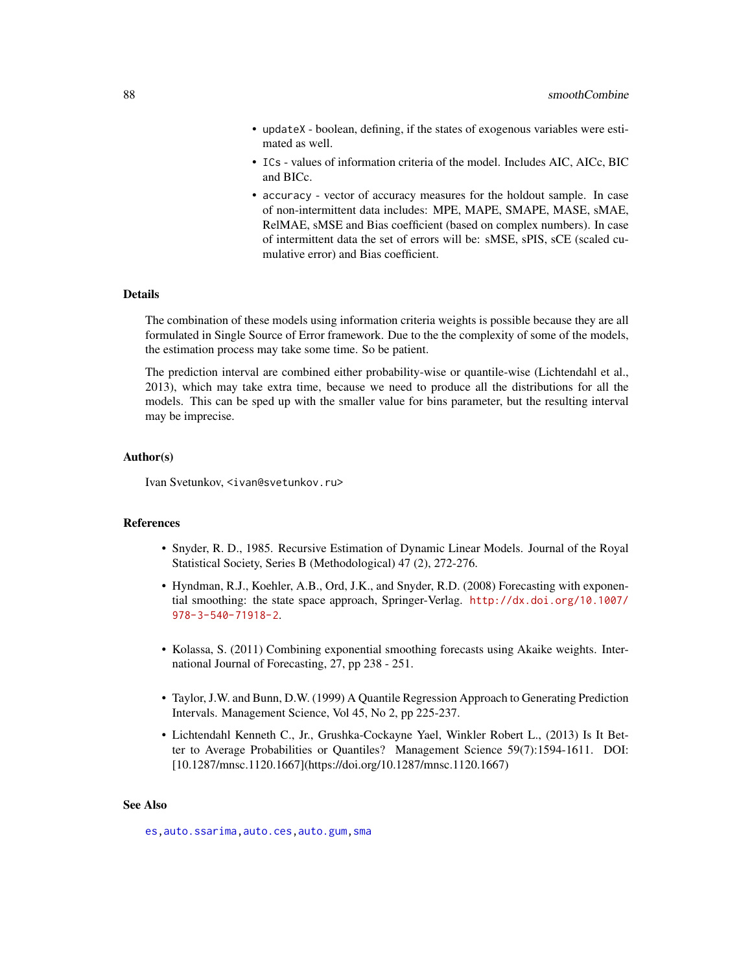- <span id="page-87-0"></span>• updateX - boolean, defining, if the states of exogenous variables were estimated as well.
- ICs values of information criteria of the model. Includes AIC, AICc, BIC and BICc.
- accuracy vector of accuracy measures for the holdout sample. In case of non-intermittent data includes: MPE, MAPE, SMAPE, MASE, sMAE, RelMAE, sMSE and Bias coefficient (based on complex numbers). In case of intermittent data the set of errors will be: sMSE, sPIS, sCE (scaled cumulative error) and Bias coefficient.

## Details

The combination of these models using information criteria weights is possible because they are all formulated in Single Source of Error framework. Due to the the complexity of some of the models, the estimation process may take some time. So be patient.

The prediction interval are combined either probability-wise or quantile-wise (Lichtendahl et al., 2013), which may take extra time, because we need to produce all the distributions for all the models. This can be sped up with the smaller value for bins parameter, but the resulting interval may be imprecise.

#### Author(s)

Ivan Svetunkov, <ivan@svetunkov.ru>

#### **References**

- Snyder, R. D., 1985. Recursive Estimation of Dynamic Linear Models. Journal of the Royal Statistical Society, Series B (Methodological) 47 (2), 272-276.
- Hyndman, R.J., Koehler, A.B., Ord, J.K., and Snyder, R.D. (2008) Forecasting with exponential smoothing: the state space approach, Springer-Verlag. [http://dx.doi.org/10.1007/](http://dx.doi.org/10.1007/978-3-540-71918-2) [978-3-540-71918-2](http://dx.doi.org/10.1007/978-3-540-71918-2).
- Kolassa, S. (2011) Combining exponential smoothing forecasts using Akaike weights. International Journal of Forecasting, 27, pp 238 - 251.
- Taylor, J.W. and Bunn, D.W. (1999) A Quantile Regression Approach to Generating Prediction Intervals. Management Science, Vol 45, No 2, pp 225-237.
- Lichtendahl Kenneth C., Jr., Grushka-Cockayne Yael, Winkler Robert L., (2013) Is It Better to Average Probabilities or Quantiles? Management Science 59(7):1594-1611. DOI: [10.1287/mnsc.1120.1667](https://doi.org/10.1287/mnsc.1120.1667)

#### See Also

[es](#page-24-0)[,auto.ssarima](#page-13-0)[,auto.ces,](#page-2-0)[auto.gum,](#page-5-0)[sma](#page-78-0)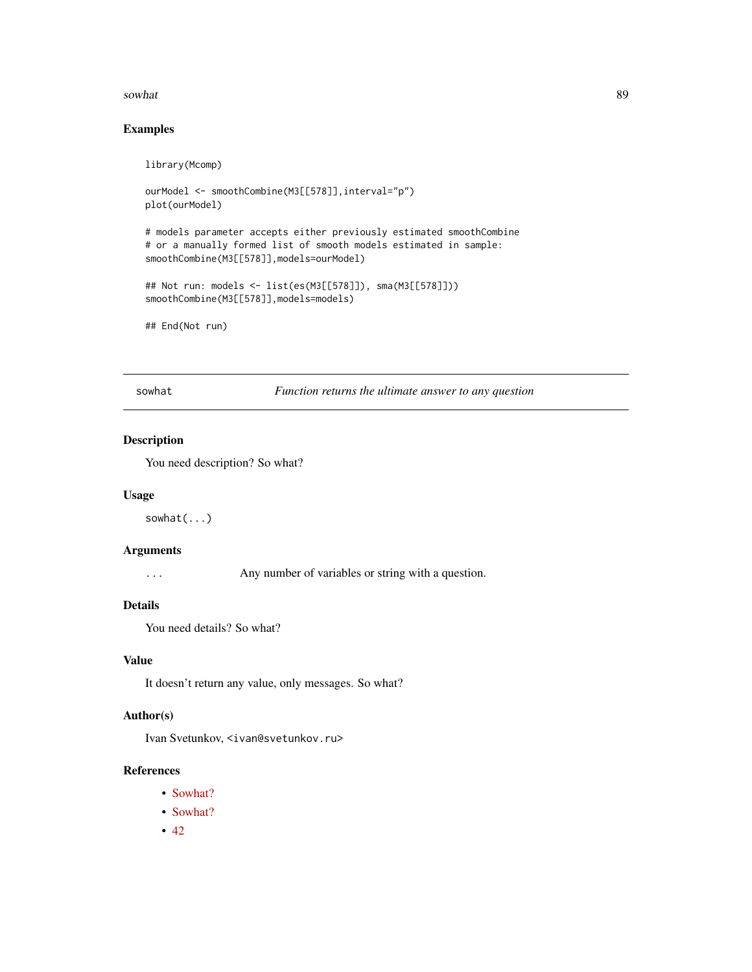#### <span id="page-88-0"></span>sowhat 89

## Examples

library(Mcomp)

```
ourModel <- smoothCombine(M3[[578]],interval="p")
plot(ourModel)
# models parameter accepts either previously estimated smoothCombine
# or a manually formed list of smooth models estimated in sample:
smoothCombine(M3[[578]],models=ourModel)
## Not run: models <- list(es(M3[[578]]), sma(M3[[578]]))
smoothCombine(M3[[578]],models=models)
```
## End(Not run)

sowhat *Function returns the ultimate answer to any question*

## Description

You need description? So what?

#### Usage

sowhat(...)

## Arguments

... Any number of variables or string with a question.

## Details

You need details? So what?

## Value

It doesn't return any value, only messages. So what?

#### Author(s)

Ivan Svetunkov, <ivan@svetunkov.ru>

## References

- [Sowhat?](http://en.wiktionary.org/wiki/so_what)
- [Sowhat?](https://www.youtube.com/watch?v=FJfFZqTlWrQ)
- $42$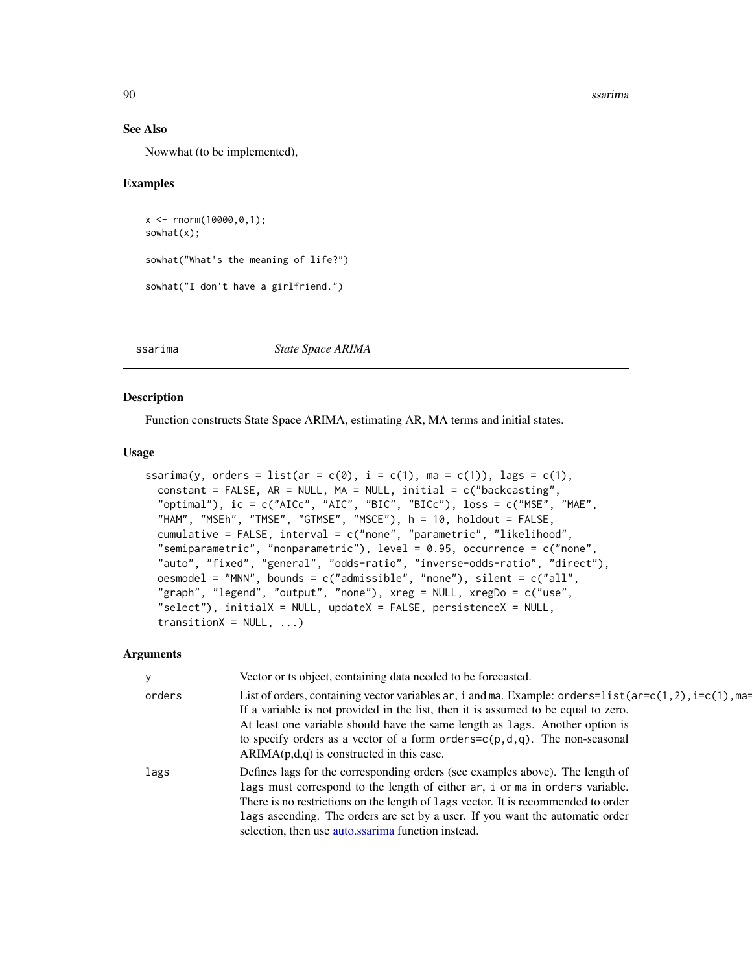#### See Also

Nowwhat (to be implemented),

## Examples

```
x \le - rnorm(10000,0,1);
sowhat(x);
sowhat("What's the meaning of life?")
sowhat("I don't have a girlfriend.")
```
<span id="page-89-0"></span>ssarima *State Space ARIMA*

## Description

Function constructs State Space ARIMA, estimating AR, MA terms and initial states.

## Usage

```
ssarima(y, orders = list(ar = c(0), i = c(1), ma = c(1)), lags = c(1),
  constant = FALSE, AR = NULL, MA = NULL, initial = c("backcasting","optimal"), ic = c("AICc", "AIC", "BIC", "BICc"), loss = c("MSE", "MAE",
  "HAM", "MSEh", "TMSE", "GTMSE", "MSCE"), h = 10, holdout = FALSE,
  cumulative = FALSE, interval = c("none", "parametric", "likelihood",
  "semiparametric", "nonparametric"), level = 0.95, occurrence = c("none",
  "auto", "fixed", "general", "odds-ratio", "inverse-odds-ratio", "direct"),
 oesmodel = "MNN", bounds = c("admissible", "none"), silent = c("all","graph", "legend", "output", "none"), xreg = NULL, xregDo = c("use",
  "select"), initialX = NULL, updateX = FALSE, persistenceX = NULL,
  transitionX = NULL, ...
```
#### Arguments

| У      | Vector or ts object, containing data needed to be forecasted.                                                                                                                                                                                                                                                                                                                                                     |
|--------|-------------------------------------------------------------------------------------------------------------------------------------------------------------------------------------------------------------------------------------------------------------------------------------------------------------------------------------------------------------------------------------------------------------------|
| orders | List of orders, containing vector variables ar, i and ma. Example: orders= $list(ar=c(1, 2), i=c(1), ma=$<br>If a variable is not provided in the list, then it is assumed to be equal to zero.<br>At least one variable should have the same length as lags. Another option is<br>to specify orders as a vector of a form orders= $c(p, d, q)$ . The non-seasonal<br>$ARIMA(p,d,q)$ is constructed in this case. |
| lags   | Defines lags for the corresponding orders (see examples above). The length of<br>lags must correspond to the length of either ar, i or ma in orders variable.<br>There is no restrictions on the length of lags vector. It is recommended to order<br>lags ascending. The orders are set by a user. If you want the automatic order<br>selection, then use auto.ssarima function instead.                         |

<span id="page-89-1"></span>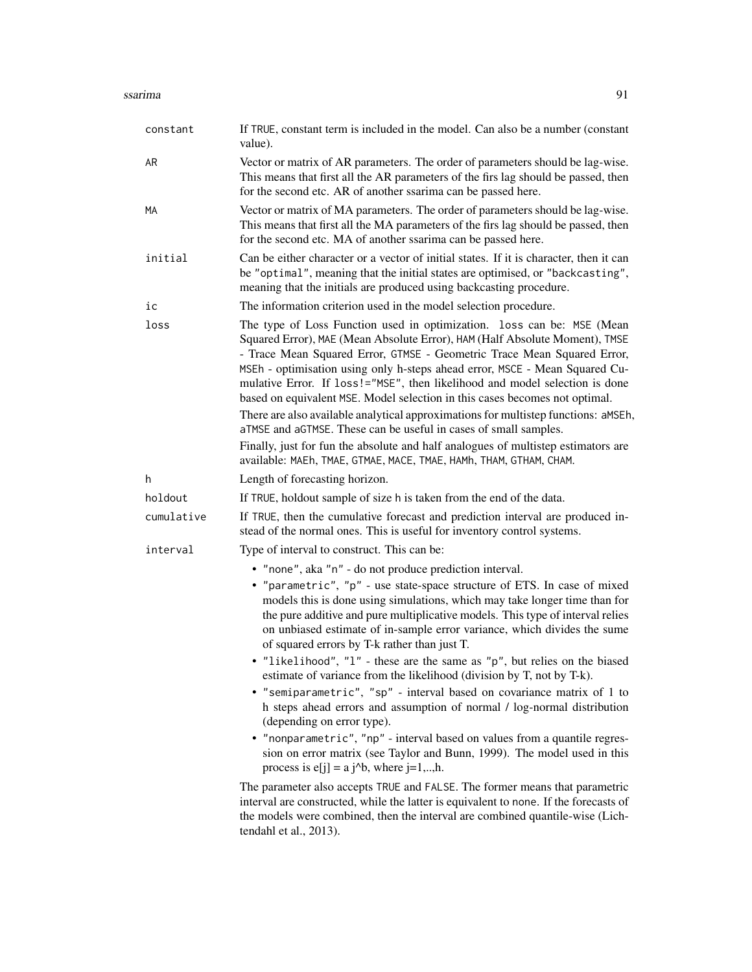#### ssarima 91

| constant   | If TRUE, constant term is included in the model. Can also be a number (constant<br>value).                                                                                                                                                                                                                                                                                                                                                                                                                                                                                                                                              |
|------------|-----------------------------------------------------------------------------------------------------------------------------------------------------------------------------------------------------------------------------------------------------------------------------------------------------------------------------------------------------------------------------------------------------------------------------------------------------------------------------------------------------------------------------------------------------------------------------------------------------------------------------------------|
| AR         | Vector or matrix of AR parameters. The order of parameters should be lag-wise.<br>This means that first all the AR parameters of the firs lag should be passed, then<br>for the second etc. AR of another ssarima can be passed here.                                                                                                                                                                                                                                                                                                                                                                                                   |
| МA         | Vector or matrix of MA parameters. The order of parameters should be lag-wise.<br>This means that first all the MA parameters of the firs lag should be passed, then<br>for the second etc. MA of another ssarima can be passed here.                                                                                                                                                                                                                                                                                                                                                                                                   |
| initial    | Can be either character or a vector of initial states. If it is character, then it can<br>be "optimal", meaning that the initial states are optimised, or "backcasting",<br>meaning that the initials are produced using backcasting procedure.                                                                                                                                                                                                                                                                                                                                                                                         |
| iс         | The information criterion used in the model selection procedure.                                                                                                                                                                                                                                                                                                                                                                                                                                                                                                                                                                        |
| loss       | The type of Loss Function used in optimization. loss can be: MSE (Mean<br>Squared Error), MAE (Mean Absolute Error), HAM (Half Absolute Moment), TMSE<br>- Trace Mean Squared Error, GTMSE - Geometric Trace Mean Squared Error,<br>MSEh - optimisation using only h-steps ahead error, MSCE - Mean Squared Cu-<br>mulative Error. If loss!="MSE", then likelihood and model selection is done<br>based on equivalent MSE. Model selection in this cases becomes not optimal.<br>There are also available analytical approximations for multistep functions: aMSEh,<br>aTMSE and aGTMSE. These can be useful in cases of small samples. |
|            | Finally, just for fun the absolute and half analogues of multistep estimators are<br>available: MAEh, TMAE, GTMAE, MACE, TMAE, HAMh, THAM, GTHAM, CHAM.                                                                                                                                                                                                                                                                                                                                                                                                                                                                                 |
| h          | Length of forecasting horizon.                                                                                                                                                                                                                                                                                                                                                                                                                                                                                                                                                                                                          |
| holdout    | If TRUE, holdout sample of size h is taken from the end of the data.                                                                                                                                                                                                                                                                                                                                                                                                                                                                                                                                                                    |
| cumulative | If TRUE, then the cumulative forecast and prediction interval are produced in-<br>stead of the normal ones. This is useful for inventory control systems.                                                                                                                                                                                                                                                                                                                                                                                                                                                                               |
| interval   | Type of interval to construct. This can be:                                                                                                                                                                                                                                                                                                                                                                                                                                                                                                                                                                                             |
|            | • "none", aka "n" - do not produce prediction interval.                                                                                                                                                                                                                                                                                                                                                                                                                                                                                                                                                                                 |
|            | • "parametric", "p" - use state-space structure of ETS. In case of mixed<br>models this is done using simulations, which may take longer time than for<br>the pure additive and pure multiplicative models. This type of interval relies<br>on unbiased estimate of in-sample error variance, which divides the sume<br>of squared errors by T-k rather than just T.                                                                                                                                                                                                                                                                    |
|            | • "likelihood", "l" - these are the same as "p", but relies on the biased<br>estimate of variance from the likelihood (division by T, not by T-k).                                                                                                                                                                                                                                                                                                                                                                                                                                                                                      |
|            | • "semiparametric", "sp" - interval based on covariance matrix of 1 to<br>h steps ahead errors and assumption of normal / log-normal distribution<br>(depending on error type).                                                                                                                                                                                                                                                                                                                                                                                                                                                         |
|            | • "nonparametric", "np" - interval based on values from a quantile regres-<br>sion on error matrix (see Taylor and Bunn, 1999). The model used in this                                                                                                                                                                                                                                                                                                                                                                                                                                                                                  |

The parameter also accepts TRUE and FALSE. The former means that parametric interval are constructed, while the latter is equivalent to none. If the forecasts of the models were combined, then the interval are combined quantile-wise (Lichtendahl et al., 2013).

process is  $e[j] = a j^b$ , where  $j=1,..,h$ .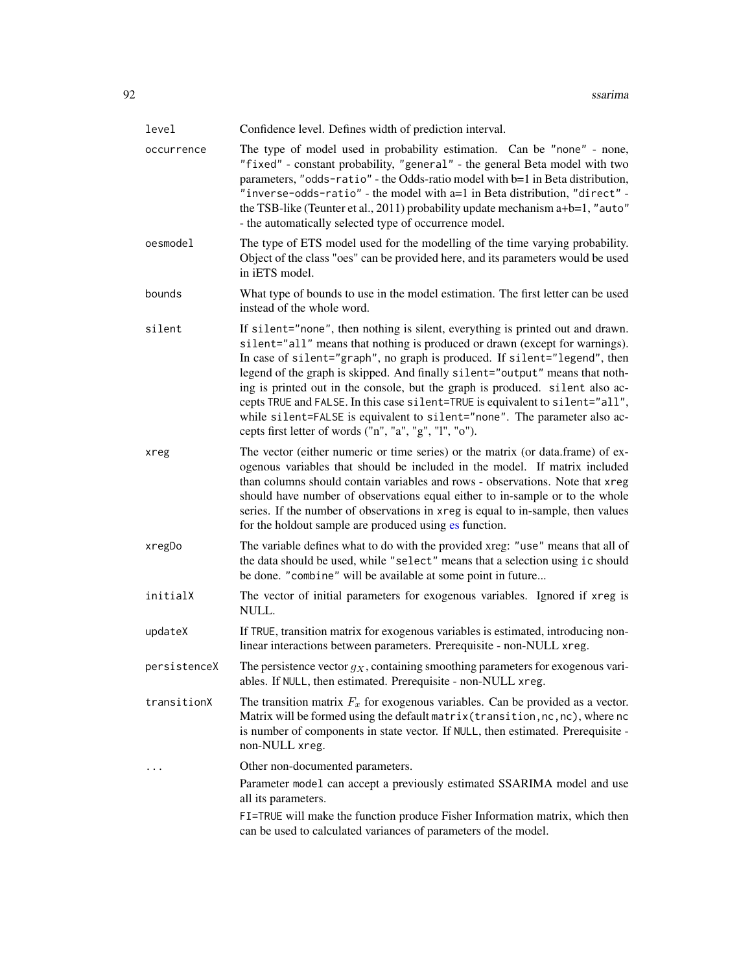<span id="page-91-0"></span>

| level        | Confidence level. Defines width of prediction interval.                                                                                                                                                                                                                                                                                                                                                                                                                                                                                                                                                                             |
|--------------|-------------------------------------------------------------------------------------------------------------------------------------------------------------------------------------------------------------------------------------------------------------------------------------------------------------------------------------------------------------------------------------------------------------------------------------------------------------------------------------------------------------------------------------------------------------------------------------------------------------------------------------|
| occurrence   | The type of model used in probability estimation. Can be "none" - none,<br>"fixed" - constant probability, "general" - the general Beta model with two<br>parameters, "odds-ratio" - the Odds-ratio model with b=1 in Beta distribution,<br>"inverse-odds-ratio" - the model with a=1 in Beta distribution, "direct" -<br>the TSB-like (Teunter et al., 2011) probability update mechanism $a+b=1$ , "auto"<br>- the automatically selected type of occurrence model.                                                                                                                                                               |
| oesmodel     | The type of ETS model used for the modelling of the time varying probability.<br>Object of the class "oes" can be provided here, and its parameters would be used<br>in iETS model.                                                                                                                                                                                                                                                                                                                                                                                                                                                 |
| bounds       | What type of bounds to use in the model estimation. The first letter can be used<br>instead of the whole word.                                                                                                                                                                                                                                                                                                                                                                                                                                                                                                                      |
| silent       | If silent="none", then nothing is silent, everything is printed out and drawn.<br>silent="all" means that nothing is produced or drawn (except for warnings).<br>In case of silent="graph", no graph is produced. If silent="legend", then<br>legend of the graph is skipped. And finally silent="output" means that noth-<br>ing is printed out in the console, but the graph is produced. silent also ac-<br>cepts TRUE and FALSE. In this case silent=TRUE is equivalent to silent="all",<br>while silent=FALSE is equivalent to silent="none". The parameter also ac-<br>cepts first letter of words ("n", "a", "g", "l", "o"). |
| xreg         | The vector (either numeric or time series) or the matrix (or data.frame) of ex-<br>ogenous variables that should be included in the model. If matrix included<br>than columns should contain variables and rows - observations. Note that xreg<br>should have number of observations equal either to in-sample or to the whole<br>series. If the number of observations in xreg is equal to in-sample, then values<br>for the holdout sample are produced using es function.                                                                                                                                                        |
| xregDo       | The variable defines what to do with the provided xreg: "use" means that all of<br>the data should be used, while "select" means that a selection using ic should<br>be done. "combine" will be available at some point in future                                                                                                                                                                                                                                                                                                                                                                                                   |
| initialX     | The vector of initial parameters for exogenous variables. Ignored if xreg is<br>NULL.                                                                                                                                                                                                                                                                                                                                                                                                                                                                                                                                               |
| updateX      | If TRUE, transition matrix for exogenous variables is estimated, introducing non-<br>linear interactions between parameters. Prerequisite - non-NULL xreg.                                                                                                                                                                                                                                                                                                                                                                                                                                                                          |
| persistenceX | The persistence vector $g_X$ , containing smoothing parameters for exogenous vari-<br>ables. If NULL, then estimated. Prerequisite - non-NULL xreg.                                                                                                                                                                                                                                                                                                                                                                                                                                                                                 |
| transitionX  | The transition matrix $F_x$ for exogenous variables. Can be provided as a vector.<br>Matrix will be formed using the default matrix (transition, nc, nc), where nc<br>is number of components in state vector. If NULL, then estimated. Prerequisite -<br>non-NULL xreg.                                                                                                                                                                                                                                                                                                                                                            |
| $\cdots$     | Other non-documented parameters.                                                                                                                                                                                                                                                                                                                                                                                                                                                                                                                                                                                                    |
|              | Parameter model can accept a previously estimated SSARIMA model and use<br>all its parameters.                                                                                                                                                                                                                                                                                                                                                                                                                                                                                                                                      |
|              | FI=TRUE will make the function produce Fisher Information matrix, which then<br>can be used to calculated variances of parameters of the model.                                                                                                                                                                                                                                                                                                                                                                                                                                                                                     |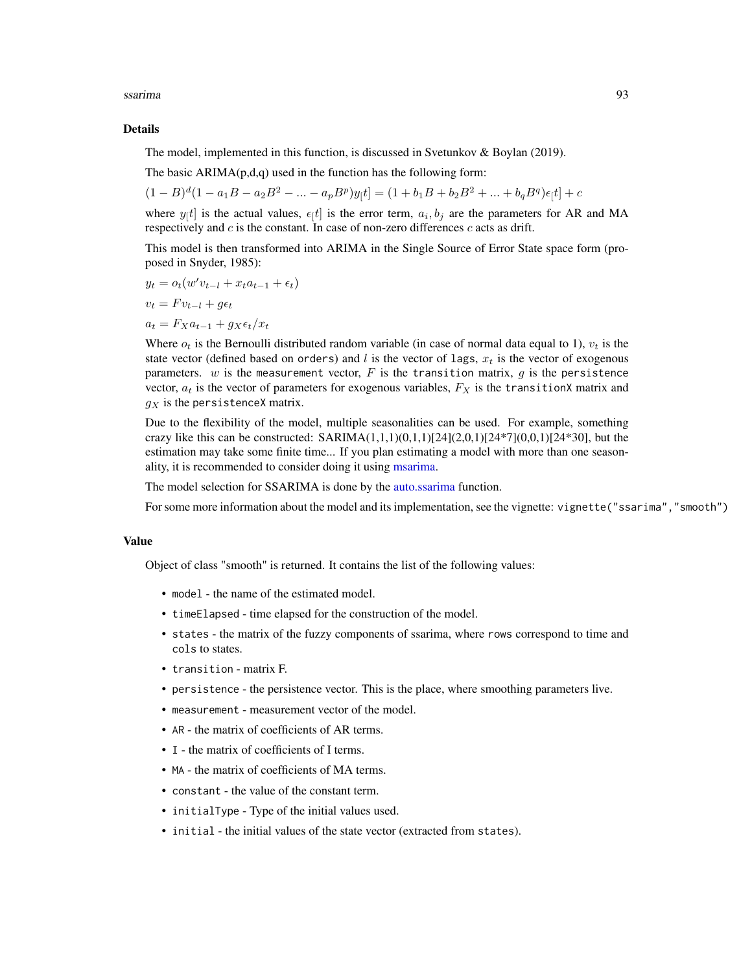<span id="page-92-0"></span>ssarima 93

#### Details

The model, implemented in this function, is discussed in Svetunkov & Boylan (2019).

The basic  $ARIMA(p,d,q)$  used in the function has the following form:

$$
(1 - B)d(1 - a1B - a2B2 - ... - apBp)y[t] = (1 + b1B + b2B2 + ... + bqBq)\epsilon[t] + c
$$

where  $y_{\vert}t$  is the actual values,  $\epsilon_{\vert}t$  is the error term,  $a_i, b_j$  are the parameters for AR and MA respectively and  $c$  is the constant. In case of non-zero differences  $c$  acts as drift.

This model is then transformed into ARIMA in the Single Source of Error State space form (proposed in Snyder, 1985):

$$
y_t = o_t(w'v_{t-l} + x_t a_{t-1} + \epsilon_t)
$$

$$
v_t = F v_{t-l} + g \epsilon_t
$$

 $a_t = F_X a_{t-1} + g_X \epsilon_t / x_t$ 

Where  $o_t$  is the Bernoulli distributed random variable (in case of normal data equal to 1),  $v_t$  is the state vector (defined based on orders) and l is the vector of lags,  $x_t$  is the vector of exogenous parameters.  $w$  is the measurement vector,  $F$  is the transition matrix,  $g$  is the persistence vector,  $a_t$  is the vector of parameters for exogenous variables,  $F_X$  is the transitionX matrix and  $g_X$  is the persistenceX matrix.

Due to the flexibility of the model, multiple seasonalities can be used. For example, something crazy like this can be constructed:  $SARIMA(1,1,1)(0,1,1)[24](2,0,1)[24*7](0,0,1)[24*30]$ , but the estimation may take some finite time... If you plan estimating a model with more than one seasonality, it is recommended to consider doing it using [msarima.](#page-42-0)

The model selection for SSARIMA is done by the [auto.ssarima](#page-13-0) function.

For some more information about the model and its implementation, see the vignette: vignette("ssarima","smooth")

#### Value

Object of class "smooth" is returned. It contains the list of the following values:

- model the name of the estimated model.
- timeElapsed time elapsed for the construction of the model.
- states the matrix of the fuzzy components of ssarima, where rows correspond to time and cols to states.
- transition matrix F.
- persistence the persistence vector. This is the place, where smoothing parameters live.
- measurement measurement vector of the model.
- AR the matrix of coefficients of AR terms.
- I the matrix of coefficients of I terms.
- MA the matrix of coefficients of MA terms.
- constant the value of the constant term.
- initialType Type of the initial values used.
- initial the initial values of the state vector (extracted from states).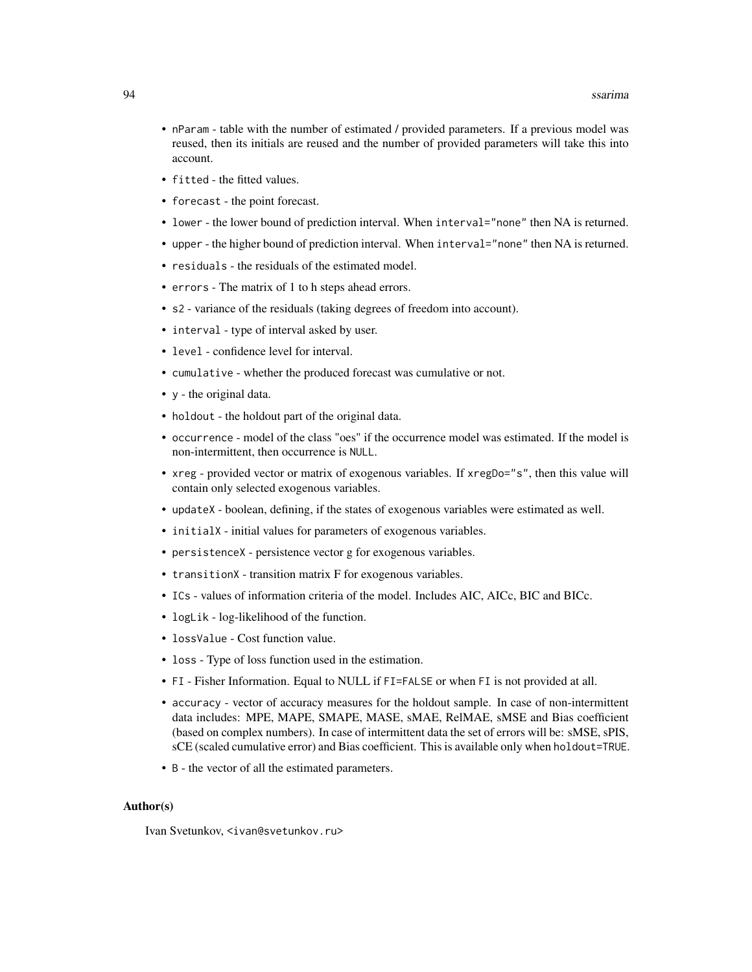- nParam table with the number of estimated / provided parameters. If a previous model was reused, then its initials are reused and the number of provided parameters will take this into account.
- fitted the fitted values.
- forecast the point forecast.
- lower the lower bound of prediction interval. When interval="none" then NA is returned.
- upper the higher bound of prediction interval. When interval="none" then NA is returned.
- residuals the residuals of the estimated model.
- errors The matrix of 1 to h steps ahead errors.
- s2 variance of the residuals (taking degrees of freedom into account).
- interval type of interval asked by user.
- level confidence level for interval.
- cumulative whether the produced forecast was cumulative or not.
- y the original data.
- holdout the holdout part of the original data.
- occurrence model of the class "oes" if the occurrence model was estimated. If the model is non-intermittent, then occurrence is NULL.
- xreg provided vector or matrix of exogenous variables. If xregDo="s", then this value will contain only selected exogenous variables.
- updateX boolean, defining, if the states of exogenous variables were estimated as well.
- initialX initial values for parameters of exogenous variables.
- persistenceX persistence vector g for exogenous variables.
- transitionX transition matrix F for exogenous variables.
- ICs values of information criteria of the model. Includes AIC, AICc, BIC and BICc.
- logLik log-likelihood of the function.
- lossValue Cost function value.
- loss Type of loss function used in the estimation.
- FI Fisher Information. Equal to NULL if FI=FALSE or when FI is not provided at all.
- accuracy vector of accuracy measures for the holdout sample. In case of non-intermittent data includes: MPE, MAPE, SMAPE, MASE, sMAE, RelMAE, sMSE and Bias coefficient (based on complex numbers). In case of intermittent data the set of errors will be: sMSE, sPIS, sCE (scaled cumulative error) and Bias coefficient. This is available only when holdout=TRUE.
- B the vector of all the estimated parameters.

#### Author(s)

Ivan Svetunkov, <ivan@svetunkov.ru>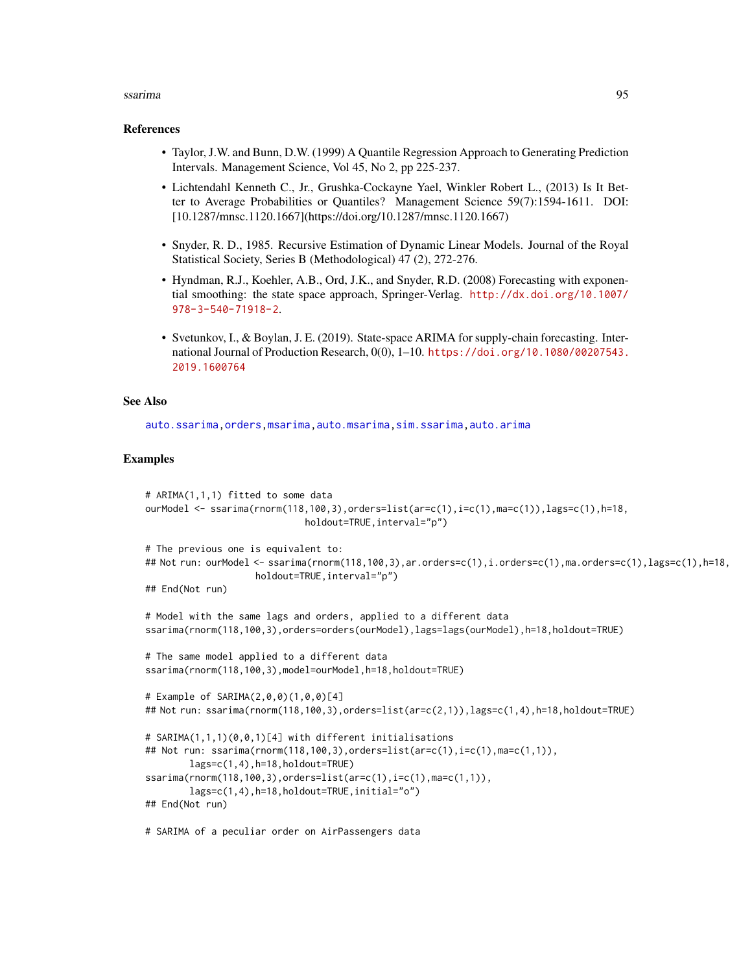#### <span id="page-94-0"></span>ssarima 95

#### References

- Taylor, J.W. and Bunn, D.W. (1999) A Quantile Regression Approach to Generating Prediction Intervals. Management Science, Vol 45, No 2, pp 225-237.
- Lichtendahl Kenneth C., Jr., Grushka-Cockayne Yael, Winkler Robert L., (2013) Is It Better to Average Probabilities or Quantiles? Management Science 59(7):1594-1611. DOI: [10.1287/mnsc.1120.1667](https://doi.org/10.1287/mnsc.1120.1667)
- Snyder, R. D., 1985. Recursive Estimation of Dynamic Linear Models. Journal of the Royal Statistical Society, Series B (Methodological) 47 (2), 272-276.
- Hyndman, R.J., Koehler, A.B., Ord, J.K., and Snyder, R.D. (2008) Forecasting with exponential smoothing: the state space approach, Springer-Verlag. [http://dx.doi.org/10.1007/](http://dx.doi.org/10.1007/978-3-540-71918-2) [978-3-540-71918-2](http://dx.doi.org/10.1007/978-3-540-71918-2).
- Svetunkov, I., & Boylan, J. E. (2019). State-space ARIMA for supply-chain forecasting. International Journal of Production Research, 0(0), 1–10. [https://doi.org/10.1080/00207543.](https://doi.org/10.1080/00207543.2019.1600764) [2019.1600764](https://doi.org/10.1080/00207543.2019.1600764)

## See Also

[auto.ssarima](#page-13-0)[,orders,](#page-57-0)[msarima,](#page-42-0)[auto.msarima,](#page-9-0)[sim.ssarima](#page-73-0)[,auto.arima](#page-0-0)

#### Examples

```
# ARIMA(1,1,1) fitted to some data
ourModel <- ssarima(rnorm(118,100,3),orders=list(ar=c(1),i=c(1),ma=c(1)),lags=c(1),h=18,
                             holdout=TRUE,interval="p")
# The previous one is equivalent to:
## Not run: ourModel <- ssarima(rnorm(118,100,3),ar.orders=c(1),i.orders=c(1),ma.orders=c(1),lags=c(1),h=18,
                    holdout=TRUE,interval="p")
## End(Not run)
# Model with the same lags and orders, applied to a different data
ssarima(rnorm(118,100,3),orders=orders(ourModel),lags=lags(ourModel),h=18,holdout=TRUE)
# The same model applied to a different data
ssarima(rnorm(118,100,3),model=ourModel,h=18,holdout=TRUE)
# Example of SARIMA(2,0,0)(1,0,0)[4]
## Not run: ssarima(rnorm(118,100,3),orders=list(ar=c(2,1)),lags=c(1,4),h=18,holdout=TRUE)
# SARIMA(1,1,1)(0,0,1)[4] with different initialisations
## Not run: ssarima(rnorm(118,100,3),orders=list(ar=c(1),i=c(1),ma=c(1,1)),
       lags=c(1,4),h=18,holdout=TRUE)
ssarima(rnorm(118,100,3),orders=list(ar=c(1),i=c(1),ma=c(1,1)),
       lags=c(1,4),h=18,holdout=TRUE,initial="o")
## End(Not run)
```
# SARIMA of a peculiar order on AirPassengers data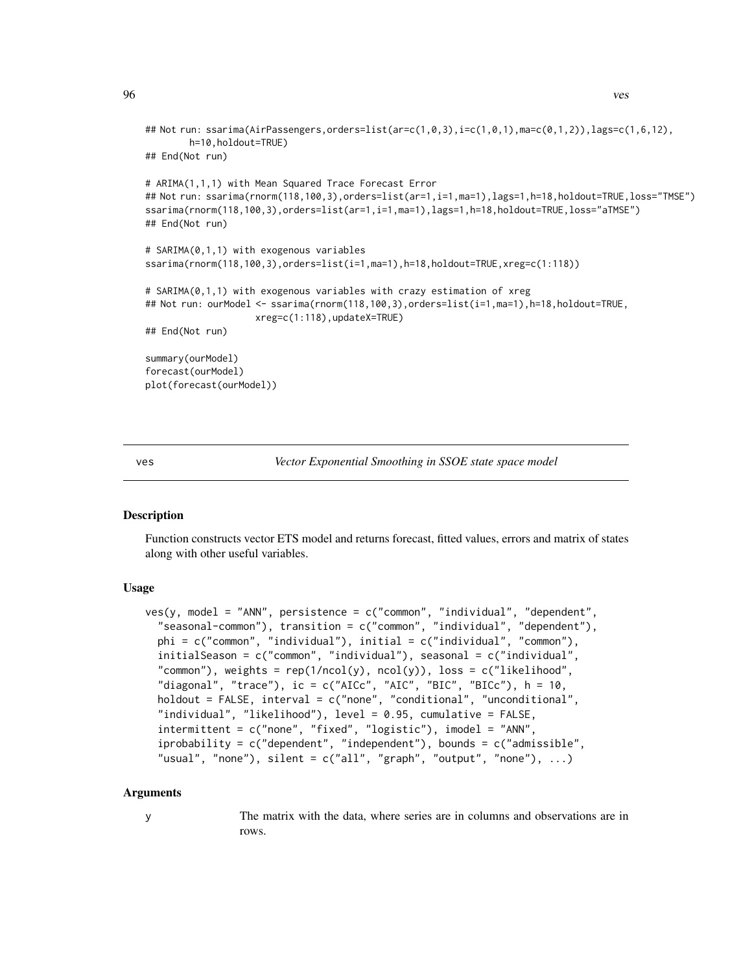```
## Not run: ssarima(AirPassengers,orders=list(ar=c(1,0,3),i=c(1,0,1),ma=c(0,1,2)),lags=c(1,6,12),
       h=10,holdout=TRUE)
## End(Not run)
# ARIMA(1,1,1) with Mean Squared Trace Forecast Error
## Not run: ssarima(rnorm(118,100,3),orders=list(ar=1,i=1,ma=1),lags=1,h=18,holdout=TRUE,loss="TMSE")
ssarima(rnorm(118,100,3),orders=list(ar=1,i=1,ma=1),lags=1,h=18,holdout=TRUE,loss="aTMSE")
## End(Not run)
# SARIMA(0,1,1) with exogenous variables
ssarima(rnorm(118,100,3),orders=list(i=1,ma=1),h=18,holdout=TRUE,xreg=c(1:118))
# SARIMA(0,1,1) with exogenous variables with crazy estimation of xreg
## Not run: ourModel <- ssarima(rnorm(118,100,3),orders=list(i=1,ma=1),h=18,holdout=TRUE,
                    xreg=c(1:118),updateX=TRUE)
## End(Not run)
summary(ourModel)
forecast(ourModel)
plot(forecast(ourModel))
```
<span id="page-95-0"></span>ves *Vector Exponential Smoothing in SSOE state space model*

## **Description**

Function constructs vector ETS model and returns forecast, fitted values, errors and matrix of states along with other useful variables.

## Usage

```
ves(y, model = "ANN", persistence = c("common", "individual", "dependent",
  "seasonal-common"), transition = c("common", "individual", "dependent"),
 phi = c("common", "individual"), initial = c("individual", "common"),
  initialSeason = c("common", "individual"), seasonal = c("individual",
  "common"), weights = rep(1/ncol(y), ncol(y)), loss = c("likelihood","diagonal", "trace"), ic = c("AICc", "AIC", "BIC", "BICc"), h = 10,
  holdout = FALSE, interval = c("none", "conditional", "unconditional",
  "individual", "likelihood"), level = 0.95, cumulative = FALSE,
  intermittent = c("none", "fixed", "logistic"), imodel = "ANN",
  iprobability = c("dependent", "independent"), bounds = c("admissible",
  "usual", "none"), silent = c("all", "graph", "output", "none"), ...
```
#### Arguments

y The matrix with the data, where series are in columns and observations are in rows.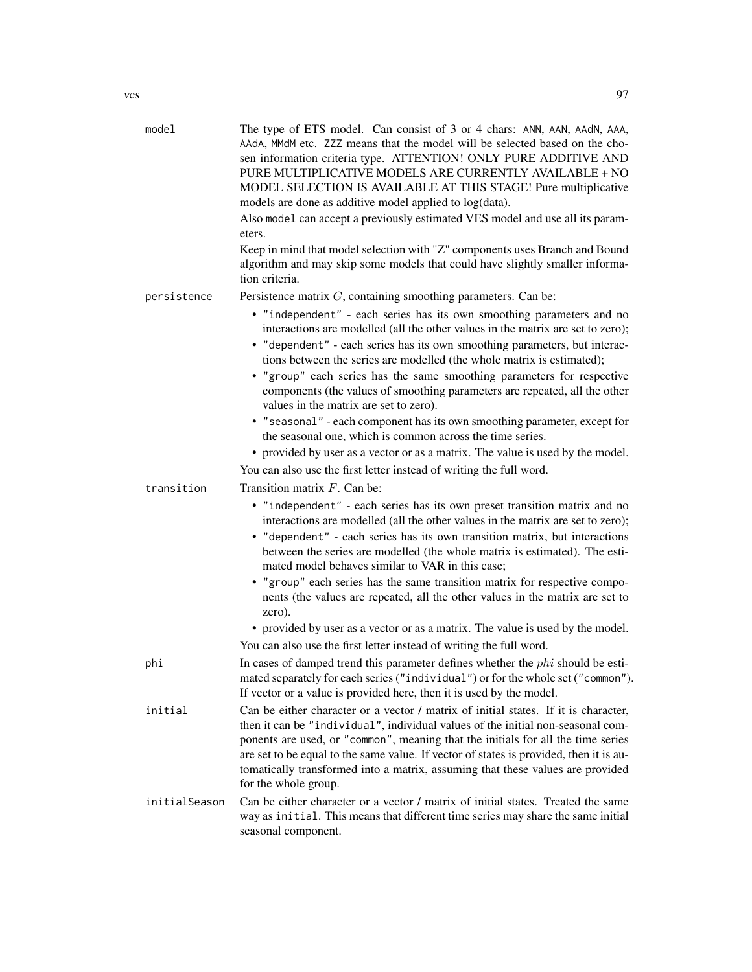| model         | The type of ETS model. Can consist of 3 or 4 chars: ANN, AAN, AAdN, AAA,<br>AAdA, MMdM etc. ZZZ means that the model will be selected based on the cho-<br>sen information criteria type. ATTENTION! ONLY PURE ADDITIVE AND<br>PURE MULTIPLICATIVE MODELS ARE CURRENTLY AVAILABLE + NO<br>MODEL SELECTION IS AVAILABLE AT THIS STAGE! Pure multiplicative<br>models are done as additive model applied to log(data).<br>Also model can accept a previously estimated VES model and use all its param-<br>eters.<br>Keep in mind that model selection with "Z" components uses Branch and Bound<br>algorithm and may skip some models that could have slightly smaller informa-<br>tion criteria.                                                                                                                                                         |
|---------------|----------------------------------------------------------------------------------------------------------------------------------------------------------------------------------------------------------------------------------------------------------------------------------------------------------------------------------------------------------------------------------------------------------------------------------------------------------------------------------------------------------------------------------------------------------------------------------------------------------------------------------------------------------------------------------------------------------------------------------------------------------------------------------------------------------------------------------------------------------|
| persistence   | Persistence matrix $G$ , containing smoothing parameters. Can be:                                                                                                                                                                                                                                                                                                                                                                                                                                                                                                                                                                                                                                                                                                                                                                                        |
| transition    | • "independent" - each series has its own smoothing parameters and no<br>interactions are modelled (all the other values in the matrix are set to zero);<br>• "dependent" - each series has its own smoothing parameters, but interac-<br>tions between the series are modelled (the whole matrix is estimated);<br>• "group" each series has the same smoothing parameters for respective<br>components (the values of smoothing parameters are repeated, all the other<br>values in the matrix are set to zero).<br>• "seasonal" - each component has its own smoothing parameter, except for<br>the seasonal one, which is common across the time series.<br>• provided by user as a vector or as a matrix. The value is used by the model.<br>You can also use the first letter instead of writing the full word.<br>Transition matrix $F$ . Can be: |
|               | • "independent" - each series has its own preset transition matrix and no<br>interactions are modelled (all the other values in the matrix are set to zero);<br>• "dependent" - each series has its own transition matrix, but interactions<br>between the series are modelled (the whole matrix is estimated). The esti-<br>mated model behaves similar to VAR in this case;<br>• "group" each series has the same transition matrix for respective compo-<br>nents (the values are repeated, all the other values in the matrix are set to<br>zero).<br>• provided by user as a vector or as a matrix. The value is used by the model.                                                                                                                                                                                                                 |
| phi           | You can also use the first letter instead of writing the full word.<br>In cases of damped trend this parameter defines whether the $phi$ should be esti-<br>mated separately for each series ("individual") or for the whole set ("common").<br>If vector or a value is provided here, then it is used by the model.                                                                                                                                                                                                                                                                                                                                                                                                                                                                                                                                     |
| initial       | Can be either character or a vector / matrix of initial states. If it is character,<br>then it can be "individual", individual values of the initial non-seasonal com-<br>ponents are used, or "common", meaning that the initials for all the time series<br>are set to be equal to the same value. If vector of states is provided, then it is au-<br>tomatically transformed into a matrix, assuming that these values are provided<br>for the whole group.                                                                                                                                                                                                                                                                                                                                                                                           |
| initialSeason | Can be either character or a vector / matrix of initial states. Treated the same<br>way as initial. This means that different time series may share the same initial<br>seasonal component.                                                                                                                                                                                                                                                                                                                                                                                                                                                                                                                                                                                                                                                              |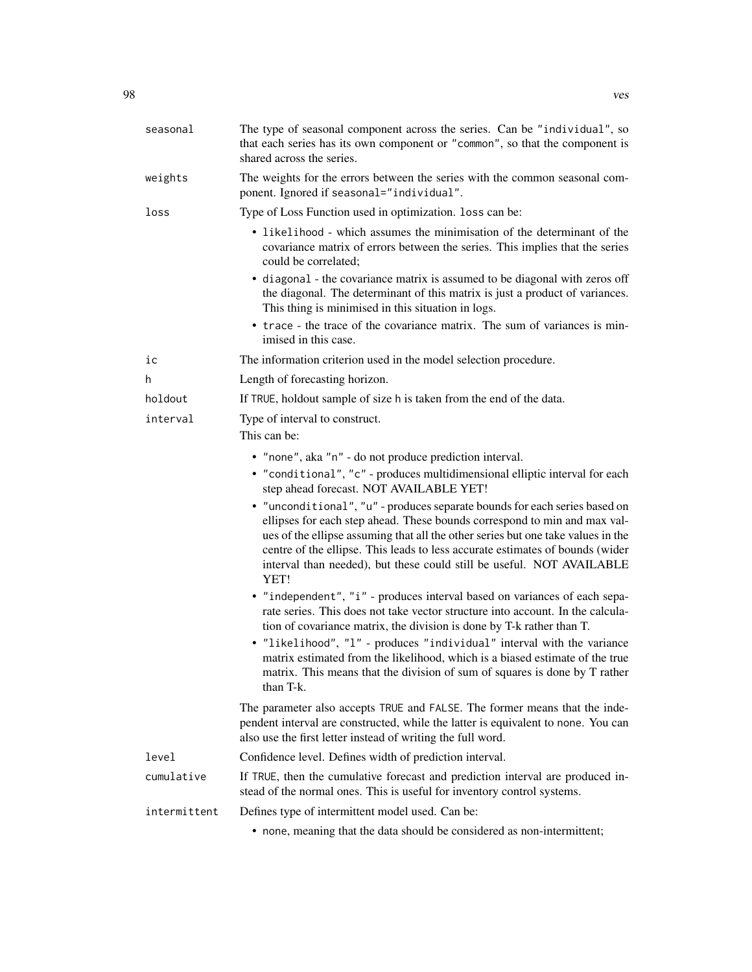| seasonal     | The type of seasonal component across the series. Can be "individual", so<br>that each series has its own component or "common", so that the component is<br>shared across the series.                                                                                                                                                                                                                        |
|--------------|---------------------------------------------------------------------------------------------------------------------------------------------------------------------------------------------------------------------------------------------------------------------------------------------------------------------------------------------------------------------------------------------------------------|
| weights      | The weights for the errors between the series with the common seasonal com-<br>ponent. Ignored if seasonal="individual".                                                                                                                                                                                                                                                                                      |
| loss         | Type of Loss Function used in optimization. loss can be:                                                                                                                                                                                                                                                                                                                                                      |
|              | • likelihood - which assumes the minimisation of the determinant of the<br>covariance matrix of errors between the series. This implies that the series<br>could be correlated;                                                                                                                                                                                                                               |
|              | • diagonal - the covariance matrix is assumed to be diagonal with zeros off<br>the diagonal. The determinant of this matrix is just a product of variances.<br>This thing is minimised in this situation in logs.                                                                                                                                                                                             |
|              | • trace - the trace of the covariance matrix. The sum of variances is min-<br>imised in this case.                                                                                                                                                                                                                                                                                                            |
| iс           | The information criterion used in the model selection procedure.                                                                                                                                                                                                                                                                                                                                              |
| h.           | Length of forecasting horizon.                                                                                                                                                                                                                                                                                                                                                                                |
| holdout      | If TRUE, holdout sample of size h is taken from the end of the data.                                                                                                                                                                                                                                                                                                                                          |
| interval     | Type of interval to construct.<br>This can be:                                                                                                                                                                                                                                                                                                                                                                |
|              | • "none", aka "n" - do not produce prediction interval.                                                                                                                                                                                                                                                                                                                                                       |
|              | • "conditional", "c" - produces multidimensional elliptic interval for each<br>step ahead forecast. NOT AVAILABLE YET!                                                                                                                                                                                                                                                                                        |
|              | • "unconditional", "u" - produces separate bounds for each series based on<br>ellipses for each step ahead. These bounds correspond to min and max val-<br>ues of the ellipse assuming that all the other series but one take values in the<br>centre of the ellipse. This leads to less accurate estimates of bounds (wider<br>interval than needed), but these could still be useful. NOT AVAILABLE<br>YET! |
|              | • "independent", "i" - produces interval based on variances of each sepa-<br>rate series. This does not take vector structure into account. In the calcula-<br>tion of covariance matrix, the division is done by T-k rather than T.                                                                                                                                                                          |
|              | • "likelihood", "l" - produces "individual" interval with the variance<br>matrix estimated from the likelihood, which is a biased estimate of the true<br>matrix. This means that the division of sum of squares is done by T rather<br>than T-k.                                                                                                                                                             |
|              | The parameter also accepts TRUE and FALSE. The former means that the inde-<br>pendent interval are constructed, while the latter is equivalent to none. You can<br>also use the first letter instead of writing the full word.                                                                                                                                                                                |
| level        | Confidence level. Defines width of prediction interval.                                                                                                                                                                                                                                                                                                                                                       |
| cumulative   | If TRUE, then the cumulative forecast and prediction interval are produced in-<br>stead of the normal ones. This is useful for inventory control systems.                                                                                                                                                                                                                                                     |
| intermittent | Defines type of intermittent model used. Can be:                                                                                                                                                                                                                                                                                                                                                              |
|              | • none, meaning that the data should be considered as non-intermittent;                                                                                                                                                                                                                                                                                                                                       |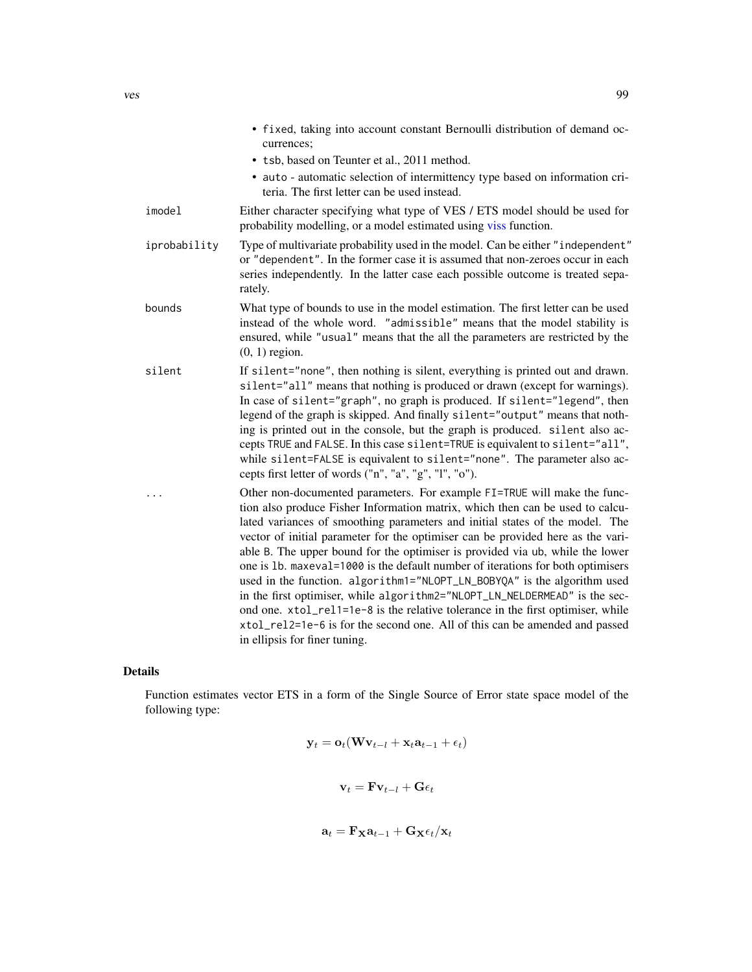<span id="page-98-0"></span>

|              | • fixed, taking into account constant Bernoulli distribution of demand oc-<br>currences;                                                                                                                                                                                                                                                                                                                                                                                                                                                                                                                                                                                                                                                                                                                                                                      |
|--------------|---------------------------------------------------------------------------------------------------------------------------------------------------------------------------------------------------------------------------------------------------------------------------------------------------------------------------------------------------------------------------------------------------------------------------------------------------------------------------------------------------------------------------------------------------------------------------------------------------------------------------------------------------------------------------------------------------------------------------------------------------------------------------------------------------------------------------------------------------------------|
|              | • tsb, based on Teunter et al., 2011 method.                                                                                                                                                                                                                                                                                                                                                                                                                                                                                                                                                                                                                                                                                                                                                                                                                  |
|              | • auto - automatic selection of intermittency type based on information cri-<br>teria. The first letter can be used instead.                                                                                                                                                                                                                                                                                                                                                                                                                                                                                                                                                                                                                                                                                                                                  |
| imodel       | Either character specifying what type of VES / ETS model should be used for<br>probability modelling, or a model estimated using viss function.                                                                                                                                                                                                                                                                                                                                                                                                                                                                                                                                                                                                                                                                                                               |
| iprobability | Type of multivariate probability used in the model. Can be either "independent"<br>or "dependent". In the former case it is assumed that non-zeroes occur in each<br>series independently. In the latter case each possible outcome is treated sepa-<br>rately.                                                                                                                                                                                                                                                                                                                                                                                                                                                                                                                                                                                               |
| bounds       | What type of bounds to use in the model estimation. The first letter can be used<br>instead of the whole word. "admissible" means that the model stability is<br>ensured, while "usual" means that the all the parameters are restricted by the<br>$(0, 1)$ region.                                                                                                                                                                                                                                                                                                                                                                                                                                                                                                                                                                                           |
| silent       | If silent="none", then nothing is silent, everything is printed out and drawn.<br>silent="all" means that nothing is produced or drawn (except for warnings).<br>In case of silent="graph", no graph is produced. If silent="legend", then<br>legend of the graph is skipped. And finally silent="output" means that noth-<br>ing is printed out in the console, but the graph is produced. silent also ac-<br>cepts TRUE and FALSE. In this case silent=TRUE is equivalent to silent="all",<br>while silent=FALSE is equivalent to silent="none". The parameter also ac-<br>cepts first letter of words ("n", "a", "g", "l", "o").                                                                                                                                                                                                                           |
| .            | Other non-documented parameters. For example FI=TRUE will make the func-<br>tion also produce Fisher Information matrix, which then can be used to calcu-<br>lated variances of smoothing parameters and initial states of the model. The<br>vector of initial parameter for the optimiser can be provided here as the vari-<br>able B. The upper bound for the optimiser is provided via ub, while the lower<br>one is 1b. maxeval=1000 is the default number of iterations for both optimisers<br>used in the function. algorithm1="NLOPT_LN_BOBYQA" is the algorithm used<br>in the first optimiser, while algorithm2="NLOPT_LN_NELDERMEAD" is the sec-<br>ond one. xtol_rel1=1e-8 is the relative tolerance in the first optimiser, while<br>xtol_rel2=1e-6 is for the second one. All of this can be amended and passed<br>in ellipsis for finer tuning. |

# Details

Function estimates vector ETS in a form of the Single Source of Error state space model of the following type:

$$
\mathbf{y}_t = \mathbf{o}_t(\mathbf{W}\mathbf{v}_{t-l} + \mathbf{x}_t\mathbf{a}_{t-1} + \epsilon_t)
$$

$$
\mathbf{v}_t = \mathbf{F} \mathbf{v}_{t-l} + \mathbf{G} \epsilon_t
$$

$$
\mathbf{a}_t = \mathbf{F_X} \mathbf{a}_{t-1} + \mathbf{G_X} \epsilon_t/\mathbf{x}_t
$$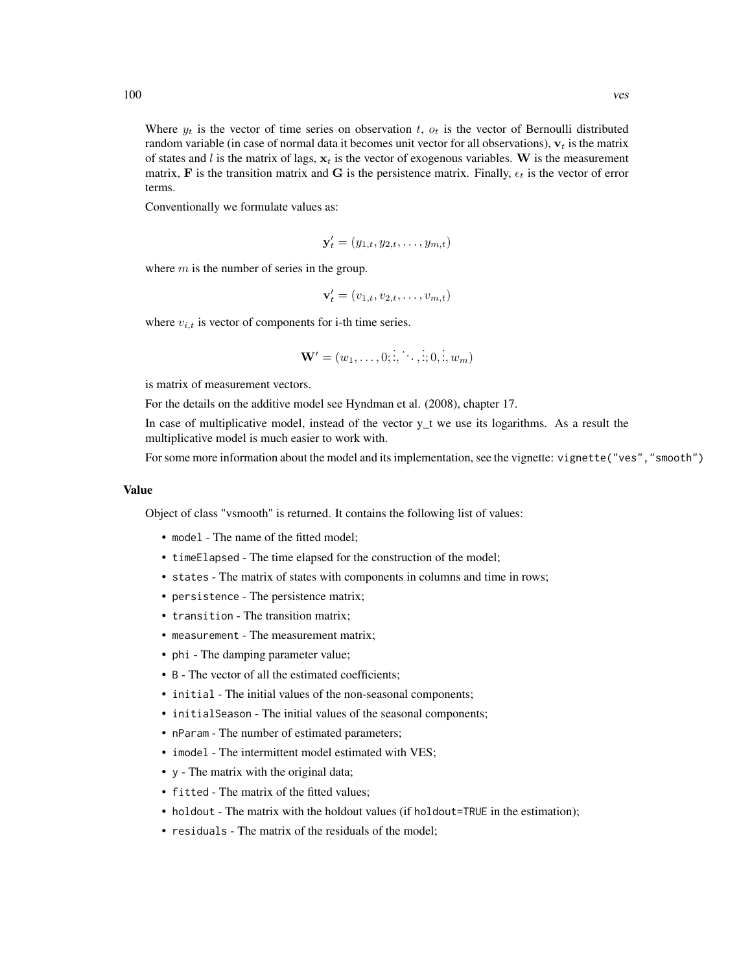Where  $y_t$  is the vector of time series on observation t,  $o_t$  is the vector of Bernoulli distributed random variable (in case of normal data it becomes unit vector for all observations),  $v_t$  is the matrix of states and l is the matrix of lags,  $x_t$  is the vector of exogenous variables. W is the measurement matrix, F is the transition matrix and G is the persistence matrix. Finally,  $\epsilon_t$  is the vector of error terms.

Conventionally we formulate values as:

$$
\mathbf{y}'_t = (y_{1,t}, y_{2,t}, \dots, y_{m,t})
$$

where  $m$  is the number of series in the group.

$$
\mathbf{v}'_t = (v_{1,t}, v_{2,t}, \dots, v_{m,t})
$$

where  $v_{i,t}$  is vector of components for i-th time series.

$$
\mathbf{W}'=(w_1,\ldots,0;\dot{z},\dot{\cdots},\dot{z};0,\dot{z},w_m)
$$

is matrix of measurement vectors.

For the details on the additive model see Hyndman et al. (2008), chapter 17.

In case of multiplicative model, instead of the vector  $y_t$  we use its logarithms. As a result the multiplicative model is much easier to work with.

For some more information about the model and its implementation, see the vignette: vignette("ves","smooth")

## Value

Object of class "vsmooth" is returned. It contains the following list of values:

- model The name of the fitted model;
- timeElapsed The time elapsed for the construction of the model;
- states The matrix of states with components in columns and time in rows;
- persistence The persistence matrix;
- transition The transition matrix;
- measurement The measurement matrix;
- phi The damping parameter value;
- B The vector of all the estimated coefficients;
- initial The initial values of the non-seasonal components;
- initialSeason The initial values of the seasonal components;
- nParam The number of estimated parameters;
- imodel The intermittent model estimated with VES;
- y The matrix with the original data;
- fitted The matrix of the fitted values;
- holdout The matrix with the holdout values (if holdout=TRUE in the estimation);
- residuals The matrix of the residuals of the model;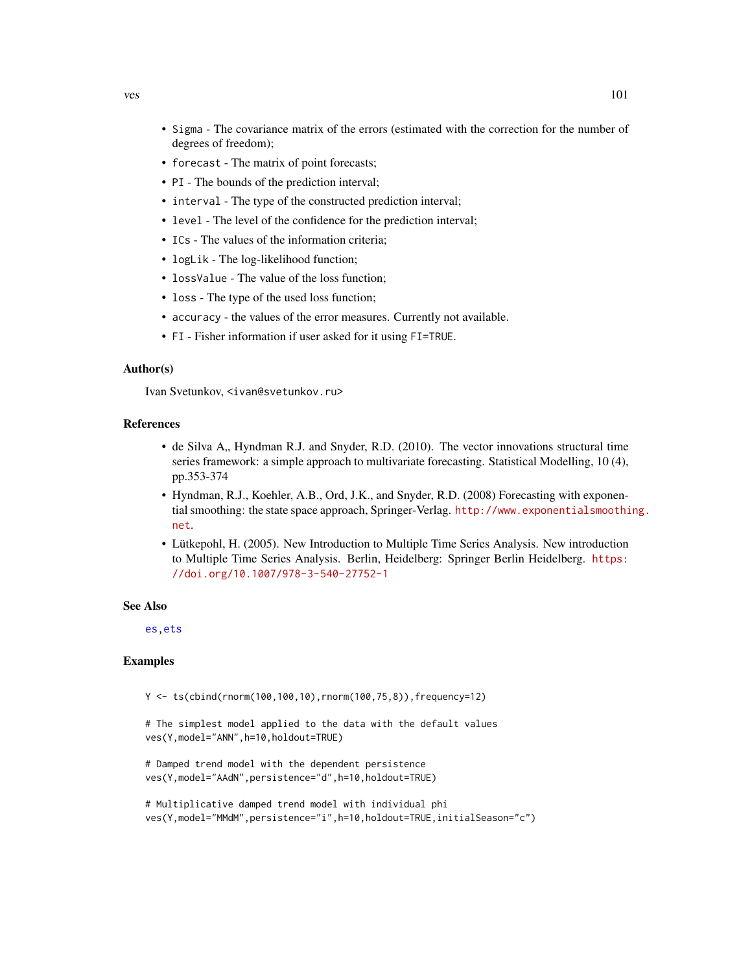- <span id="page-100-0"></span>• Sigma - The covariance matrix of the errors (estimated with the correction for the number of degrees of freedom);
- forecast The matrix of point forecasts;
- PI The bounds of the prediction interval;
- interval The type of the constructed prediction interval;
- level The level of the confidence for the prediction interval;
- ICs The values of the information criteria;
- logLik The log-likelihood function;
- lossValue The value of the loss function;
- loss The type of the used loss function;
- accuracy the values of the error measures. Currently not available.
- FI Fisher information if user asked for it using FI=TRUE.

#### Author(s)

Ivan Svetunkov, <ivan@svetunkov.ru>

#### References

- de Silva A., Hyndman R.J. and Snyder, R.D. (2010). The vector innovations structural time series framework: a simple approach to multivariate forecasting. Statistical Modelling, 10 (4), pp.353-374
- Hyndman, R.J., Koehler, A.B., Ord, J.K., and Snyder, R.D. (2008) Forecasting with exponential smoothing: the state space approach, Springer-Verlag. [http://www.exponentialsmoothi](http://www.exponentialsmoothing.net)ng. [net](http://www.exponentialsmoothing.net).
- Lütkepohl, H. (2005). New Introduction to Multiple Time Series Analysis. New introduction to Multiple Time Series Analysis. Berlin, Heidelberg: Springer Berlin Heidelberg. [https:](https://doi.org/10.1007/978-3-540-27752-1) [//doi.org/10.1007/978-3-540-27752-1](https://doi.org/10.1007/978-3-540-27752-1)

## See Also

[es](#page-24-0)[,ets](#page-0-0)

## **Examples**

 $Y \le f \le \text{cbind}(\text{rnorm}(100, 100, 10), \text{rnorm}(100, 75, 8))$ , frequency=12)

# The simplest model applied to the data with the default values ves(Y,model="ANN",h=10,holdout=TRUE)

```
# Damped trend model with the dependent persistence
ves(Y,model="AAdN",persistence="d",h=10,holdout=TRUE)
```

```
# Multiplicative damped trend model with individual phi
ves(Y,model="MMdM",persistence="i",h=10,holdout=TRUE,initialSeason="c")
```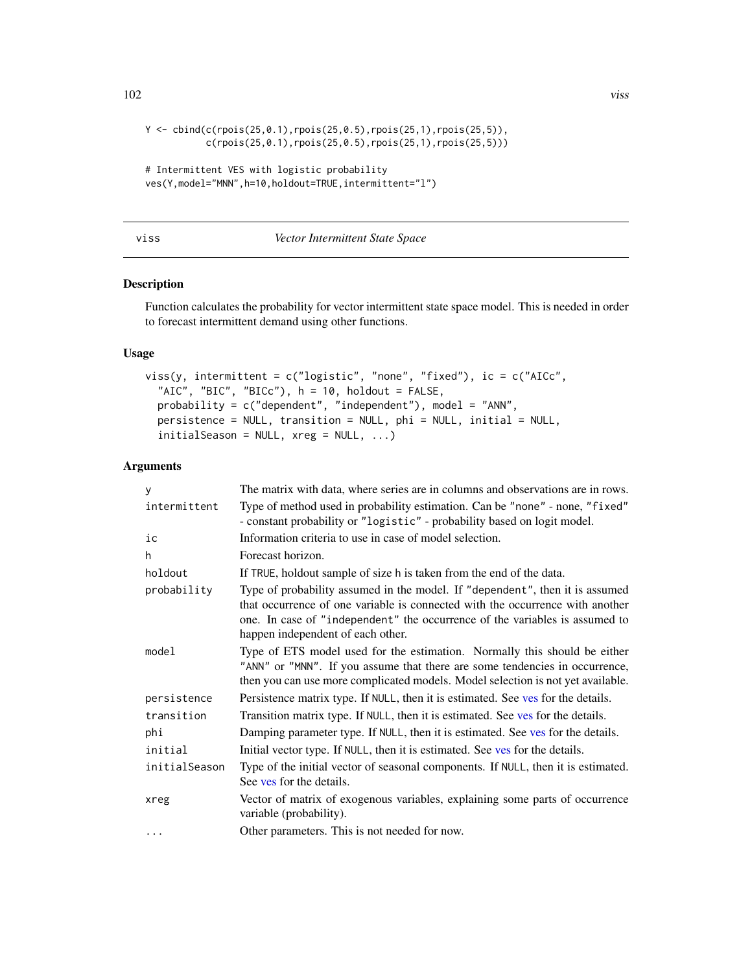```
Y \leq - \text{cbind}(c(\text{rpois}(25, 0.1), \text{rpois}(25, 0.5), \text{rpois}(25, 1), \text{rpois}(25, 5)),c(rpois(25,0.1),rpois(25,0.5),rpois(25,1),rpois(25,5)))
# Intermittent VES with logistic probability
ves(Y,model="MNN",h=10,holdout=TRUE,intermittent="l")
```
<span id="page-101-0"></span>

| × | ×<br>۰, | ۰. |
|---|---------|----|

## **Vector Intermittent State Space**

## Description

Function calculates the probability for vector intermittent state space model. This is needed in order to forecast intermittent demand using other functions.

## Usage

```
viss(y, intermittent = c("logistic", "none", "fixed"), ic = c("AICc",
  "AIC", "BIC", "BICc"), h = 10, holdout = FALSE,
 probability = c("dependent", "independent"), model = "ANN",
 persistence = NULL, transition = NULL, phi = NULL, initial = NULL,
  initialSeason = NULL, xreg = NULL, ...)
```
## Arguments

| y             | The matrix with data, where series are in columns and observations are in rows.                                                                                                                                                                                                   |
|---------------|-----------------------------------------------------------------------------------------------------------------------------------------------------------------------------------------------------------------------------------------------------------------------------------|
| intermittent  | Type of method used in probability estimation. Can be "none" - none, "fixed"<br>- constant probability or "logistic" - probability based on logit model.                                                                                                                          |
| ic            | Information criteria to use in case of model selection.                                                                                                                                                                                                                           |
| h             | Forecast horizon.                                                                                                                                                                                                                                                                 |
| holdout       | If TRUE, holdout sample of size h is taken from the end of the data.                                                                                                                                                                                                              |
| probability   | Type of probability assumed in the model. If "dependent", then it is assumed<br>that occurrence of one variable is connected with the occurrence with another<br>one. In case of "independent" the occurrence of the variables is assumed to<br>happen independent of each other. |
| model         | Type of ETS model used for the estimation. Normally this should be either<br>"ANN" or "MNN". If you assume that there are some tendencies in occurrence,<br>then you can use more complicated models. Model selection is not yet available.                                       |
| persistence   | Persistence matrix type. If NULL, then it is estimated. See ves for the details.                                                                                                                                                                                                  |
| transition    | Transition matrix type. If NULL, then it is estimated. See ves for the details.                                                                                                                                                                                                   |
| phi           | Damping parameter type. If NULL, then it is estimated. See ves for the details.                                                                                                                                                                                                   |
| initial       | Initial vector type. If NULL, then it is estimated. See ves for the details.                                                                                                                                                                                                      |
| initialSeason | Type of the initial vector of seasonal components. If NULL, then it is estimated.<br>See yes for the details.                                                                                                                                                                     |
| xreg          | Vector of matrix of exogenous variables, explaining some parts of occurrence<br>variable (probability).                                                                                                                                                                           |
| .             | Other parameters. This is not needed for now.                                                                                                                                                                                                                                     |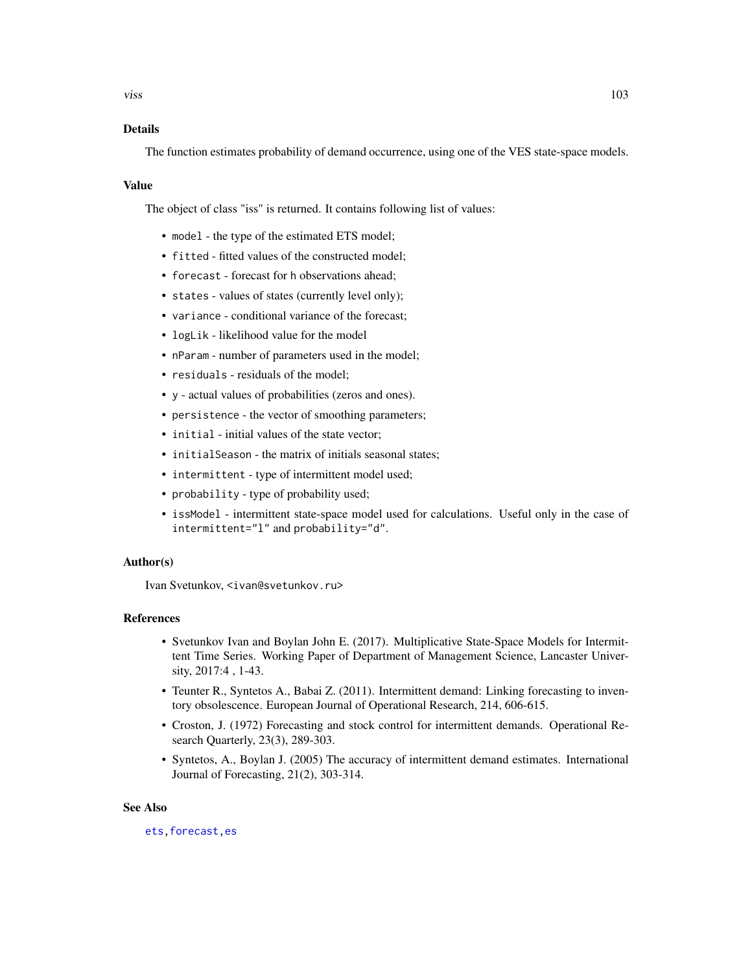## <span id="page-102-0"></span>Details

The function estimates probability of demand occurrence, using one of the VES state-space models.

#### Value

The object of class "iss" is returned. It contains following list of values:

- model the type of the estimated ETS model;
- fitted fitted values of the constructed model;
- forecast forecast for h observations ahead;
- states values of states (currently level only);
- variance conditional variance of the forecast;
- logLik likelihood value for the model
- nParam number of parameters used in the model;
- residuals residuals of the model;
- y actual values of probabilities (zeros and ones).
- persistence the vector of smoothing parameters;
- initial initial values of the state vector:
- initialSeason the matrix of initials seasonal states;
- intermittent type of intermittent model used;
- probability type of probability used;
- issModel intermittent state-space model used for calculations. Useful only in the case of intermittent="l" and probability="d".

## Author(s)

Ivan Svetunkov, <ivan@svetunkov.ru>

#### References

- Svetunkov Ivan and Boylan John E. (2017). Multiplicative State-Space Models for Intermittent Time Series. Working Paper of Department of Management Science, Lancaster University, 2017:4 , 1-43.
- Teunter R., Syntetos A., Babai Z. (2011). Intermittent demand: Linking forecasting to inventory obsolescence. European Journal of Operational Research, 214, 606-615.
- Croston, J. (1972) Forecasting and stock control for intermittent demands. Operational Research Quarterly, 23(3), 289-303.
- Syntetos, A., Boylan J. (2005) The accuracy of intermittent demand estimates. International Journal of Forecasting, 21(2), 303-314.

#### See Also

[ets](#page-0-0)[,forecast](#page-31-0)[,es](#page-24-0)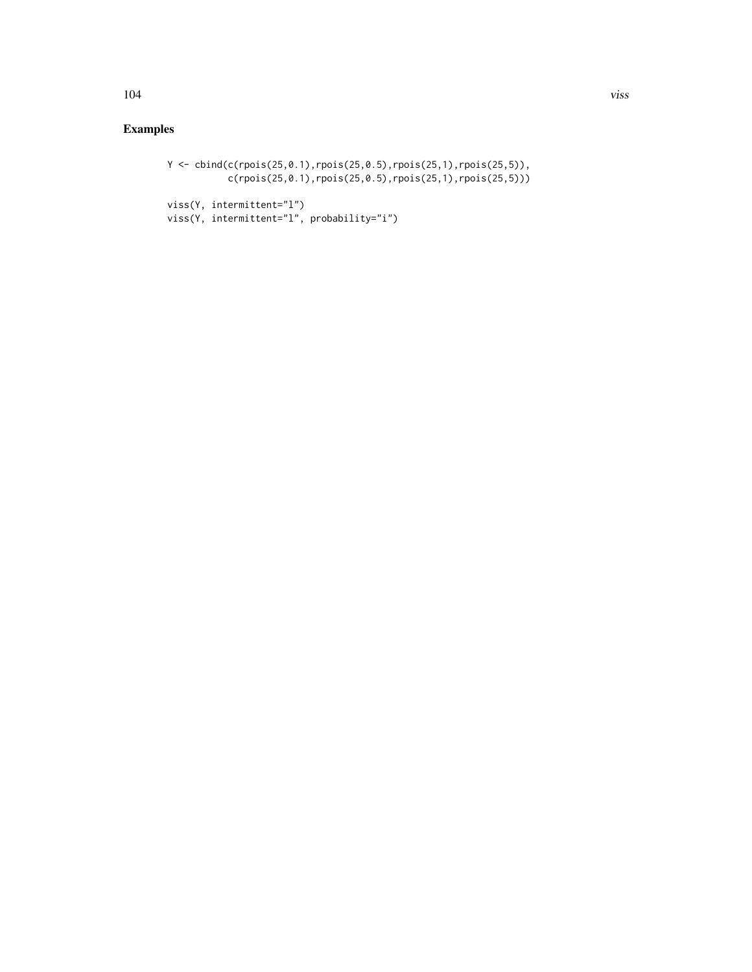# Y <- cbind(c(rpois(25,0.1),rpois(25,0.5),rpois(25,1),rpois(25,5)), c(rpois(25,0.1),rpois(25,0.5),rpois(25,1),rpois(25,5)))

```
viss(Y, intermittent="l")
viss(Y, intermittent="l", probability="i")
```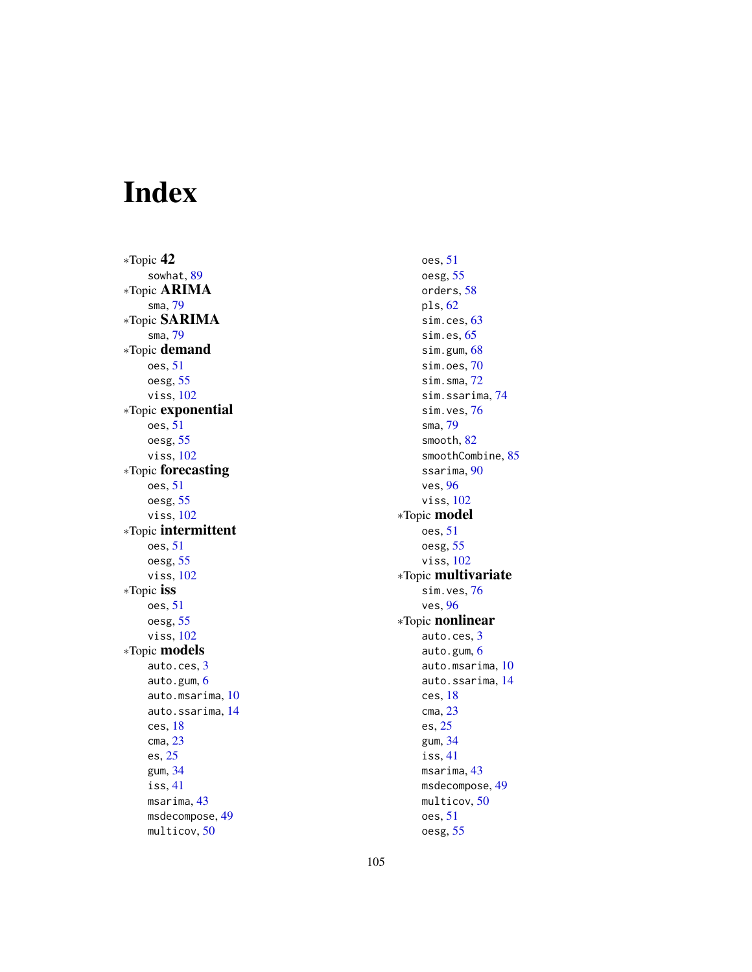# Index

∗Topic 42 sowhat , [89](#page-88-0) ∗Topic ARIMA sma , [79](#page-78-1) ∗Topic SARIMA sma , [79](#page-78-1) ∗Topic demand oes , [51](#page-50-0) oesg , [55](#page-54-0) viss , [102](#page-101-1) ∗Topic exponential oes , [51](#page-50-0) oesg , [55](#page-54-0) viss , [102](#page-101-1) ∗Topic forecasting oes , [51](#page-50-0) oesg , [55](#page-54-0) viss , [102](#page-101-1) ∗Topic intermittent oes , [51](#page-50-0) oesg , [55](#page-54-0) viss , [102](#page-101-1) ∗Topic iss oes , [51](#page-50-0) oesg , [55](#page-54-0) viss , [102](#page-101-1) ∗Topic models auto.ces , [3](#page-2-1) auto.gum, [6](#page-5-1) auto.msarima , [10](#page-9-1) auto.ssarima , [14](#page-13-1) ces , [18](#page-17-1) cma , [23](#page-22-1) es , [25](#page-24-1) gum , [34](#page-33-1) iss , [41](#page-40-1) msarima , [43](#page-42-1) msdecompose, [49](#page-48-0) multicov , [50](#page-49-1)

oes, <mark>5</mark>1 oesg , [55](#page-54-0) orders, [58](#page-57-1) pls , [62](#page-61-1) sim.ces, [63](#page-62-1) sim.es, [65](#page-64-1) sim.gum, [68](#page-67-1) sim.oes,[70](#page-69-0) sim.sma , [72](#page-71-1) sim.ssarima , [74](#page-73-1) sim.ves, [76](#page-75-0) sma , [79](#page-78-1) smooth, [82](#page-81-0) smoothCombine, [85](#page-84-1) ssarima, [90](#page-89-1) ves , [96](#page-95-1) viss , [102](#page-101-1) ∗Topic model oes , [51](#page-50-0) oesg , [55](#page-54-0) viss , [102](#page-101-1) ∗Topic multivariate sim.ves , [76](#page-75-0) ves , [96](#page-95-1) ∗Topic nonlinear auto.ces , [3](#page-2-1) auto.gum , [6](#page-5-1) auto.msarima , [10](#page-9-1) auto.ssarima, [14](#page-13-1) ces , [18](#page-17-1) cma , [23](#page-22-1) es , [25](#page-24-1) gum , [34](#page-33-1) iss , [41](#page-40-1) msarima , [43](#page-42-1) msdecompose , [49](#page-48-0) multicov , [50](#page-49-1) oes , [51](#page-50-0) oesg , [55](#page-54-0)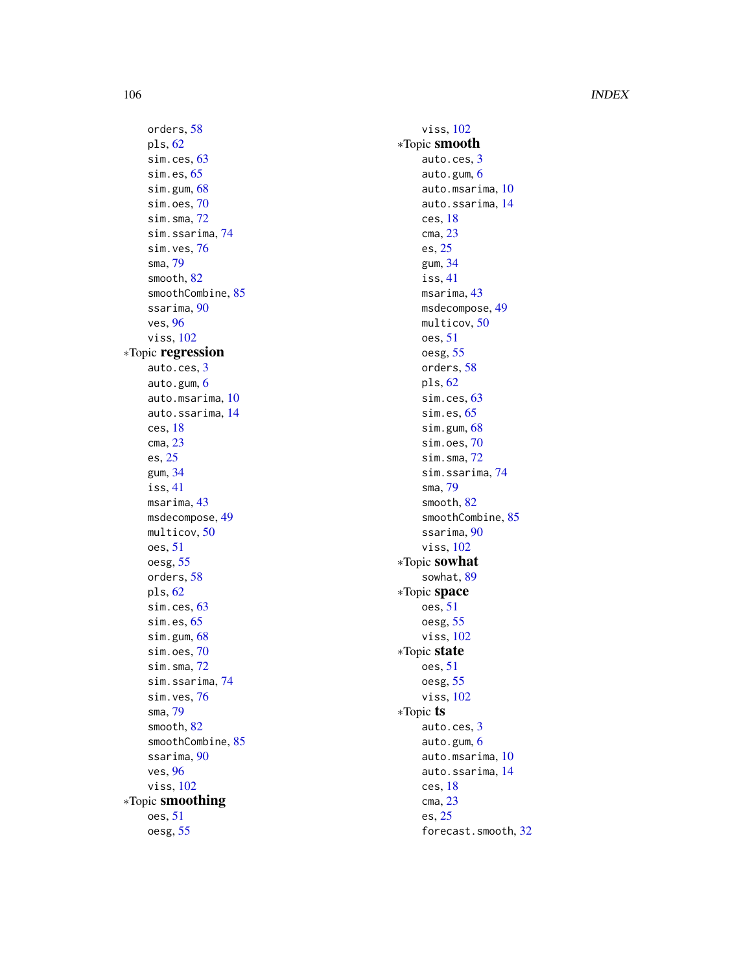## 106 INDEX

orders , [58](#page-57-1) pls , [62](#page-61-1) sim.ces, [63](#page-62-1) sim.es, [65](#page-64-1) sim.gum, [68](#page-67-1) sim.oes, [70](#page-69-0) sim.sma , [72](#page-71-1) sim.ssarima , [74](#page-73-1) sim.ves, [76](#page-75-0) sma , [79](#page-78-1) smooth , [82](#page-81-0) smoothCombine , [85](#page-84-1) ssarima , [90](#page-89-1) ves , [96](#page-95-1) viss , [102](#page-101-1) ∗Topic regression auto.ces , [3](#page-2-1) auto.gum, [6](#page-5-1) auto.msarima , [10](#page-9-1) auto.ssarima , [14](#page-13-1) ces , [18](#page-17-1) cma , [23](#page-22-1) es , [25](#page-24-1) gum , [34](#page-33-1) iss , [41](#page-40-1) msarima , [43](#page-42-1) msdecompose, [49](#page-48-0) multicov , [50](#page-49-1) oes , [51](#page-50-0) oesg , [55](#page-54-0) orders , [58](#page-57-1) pls , [62](#page-61-1) sim.ces, [63](#page-62-1) sim.es, [65](#page-64-1) sim.gum, [68](#page-67-1) sim.oes, [70](#page-69-0) sim.sma , [72](#page-71-1) sim.ssarima, [74](#page-73-1) sim.ves, [76](#page-75-0) sma , [79](#page-78-1) smooth , [82](#page-81-0) smoothCombine , [85](#page-84-1) ssarima, [90](#page-89-1) ves , [96](#page-95-1) viss , [102](#page-101-1) ∗Topic smoothing oes , [51](#page-50-0) oesg , [55](#page-54-0)

viss , [102](#page-101-1) ∗Topic smooth auto.ces , [3](#page-2-1) auto.gum , [6](#page-5-1) auto.msarima, <mark>[10](#page-9-1)</mark> auto.ssarima , [14](#page-13-1) ces , [18](#page-17-1) cma , [23](#page-22-1) es , [25](#page-24-1) gum , [34](#page-33-1) iss , [41](#page-40-1) msarima , [43](#page-42-1) msdecompose , [49](#page-48-0) multicov, <mark>5</mark>0 oes, <mark>5</mark>1 oesg , [55](#page-54-0) orders, <mark>[58](#page-57-1)</mark> pls , [62](#page-61-1) sim.ces, [63](#page-62-1) sim.es, [65](#page-64-1) sim.gum, [68](#page-67-1) sim.oes , [70](#page-69-0) sim.sma, [72](#page-71-1) sim.ssarima , [74](#page-73-1) sma , [79](#page-78-1) smooth, [82](#page-81-0) smoothCombine, [85](#page-84-1) ssarima, [90](#page-89-1) viss , [102](#page-101-1) ∗Topic sowhat sowhat , [89](#page-88-0) ∗Topic space oes, <mark>5</mark>1 oesg , [55](#page-54-0) viss , [102](#page-101-1) ∗Topic state oes, <mark>5</mark>1 oesg , [55](#page-54-0) viss , [102](#page-101-1) ∗Topic ts auto.ces , [3](#page-2-1) auto.gum , [6](#page-5-1) auto.msarima, <mark>[10](#page-9-1)</mark> auto.ssarima , [14](#page-13-1) ces , [18](#page-17-1) cma , [23](#page-22-1) es , [25](#page-24-1) forecast.smooth , [32](#page-31-1)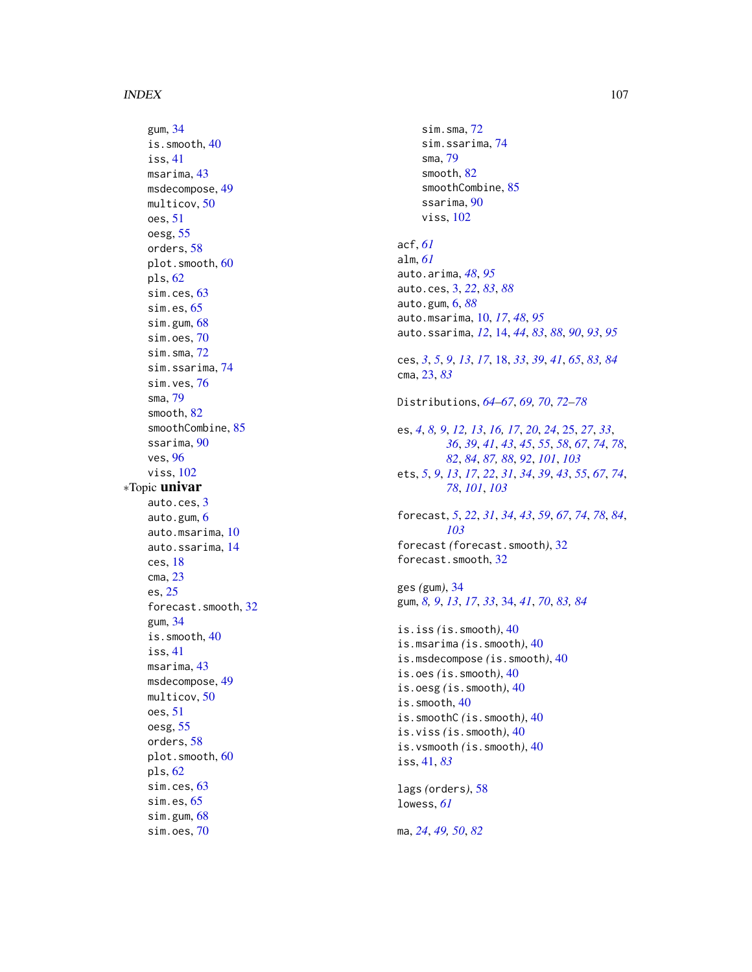#### INDEX  $107$

gum , [34](#page-33-1) is.smooth , [40](#page-39-0) iss , [41](#page-40-1) msarima , [43](#page-42-1) msdecompose, [49](#page-48-0) multicov , [50](#page-49-1) oes , [51](#page-50-0) oesg , [55](#page-54-0) orders , [58](#page-57-1) plot.smooth,  $60$ pls , [62](#page-61-1) sim.ces, [63](#page-62-1) sim.es, [65](#page-64-1) sim.gum, [68](#page-67-1) sim.oes, [70](#page-69-0) sim.sma , [72](#page-71-1) sim.ssarima , [74](#page-73-1) sim.ves, [76](#page-75-0) sma , [79](#page-78-1) smooth , [82](#page-81-0) smoothCombine , [85](#page-84-1) ssarima , [90](#page-89-1) ves , [96](#page-95-1) viss , [102](#page-101-1) ∗Topic univar auto.ces , [3](#page-2-1) auto.gum, [6](#page-5-1) auto.msarima , [10](#page-9-1) auto.ssarima , [14](#page-13-1) ces , [18](#page-17-1) cma , [23](#page-22-1) es , [25](#page-24-1) forecast.smooth , [32](#page-31-1) gum , [34](#page-33-1) is.smooth , [40](#page-39-0) iss , [41](#page-40-1) msarima , [43](#page-42-1) msdecompose, [49](#page-48-0) multicov , [50](#page-49-1) oes , [51](#page-50-0) oesg , [55](#page-54-0) orders , [58](#page-57-1) plot.smooth, [60](#page-59-0) pls , [62](#page-61-1) sim.ces, [63](#page-62-1) sim.es, [65](#page-64-1) sim.gum, [68](#page-67-1) sim.oes, [70](#page-69-0)

sim.sma, [72](#page-71-1) sim.ssarima, [74](#page-73-1) sma , [79](#page-78-1) smooth, [82](#page-81-0) smoothCombine, [85](#page-84-1) ssarima, [90](#page-89-1) viss , [102](#page-101-1) acf , *[61](#page-60-0)* alm , *[61](#page-60-0)* auto.arima , *[48](#page-47-0)* , *[95](#page-94-0)* auto.ces , [3](#page-2-1) , *[22](#page-21-0)* , *[83](#page-82-0)* , *[88](#page-87-0)* auto.gum , [6](#page-5-1) , *[88](#page-87-0)* auto.msarima , [10](#page-9-1) , *[17](#page-16-0)* , *[48](#page-47-0)* , *[95](#page-94-0)* auto.ssarima , *[12](#page-11-0)* , [14](#page-13-1) , *[44](#page-43-0)* , *[83](#page-82-0)* , *[88](#page-87-0)* , *[90](#page-89-1)* , *[93](#page-92-0)* , *[95](#page-94-0)* ces , *[3](#page-2-1)* , *[5](#page-4-0)* , *[9](#page-8-0)* , *[13](#page-12-0)* , *[17](#page-16-0)* , [18](#page-17-1) , *[33](#page-32-0)* , *[39](#page-38-0)* , *[41](#page-40-1)* , *[65](#page-64-1)* , *[83](#page-82-0) , [84](#page-83-0)* cma , [23](#page-22-1) , *[83](#page-82-0)* Distributions , *[64](#page-63-0) [–67](#page-66-0)* , *[69](#page-68-0) , [70](#page-69-0)* , *[72](#page-71-1) [–78](#page-77-0)* es, [4](#page-3-0), [8](#page-7-0), [9](#page-8-0), [12](#page-11-0), [13](#page-12-0), [16,](#page-15-0) [17](#page-16-0), [20](#page-19-0), [24](#page-23-0), [25](#page-24-1), [27](#page-26-0), [33](#page-32-0), *[36](#page-35-0)* , *[39](#page-38-0)* , *[41](#page-40-1)* , *[43](#page-42-1)* , *[45](#page-44-0)* , *[55](#page-54-0)* , *[58](#page-57-1)* , *[67](#page-66-0)* , *[74](#page-73-1)* , *[78](#page-77-0)* , *[82](#page-81-0)* , *[84](#page-83-0)* , *[87,](#page-86-0) [88](#page-87-0)* , *[92](#page-91-0)* , *[101](#page-100-0)* , *[103](#page-102-0)* ets, [5](#page-4-0), [9](#page-8-0), [13](#page-12-0), [17](#page-16-0), [22](#page-21-0), [31](#page-30-0), [34](#page-33-1), [39](#page-38-0), [43](#page-42-1), [55](#page-54-0), [67](#page-66-0), [74](#page-73-1), *[78](#page-77-0)* , *[101](#page-100-0)* , *[103](#page-102-0)* forecast , *[5](#page-4-0)* , *[22](#page-21-0)* , *[31](#page-30-0)* , *[34](#page-33-1)* , *[43](#page-42-1)* , *[59](#page-58-0)* , *[67](#page-66-0)* , *[74](#page-73-1)* , *[78](#page-77-0)* , *[84](#page-83-0)* , *[103](#page-102-0)* forecast *(*forecast.smooth *)* , [32](#page-31-1) forecast.smooth , [32](#page-31-1) ges *(*gum *)* , [34](#page-33-1) gum, *[8](#page-7-0)*, *[9](#page-8-0)*, *[13](#page-12-0)*, *[17](#page-16-0)*, *[33](#page-32-0)*, [34](#page-33-1), *[41](#page-40-1)*, *[70](#page-69-0)*, *[83](#page-82-0)*, *[84](#page-83-0)* is.iss *(*is.smooth *)* , [40](#page-39-0) is.msarima *(*is.smooth *)* , [40](#page-39-0) is.msdecompose *(*is.smooth *)* , [40](#page-39-0) is.oes *(*is.smooth *)* , [40](#page-39-0) is.oesg *(*is.smooth *)* , [40](#page-39-0) is.smooth, [40](#page-39-0) is.smoothC *(*is.smooth *)* , [40](#page-39-0) is.viss *(*is.smooth *)* , [40](#page-39-0) is.vsmooth *(*is.smooth *)* , [40](#page-39-0) iss , [41](#page-40-1) , *[83](#page-82-0)* lags *(*orders *)* , [58](#page-57-1) lowess , *[61](#page-60-0)* ma , *[24](#page-23-0)* , *[49](#page-48-0) , [50](#page-49-1)* , *[82](#page-81-0)*